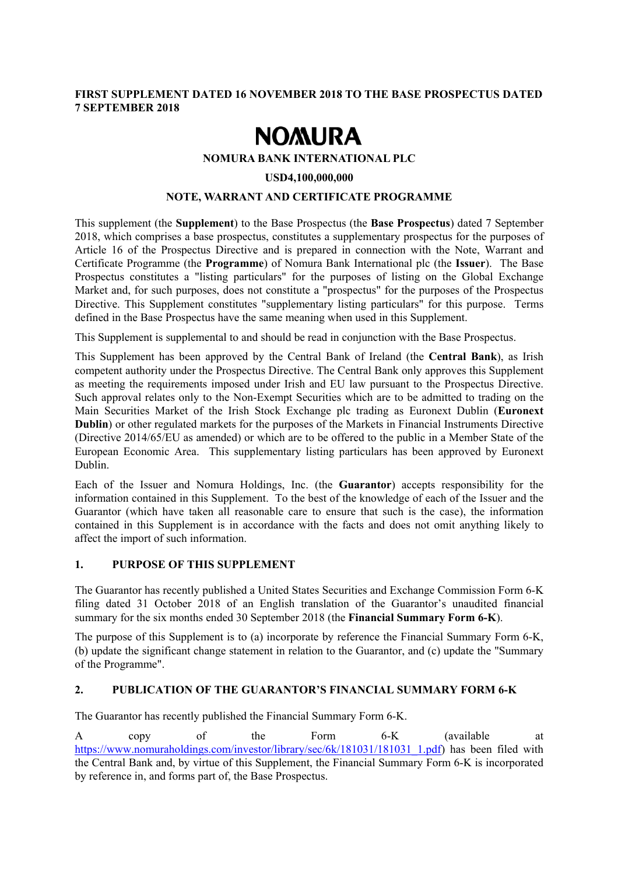## **FIRST SUPPLEMENT DATED 16 NOVEMBER 2018 TO THE BASE PROSPECTUS DATED 7 SEPTEMBER 2018**

# **NOMURA**

## **NOMURA BANK INTERNATIONAL PLC**

#### **USD4,100,000,000**

## **NOTE, WARRANT AND CERTIFICATE PROGRAMME**

This supplement (the **Supplement**) to the Base Prospectus (the **Base Prospectus**) dated 7 September 2018, which comprises a base prospectus, constitutes a supplementary prospectus for the purposes of Article 16 of the Prospectus Directive and is prepared in connection with the Note, Warrant and Certificate Programme (the **Programme**) of Nomura Bank International plc (the **Issuer**). The Base Prospectus constitutes a "listing particulars" for the purposes of listing on the Global Exchange Market and, for such purposes, does not constitute a "prospectus" for the purposes of the Prospectus Directive. This Supplement constitutes "supplementary listing particulars" for this purpose. Terms defined in the Base Prospectus have the same meaning when used in this Supplement.

This Supplement is supplemental to and should be read in conjunction with the Base Prospectus.

This Supplement has been approved by the Central Bank of Ireland (the **Central Bank**), as Irish competent authority under the Prospectus Directive. The Central Bank only approves this Supplement as meeting the requirements imposed under Irish and EU law pursuant to the Prospectus Directive. Such approval relates only to the Non-Exempt Securities which are to be admitted to trading on the Main Securities Market of the Irish Stock Exchange plc trading as Euronext Dublin (**Euronext Dublin**) or other regulated markets for the purposes of the Markets in Financial Instruments Directive (Directive 2014/65/EU as amended) or which are to be offered to the public in a Member State of the European Economic Area. This supplementary listing particulars has been approved by Euronext Dublin.

Each of the Issuer and Nomura Holdings, Inc. (the **Guarantor**) accepts responsibility for the information contained in this Supplement. To the best of the knowledge of each of the Issuer and the Guarantor (which have taken all reasonable care to ensure that such is the case), the information contained in this Supplement is in accordance with the facts and does not omit anything likely to affect the import of such information.

## **1. PURPOSE OF THIS SUPPLEMENT**

The Guarantor has recently published a United States Securities and Exchange Commission Form 6-K filing dated 31 October 2018 of an English translation of the Guarantor's unaudited financial summary for the six months ended 30 September 2018 (the **Financial Summary Form 6-K**).

The purpose of this Supplement is to (a) incorporate by reference the Financial Summary Form 6-K, (b) update the significant change statement in relation to the Guarantor, and (c) update the "Summary of the Programme".

# **2. PUBLICATION OF THE GUARANTOR'S FINANCIAL SUMMARY FORM 6-K**

The Guarantor has recently published the Financial Summary Form 6-K.

A copy of the Form 6-K (available at https://www.nomuraholdings.com/investor/library/sec/6k/181031/181031\_1.pdf) has been filed with the Central Bank and, by virtue of this Supplement, the Financial Summary Form 6-K is incorporated by reference in, and forms part of, the Base Prospectus.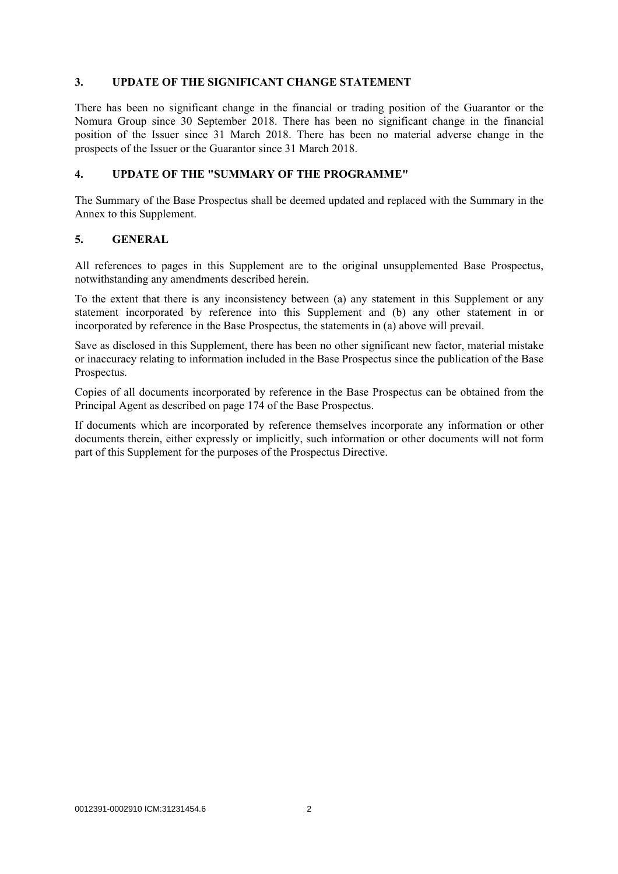#### **3. UPDATE OF THE SIGNIFICANT CHANGE STATEMENT**

There has been no significant change in the financial or trading position of the Guarantor or the Nomura Group since 30 September 2018. There has been no significant change in the financial position of the Issuer since 31 March 2018. There has been no material adverse change in the prospects of the Issuer or the Guarantor since 31 March 2018.

### **4. UPDATE OF THE "SUMMARY OF THE PROGRAMME"**

The Summary of the Base Prospectus shall be deemed updated and replaced with the Summary in the Annex to this Supplement.

### **5. GENERAL**

All references to pages in this Supplement are to the original unsupplemented Base Prospectus, notwithstanding any amendments described herein.

To the extent that there is any inconsistency between (a) any statement in this Supplement or any statement incorporated by reference into this Supplement and (b) any other statement in or incorporated by reference in the Base Prospectus, the statements in (a) above will prevail.

Save as disclosed in this Supplement, there has been no other significant new factor, material mistake or inaccuracy relating to information included in the Base Prospectus since the publication of the Base Prospectus.

Copies of all documents incorporated by reference in the Base Prospectus can be obtained from the Principal Agent as described on page 174 of the Base Prospectus.

If documents which are incorporated by reference themselves incorporate any information or other documents therein, either expressly or implicitly, such information or other documents will not form part of this Supplement for the purposes of the Prospectus Directive.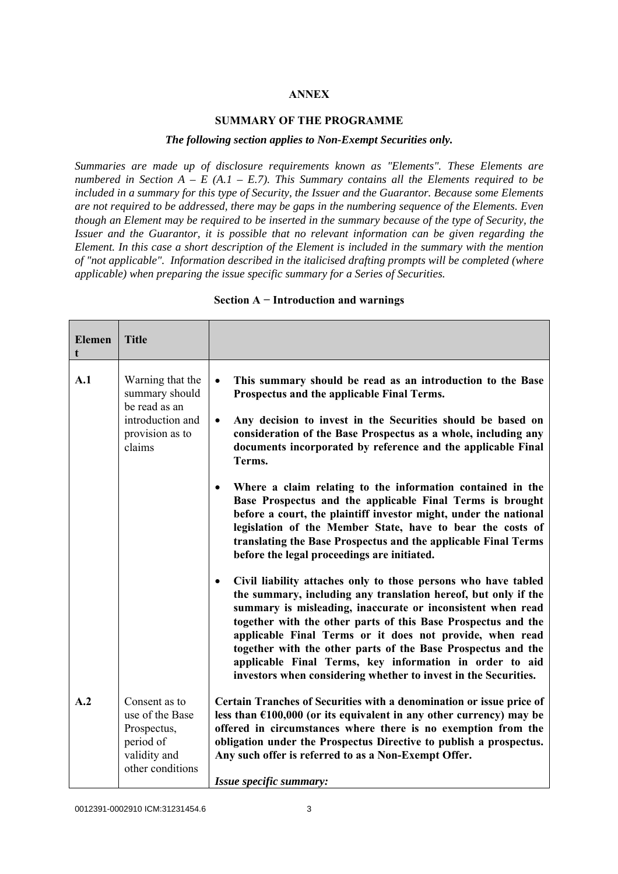### **ANNEX**

#### **SUMMARY OF THE PROGRAMME**

#### *The following section applies to Non-Exempt Securities only.*

*Summaries are made up of disclosure requirements known as "Elements". These Elements are numbered in Section A – E (A.1 – E.7). This Summary contains all the Elements required to be included in a summary for this type of Security, the Issuer and the Guarantor. Because some Elements are not required to be addressed, there may be gaps in the numbering sequence of the Elements. Even though an Element may be required to be inserted in the summary because of the type of Security, the Issuer and the Guarantor, it is possible that no relevant information can be given regarding the Element. In this case a short description of the Element is included in the summary with the mention of "not applicable". Information described in the italicised drafting prompts will be completed (where applicable) when preparing the issue specific summary for a Series of Securities.*

| <b>Elemen</b><br>t | <b>Title</b>                                                                                         |                                                                                                                                                                                                                                                                                                                                                                                                                                                                                                                                                                                                                                                                                                                                                                                                                                                                                                                                                                                                                                                                                                                                                       |
|--------------------|------------------------------------------------------------------------------------------------------|-------------------------------------------------------------------------------------------------------------------------------------------------------------------------------------------------------------------------------------------------------------------------------------------------------------------------------------------------------------------------------------------------------------------------------------------------------------------------------------------------------------------------------------------------------------------------------------------------------------------------------------------------------------------------------------------------------------------------------------------------------------------------------------------------------------------------------------------------------------------------------------------------------------------------------------------------------------------------------------------------------------------------------------------------------------------------------------------------------------------------------------------------------|
| A.1                | Warning that the<br>summary should<br>be read as an<br>introduction and<br>provision as to<br>claims | This summary should be read as an introduction to the Base<br>$\bullet$<br>Prospectus and the applicable Final Terms.<br>Any decision to invest in the Securities should be based on<br>$\bullet$<br>consideration of the Base Prospectus as a whole, including any<br>documents incorporated by reference and the applicable Final<br>Terms.<br>Where a claim relating to the information contained in the<br>$\bullet$<br>Base Prospectus and the applicable Final Terms is brought<br>before a court, the plaintiff investor might, under the national<br>legislation of the Member State, have to bear the costs of<br>translating the Base Prospectus and the applicable Final Terms<br>before the legal proceedings are initiated.<br>Civil liability attaches only to those persons who have tabled<br>$\bullet$<br>the summary, including any translation hereof, but only if the<br>summary is misleading, inaccurate or inconsistent when read<br>together with the other parts of this Base Prospectus and the<br>applicable Final Terms or it does not provide, when read<br>together with the other parts of the Base Prospectus and the |
|                    |                                                                                                      | applicable Final Terms, key information in order to aid<br>investors when considering whether to invest in the Securities.                                                                                                                                                                                                                                                                                                                                                                                                                                                                                                                                                                                                                                                                                                                                                                                                                                                                                                                                                                                                                            |
| A.2                | Consent as to<br>use of the Base<br>Prospectus,<br>period of<br>validity and<br>other conditions     | Certain Tranches of Securities with a denomination or issue price of<br>less than $£100,000$ (or its equivalent in any other currency) may be<br>offered in circumstances where there is no exemption from the<br>obligation under the Prospectus Directive to publish a prospectus.<br>Any such offer is referred to as a Non-Exempt Offer.<br>Issue specific summary:                                                                                                                                                                                                                                                                                                                                                                                                                                                                                                                                                                                                                                                                                                                                                                               |

#### **Section A − Introduction and warnings**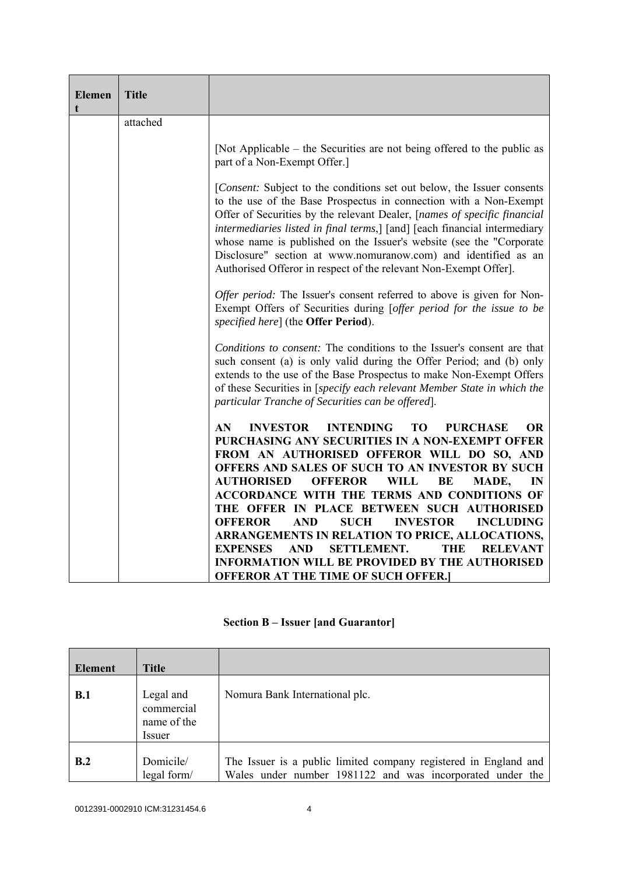| <b>Elemen</b><br>t | <b>Title</b> |                                                                                                                                                                                                                                                                                                                                                                                                                                                                                                                   |  |  |  |
|--------------------|--------------|-------------------------------------------------------------------------------------------------------------------------------------------------------------------------------------------------------------------------------------------------------------------------------------------------------------------------------------------------------------------------------------------------------------------------------------------------------------------------------------------------------------------|--|--|--|
|                    | attached     |                                                                                                                                                                                                                                                                                                                                                                                                                                                                                                                   |  |  |  |
|                    |              | [Not Applicable – the Securities are not being offered to the public as<br>part of a Non-Exempt Offer.]                                                                                                                                                                                                                                                                                                                                                                                                           |  |  |  |
|                    |              | [Consent: Subject to the conditions set out below, the Issuer consents<br>to the use of the Base Prospectus in connection with a Non-Exempt<br>Offer of Securities by the relevant Dealer, [names of specific financial<br>intermediaries listed in final terms,] [and] [each financial intermediary<br>whose name is published on the Issuer's website (see the "Corporate<br>Disclosure" section at www.nomuranow.com) and identified as an<br>Authorised Offeror in respect of the relevant Non-Exempt Offer]. |  |  |  |
|                    |              | Offer period: The Issuer's consent referred to above is given for Non-<br>Exempt Offers of Securities during [offer period for the issue to be<br>specified here] (the <b>Offer Period</b> ).                                                                                                                                                                                                                                                                                                                     |  |  |  |
|                    |              | Conditions to consent: The conditions to the Issuer's consent are that<br>such consent (a) is only valid during the Offer Period; and (b) only<br>extends to the use of the Base Prospectus to make Non-Exempt Offers<br>of these Securities in [specify each relevant Member State in which the<br>particular Tranche of Securities can be offered].                                                                                                                                                             |  |  |  |
|                    |              | AN<br><b>INVESTOR</b><br><b>INTENDING</b><br><b>TO</b><br><b>PURCHASE</b><br><b>OR</b><br>PURCHASING ANY SECURITIES IN A NON-EXEMPT OFFER<br>FROM AN AUTHORISED OFFEROR WILL DO SO, AND<br>OFFERS AND SALES OF SUCH TO AN INVESTOR BY SUCH<br><b>AUTHORISED</b><br><b>OFFEROR</b><br><b>WILL</b><br>BE<br>MADE,<br>IN<br><b>ACCORDANCE WITH THE TERMS AND CONDITIONS OF</b><br>THE OFFER IN PLACE BETWEEN SUCH AUTHORISED<br><b>SUCH</b><br><b>INVESTOR</b><br><b>INCLUDING</b><br><b>OFFEROR</b><br><b>AND</b>   |  |  |  |
|                    |              | ARRANGEMENTS IN RELATION TO PRICE, ALLOCATIONS,<br><b>AND</b><br><b>SETTLEMENT.</b><br><b>EXPENSES</b><br>THE<br><b>RELEVANT</b><br><b>INFORMATION WILL BE PROVIDED BY THE AUTHORISED</b><br><b>OFFEROR AT THE TIME OF SUCH OFFER.</b>                                                                                                                                                                                                                                                                            |  |  |  |

| <b>Section B – Issuer [and Guarantor]</b> |  |  |  |  |  |
|-------------------------------------------|--|--|--|--|--|
|-------------------------------------------|--|--|--|--|--|

| <b>Element</b> | <b>Title</b>                                     |                                                                                                                               |
|----------------|--------------------------------------------------|-------------------------------------------------------------------------------------------------------------------------------|
| B.1            | Legal and<br>commercial<br>name of the<br>Issuer | Nomura Bank International plc.                                                                                                |
| B.2            | Domicile/<br>legal form/                         | The Issuer is a public limited company registered in England and<br>Wales under number 1981122 and was incorporated under the |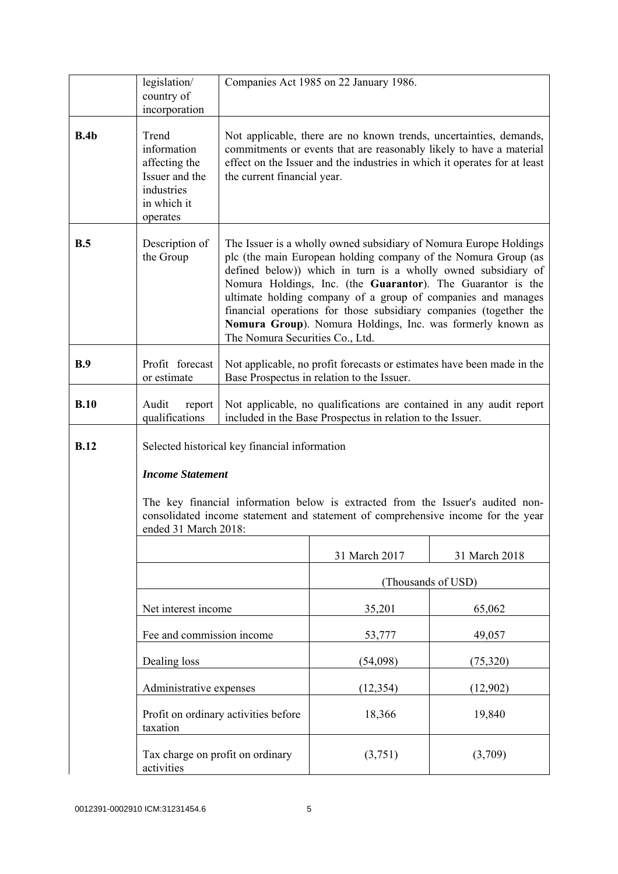|             | legislation/<br>country of                                                                       | Companies Act 1985 on 22 January 1986.                                                                                                                                                                                                                                                                                                                                                                                                                                                                    |                    |               |
|-------------|--------------------------------------------------------------------------------------------------|-----------------------------------------------------------------------------------------------------------------------------------------------------------------------------------------------------------------------------------------------------------------------------------------------------------------------------------------------------------------------------------------------------------------------------------------------------------------------------------------------------------|--------------------|---------------|
|             | incorporation                                                                                    |                                                                                                                                                                                                                                                                                                                                                                                                                                                                                                           |                    |               |
| B.4b        | Trend<br>information<br>affecting the<br>Issuer and the<br>industries<br>in which it<br>operates | Not applicable, there are no known trends, uncertainties, demands,<br>commitments or events that are reasonably likely to have a material<br>effect on the Issuer and the industries in which it operates for at least<br>the current financial year.                                                                                                                                                                                                                                                     |                    |               |
| B.5         | Description of<br>the Group                                                                      | The Issuer is a wholly owned subsidiary of Nomura Europe Holdings<br>plc (the main European holding company of the Nomura Group (as<br>defined below)) which in turn is a wholly owned subsidiary of<br>Nomura Holdings, Inc. (the Guarantor). The Guarantor is the<br>ultimate holding company of a group of companies and manages<br>financial operations for those subsidiary companies (together the<br>Nomura Group). Nomura Holdings, Inc. was formerly known as<br>The Nomura Securities Co., Ltd. |                    |               |
| B.9         | Profit forecast<br>or estimate                                                                   | Not applicable, no profit forecasts or estimates have been made in the<br>Base Prospectus in relation to the Issuer.                                                                                                                                                                                                                                                                                                                                                                                      |                    |               |
| B.10        | Audit<br>report<br>qualifications                                                                | Not applicable, no qualifications are contained in any audit report<br>included in the Base Prospectus in relation to the Issuer.                                                                                                                                                                                                                                                                                                                                                                         |                    |               |
| <b>B.12</b> |                                                                                                  | Selected historical key financial information                                                                                                                                                                                                                                                                                                                                                                                                                                                             |                    |               |
|             | <b>Income Statement</b>                                                                          |                                                                                                                                                                                                                                                                                                                                                                                                                                                                                                           |                    |               |
|             | ended 31 March 2018:                                                                             | The key financial information below is extracted from the Issuer's audited non-<br>consolidated income statement and statement of comprehensive income for the year                                                                                                                                                                                                                                                                                                                                       |                    |               |
|             |                                                                                                  |                                                                                                                                                                                                                                                                                                                                                                                                                                                                                                           | 31 March 2017      | 31 March 2018 |
|             |                                                                                                  |                                                                                                                                                                                                                                                                                                                                                                                                                                                                                                           | (Thousands of USD) |               |
|             | Net interest income                                                                              |                                                                                                                                                                                                                                                                                                                                                                                                                                                                                                           | 35,201             | 65,062        |
|             | Fee and commission income                                                                        |                                                                                                                                                                                                                                                                                                                                                                                                                                                                                                           | 53,777             | 49,057        |
|             | Dealing loss                                                                                     |                                                                                                                                                                                                                                                                                                                                                                                                                                                                                                           | (54,098)           | (75,320)      |
|             | Administrative expenses                                                                          |                                                                                                                                                                                                                                                                                                                                                                                                                                                                                                           | (12, 354)          | (12,902)      |
|             | taxation                                                                                         | Profit on ordinary activities before                                                                                                                                                                                                                                                                                                                                                                                                                                                                      | 18,366             | 19,840        |
|             | Tax charge on profit on ordinary<br>activities                                                   |                                                                                                                                                                                                                                                                                                                                                                                                                                                                                                           | (3,751)            | (3,709)       |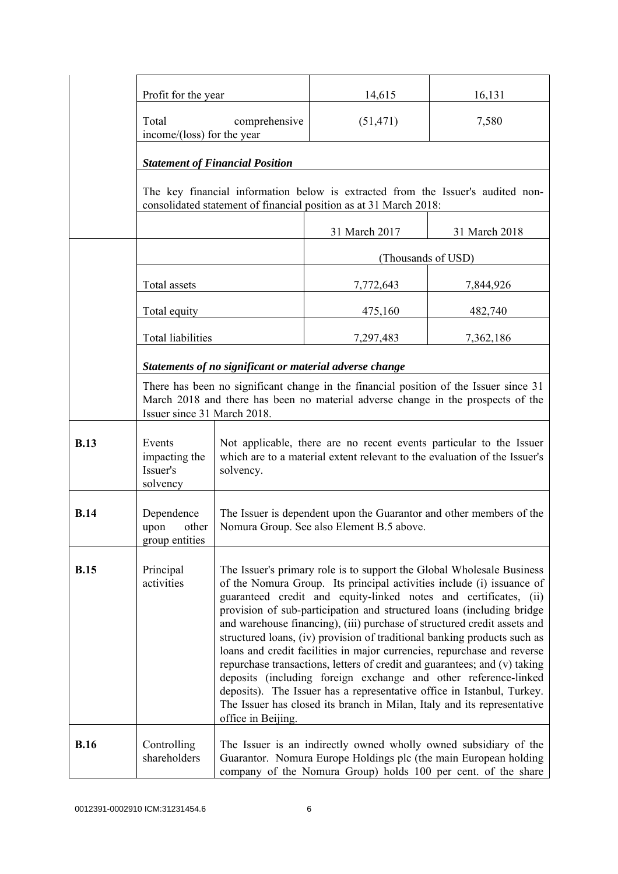|             | Profit for the year                                                                                                                                                                                      |                                                                                                                                                                                                                                                                                                                                                                                                                                                                                                                                                                                                                                                                                                                                                                                                                                                           | 14,615                                                            | 16,131                                                                          |
|-------------|----------------------------------------------------------------------------------------------------------------------------------------------------------------------------------------------------------|-----------------------------------------------------------------------------------------------------------------------------------------------------------------------------------------------------------------------------------------------------------------------------------------------------------------------------------------------------------------------------------------------------------------------------------------------------------------------------------------------------------------------------------------------------------------------------------------------------------------------------------------------------------------------------------------------------------------------------------------------------------------------------------------------------------------------------------------------------------|-------------------------------------------------------------------|---------------------------------------------------------------------------------|
|             | Total<br>comprehensive<br>income/(loss) for the year                                                                                                                                                     |                                                                                                                                                                                                                                                                                                                                                                                                                                                                                                                                                                                                                                                                                                                                                                                                                                                           | (51, 471)                                                         | 7,580                                                                           |
|             |                                                                                                                                                                                                          | <b>Statement of Financial Position</b>                                                                                                                                                                                                                                                                                                                                                                                                                                                                                                                                                                                                                                                                                                                                                                                                                    |                                                                   |                                                                                 |
|             |                                                                                                                                                                                                          |                                                                                                                                                                                                                                                                                                                                                                                                                                                                                                                                                                                                                                                                                                                                                                                                                                                           | consolidated statement of financial position as at 31 March 2018: | The key financial information below is extracted from the Issuer's audited non- |
|             |                                                                                                                                                                                                          |                                                                                                                                                                                                                                                                                                                                                                                                                                                                                                                                                                                                                                                                                                                                                                                                                                                           | 31 March 2017                                                     | 31 March 2018                                                                   |
|             |                                                                                                                                                                                                          |                                                                                                                                                                                                                                                                                                                                                                                                                                                                                                                                                                                                                                                                                                                                                                                                                                                           |                                                                   | (Thousands of USD)                                                              |
|             | Total assets                                                                                                                                                                                             |                                                                                                                                                                                                                                                                                                                                                                                                                                                                                                                                                                                                                                                                                                                                                                                                                                                           | 7,772,643                                                         | 7,844,926                                                                       |
|             | Total equity                                                                                                                                                                                             |                                                                                                                                                                                                                                                                                                                                                                                                                                                                                                                                                                                                                                                                                                                                                                                                                                                           | 475,160                                                           | 482,740                                                                         |
|             | <b>Total liabilities</b>                                                                                                                                                                                 |                                                                                                                                                                                                                                                                                                                                                                                                                                                                                                                                                                                                                                                                                                                                                                                                                                                           | 7,297,483                                                         | 7,362,186                                                                       |
|             |                                                                                                                                                                                                          |                                                                                                                                                                                                                                                                                                                                                                                                                                                                                                                                                                                                                                                                                                                                                                                                                                                           | Statements of no significant or material adverse change           |                                                                                 |
|             | There has been no significant change in the financial position of the Issuer since 31<br>March 2018 and there has been no material adverse change in the prospects of the<br>Issuer since 31 March 2018. |                                                                                                                                                                                                                                                                                                                                                                                                                                                                                                                                                                                                                                                                                                                                                                                                                                                           |                                                                   |                                                                                 |
| <b>B.13</b> | Events<br>impacting the<br>Issuer's<br>solvency                                                                                                                                                          | Not applicable, there are no recent events particular to the Issuer<br>which are to a material extent relevant to the evaluation of the Issuer's<br>solvency.                                                                                                                                                                                                                                                                                                                                                                                                                                                                                                                                                                                                                                                                                             |                                                                   |                                                                                 |
| <b>B.14</b> | Dependence<br>upon<br>other<br>group entities                                                                                                                                                            | The Issuer is dependent upon the Guarantor and other members of the<br>Nomura Group. See also Element B.5 above.                                                                                                                                                                                                                                                                                                                                                                                                                                                                                                                                                                                                                                                                                                                                          |                                                                   |                                                                                 |
| <b>B.15</b> | Principal<br>activities                                                                                                                                                                                  | The Issuer's primary role is to support the Global Wholesale Business<br>of the Nomura Group. Its principal activities include (i) issuance of<br>guaranteed credit and equity-linked notes and certificates, (ii)<br>provision of sub-participation and structured loans (including bridge<br>and warehouse financing), (iii) purchase of structured credit assets and<br>structured loans, (iv) provision of traditional banking products such as<br>loans and credit facilities in major currencies, repurchase and reverse<br>repurchase transactions, letters of credit and guarantees; and (v) taking<br>deposits (including foreign exchange and other reference-linked<br>deposits). The Issuer has a representative office in Istanbul, Turkey.<br>The Issuer has closed its branch in Milan, Italy and its representative<br>office in Beijing. |                                                                   |                                                                                 |
| <b>B.16</b> | Controlling<br>shareholders                                                                                                                                                                              | The Issuer is an indirectly owned wholly owned subsidiary of the<br>Guarantor. Nomura Europe Holdings plc (the main European holding<br>company of the Nomura Group) holds 100 per cent. of the share                                                                                                                                                                                                                                                                                                                                                                                                                                                                                                                                                                                                                                                     |                                                                   |                                                                                 |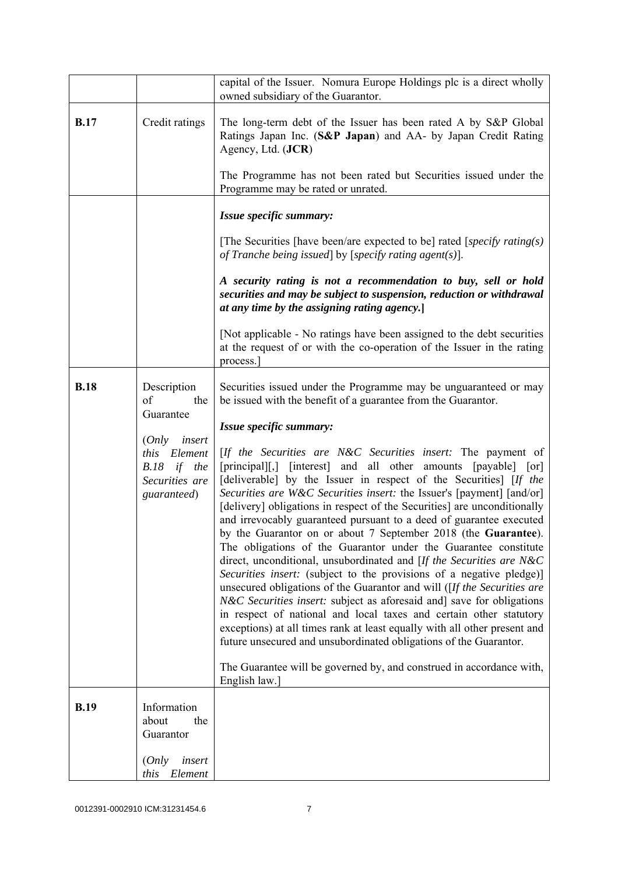|             |                                                                                       | capital of the Issuer. Nomura Europe Holdings plc is a direct wholly<br>owned subsidiary of the Guarantor.                                                                                                                                                                                                                                                                                                                                                                                                                                                                                                                                                                                                                                                                                                                                                                                                                                                                                                                                                                                                                                                                                |  |
|-------------|---------------------------------------------------------------------------------------|-------------------------------------------------------------------------------------------------------------------------------------------------------------------------------------------------------------------------------------------------------------------------------------------------------------------------------------------------------------------------------------------------------------------------------------------------------------------------------------------------------------------------------------------------------------------------------------------------------------------------------------------------------------------------------------------------------------------------------------------------------------------------------------------------------------------------------------------------------------------------------------------------------------------------------------------------------------------------------------------------------------------------------------------------------------------------------------------------------------------------------------------------------------------------------------------|--|
| <b>B.17</b> | Credit ratings                                                                        | The long-term debt of the Issuer has been rated A by S&P Global<br>Ratings Japan Inc. (S&P Japan) and AA- by Japan Credit Rating<br>Agency, Ltd. (JCR)<br>The Programme has not been rated but Securities issued under the                                                                                                                                                                                                                                                                                                                                                                                                                                                                                                                                                                                                                                                                                                                                                                                                                                                                                                                                                                |  |
|             |                                                                                       | Programme may be rated or unrated.                                                                                                                                                                                                                                                                                                                                                                                                                                                                                                                                                                                                                                                                                                                                                                                                                                                                                                                                                                                                                                                                                                                                                        |  |
|             |                                                                                       | Issue specific summary:                                                                                                                                                                                                                                                                                                                                                                                                                                                                                                                                                                                                                                                                                                                                                                                                                                                                                                                                                                                                                                                                                                                                                                   |  |
|             |                                                                                       | [The Securities [have been/are expected to be] rated [specify rating(s)]<br>of Tranche being issued by [specify rating agent(s)].                                                                                                                                                                                                                                                                                                                                                                                                                                                                                                                                                                                                                                                                                                                                                                                                                                                                                                                                                                                                                                                         |  |
|             |                                                                                       | A security rating is not a recommendation to buy, sell or hold<br>securities and may be subject to suspension, reduction or withdrawal<br>at any time by the assigning rating agency.                                                                                                                                                                                                                                                                                                                                                                                                                                                                                                                                                                                                                                                                                                                                                                                                                                                                                                                                                                                                     |  |
|             |                                                                                       | [Not applicable - No ratings have been assigned to the debt securities]<br>at the request of or with the co-operation of the Issuer in the rating<br>process.                                                                                                                                                                                                                                                                                                                                                                                                                                                                                                                                                                                                                                                                                                                                                                                                                                                                                                                                                                                                                             |  |
| <b>B.18</b> | Description<br>of<br>the<br>Guarantee                                                 | Securities issued under the Programme may be unguaranteed or may<br>be issued with the benefit of a guarantee from the Guarantor.                                                                                                                                                                                                                                                                                                                                                                                                                                                                                                                                                                                                                                                                                                                                                                                                                                                                                                                                                                                                                                                         |  |
|             |                                                                                       | Issue specific summary:                                                                                                                                                                                                                                                                                                                                                                                                                                                                                                                                                                                                                                                                                                                                                                                                                                                                                                                                                                                                                                                                                                                                                                   |  |
|             | insert<br>(Only<br>Element<br>this<br>B.18<br>if the<br>Securities are<br>guaranteed) | [If the Securities are N&C Securities insert: The payment of<br>[principal][,] [interest] and all other amounts [payable] [or]<br>[deliverable] by the Issuer in respect of the Securities] [If the<br>Securities are W&C Securities insert: the Issuer's [payment] [and/or]<br>[delivery] obligations in respect of the Securities] are unconditionally<br>and irrevocably guaranteed pursuant to a deed of guarantee executed<br>by the Guarantor on or about 7 September 2018 (the Guarantee).<br>The obligations of the Guarantor under the Guarantee constitute<br>direct, unconditional, unsubordinated and [If the Securities are N&C<br>Securities insert: (subject to the provisions of a negative pledge)]<br>unsecured obligations of the Guarantor and will ([If the Securities are<br>N&C Securities insert: subject as aforesaid and] save for obligations<br>in respect of national and local taxes and certain other statutory<br>exceptions) at all times rank at least equally with all other present and<br>future unsecured and unsubordinated obligations of the Guarantor.<br>The Guarantee will be governed by, and construed in accordance with,<br>English law.] |  |
| <b>B.19</b> | Information                                                                           |                                                                                                                                                                                                                                                                                                                                                                                                                                                                                                                                                                                                                                                                                                                                                                                                                                                                                                                                                                                                                                                                                                                                                                                           |  |
|             | about<br>the<br>Guarantor                                                             |                                                                                                                                                                                                                                                                                                                                                                                                                                                                                                                                                                                                                                                                                                                                                                                                                                                                                                                                                                                                                                                                                                                                                                                           |  |
|             | (Only<br>insert<br>Element<br>this                                                    |                                                                                                                                                                                                                                                                                                                                                                                                                                                                                                                                                                                                                                                                                                                                                                                                                                                                                                                                                                                                                                                                                                                                                                                           |  |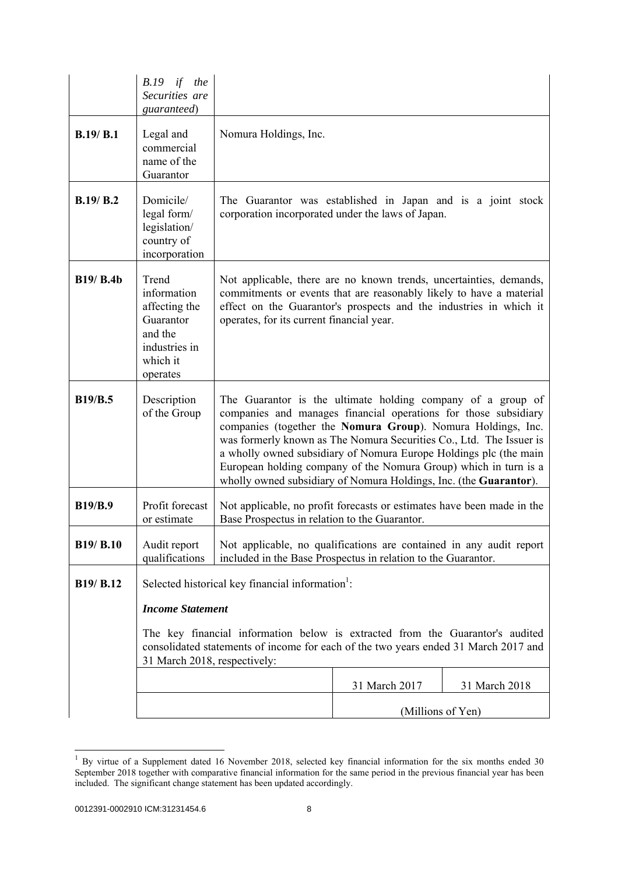|                  | <i>B.19</i><br>if the<br>Securities are<br>guaranteed)                                                 |                                                                                                                                                                                                                                                                                                                                                                                                                                                                                     |                   |               |
|------------------|--------------------------------------------------------------------------------------------------------|-------------------------------------------------------------------------------------------------------------------------------------------------------------------------------------------------------------------------------------------------------------------------------------------------------------------------------------------------------------------------------------------------------------------------------------------------------------------------------------|-------------------|---------------|
| B.19/B.1         | Legal and<br>commercial<br>name of the<br>Guarantor                                                    | Nomura Holdings, Inc.                                                                                                                                                                                                                                                                                                                                                                                                                                                               |                   |               |
| B.19/B.2         | Domicile/<br>legal form/<br>legislation/<br>country of<br>incorporation                                | The Guarantor was established in Japan and is a joint stock<br>corporation incorporated under the laws of Japan.                                                                                                                                                                                                                                                                                                                                                                    |                   |               |
| <b>B19/ B.4b</b> | Trend<br>information<br>affecting the<br>Guarantor<br>and the<br>industries in<br>which it<br>operates | Not applicable, there are no known trends, uncertainties, demands,<br>commitments or events that are reasonably likely to have a material<br>effect on the Guarantor's prospects and the industries in which it<br>operates, for its current financial year.                                                                                                                                                                                                                        |                   |               |
| <b>B19/B.5</b>   | Description<br>of the Group                                                                            | The Guarantor is the ultimate holding company of a group of<br>companies and manages financial operations for those subsidiary<br>companies (together the Nomura Group). Nomura Holdings, Inc.<br>was formerly known as The Nomura Securities Co., Ltd. The Issuer is<br>a wholly owned subsidiary of Nomura Europe Holdings plc (the main<br>European holding company of the Nomura Group) which in turn is a<br>wholly owned subsidiary of Nomura Holdings, Inc. (the Guarantor). |                   |               |
| <b>B19/B.9</b>   | Profit forecast<br>or estimate                                                                         | Not applicable, no profit forecasts or estimates have been made in the<br>Base Prospectus in relation to the Guarantor.                                                                                                                                                                                                                                                                                                                                                             |                   |               |
| B19/ B.10        | Audit report<br>qualifications                                                                         | Not applicable, no qualifications are contained in any audit report<br>included in the Base Prospectus in relation to the Guarantor.                                                                                                                                                                                                                                                                                                                                                |                   |               |
| B19/ B.12        |                                                                                                        | Selected historical key financial information <sup>1</sup> :                                                                                                                                                                                                                                                                                                                                                                                                                        |                   |               |
|                  | <b>Income Statement</b>                                                                                |                                                                                                                                                                                                                                                                                                                                                                                                                                                                                     |                   |               |
|                  | 31 March 2018, respectively:                                                                           | The key financial information below is extracted from the Guarantor's audited<br>consolidated statements of income for each of the two years ended 31 March 2017 and                                                                                                                                                                                                                                                                                                                |                   |               |
|                  |                                                                                                        |                                                                                                                                                                                                                                                                                                                                                                                                                                                                                     | 31 March 2017     | 31 March 2018 |
|                  |                                                                                                        |                                                                                                                                                                                                                                                                                                                                                                                                                                                                                     | (Millions of Yen) |               |

 $1$  By virtue of a Supplement dated 16 November 2018, selected key financial information for the six months ended 30 September 2018 together with comparative financial information for the same period in the previous financial year has been included. The significant change statement has been updated accordingly.

l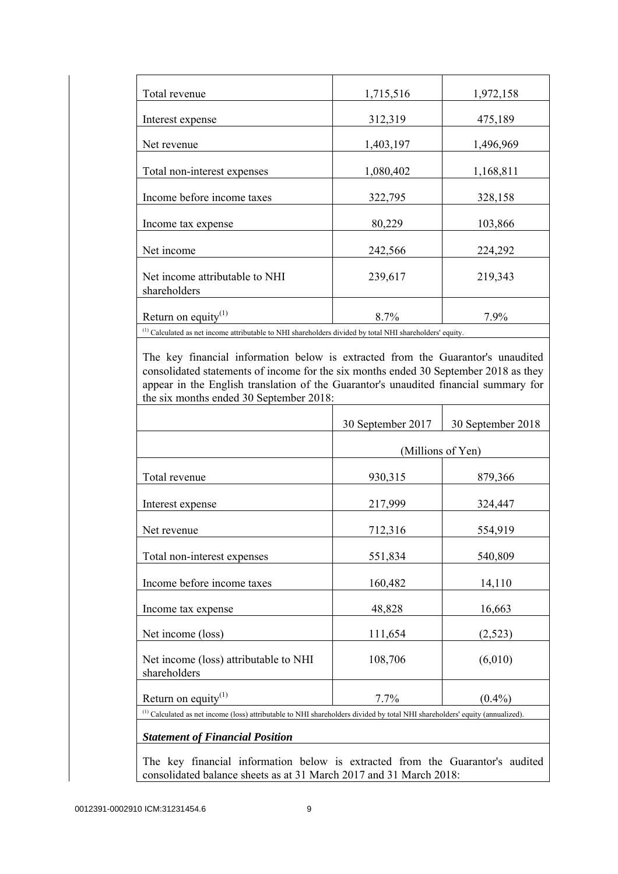| Total revenue                                                                                                       | 1,715,516 | 1,972,158 |
|---------------------------------------------------------------------------------------------------------------------|-----------|-----------|
| Interest expense                                                                                                    | 312,319   | 475,189   |
| Net revenue                                                                                                         | 1,403,197 | 1,496,969 |
| Total non-interest expenses                                                                                         | 1,080,402 | 1,168,811 |
| Income before income taxes                                                                                          | 322,795   | 328,158   |
| Income tax expense                                                                                                  | 80,229    | 103,866   |
| Net income                                                                                                          | 242,566   | 224,292   |
| Net income attributable to NHI<br>shareholders                                                                      | 239,617   | 219,343   |
| Return on equity $(1)$                                                                                              | 8.7%      | 7.9%      |
| <sup>(1)</sup> Calculated as net income attributable to NHI shareholders divided by total NHI shareholders' equity. |           |           |

 The key financial information below is extracted from the Guarantor's unaudited consolidated statements of income for the six months ended 30 September 2018 as they appear in the English translation of the Guarantor's unaudited financial summary for the six months ended 30 September 2018:

|                                                                                                                                                     | 30 September 2017 | 30 September 2018 |
|-----------------------------------------------------------------------------------------------------------------------------------------------------|-------------------|-------------------|
|                                                                                                                                                     | (Millions of Yen) |                   |
| Total revenue                                                                                                                                       | 930,315           | 879,366           |
| Interest expense                                                                                                                                    | 217,999           | 324,447           |
| Net revenue                                                                                                                                         | 712,316           | 554,919           |
| Total non-interest expenses                                                                                                                         | 551,834           | 540,809           |
| Income before income taxes                                                                                                                          | 160,482           | 14,110            |
| Income tax expense                                                                                                                                  | 48,828            | 16,663            |
| Net income (loss)                                                                                                                                   | 111,654           | (2,523)           |
| Net income (loss) attributable to NHI<br>shareholders                                                                                               | 108,706           | (6,010)           |
| Return on equity $(1)$                                                                                                                              | 7.7%              | $(0.4\%)$         |
| $^{(1)}$ Calculated as net income (loss) attributable to NHI shareholders divided by total NHI shareholders' equity (annualized).                   |                   |                   |
| <b>Statement of Financial Position</b>                                                                                                              |                   |                   |
| The key financial information below is extracted from the Guarantor's audited<br>consolidated balance sheets as at 31 March 2017 and 31 March 2018: |                   |                   |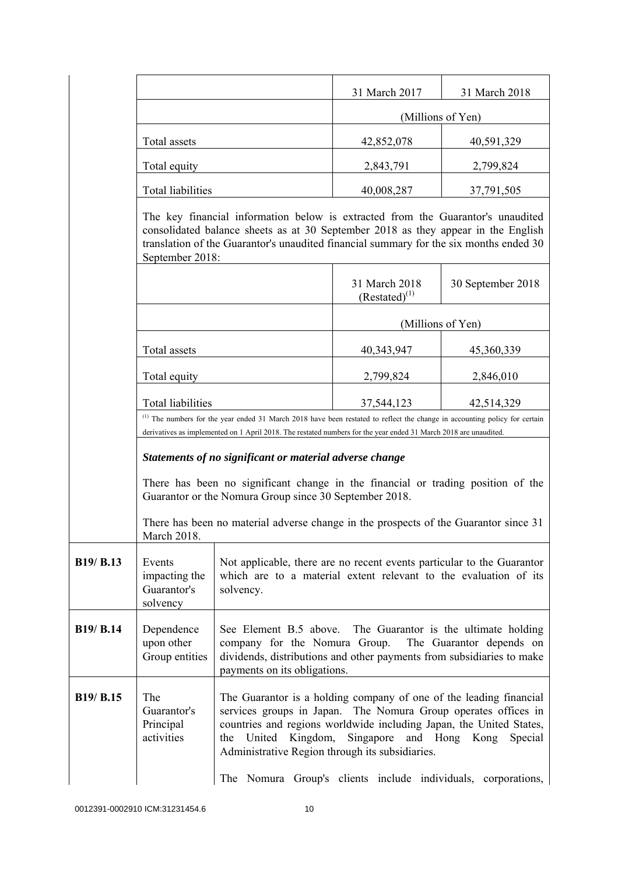|           |                                                                                                                                                                                                                                                                                   |                                                                                                                                                                                                                                                                                                                                                                                                          | 31 March 2017                                                                                                                                                                                                                                  | 31 March 2018     |
|-----------|-----------------------------------------------------------------------------------------------------------------------------------------------------------------------------------------------------------------------------------------------------------------------------------|----------------------------------------------------------------------------------------------------------------------------------------------------------------------------------------------------------------------------------------------------------------------------------------------------------------------------------------------------------------------------------------------------------|------------------------------------------------------------------------------------------------------------------------------------------------------------------------------------------------------------------------------------------------|-------------------|
|           |                                                                                                                                                                                                                                                                                   |                                                                                                                                                                                                                                                                                                                                                                                                          | (Millions of Yen)                                                                                                                                                                                                                              |                   |
|           | Total assets                                                                                                                                                                                                                                                                      |                                                                                                                                                                                                                                                                                                                                                                                                          | 42,852,078                                                                                                                                                                                                                                     | 40,591,329        |
|           | Total equity                                                                                                                                                                                                                                                                      |                                                                                                                                                                                                                                                                                                                                                                                                          | 2,843,791                                                                                                                                                                                                                                      | 2,799,824         |
|           | Total liabilities                                                                                                                                                                                                                                                                 |                                                                                                                                                                                                                                                                                                                                                                                                          | 40,008,287                                                                                                                                                                                                                                     | 37,791,505        |
|           | The key financial information below is extracted from the Guarantor's unaudited<br>consolidated balance sheets as at 30 September 2018 as they appear in the English<br>translation of the Guarantor's unaudited financial summary for the six months ended 30<br>September 2018: |                                                                                                                                                                                                                                                                                                                                                                                                          |                                                                                                                                                                                                                                                |                   |
|           |                                                                                                                                                                                                                                                                                   |                                                                                                                                                                                                                                                                                                                                                                                                          | 31 March 2018<br>$(Restated)^{(1)}$                                                                                                                                                                                                            | 30 September 2018 |
|           |                                                                                                                                                                                                                                                                                   |                                                                                                                                                                                                                                                                                                                                                                                                          | (Millions of Yen)                                                                                                                                                                                                                              |                   |
|           | Total assets                                                                                                                                                                                                                                                                      |                                                                                                                                                                                                                                                                                                                                                                                                          | 40,343,947                                                                                                                                                                                                                                     | 45,360,339        |
|           | Total equity                                                                                                                                                                                                                                                                      |                                                                                                                                                                                                                                                                                                                                                                                                          | 2,799,824                                                                                                                                                                                                                                      | 2,846,010         |
|           | Total liabilities                                                                                                                                                                                                                                                                 |                                                                                                                                                                                                                                                                                                                                                                                                          | 37,544,123                                                                                                                                                                                                                                     | 42,514,329        |
|           |                                                                                                                                                                                                                                                                                   |                                                                                                                                                                                                                                                                                                                                                                                                          | (1) The numbers for the year ended 31 March 2018 have been restated to reflect the change in accounting policy for certain<br>derivatives as implemented on 1 April 2018. The restated numbers for the year ended 31 March 2018 are unaudited. |                   |
|           |                                                                                                                                                                                                                                                                                   | Statements of no significant or material adverse change                                                                                                                                                                                                                                                                                                                                                  |                                                                                                                                                                                                                                                |                   |
|           |                                                                                                                                                                                                                                                                                   | There has been no significant change in the financial or trading position of the<br>Guarantor or the Nomura Group since 30 September 2018.                                                                                                                                                                                                                                                               |                                                                                                                                                                                                                                                |                   |
|           | March 2018.                                                                                                                                                                                                                                                                       | There has been no material adverse change in the prospects of the Guarantor since 31                                                                                                                                                                                                                                                                                                                     |                                                                                                                                                                                                                                                |                   |
| B19/ B.13 | Events<br>impacting the<br>Guarantor's<br>solvency                                                                                                                                                                                                                                | Not applicable, there are no recent events particular to the Guarantor<br>which are to a material extent relevant to the evaluation of its<br>solvency.                                                                                                                                                                                                                                                  |                                                                                                                                                                                                                                                |                   |
| B19/ B.14 | Dependence<br>upon other<br>Group entities                                                                                                                                                                                                                                        | See Element B.5 above. The Guarantor is the ultimate holding<br>company for the Nomura Group.<br>The Guarantor depends on<br>dividends, distributions and other payments from subsidiaries to make<br>payments on its obligations.                                                                                                                                                                       |                                                                                                                                                                                                                                                |                   |
| B19/ B.15 | The<br>Guarantor's<br>Principal<br>activities                                                                                                                                                                                                                                     | The Guarantor is a holding company of one of the leading financial<br>services groups in Japan.<br>The Nomura Group operates offices in<br>countries and regions worldwide including Japan, the United States,<br>Kingdom,<br>Singapore<br>and Hong Kong<br>the<br>United<br>Special<br>Administrative Region through its subsidiaries.<br>The Nomura Group's clients include individuals, corporations, |                                                                                                                                                                                                                                                |                   |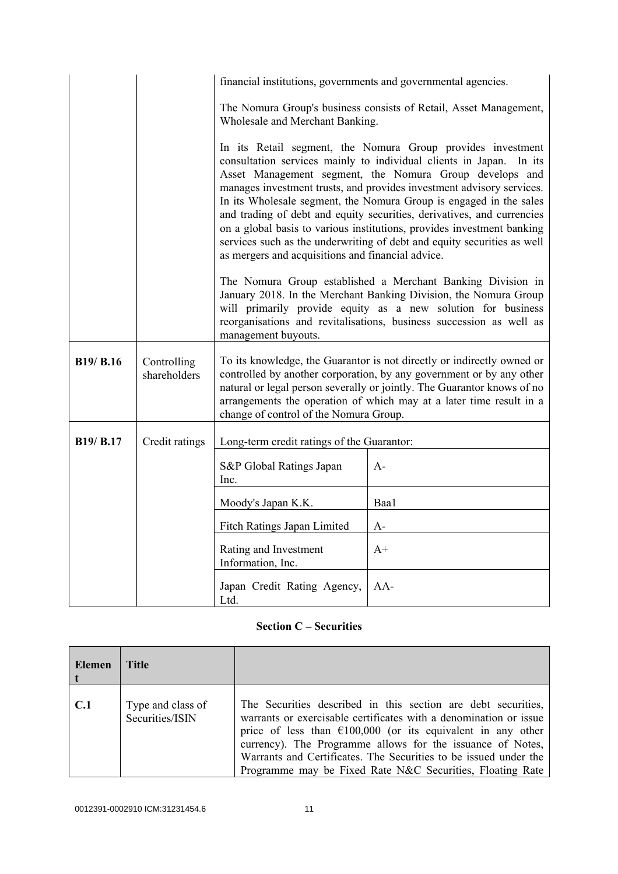|                  |                             | financial institutions, governments and governmental agencies.                                                                                                                                                                                                                                                                                                                                                                                                                                                                                                                                                                                                                                                                                                                                                                                                                                                |                                                                   |  |
|------------------|-----------------------------|---------------------------------------------------------------------------------------------------------------------------------------------------------------------------------------------------------------------------------------------------------------------------------------------------------------------------------------------------------------------------------------------------------------------------------------------------------------------------------------------------------------------------------------------------------------------------------------------------------------------------------------------------------------------------------------------------------------------------------------------------------------------------------------------------------------------------------------------------------------------------------------------------------------|-------------------------------------------------------------------|--|
|                  |                             | Wholesale and Merchant Banking.                                                                                                                                                                                                                                                                                                                                                                                                                                                                                                                                                                                                                                                                                                                                                                                                                                                                               | The Nomura Group's business consists of Retail, Asset Management, |  |
|                  |                             | In its Retail segment, the Nomura Group provides investment<br>consultation services mainly to individual clients in Japan.<br>In its<br>Asset Management segment, the Nomura Group develops and<br>manages investment trusts, and provides investment advisory services.<br>In its Wholesale segment, the Nomura Group is engaged in the sales<br>and trading of debt and equity securities, derivatives, and currencies<br>on a global basis to various institutions, provides investment banking<br>services such as the underwriting of debt and equity securities as well<br>as mergers and acquisitions and financial advice.<br>The Nomura Group established a Merchant Banking Division in<br>January 2018. In the Merchant Banking Division, the Nomura Group<br>will primarily provide equity as a new solution for business<br>reorganisations and revitalisations, business succession as well as |                                                                   |  |
|                  |                             | management buyouts.                                                                                                                                                                                                                                                                                                                                                                                                                                                                                                                                                                                                                                                                                                                                                                                                                                                                                           |                                                                   |  |
| <b>B19/ B.16</b> | Controlling<br>shareholders | To its knowledge, the Guarantor is not directly or indirectly owned or<br>controlled by another corporation, by any government or by any other<br>natural or legal person severally or jointly. The Guarantor knows of no<br>arrangements the operation of which may at a later time result in a<br>change of control of the Nomura Group.                                                                                                                                                                                                                                                                                                                                                                                                                                                                                                                                                                    |                                                                   |  |
| B19/ B.17        | Credit ratings              | Long-term credit ratings of the Guarantor:                                                                                                                                                                                                                                                                                                                                                                                                                                                                                                                                                                                                                                                                                                                                                                                                                                                                    |                                                                   |  |
|                  |                             | S&P Global Ratings Japan<br>Inc.                                                                                                                                                                                                                                                                                                                                                                                                                                                                                                                                                                                                                                                                                                                                                                                                                                                                              | $A-$                                                              |  |
|                  |                             | Moody's Japan K.K.                                                                                                                                                                                                                                                                                                                                                                                                                                                                                                                                                                                                                                                                                                                                                                                                                                                                                            | Baa1                                                              |  |
|                  |                             | Fitch Ratings Japan Limited                                                                                                                                                                                                                                                                                                                                                                                                                                                                                                                                                                                                                                                                                                                                                                                                                                                                                   | $A-$                                                              |  |
|                  |                             | Rating and Investment<br>Information, Inc.                                                                                                                                                                                                                                                                                                                                                                                                                                                                                                                                                                                                                                                                                                                                                                                                                                                                    | $A+$                                                              |  |
|                  |                             | Japan Credit Rating Agency,<br>Ltd.                                                                                                                                                                                                                                                                                                                                                                                                                                                                                                                                                                                                                                                                                                                                                                                                                                                                           | $AA-$                                                             |  |

# **Section C – Securities**

| <b>Elemen</b> | Title                                |                                                                                                                                                                                                                                                                                                                                                                                                            |
|---------------|--------------------------------------|------------------------------------------------------------------------------------------------------------------------------------------------------------------------------------------------------------------------------------------------------------------------------------------------------------------------------------------------------------------------------------------------------------|
| C.1           | Type and class of<br>Securities/ISIN | The Securities described in this section are debt securities,<br>warrants or exercisable certificates with a denomination or issue<br>price of less than $\epsilon$ 100,000 (or its equivalent in any other<br>currency). The Programme allows for the issuance of Notes,<br>Warrants and Certificates. The Securities to be issued under the<br>Programme may be Fixed Rate N&C Securities, Floating Rate |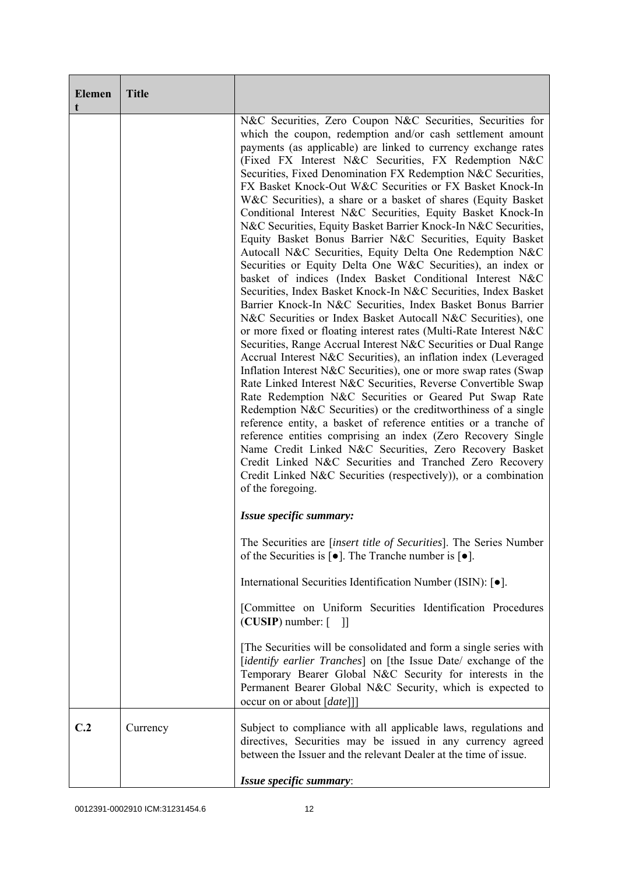| <b>Elemen</b><br>t | <b>Title</b> |                                                                                                                                                                                                                                                                                                                                                                                                                                                                                                                                                                                                                                                                                                                                                                                                                                                                                                                                                                                                                                                                                                                                                                                                                                                                                                                                                                                                                                                                                                                                                                                                                                                                                                                                                                                                                                                                    |
|--------------------|--------------|--------------------------------------------------------------------------------------------------------------------------------------------------------------------------------------------------------------------------------------------------------------------------------------------------------------------------------------------------------------------------------------------------------------------------------------------------------------------------------------------------------------------------------------------------------------------------------------------------------------------------------------------------------------------------------------------------------------------------------------------------------------------------------------------------------------------------------------------------------------------------------------------------------------------------------------------------------------------------------------------------------------------------------------------------------------------------------------------------------------------------------------------------------------------------------------------------------------------------------------------------------------------------------------------------------------------------------------------------------------------------------------------------------------------------------------------------------------------------------------------------------------------------------------------------------------------------------------------------------------------------------------------------------------------------------------------------------------------------------------------------------------------------------------------------------------------------------------------------------------------|
|                    |              | N&C Securities, Zero Coupon N&C Securities, Securities for<br>which the coupon, redemption and/or cash settlement amount<br>payments (as applicable) are linked to currency exchange rates<br>(Fixed FX Interest N&C Securities, FX Redemption N&C<br>Securities, Fixed Denomination FX Redemption N&C Securities,<br>FX Basket Knock-Out W&C Securities or FX Basket Knock-In<br>W&C Securities), a share or a basket of shares (Equity Basket<br>Conditional Interest N&C Securities, Equity Basket Knock-In<br>N&C Securities, Equity Basket Barrier Knock-In N&C Securities,<br>Equity Basket Bonus Barrier N&C Securities, Equity Basket<br>Autocall N&C Securities, Equity Delta One Redemption N&C<br>Securities or Equity Delta One W&C Securities), an index or<br>basket of indices (Index Basket Conditional Interest N&C<br>Securities, Index Basket Knock-In N&C Securities, Index Basket<br>Barrier Knock-In N&C Securities, Index Basket Bonus Barrier<br>N&C Securities or Index Basket Autocall N&C Securities), one<br>or more fixed or floating interest rates (Multi-Rate Interest N&C<br>Securities, Range Accrual Interest N&C Securities or Dual Range<br>Accrual Interest N&C Securities), an inflation index (Leveraged<br>Inflation Interest N&C Securities), one or more swap rates (Swap<br>Rate Linked Interest N&C Securities, Reverse Convertible Swap<br>Rate Redemption N&C Securities or Geared Put Swap Rate<br>Redemption N&C Securities) or the creditworthiness of a single<br>reference entity, a basket of reference entities or a tranche of<br>reference entities comprising an index (Zero Recovery Single<br>Name Credit Linked N&C Securities, Zero Recovery Basket<br>Credit Linked N&C Securities and Tranched Zero Recovery<br>Credit Linked N&C Securities (respectively)), or a combination<br>of the foregoing. |
|                    |              | Issue specific summary:                                                                                                                                                                                                                                                                                                                                                                                                                                                                                                                                                                                                                                                                                                                                                                                                                                                                                                                                                                                                                                                                                                                                                                                                                                                                                                                                                                                                                                                                                                                                                                                                                                                                                                                                                                                                                                            |
|                    |              | The Securities are <i>[insert title of Securities]</i> . The Series Number<br>of the Securities is $\lceil \bullet \rceil$ . The Tranche number is $\lceil \bullet \rceil$ .                                                                                                                                                                                                                                                                                                                                                                                                                                                                                                                                                                                                                                                                                                                                                                                                                                                                                                                                                                                                                                                                                                                                                                                                                                                                                                                                                                                                                                                                                                                                                                                                                                                                                       |
|                    |              | International Securities Identification Number (ISIN): [ $\bullet$ ].                                                                                                                                                                                                                                                                                                                                                                                                                                                                                                                                                                                                                                                                                                                                                                                                                                                                                                                                                                                                                                                                                                                                                                                                                                                                                                                                                                                                                                                                                                                                                                                                                                                                                                                                                                                              |
|                    |              | [Committee on Uniform Securities Identification Procedures<br>$(CUSIP)$ number: $\lceil$<br>- 11                                                                                                                                                                                                                                                                                                                                                                                                                                                                                                                                                                                                                                                                                                                                                                                                                                                                                                                                                                                                                                                                                                                                                                                                                                                                                                                                                                                                                                                                                                                                                                                                                                                                                                                                                                   |
|                    |              | [The Securities will be consolidated and form a single series with<br>[identify earlier Tranches] on [the Issue Date/ exchange of the<br>Temporary Bearer Global N&C Security for interests in the<br>Permanent Bearer Global N&C Security, which is expected to<br>occur on or about [ <i>date</i> ]]                                                                                                                                                                                                                                                                                                                                                                                                                                                                                                                                                                                                                                                                                                                                                                                                                                                                                                                                                                                                                                                                                                                                                                                                                                                                                                                                                                                                                                                                                                                                                             |
| C.2                | Currency     | Subject to compliance with all applicable laws, regulations and<br>directives, Securities may be issued in any currency agreed<br>between the Issuer and the relevant Dealer at the time of issue.                                                                                                                                                                                                                                                                                                                                                                                                                                                                                                                                                                                                                                                                                                                                                                                                                                                                                                                                                                                                                                                                                                                                                                                                                                                                                                                                                                                                                                                                                                                                                                                                                                                                 |
|                    |              | Issue specific summary:                                                                                                                                                                                                                                                                                                                                                                                                                                                                                                                                                                                                                                                                                                                                                                                                                                                                                                                                                                                                                                                                                                                                                                                                                                                                                                                                                                                                                                                                                                                                                                                                                                                                                                                                                                                                                                            |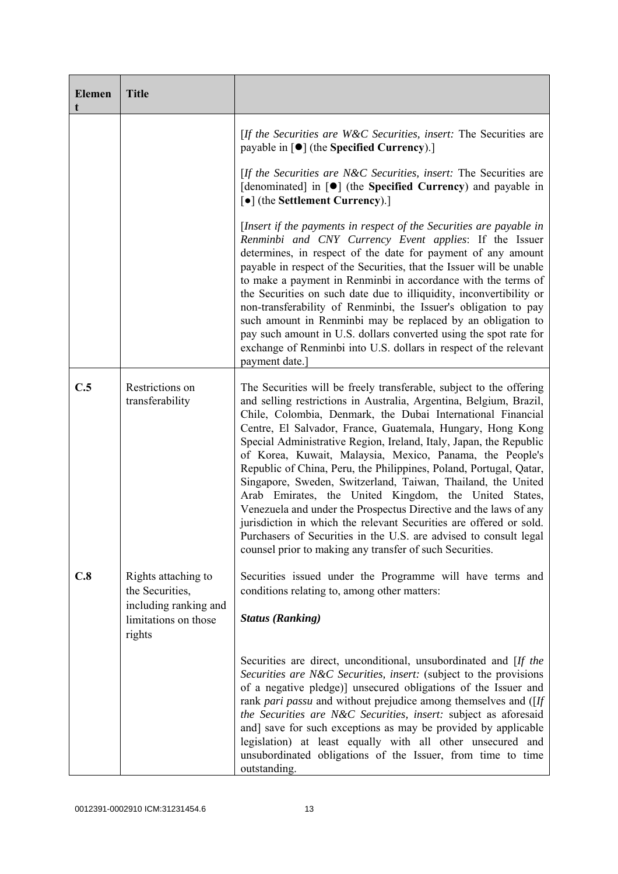| <b>Elemen</b><br>t | <b>Title</b>                                            |                                                                                                                                                                                                                                                                                                                                                                                                                                                                                                                                                                                                                                                                                                                                                                                                                                                                                    |
|--------------------|---------------------------------------------------------|------------------------------------------------------------------------------------------------------------------------------------------------------------------------------------------------------------------------------------------------------------------------------------------------------------------------------------------------------------------------------------------------------------------------------------------------------------------------------------------------------------------------------------------------------------------------------------------------------------------------------------------------------------------------------------------------------------------------------------------------------------------------------------------------------------------------------------------------------------------------------------|
|                    |                                                         | [If the Securities are W&C Securities, insert: The Securities are<br>payable in [●] (the Specified Currency).]                                                                                                                                                                                                                                                                                                                                                                                                                                                                                                                                                                                                                                                                                                                                                                     |
|                    |                                                         | [If the Securities are N&C Securities, insert: The Securities are<br>[denominated] in [ $\bullet$ ] (the Specified Currency) and payable in<br>[ $\bullet$ ] (the Settlement Currency).]                                                                                                                                                                                                                                                                                                                                                                                                                                                                                                                                                                                                                                                                                           |
|                    |                                                         | [Insert if the payments in respect of the Securities are payable in<br>Renminbi and CNY Currency Event applies: If the Issuer<br>determines, in respect of the date for payment of any amount<br>payable in respect of the Securities, that the Issuer will be unable<br>to make a payment in Renminbi in accordance with the terms of<br>the Securities on such date due to illiquidity, inconvertibility or<br>non-transferability of Renminbi, the Issuer's obligation to pay<br>such amount in Renminbi may be replaced by an obligation to<br>pay such amount in U.S. dollars converted using the spot rate for<br>exchange of Renminbi into U.S. dollars in respect of the relevant<br>payment date.]                                                                                                                                                                        |
| C.5                | Restrictions on<br>transferability                      | The Securities will be freely transferable, subject to the offering<br>and selling restrictions in Australia, Argentina, Belgium, Brazil,<br>Chile, Colombia, Denmark, the Dubai International Financial<br>Centre, El Salvador, France, Guatemala, Hungary, Hong Kong<br>Special Administrative Region, Ireland, Italy, Japan, the Republic<br>of Korea, Kuwait, Malaysia, Mexico, Panama, the People's<br>Republic of China, Peru, the Philippines, Poland, Portugal, Qatar,<br>Singapore, Sweden, Switzerland, Taiwan, Thailand, the United<br>Arab Emirates, the United Kingdom, the United States,<br>Venezuela and under the Prospectus Directive and the laws of any<br>jurisdiction in which the relevant Securities are offered or sold.<br>Purchasers of Securities in the U.S. are advised to consult legal<br>counsel prior to making any transfer of such Securities. |
| C.8                | Rights attaching to<br>the Securities,                  | Securities issued under the Programme will have terms and<br>conditions relating to, among other matters:                                                                                                                                                                                                                                                                                                                                                                                                                                                                                                                                                                                                                                                                                                                                                                          |
|                    | including ranking and<br>limitations on those<br>rights | <b>Status (Ranking)</b>                                                                                                                                                                                                                                                                                                                                                                                                                                                                                                                                                                                                                                                                                                                                                                                                                                                            |
|                    |                                                         | Securities are direct, unconditional, unsubordinated and [If the<br>Securities are N&C Securities, insert: (subject to the provisions<br>of a negative pledge)] unsecured obligations of the Issuer and<br>rank pari passu and without prejudice among themselves and ([If<br>the Securities are N&C Securities, insert: subject as aforesaid<br>and] save for such exceptions as may be provided by applicable<br>legislation) at least equally with all other unsecured and<br>unsubordinated obligations of the Issuer, from time to time<br>outstanding.                                                                                                                                                                                                                                                                                                                       |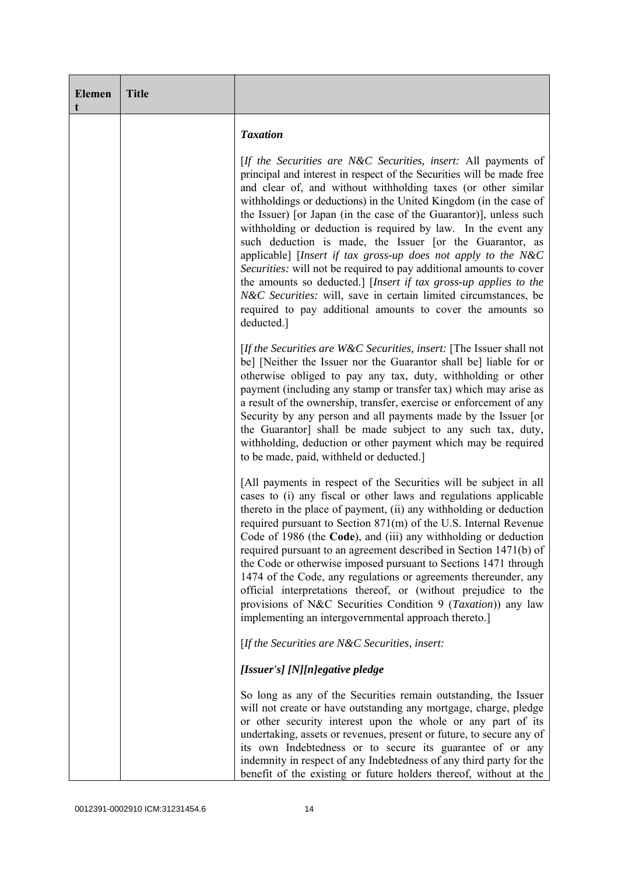| <b>Elemen</b><br>t | <b>Title</b> |                                                                                                                                                                                                                                                                                                                                                                                                                                                                                                                                                                                                                                                                                                                                                                                                                                             |
|--------------------|--------------|---------------------------------------------------------------------------------------------------------------------------------------------------------------------------------------------------------------------------------------------------------------------------------------------------------------------------------------------------------------------------------------------------------------------------------------------------------------------------------------------------------------------------------------------------------------------------------------------------------------------------------------------------------------------------------------------------------------------------------------------------------------------------------------------------------------------------------------------|
|                    |              | <b>Taxation</b>                                                                                                                                                                                                                                                                                                                                                                                                                                                                                                                                                                                                                                                                                                                                                                                                                             |
|                    |              | [If the Securities are N&C Securities, insert: All payments of<br>principal and interest in respect of the Securities will be made free<br>and clear of, and without withholding taxes (or other similar<br>withholdings or deductions) in the United Kingdom (in the case of<br>the Issuer) [or Japan (in the case of the Guarantor)], unless such<br>withholding or deduction is required by law. In the event any<br>such deduction is made, the Issuer [or the Guarantor, as<br>applicable] [Insert if tax gross-up does not apply to the N&C<br>Securities: will not be required to pay additional amounts to cover<br>the amounts so deducted.] [Insert if tax gross-up applies to the<br>N&C Securities: will, save in certain limited circumstances, be<br>required to pay additional amounts to cover the amounts so<br>deducted.] |
|                    |              | [If the Securities are W&C Securities, insert: [The Issuer shall not<br>be] [Neither the Issuer nor the Guarantor shall be] liable for or<br>otherwise obliged to pay any tax, duty, withholding or other<br>payment (including any stamp or transfer tax) which may arise as<br>a result of the ownership, transfer, exercise or enforcement of any<br>Security by any person and all payments made by the Issuer [or<br>the Guarantor] shall be made subject to any such tax, duty,<br>withholding, deduction or other payment which may be required<br>to be made, paid, withheld or deducted.]                                                                                                                                                                                                                                          |
|                    |              | [All payments in respect of the Securities will be subject in all<br>cases to (i) any fiscal or other laws and regulations applicable<br>thereto in the place of payment, (ii) any withholding or deduction<br>required pursuant to Section 871(m) of the U.S. Internal Revenue<br>Code of 1986 (the Code), and (iii) any withholding or deduction<br>required pursuant to an agreement described in Section 1471(b) of<br>the Code or otherwise imposed pursuant to Sections 1471 through<br>1474 of the Code, any regulations or agreements thereunder, any<br>official interpretations thereof, or (without prejudice to the<br>provisions of N&C Securities Condition 9 (Taxation)) any law<br>implementing an intergovernmental approach thereto.]                                                                                     |
|                    |              | [If the Securities are $N\&C$ Securities, insert:                                                                                                                                                                                                                                                                                                                                                                                                                                                                                                                                                                                                                                                                                                                                                                                           |
|                    |              | [Issuer's] [N][n]egative pledge                                                                                                                                                                                                                                                                                                                                                                                                                                                                                                                                                                                                                                                                                                                                                                                                             |
|                    |              | So long as any of the Securities remain outstanding, the Issuer<br>will not create or have outstanding any mortgage, charge, pledge<br>or other security interest upon the whole or any part of its<br>undertaking, assets or revenues, present or future, to secure any of<br>its own Indebtedness or to secure its guarantee of or any<br>indemnity in respect of any Indebtedness of any third party for the<br>benefit of the existing or future holders thereof, without at the                                                                                                                                                                                                                                                                                                                                                        |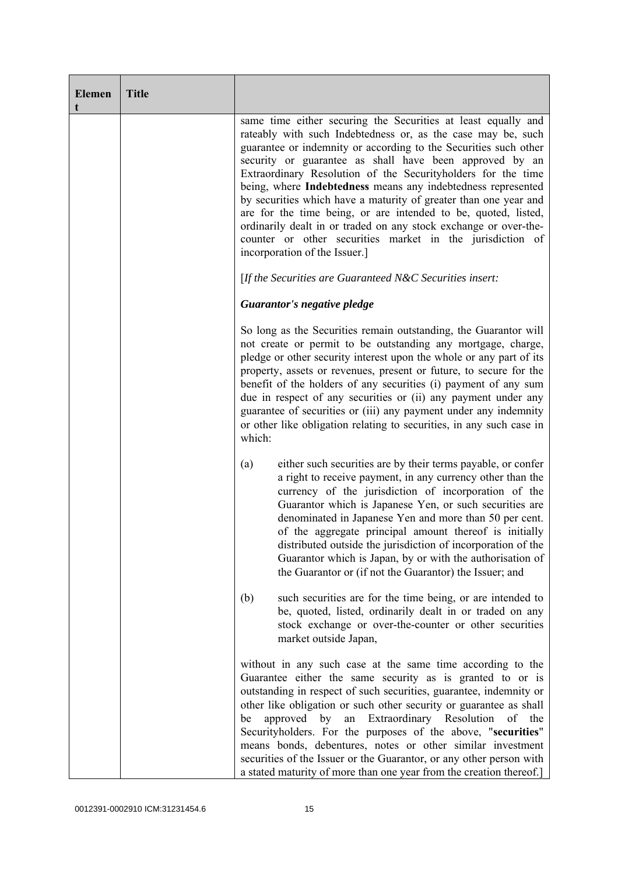| <b>Elemen</b><br>t | <b>Title</b> |                                                                                                                                                                                                                                                                                                                                                                                                                                                                                                                                                                                                                                                                                                      |
|--------------------|--------------|------------------------------------------------------------------------------------------------------------------------------------------------------------------------------------------------------------------------------------------------------------------------------------------------------------------------------------------------------------------------------------------------------------------------------------------------------------------------------------------------------------------------------------------------------------------------------------------------------------------------------------------------------------------------------------------------------|
|                    |              | same time either securing the Securities at least equally and<br>rateably with such Indebtedness or, as the case may be, such<br>guarantee or indemnity or according to the Securities such other<br>security or guarantee as shall have been approved by an<br>Extraordinary Resolution of the Securityholders for the time<br>being, where Indebtedness means any indebtedness represented<br>by securities which have a maturity of greater than one year and<br>are for the time being, or are intended to be, quoted, listed,<br>ordinarily dealt in or traded on any stock exchange or over-the-<br>counter or other securities market in the jurisdiction of<br>incorporation of the Issuer.] |
|                    |              | [If the Securities are Guaranteed N&C Securities insert:                                                                                                                                                                                                                                                                                                                                                                                                                                                                                                                                                                                                                                             |
|                    |              | Guarantor's negative pledge                                                                                                                                                                                                                                                                                                                                                                                                                                                                                                                                                                                                                                                                          |
|                    |              | So long as the Securities remain outstanding, the Guarantor will<br>not create or permit to be outstanding any mortgage, charge,<br>pledge or other security interest upon the whole or any part of its<br>property, assets or revenues, present or future, to secure for the<br>benefit of the holders of any securities (i) payment of any sum<br>due in respect of any securities or (ii) any payment under any<br>guarantee of securities or (iii) any payment under any indemnity<br>or other like obligation relating to securities, in any such case in<br>which:                                                                                                                             |
|                    |              | either such securities are by their terms payable, or confer<br>(a)<br>a right to receive payment, in any currency other than the<br>currency of the jurisdiction of incorporation of the<br>Guarantor which is Japanese Yen, or such securities are<br>denominated in Japanese Yen and more than 50 per cent.<br>of the aggregate principal amount thereof is initially<br>distributed outside the jurisdiction of incorporation of the<br>Guarantor which is Japan, by or with the authorisation of<br>the Guarantor or (if not the Guarantor) the Issuer; and                                                                                                                                     |
|                    |              | such securities are for the time being, or are intended to<br>(b)<br>be, quoted, listed, ordinarily dealt in or traded on any<br>stock exchange or over-the-counter or other securities<br>market outside Japan,                                                                                                                                                                                                                                                                                                                                                                                                                                                                                     |
|                    |              | without in any such case at the same time according to the<br>Guarantee either the same security as is granted to or is<br>outstanding in respect of such securities, guarantee, indemnity or<br>other like obligation or such other security or guarantee as shall<br>by<br>Extraordinary Resolution<br>approved<br>an<br>of<br>the<br>be<br>Securityholders. For the purposes of the above, "securities"<br>means bonds, debentures, notes or other similar investment<br>securities of the Issuer or the Guarantor, or any other person with<br>a stated maturity of more than one year from the creation thereof.]                                                                               |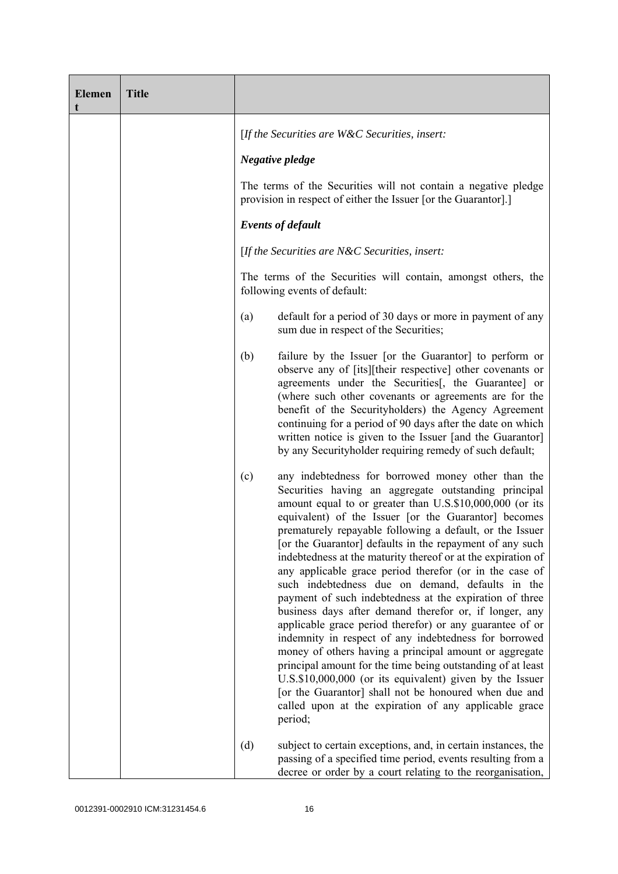| <b>Elemen</b><br>t | <b>Title</b> |                                                                                                                                                                                                                                                                                                                                                                                                                                                                                                                                                                                                                                                                                                                                                                                                                                                                                                                                                                                                                                                                                                          |
|--------------------|--------------|----------------------------------------------------------------------------------------------------------------------------------------------------------------------------------------------------------------------------------------------------------------------------------------------------------------------------------------------------------------------------------------------------------------------------------------------------------------------------------------------------------------------------------------------------------------------------------------------------------------------------------------------------------------------------------------------------------------------------------------------------------------------------------------------------------------------------------------------------------------------------------------------------------------------------------------------------------------------------------------------------------------------------------------------------------------------------------------------------------|
|                    |              | [If the Securities are W&C Securities, insert:                                                                                                                                                                                                                                                                                                                                                                                                                                                                                                                                                                                                                                                                                                                                                                                                                                                                                                                                                                                                                                                           |
|                    |              | Negative pledge                                                                                                                                                                                                                                                                                                                                                                                                                                                                                                                                                                                                                                                                                                                                                                                                                                                                                                                                                                                                                                                                                          |
|                    |              | The terms of the Securities will not contain a negative pledge<br>provision in respect of either the Issuer [or the Guarantor].]                                                                                                                                                                                                                                                                                                                                                                                                                                                                                                                                                                                                                                                                                                                                                                                                                                                                                                                                                                         |
|                    |              | <b>Events of default</b>                                                                                                                                                                                                                                                                                                                                                                                                                                                                                                                                                                                                                                                                                                                                                                                                                                                                                                                                                                                                                                                                                 |
|                    |              | [If the Securities are $N\&C$ Securities, insert:                                                                                                                                                                                                                                                                                                                                                                                                                                                                                                                                                                                                                                                                                                                                                                                                                                                                                                                                                                                                                                                        |
|                    |              | The terms of the Securities will contain, amongst others, the<br>following events of default:                                                                                                                                                                                                                                                                                                                                                                                                                                                                                                                                                                                                                                                                                                                                                                                                                                                                                                                                                                                                            |
|                    |              | default for a period of 30 days or more in payment of any<br>(a)<br>sum due in respect of the Securities;                                                                                                                                                                                                                                                                                                                                                                                                                                                                                                                                                                                                                                                                                                                                                                                                                                                                                                                                                                                                |
|                    |              | (b)<br>failure by the Issuer [or the Guarantor] to perform or<br>observe any of [its][their respective] other covenants or<br>agreements under the Securities[, the Guarantee] or<br>(where such other covenants or agreements are for the<br>benefit of the Securityholders) the Agency Agreement<br>continuing for a period of 90 days after the date on which<br>written notice is given to the Issuer [and the Guarantor]<br>by any Securityholder requiring remedy of such default;                                                                                                                                                                                                                                                                                                                                                                                                                                                                                                                                                                                                                 |
|                    |              | any indebtedness for borrowed money other than the<br>(c)<br>Securities having an aggregate outstanding principal<br>amount equal to or greater than U.S.\$10,000,000 (or its<br>equivalent) of the Issuer [or the Guarantor] becomes<br>prematurely repayable following a default, or the Issuer<br>[or the Guarantor] defaults in the repayment of any such<br>indebtedness at the maturity thereof or at the expiration of<br>any applicable grace period therefor (or in the case of<br>such indebtedness due on demand, defaults in the<br>payment of such indebtedness at the expiration of three<br>business days after demand therefor or, if longer, any<br>applicable grace period therefor) or any guarantee of or<br>indemnity in respect of any indebtedness for borrowed<br>money of others having a principal amount or aggregate<br>principal amount for the time being outstanding of at least<br>U.S.\$10,000,000 (or its equivalent) given by the Issuer<br>[or the Guarantor] shall not be honoured when due and<br>called upon at the expiration of any applicable grace<br>period; |
|                    |              | subject to certain exceptions, and, in certain instances, the<br>(d)<br>passing of a specified time period, events resulting from a<br>decree or order by a court relating to the reorganisation,                                                                                                                                                                                                                                                                                                                                                                                                                                                                                                                                                                                                                                                                                                                                                                                                                                                                                                        |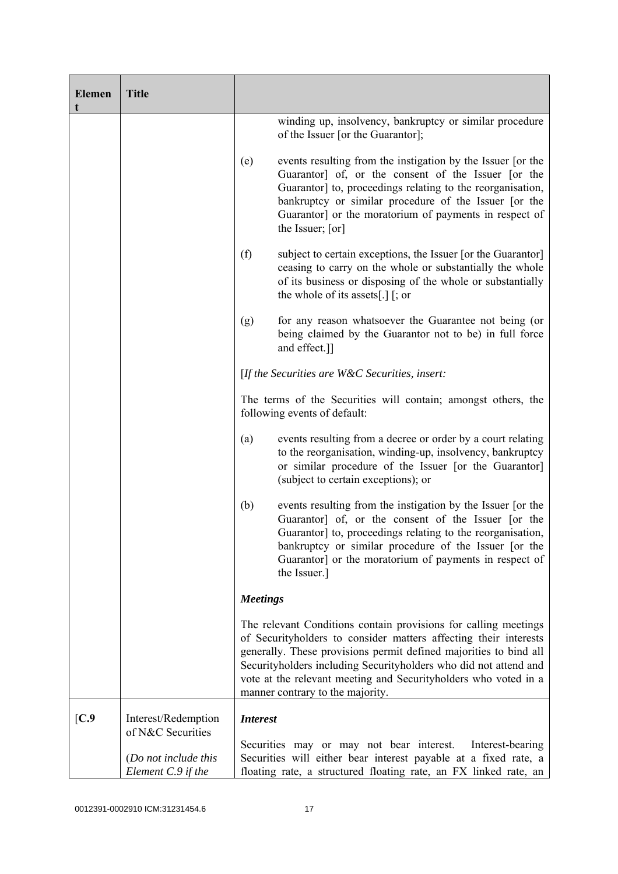| <b>Elemen</b> | <b>Title</b>                                                    |                 |                                                                                                                                                                                                                                                                                                                                                                                     |
|---------------|-----------------------------------------------------------------|-----------------|-------------------------------------------------------------------------------------------------------------------------------------------------------------------------------------------------------------------------------------------------------------------------------------------------------------------------------------------------------------------------------------|
|               |                                                                 |                 | winding up, insolvency, bankruptcy or similar procedure<br>of the Issuer [or the Guarantor];                                                                                                                                                                                                                                                                                        |
|               |                                                                 | (e)             | events resulting from the instigation by the Issuer [or the<br>Guarantor] of, or the consent of the Issuer [or the<br>Guarantor] to, proceedings relating to the reorganisation,<br>bankruptcy or similar procedure of the Issuer [or the<br>Guarantor] or the moratorium of payments in respect of<br>the Issuer; [or]                                                             |
|               |                                                                 | (f)             | subject to certain exceptions, the Issuer [or the Guarantor]<br>ceasing to carry on the whole or substantially the whole<br>of its business or disposing of the whole or substantially<br>the whole of its assets[.] $[$ ; or                                                                                                                                                       |
|               |                                                                 | (g)             | for any reason whatsoever the Guarantee not being (or<br>being claimed by the Guarantor not to be) in full force<br>and effect.]]                                                                                                                                                                                                                                                   |
|               |                                                                 |                 | [If the Securities are $W\&C$ Securities, insert:                                                                                                                                                                                                                                                                                                                                   |
|               |                                                                 |                 | The terms of the Securities will contain; amongst others, the<br>following events of default:                                                                                                                                                                                                                                                                                       |
|               |                                                                 | (a)             | events resulting from a decree or order by a court relating<br>to the reorganisation, winding-up, insolvency, bankruptcy<br>or similar procedure of the Issuer [or the Guarantor]<br>(subject to certain exceptions); or                                                                                                                                                            |
|               |                                                                 | (b)             | events resulting from the instigation by the Issuer [or the<br>Guarantor] of, or the consent of the Issuer [or the<br>Guarantor] to, proceedings relating to the reorganisation,<br>bankruptcy or similar procedure of the Issuer [or the<br>Guarantor] or the moratorium of payments in respect of<br>the Issuer.]                                                                 |
|               |                                                                 | <b>Meetings</b> |                                                                                                                                                                                                                                                                                                                                                                                     |
|               |                                                                 |                 | The relevant Conditions contain provisions for calling meetings<br>of Securityholders to consider matters affecting their interests<br>generally. These provisions permit defined majorities to bind all<br>Securityholders including Securityholders who did not attend and<br>vote at the relevant meeting and Securityholders who voted in a<br>manner contrary to the majority. |
| [C.9]         | Interest/Redemption                                             | <b>Interest</b> |                                                                                                                                                                                                                                                                                                                                                                                     |
|               | of N&C Securities<br>(Do not include this<br>Element C.9 if the |                 | Securities may or may not bear interest.<br>Interest-bearing<br>Securities will either bear interest payable at a fixed rate, a<br>floating rate, a structured floating rate, an FX linked rate, an                                                                                                                                                                                 |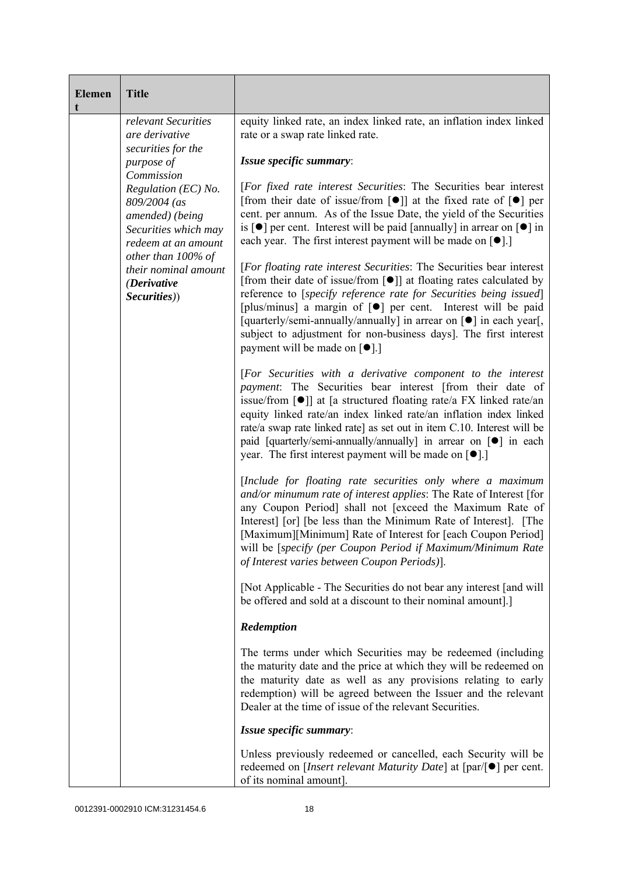| <b>Elemen</b><br>t | <b>Title</b>                                                                                                        |                                                                                                                                                                                                                                                                                                                                                                                                                                                                                                                              |
|--------------------|---------------------------------------------------------------------------------------------------------------------|------------------------------------------------------------------------------------------------------------------------------------------------------------------------------------------------------------------------------------------------------------------------------------------------------------------------------------------------------------------------------------------------------------------------------------------------------------------------------------------------------------------------------|
|                    | relevant Securities<br>are derivative                                                                               | equity linked rate, an index linked rate, an inflation index linked<br>rate or a swap rate linked rate.                                                                                                                                                                                                                                                                                                                                                                                                                      |
|                    | securities for the<br>purpose of                                                                                    | Issue specific summary:                                                                                                                                                                                                                                                                                                                                                                                                                                                                                                      |
|                    | Commission<br>Regulation (EC) No.<br>809/2004 (as<br>amended) (being<br>Securities which may<br>redeem at an amount | [For fixed rate interest Securities: The Securities bear interest<br>[from their date of issue/from $\lceil \bullet \rceil$ ] at the fixed rate of $\lceil \bullet \rceil$ per<br>cent. per annum. As of the Issue Date, the yield of the Securities<br>is $\lceil \bullet \rceil$ per cent. Interest will be paid [annually] in arrear on $\lceil \bullet \rceil$ in<br>each year. The first interest payment will be made on $[•]$ .]                                                                                      |
|                    | other than 100% of<br>their nominal amount<br>(Derivative<br>Securities))                                           | [For floating rate interest Securities: The Securities bear interest<br>[from their date of issue/from $\lceil \bullet \rceil$ ] at floating rates calculated by<br>reference to [specify reference rate for Securities being issued]<br>[plus/minus] a margin of [ <sup>o</sup> ] per cent. Interest will be paid<br>[quarterly/semi-annually/annually] in arrear on [ $\bullet$ ] in each year[,<br>subject to adjustment for non-business days]. The first interest<br>payment will be made on $\lceil \bullet \rceil$ .] |
|                    |                                                                                                                     | [For Securities with a derivative component to the interest<br>payment: The Securities bear interest [from their date of<br>issue/from $\lceil \bullet \rceil$ at [a structured floating rate/a FX linked rate/an<br>equity linked rate/an index linked rate/an inflation index linked<br>rate/a swap rate linked rate] as set out in item C.10. Interest will be<br>paid [quarterly/semi-annually/annually] in arrear on [ $\bullet$ ] in each<br>year. The first interest payment will be made on $[•]$ .]                 |
|                    |                                                                                                                     | [Include for floating rate securities only where a maximum<br>and/or minumum rate of interest applies: The Rate of Interest [for<br>any Coupon Period] shall not [exceed the Maximum Rate of<br>Interest [or] [be less than the Minimum Rate of Interest]. [The<br>[Maximum][Minimum] Rate of Interest for [each Coupon Period]<br>will be [specify (per Coupon Period if Maximum/Minimum Rate<br>of Interest varies between Coupon Periods).                                                                                |
|                    |                                                                                                                     | [Not Applicable - The Securities do not bear any interest [and will]<br>be offered and sold at a discount to their nominal amount].]                                                                                                                                                                                                                                                                                                                                                                                         |
|                    |                                                                                                                     | Redemption                                                                                                                                                                                                                                                                                                                                                                                                                                                                                                                   |
|                    |                                                                                                                     | The terms under which Securities may be redeemed (including<br>the maturity date and the price at which they will be redeemed on<br>the maturity date as well as any provisions relating to early<br>redemption) will be agreed between the Issuer and the relevant<br>Dealer at the time of issue of the relevant Securities.                                                                                                                                                                                               |
|                    |                                                                                                                     | Issue specific summary:                                                                                                                                                                                                                                                                                                                                                                                                                                                                                                      |
|                    |                                                                                                                     | Unless previously redeemed or cancelled, each Security will be<br>redeemed on [ <i>Insert relevant Maturity Date</i> ] at $\lceil \text{par}/\lceil \bullet \rceil$ per cent.<br>of its nominal amount].                                                                                                                                                                                                                                                                                                                     |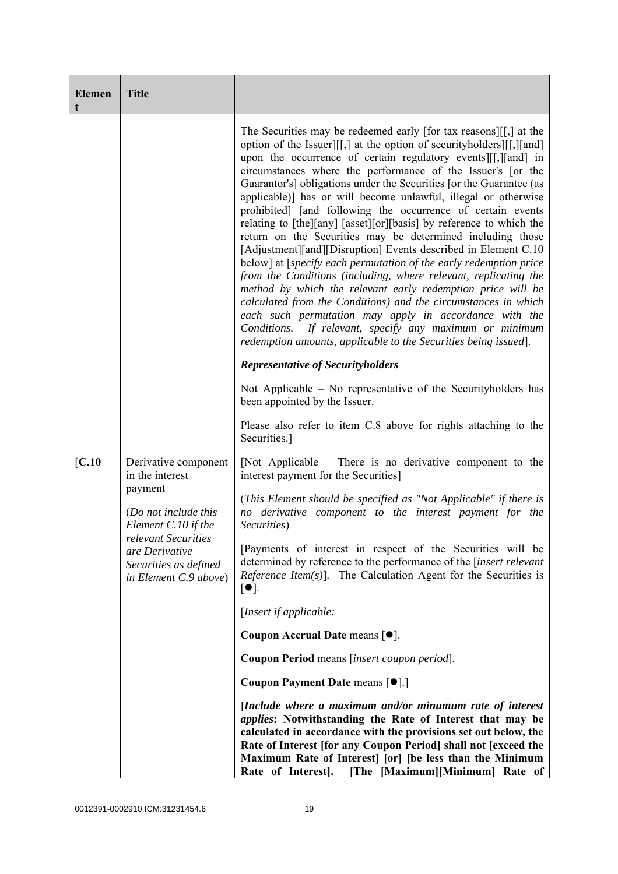| <b>Elemen</b> | <b>Title</b>                                                                                                                                                                                 |                                                                                                                                                                                                                                                                                                                                                                                                                                                                                                                                                                                                                                                                                                                                                                                                                                                                                                                                                                                                                                                                                                                                                                |
|---------------|----------------------------------------------------------------------------------------------------------------------------------------------------------------------------------------------|----------------------------------------------------------------------------------------------------------------------------------------------------------------------------------------------------------------------------------------------------------------------------------------------------------------------------------------------------------------------------------------------------------------------------------------------------------------------------------------------------------------------------------------------------------------------------------------------------------------------------------------------------------------------------------------------------------------------------------------------------------------------------------------------------------------------------------------------------------------------------------------------------------------------------------------------------------------------------------------------------------------------------------------------------------------------------------------------------------------------------------------------------------------|
|               |                                                                                                                                                                                              | The Securities may be redeemed early [for tax reasons][[,] at the<br>option of the Issuer][[,] at the option of securityholders][[,][and]<br>upon the occurrence of certain regulatory events [[[, ][and] in<br>circumstances where the performance of the Issuer's [or the<br>Guarantor's] obligations under the Securities [or the Guarantee (as<br>applicable)] has or will become unlawful, illegal or otherwise<br>prohibited] [and following the occurrence of certain events<br>relating to [the][any] [asset][or][basis] by reference to which the<br>return on the Securities may be determined including those<br>[Adjustment][and][Disruption] Events described in Element C.10<br>below] at [specify each permutation of the early redemption price<br>from the Conditions (including, where relevant, replicating the<br>method by which the relevant early redemption price will be<br>calculated from the Conditions) and the circumstances in which<br>each such permutation may apply in accordance with the<br>If relevant, specify any maximum or minimum<br>Conditions.<br>redemption amounts, applicable to the Securities being issued]. |
|               |                                                                                                                                                                                              | <b>Representative of Securityholders</b>                                                                                                                                                                                                                                                                                                                                                                                                                                                                                                                                                                                                                                                                                                                                                                                                                                                                                                                                                                                                                                                                                                                       |
|               |                                                                                                                                                                                              | Not Applicable $-$ No representative of the Security holders has<br>been appointed by the Issuer.                                                                                                                                                                                                                                                                                                                                                                                                                                                                                                                                                                                                                                                                                                                                                                                                                                                                                                                                                                                                                                                              |
|               |                                                                                                                                                                                              | Please also refer to item C.8 above for rights attaching to the<br>Securities.                                                                                                                                                                                                                                                                                                                                                                                                                                                                                                                                                                                                                                                                                                                                                                                                                                                                                                                                                                                                                                                                                 |
| [C.10         | Derivative component<br>in the interest<br>payment<br>(Do not include this<br>Element C.10 if the<br>relevant Securities<br>are Derivative<br>Securities as defined<br>in Element C.9 above) | [Not Applicable – There is no derivative component to the<br>interest payment for the Securities]                                                                                                                                                                                                                                                                                                                                                                                                                                                                                                                                                                                                                                                                                                                                                                                                                                                                                                                                                                                                                                                              |
|               |                                                                                                                                                                                              | (This Element should be specified as "Not Applicable" if there is<br>no derivative component to the interest payment for the<br>Securities)                                                                                                                                                                                                                                                                                                                                                                                                                                                                                                                                                                                                                                                                                                                                                                                                                                                                                                                                                                                                                    |
|               |                                                                                                                                                                                              | [Payments of interest in respect of the Securities will be<br>determined by reference to the performance of the [insert relevant<br><i>Reference Item(s)</i> ]. The Calculation Agent for the Securities is<br>$\lceil \bullet \rceil$ .                                                                                                                                                                                                                                                                                                                                                                                                                                                                                                                                                                                                                                                                                                                                                                                                                                                                                                                       |
|               |                                                                                                                                                                                              | [Insert if applicable:                                                                                                                                                                                                                                                                                                                                                                                                                                                                                                                                                                                                                                                                                                                                                                                                                                                                                                                                                                                                                                                                                                                                         |
|               |                                                                                                                                                                                              | Coupon Accrual Date means $[•]$ .                                                                                                                                                                                                                                                                                                                                                                                                                                                                                                                                                                                                                                                                                                                                                                                                                                                                                                                                                                                                                                                                                                                              |
|               |                                                                                                                                                                                              | Coupon Period means [insert coupon period].                                                                                                                                                                                                                                                                                                                                                                                                                                                                                                                                                                                                                                                                                                                                                                                                                                                                                                                                                                                                                                                                                                                    |
|               |                                                                                                                                                                                              | Coupon Payment Date means [ $\bullet$ ].]                                                                                                                                                                                                                                                                                                                                                                                                                                                                                                                                                                                                                                                                                                                                                                                                                                                                                                                                                                                                                                                                                                                      |
|               |                                                                                                                                                                                              | [Include where a maximum and/or minumum rate of interest<br>applies: Notwithstanding the Rate of Interest that may be<br>calculated in accordance with the provisions set out below, the<br>Rate of Interest [for any Coupon Period] shall not [exceed the<br>Maximum Rate of Interest [or] [be less than the Minimum<br>Rate of Interest]. [The [Maximum][Minimum] Rate of                                                                                                                                                                                                                                                                                                                                                                                                                                                                                                                                                                                                                                                                                                                                                                                    |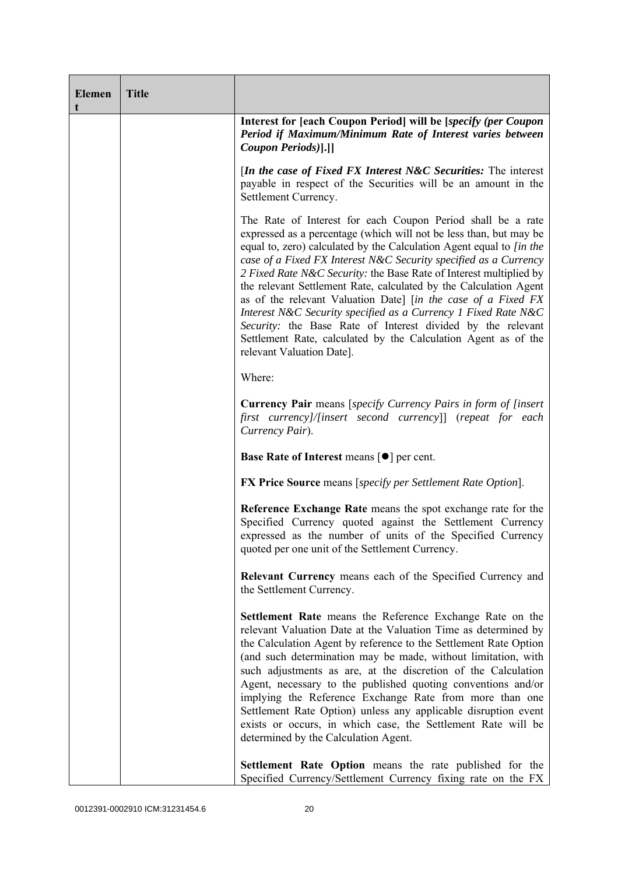| <b>Elemen</b><br>t | <b>Title</b> |                                                                                                                                                                                                                                                                                                                                                                                                                                                                                                                                                                                                                                                                                                                           |
|--------------------|--------------|---------------------------------------------------------------------------------------------------------------------------------------------------------------------------------------------------------------------------------------------------------------------------------------------------------------------------------------------------------------------------------------------------------------------------------------------------------------------------------------------------------------------------------------------------------------------------------------------------------------------------------------------------------------------------------------------------------------------------|
|                    |              | Interest for [each Coupon Period] will be [specify (per Coupon<br>Period if Maximum/Minimum Rate of Interest varies between<br>Coupon Periods)[.]]                                                                                                                                                                                                                                                                                                                                                                                                                                                                                                                                                                        |
|                    |              | [In the case of Fixed FX Interest N&C Securities: The interest<br>payable in respect of the Securities will be an amount in the<br>Settlement Currency.                                                                                                                                                                                                                                                                                                                                                                                                                                                                                                                                                                   |
|                    |              | The Rate of Interest for each Coupon Period shall be a rate<br>expressed as a percentage (which will not be less than, but may be<br>equal to, zero) calculated by the Calculation Agent equal to [in the<br>case of a Fixed FX Interest N&C Security specified as a Currency<br>2 Fixed Rate N&C Security: the Base Rate of Interest multiplied by<br>the relevant Settlement Rate, calculated by the Calculation Agent<br>as of the relevant Valuation Date] [in the case of a Fixed FX<br>Interest N&C Security specified as a Currency 1 Fixed Rate N&C<br>Security: the Base Rate of Interest divided by the relevant<br>Settlement Rate, calculated by the Calculation Agent as of the<br>relevant Valuation Date]. |
|                    |              | Where:                                                                                                                                                                                                                                                                                                                                                                                                                                                                                                                                                                                                                                                                                                                    |
|                    |              | <b>Currency Pair</b> means [specify Currency Pairs in form of [insert]<br>first currency]/[insert second currency]] (repeat for each<br>Currency Pair).                                                                                                                                                                                                                                                                                                                                                                                                                                                                                                                                                                   |
|                    |              | <b>Base Rate of Interest means <math>\lceil \bullet \rceil</math> per cent.</b>                                                                                                                                                                                                                                                                                                                                                                                                                                                                                                                                                                                                                                           |
|                    |              | <b>FX Price Source</b> means [specify per Settlement Rate Option].                                                                                                                                                                                                                                                                                                                                                                                                                                                                                                                                                                                                                                                        |
|                    |              | Reference Exchange Rate means the spot exchange rate for the<br>Specified Currency quoted against the Settlement Currency<br>expressed as the number of units of the Specified Currency<br>quoted per one unit of the Settlement Currency.                                                                                                                                                                                                                                                                                                                                                                                                                                                                                |
|                    |              | Relevant Currency means each of the Specified Currency and<br>the Settlement Currency.                                                                                                                                                                                                                                                                                                                                                                                                                                                                                                                                                                                                                                    |
|                    |              | Settlement Rate means the Reference Exchange Rate on the<br>relevant Valuation Date at the Valuation Time as determined by<br>the Calculation Agent by reference to the Settlement Rate Option<br>(and such determination may be made, without limitation, with<br>such adjustments as are, at the discretion of the Calculation<br>Agent, necessary to the published quoting conventions and/or<br>implying the Reference Exchange Rate from more than one<br>Settlement Rate Option) unless any applicable disruption event<br>exists or occurs, in which case, the Settlement Rate will be<br>determined by the Calculation Agent.                                                                                     |
|                    |              | Settlement Rate Option means the rate published for the<br>Specified Currency/Settlement Currency fixing rate on the FX                                                                                                                                                                                                                                                                                                                                                                                                                                                                                                                                                                                                   |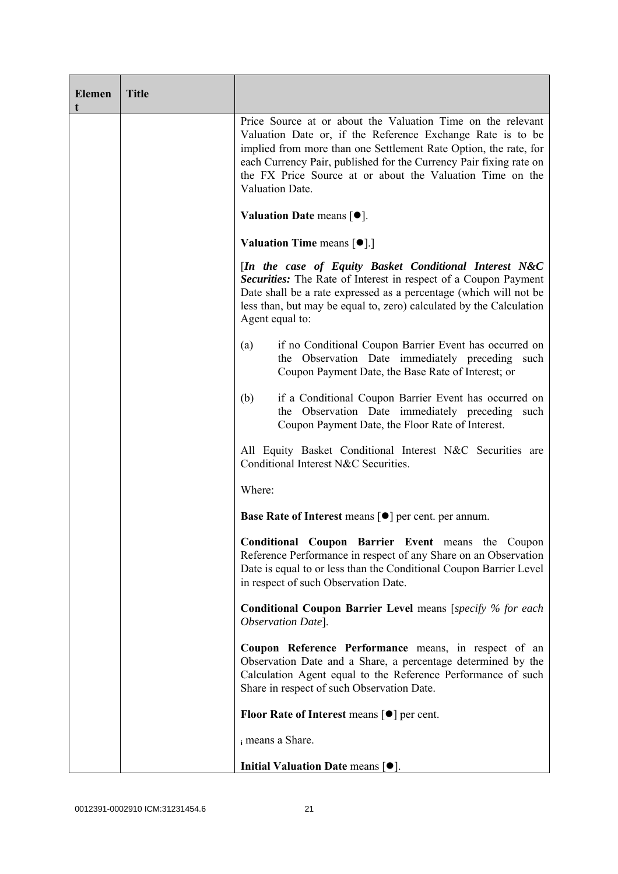| <b>Elemen</b><br>t | <b>Title</b> |                                                                                                                                                                                                                                                                                                                                                     |
|--------------------|--------------|-----------------------------------------------------------------------------------------------------------------------------------------------------------------------------------------------------------------------------------------------------------------------------------------------------------------------------------------------------|
|                    |              | Price Source at or about the Valuation Time on the relevant<br>Valuation Date or, if the Reference Exchange Rate is to be<br>implied from more than one Settlement Rate Option, the rate, for<br>each Currency Pair, published for the Currency Pair fixing rate on<br>the FX Price Source at or about the Valuation Time on the<br>Valuation Date. |
|                    |              | Valuation Date means $[•]$ .                                                                                                                                                                                                                                                                                                                        |
|                    |              | <b>Valuation Time means <math>\lceil \bullet \rceil</math>.</b>                                                                                                                                                                                                                                                                                     |
|                    |              | [In the case of Equity Basket Conditional Interest N&C<br>Securities: The Rate of Interest in respect of a Coupon Payment<br>Date shall be a rate expressed as a percentage (which will not be<br>less than, but may be equal to, zero) calculated by the Calculation<br>Agent equal to:                                                            |
|                    |              | if no Conditional Coupon Barrier Event has occurred on<br>(a)<br>the Observation Date immediately preceding such<br>Coupon Payment Date, the Base Rate of Interest; or                                                                                                                                                                              |
|                    |              | if a Conditional Coupon Barrier Event has occurred on<br>(b)<br>the Observation Date immediately preceding such<br>Coupon Payment Date, the Floor Rate of Interest.                                                                                                                                                                                 |
|                    |              | All Equity Basket Conditional Interest N&C Securities are<br>Conditional Interest N&C Securities.                                                                                                                                                                                                                                                   |
|                    |              | Where:                                                                                                                                                                                                                                                                                                                                              |
|                    |              | <b>Base Rate of Interest means [●] per cent. per annum.</b>                                                                                                                                                                                                                                                                                         |
|                    |              | Conditional Coupon Barrier Event means the Coupon<br>Reference Performance in respect of any Share on an Observation<br>Date is equal to or less than the Conditional Coupon Barrier Level<br>in respect of such Observation Date.                                                                                                                  |
|                    |              | <b>Conditional Coupon Barrier Level</b> means [specify % for each<br>Observation Date].                                                                                                                                                                                                                                                             |
|                    |              | Coupon Reference Performance means, in respect of an<br>Observation Date and a Share, a percentage determined by the<br>Calculation Agent equal to the Reference Performance of such<br>Share in respect of such Observation Date.                                                                                                                  |
|                    |              | Floor Rate of Interest means $\lceil \bullet \rceil$ per cent.                                                                                                                                                                                                                                                                                      |
|                    |              | i means a Share.                                                                                                                                                                                                                                                                                                                                    |
|                    |              | Initial Valuation Date means $[•]$ .                                                                                                                                                                                                                                                                                                                |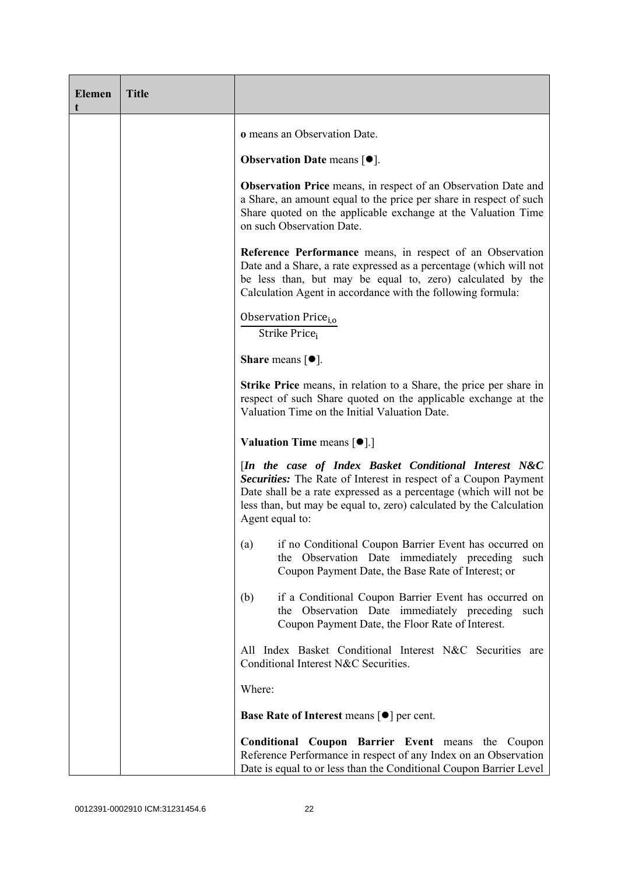| <b>Elemen</b><br>t | <b>Title</b> |                                                                                                                                                                                                                                                                                         |
|--------------------|--------------|-----------------------------------------------------------------------------------------------------------------------------------------------------------------------------------------------------------------------------------------------------------------------------------------|
|                    |              | o means an Observation Date.                                                                                                                                                                                                                                                            |
|                    |              | <b>Observation Date means <math>[•]</math>.</b>                                                                                                                                                                                                                                         |
|                    |              | <b>Observation Price</b> means, in respect of an Observation Date and<br>a Share, an amount equal to the price per share in respect of such<br>Share quoted on the applicable exchange at the Valuation Time<br>on such Observation Date.                                               |
|                    |              | Reference Performance means, in respect of an Observation<br>Date and a Share, a rate expressed as a percentage (which will not<br>be less than, but may be equal to, zero) calculated by the<br>Calculation Agent in accordance with the following formula:                            |
|                    |              | Observation Price <sub>i.o</sub><br>Strike Price <sub>i</sub>                                                                                                                                                                                                                           |
|                    |              | <b>Share</b> means $\lceil \bullet \rceil$ .                                                                                                                                                                                                                                            |
|                    |              | <b>Strike Price</b> means, in relation to a Share, the price per share in<br>respect of such Share quoted on the applicable exchange at the<br>Valuation Time on the Initial Valuation Date.                                                                                            |
|                    |              | <b>Valuation Time means <math>\lceil \bullet \rceil</math>.</b>                                                                                                                                                                                                                         |
|                    |              | [In the case of Index Basket Conditional Interest N&C<br>Securities: The Rate of Interest in respect of a Coupon Payment<br>Date shall be a rate expressed as a percentage (which will not be<br>less than, but may be equal to, zero) calculated by the Calculation<br>Agent equal to: |
|                    |              | if no Conditional Coupon Barrier Event has occurred on<br>(a)<br>Observation Date immediately preceding<br>the<br>such<br>Coupon Payment Date, the Base Rate of Interest; or                                                                                                            |
|                    |              | if a Conditional Coupon Barrier Event has occurred on<br>(b)<br>the Observation Date immediately preceding<br>such<br>Coupon Payment Date, the Floor Rate of Interest.                                                                                                                  |
|                    |              | All Index Basket Conditional Interest N&C Securities are<br>Conditional Interest N&C Securities.                                                                                                                                                                                        |
|                    |              | Where:                                                                                                                                                                                                                                                                                  |
|                    |              | <b>Base Rate of Interest means <math>\lceil \bullet \rceil</math> per cent.</b>                                                                                                                                                                                                         |
|                    |              | Conditional Coupon Barrier Event means the Coupon<br>Reference Performance in respect of any Index on an Observation<br>Date is equal to or less than the Conditional Coupon Barrier Level                                                                                              |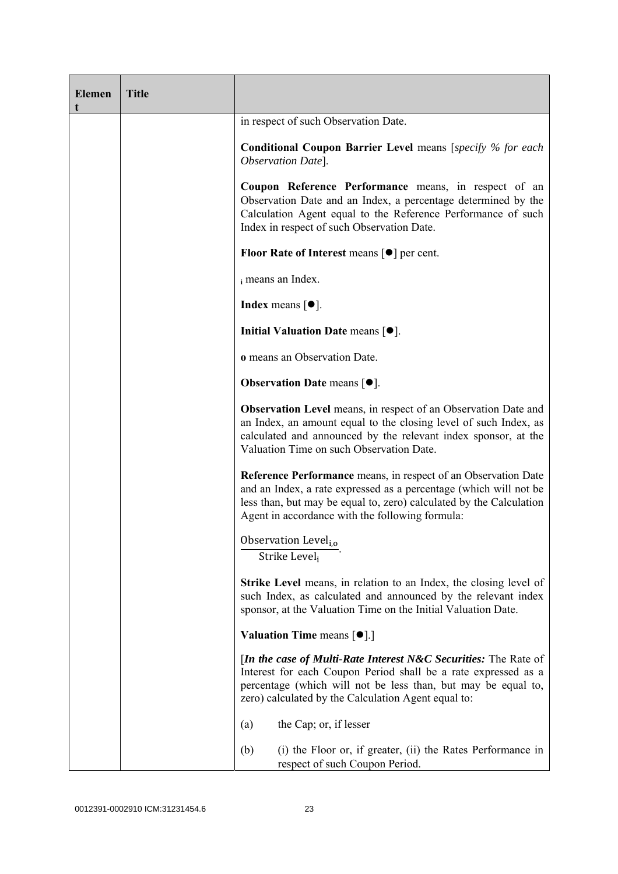| <b>Elemen</b> | <b>Title</b> |                                                                                                                                                                                                                                                                      |
|---------------|--------------|----------------------------------------------------------------------------------------------------------------------------------------------------------------------------------------------------------------------------------------------------------------------|
|               |              | in respect of such Observation Date.                                                                                                                                                                                                                                 |
|               |              | <b>Conditional Coupon Barrier Level means [specify % for each</b><br>Observation Date].                                                                                                                                                                              |
|               |              | Coupon Reference Performance means, in respect of an<br>Observation Date and an Index, a percentage determined by the<br>Calculation Agent equal to the Reference Performance of such<br>Index in respect of such Observation Date.                                  |
|               |              | <b>Floor Rate of Interest means <math>\lceil \bullet \rceil</math> per cent.</b>                                                                                                                                                                                     |
|               |              | i means an Index.                                                                                                                                                                                                                                                    |
|               |              | <b>Index</b> means $\lceil \bullet \rceil$ .                                                                                                                                                                                                                         |
|               |              | Initial Valuation Date means $\lceil \bullet \rceil$ .                                                                                                                                                                                                               |
|               |              | o means an Observation Date.                                                                                                                                                                                                                                         |
|               |              | <b>Observation Date means <math>[•]</math>.</b>                                                                                                                                                                                                                      |
|               |              | <b>Observation Level</b> means, in respect of an Observation Date and<br>an Index, an amount equal to the closing level of such Index, as<br>calculated and announced by the relevant index sponsor, at the<br>Valuation Time on such Observation Date.              |
|               |              | <b>Reference Performance</b> means, in respect of an Observation Date<br>and an Index, a rate expressed as a percentage (which will not be<br>less than, but may be equal to, zero) calculated by the Calculation<br>Agent in accordance with the following formula: |
|               |              | Observation Level <sub>i,0</sub><br>Strike Level,                                                                                                                                                                                                                    |
|               |              | <b>Strike Level</b> means, in relation to an Index, the closing level of<br>such Index, as calculated and announced by the relevant index<br>sponsor, at the Valuation Time on the Initial Valuation Date.                                                           |
|               |              | <b>Valuation Time means <math>\lceil \bullet \rceil</math>.</b>                                                                                                                                                                                                      |
|               |              | [In the case of Multi-Rate Interest N&C Securities: The Rate of<br>Interest for each Coupon Period shall be a rate expressed as a<br>percentage (which will not be less than, but may be equal to,<br>zero) calculated by the Calculation Agent equal to:            |
|               |              | the Cap; or, if lesser<br>(a)                                                                                                                                                                                                                                        |
|               |              | (i) the Floor or, if greater, (ii) the Rates Performance in<br>(b)<br>respect of such Coupon Period.                                                                                                                                                                 |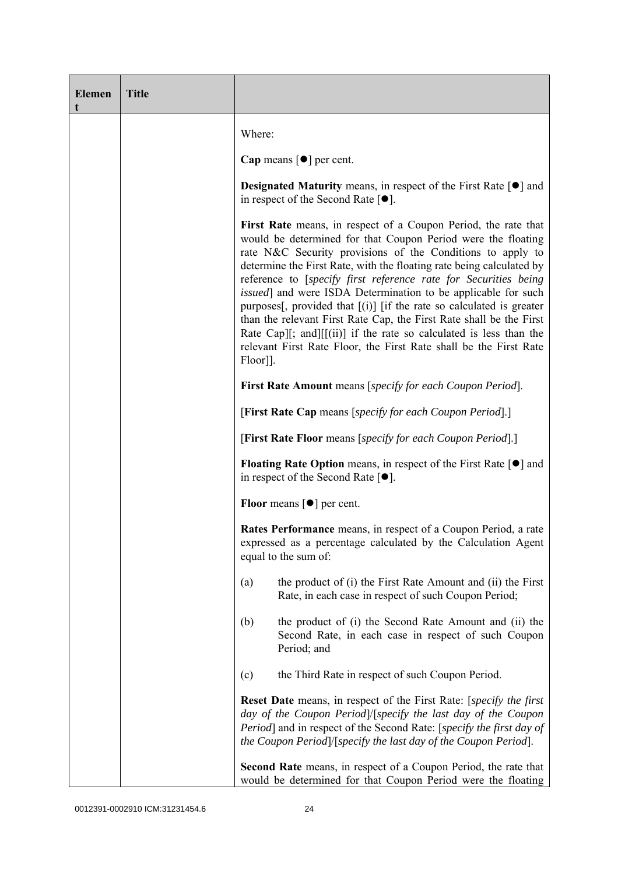| <b>Elemen</b><br>t | <b>Title</b> |                                                                                                                                                                                                                                                                                                                                                                                                                                                                                                                                                                                                                                                                                                                                         |  |  |  |
|--------------------|--------------|-----------------------------------------------------------------------------------------------------------------------------------------------------------------------------------------------------------------------------------------------------------------------------------------------------------------------------------------------------------------------------------------------------------------------------------------------------------------------------------------------------------------------------------------------------------------------------------------------------------------------------------------------------------------------------------------------------------------------------------------|--|--|--|
|                    |              | Where:                                                                                                                                                                                                                                                                                                                                                                                                                                                                                                                                                                                                                                                                                                                                  |  |  |  |
|                    |              | Cap means $\lceil \bullet \rceil$ per cent.                                                                                                                                                                                                                                                                                                                                                                                                                                                                                                                                                                                                                                                                                             |  |  |  |
|                    |              | <b>Designated Maturity</b> means, in respect of the First Rate $\lceil \bullet \rceil$ and<br>in respect of the Second Rate $[•]$ .                                                                                                                                                                                                                                                                                                                                                                                                                                                                                                                                                                                                     |  |  |  |
|                    |              | First Rate means, in respect of a Coupon Period, the rate that<br>would be determined for that Coupon Period were the floating<br>rate N&C Security provisions of the Conditions to apply to<br>determine the First Rate, with the floating rate being calculated by<br>reference to [specify first reference rate for Securities being<br><i>issued</i> ] and were ISDA Determination to be applicable for such<br>purposes <sup>[1]</sup> , provided that $[(i)]$ [if the rate so calculated is greater<br>than the relevant First Rate Cap, the First Rate shall be the First<br>Rate Cap][; and][[(ii)] if the rate so calculated is less than the<br>relevant First Rate Floor, the First Rate shall be the First Rate<br>Floor]]. |  |  |  |
|                    |              | <b>First Rate Amount</b> means [specify for each Coupon Period].                                                                                                                                                                                                                                                                                                                                                                                                                                                                                                                                                                                                                                                                        |  |  |  |
|                    |              | [First Rate Cap means [specify for each Coupon Period].]                                                                                                                                                                                                                                                                                                                                                                                                                                                                                                                                                                                                                                                                                |  |  |  |
|                    |              | [First Rate Floor means [specify for each Coupon Period].]                                                                                                                                                                                                                                                                                                                                                                                                                                                                                                                                                                                                                                                                              |  |  |  |
|                    |              | <b>Floating Rate Option</b> means, in respect of the First Rate $\lceil \bullet \rceil$ and<br>in respect of the Second Rate $[•]$ .                                                                                                                                                                                                                                                                                                                                                                                                                                                                                                                                                                                                    |  |  |  |
|                    |              | <b>Floor</b> means $\lceil \bullet \rceil$ per cent.                                                                                                                                                                                                                                                                                                                                                                                                                                                                                                                                                                                                                                                                                    |  |  |  |
|                    |              | Rates Performance means, in respect of a Coupon Period, a rate<br>expressed as a percentage calculated by the Calculation Agent<br>equal to the sum of:                                                                                                                                                                                                                                                                                                                                                                                                                                                                                                                                                                                 |  |  |  |
|                    |              | the product of (i) the First Rate Amount and (ii) the First<br>(a)<br>Rate, in each case in respect of such Coupon Period;                                                                                                                                                                                                                                                                                                                                                                                                                                                                                                                                                                                                              |  |  |  |
|                    |              | the product of (i) the Second Rate Amount and (ii) the<br>(b)<br>Second Rate, in each case in respect of such Coupon<br>Period; and                                                                                                                                                                                                                                                                                                                                                                                                                                                                                                                                                                                                     |  |  |  |
|                    |              | the Third Rate in respect of such Coupon Period.<br>(c)                                                                                                                                                                                                                                                                                                                                                                                                                                                                                                                                                                                                                                                                                 |  |  |  |
|                    |              | <b>Reset Date</b> means, in respect of the First Rate: [ <i>specify the first</i><br>day of the Coupon Period /[specify the last day of the Coupon<br>Period] and in respect of the Second Rate: [specify the first day of<br>the Coupon Period]/[specify the last day of the Coupon Period].                                                                                                                                                                                                                                                                                                                                                                                                                                           |  |  |  |
|                    |              | Second Rate means, in respect of a Coupon Period, the rate that<br>would be determined for that Coupon Period were the floating                                                                                                                                                                                                                                                                                                                                                                                                                                                                                                                                                                                                         |  |  |  |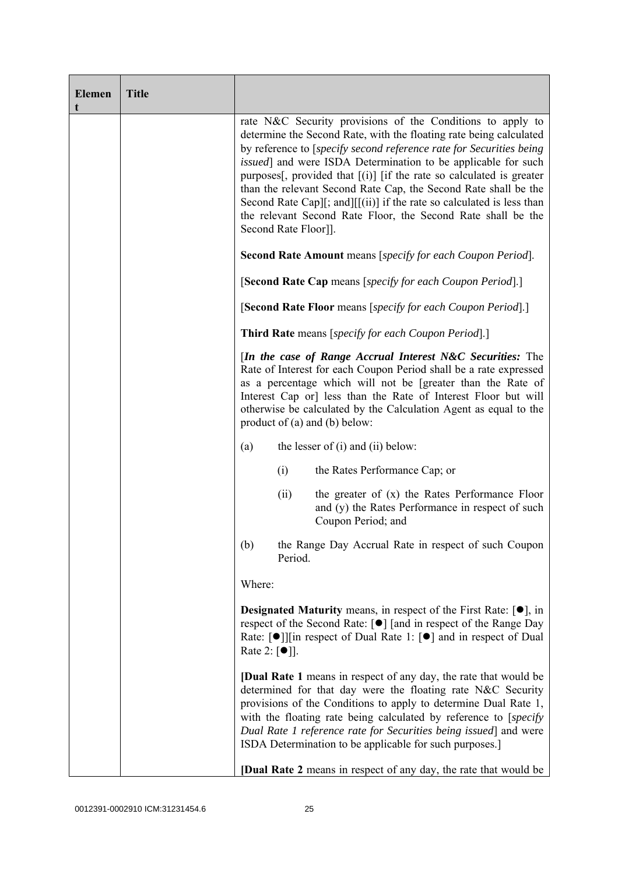| <b>Elemen</b><br>t | <b>Title</b> |                                                                                                                                                                                                                                                                                                                                                                                                                                                                                                                                                                                                 |  |  |  |
|--------------------|--------------|-------------------------------------------------------------------------------------------------------------------------------------------------------------------------------------------------------------------------------------------------------------------------------------------------------------------------------------------------------------------------------------------------------------------------------------------------------------------------------------------------------------------------------------------------------------------------------------------------|--|--|--|
|                    |              | rate N&C Security provisions of the Conditions to apply to<br>determine the Second Rate, with the floating rate being calculated<br>by reference to [specify second reference rate for Securities being<br><i>issued</i> ] and were ISDA Determination to be applicable for such<br>purposes [, provided that $[(i)]$ [if the rate so calculated is greater<br>than the relevant Second Rate Cap, the Second Rate shall be the<br>Second Rate Cap][; and][[(ii)] if the rate so calculated is less than<br>the relevant Second Rate Floor, the Second Rate shall be the<br>Second Rate Floor]]. |  |  |  |
|                    |              | <b>Second Rate Amount</b> means [specify for each Coupon Period].                                                                                                                                                                                                                                                                                                                                                                                                                                                                                                                               |  |  |  |
|                    |              | [Second Rate Cap means [specify for each Coupon Period].]                                                                                                                                                                                                                                                                                                                                                                                                                                                                                                                                       |  |  |  |
|                    |              | [Second Rate Floor means [specify for each Coupon Period].]<br><b>Third Rate</b> means [specify for each Coupon Period].]<br>[In the case of Range Accrual Interest N&C Securities: The<br>Rate of Interest for each Coupon Period shall be a rate expressed<br>as a percentage which will not be [greater than the Rate of<br>Interest Cap or] less than the Rate of Interest Floor but will<br>otherwise be calculated by the Calculation Agent as equal to the<br>product of $(a)$ and $(b)$ below:                                                                                          |  |  |  |
|                    |              |                                                                                                                                                                                                                                                                                                                                                                                                                                                                                                                                                                                                 |  |  |  |
|                    |              |                                                                                                                                                                                                                                                                                                                                                                                                                                                                                                                                                                                                 |  |  |  |
|                    |              | the lesser of $(i)$ and $(ii)$ below:<br>(a)                                                                                                                                                                                                                                                                                                                                                                                                                                                                                                                                                    |  |  |  |
|                    |              | (i)<br>the Rates Performance Cap; or                                                                                                                                                                                                                                                                                                                                                                                                                                                                                                                                                            |  |  |  |
|                    |              | the greater of $(x)$ the Rates Performance Floor<br>(ii)<br>and (y) the Rates Performance in respect of such<br>Coupon Period; and                                                                                                                                                                                                                                                                                                                                                                                                                                                              |  |  |  |
|                    |              | the Range Day Accrual Rate in respect of such Coupon<br>(b)<br>Period.                                                                                                                                                                                                                                                                                                                                                                                                                                                                                                                          |  |  |  |
|                    |              | Where:                                                                                                                                                                                                                                                                                                                                                                                                                                                                                                                                                                                          |  |  |  |
|                    |              | <b>Designated Maturity</b> means, in respect of the First Rate: $[•]$ , in<br>respect of the Second Rate: [●] [and in respect of the Range Day<br>Rate: $\lceil \bullet \rceil$   in respect of Dual Rate 1: $\lceil \bullet \rceil$ and in respect of Dual<br>Rate 2: $\lceil \bullet \rceil$ .                                                                                                                                                                                                                                                                                                |  |  |  |
|                    |              | <b>[Dual Rate 1</b> means in respect of any day, the rate that would be<br>determined for that day were the floating rate N&C Security<br>provisions of the Conditions to apply to determine Dual Rate 1,<br>with the floating rate being calculated by reference to [specify]<br>Dual Rate 1 reference rate for Securities being issued] and were<br>ISDA Determination to be applicable for such purposes.]                                                                                                                                                                                   |  |  |  |
|                    |              | <b>[Dual Rate 2</b> means in respect of any day, the rate that would be                                                                                                                                                                                                                                                                                                                                                                                                                                                                                                                         |  |  |  |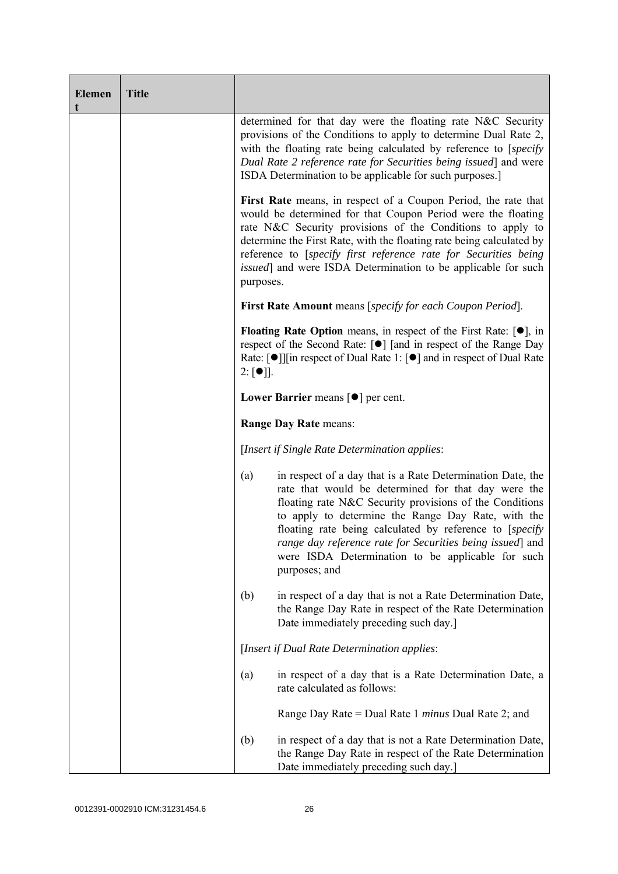| <b>Elemen</b><br>t | <b>Title</b> |                                                                                                                                                                                                                                                                                                                                                                                                                                          |  |  |  |
|--------------------|--------------|------------------------------------------------------------------------------------------------------------------------------------------------------------------------------------------------------------------------------------------------------------------------------------------------------------------------------------------------------------------------------------------------------------------------------------------|--|--|--|
|                    |              | determined for that day were the floating rate N&C Security<br>provisions of the Conditions to apply to determine Dual Rate 2,<br>with the floating rate being calculated by reference to [specify]<br>Dual Rate 2 reference rate for Securities being issued] and were<br>ISDA Determination to be applicable for such purposes.                                                                                                        |  |  |  |
|                    |              | First Rate means, in respect of a Coupon Period, the rate that<br>would be determined for that Coupon Period were the floating<br>rate N&C Security provisions of the Conditions to apply to<br>determine the First Rate, with the floating rate being calculated by<br>reference to [specify first reference rate for Securities being<br><i>issued</i> ] and were ISDA Determination to be applicable for such<br>purposes.            |  |  |  |
|                    |              | First Rate Amount means [specify for each Coupon Period].                                                                                                                                                                                                                                                                                                                                                                                |  |  |  |
|                    |              | <b>Floating Rate Option</b> means, in respect of the First Rate: $[•]$ , in<br>respect of the Second Rate: [●] [and in respect of the Range Day<br>Rate: $\lceil \bullet \rceil$   in respect of Dual Rate 1: $\lceil \bullet \rceil$ and in respect of Dual Rate<br>$2: [\bullet]$ .                                                                                                                                                    |  |  |  |
|                    |              | Lower Barrier means $\lceil \bullet \rceil$ per cent.                                                                                                                                                                                                                                                                                                                                                                                    |  |  |  |
|                    |              | Range Day Rate means:                                                                                                                                                                                                                                                                                                                                                                                                                    |  |  |  |
|                    |              | [Insert if Single Rate Determination applies:                                                                                                                                                                                                                                                                                                                                                                                            |  |  |  |
|                    |              | in respect of a day that is a Rate Determination Date, the<br>(a)<br>rate that would be determined for that day were the<br>floating rate N&C Security provisions of the Conditions<br>to apply to determine the Range Day Rate, with the<br>floating rate being calculated by reference to [specify]<br>range day reference rate for Securities being issued] and<br>were ISDA Determination to be applicable for such<br>purposes; and |  |  |  |
|                    |              | (b)<br>in respect of a day that is not a Rate Determination Date,<br>the Range Day Rate in respect of the Rate Determination<br>Date immediately preceding such day.]                                                                                                                                                                                                                                                                    |  |  |  |
|                    |              | [Insert if Dual Rate Determination applies:                                                                                                                                                                                                                                                                                                                                                                                              |  |  |  |
|                    |              | in respect of a day that is a Rate Determination Date, a<br>(a)<br>rate calculated as follows:                                                                                                                                                                                                                                                                                                                                           |  |  |  |
|                    |              | Range Day Rate = Dual Rate 1 <i>minus</i> Dual Rate 2; and                                                                                                                                                                                                                                                                                                                                                                               |  |  |  |
|                    |              | in respect of a day that is not a Rate Determination Date,<br>(b)<br>the Range Day Rate in respect of the Rate Determination<br>Date immediately preceding such day.]                                                                                                                                                                                                                                                                    |  |  |  |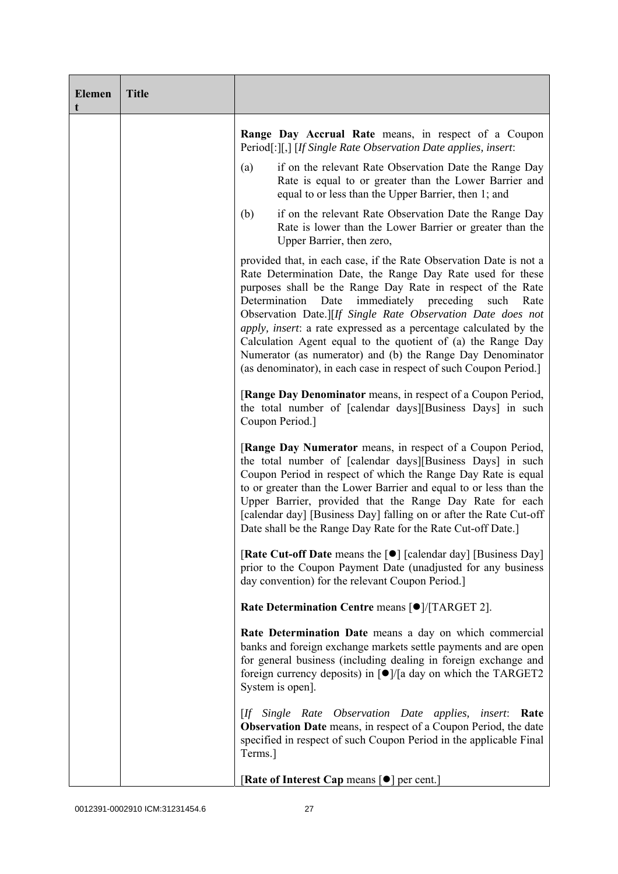| <b>Elemen</b><br>t | <b>Title</b> |                                                                                                                                                                                                                                                                                                                                                                                                                                                                                                                                                                                                         |
|--------------------|--------------|---------------------------------------------------------------------------------------------------------------------------------------------------------------------------------------------------------------------------------------------------------------------------------------------------------------------------------------------------------------------------------------------------------------------------------------------------------------------------------------------------------------------------------------------------------------------------------------------------------|
|                    |              | Range Day Accrual Rate means, in respect of a Coupon<br>Period[:][,] [If Single Rate Observation Date applies, insert:                                                                                                                                                                                                                                                                                                                                                                                                                                                                                  |
|                    |              | if on the relevant Rate Observation Date the Range Day<br>(a)<br>Rate is equal to or greater than the Lower Barrier and<br>equal to or less than the Upper Barrier, then 1; and                                                                                                                                                                                                                                                                                                                                                                                                                         |
|                    |              | if on the relevant Rate Observation Date the Range Day<br>(b)<br>Rate is lower than the Lower Barrier or greater than the<br>Upper Barrier, then zero,                                                                                                                                                                                                                                                                                                                                                                                                                                                  |
|                    |              | provided that, in each case, if the Rate Observation Date is not a<br>Rate Determination Date, the Range Day Rate used for these<br>purposes shall be the Range Day Rate in respect of the Rate<br>immediately preceding<br>Determination<br>Date<br>such<br>Rate<br>Observation Date.][If Single Rate Observation Date does not<br>apply, insert: a rate expressed as a percentage calculated by the<br>Calculation Agent equal to the quotient of (a) the Range Day<br>Numerator (as numerator) and (b) the Range Day Denominator<br>(as denominator), in each case in respect of such Coupon Period. |
|                    |              | [Range Day Denominator means, in respect of a Coupon Period,<br>the total number of [calendar days][Business Days] in such<br>Coupon Period.]                                                                                                                                                                                                                                                                                                                                                                                                                                                           |
|                    |              | [Range Day Numerator means, in respect of a Coupon Period,<br>the total number of [calendar days][Business Days] in such<br>Coupon Period in respect of which the Range Day Rate is equal<br>to or greater than the Lower Barrier and equal to or less than the<br>Upper Barrier, provided that the Range Day Rate for each<br>[calendar day] [Business Day] falling on or after the Rate Cut-off<br>Date shall be the Range Day Rate for the Rate Cut-off Date.]                                                                                                                                       |
|                    |              | [Rate Cut-off Date means the [●] [calendar day] [Business Day]<br>prior to the Coupon Payment Date (unadjusted for any business<br>day convention) for the relevant Coupon Period.]                                                                                                                                                                                                                                                                                                                                                                                                                     |
|                    |              | Rate Determination Centre means [ $\bullet$ ]/[TARGET 2].                                                                                                                                                                                                                                                                                                                                                                                                                                                                                                                                               |
|                    |              | Rate Determination Date means a day on which commercial<br>banks and foreign exchange markets settle payments and are open<br>for general business (including dealing in foreign exchange and<br>foreign currency deposits) in $\lceil \bullet \rceil / \lceil a \rceil$ day on which the TARGET2<br>System is open].                                                                                                                                                                                                                                                                                   |
|                    |              | [If Single Rate Observation Date applies,<br><i>insert</i> :<br>Rate<br><b>Observation Date</b> means, in respect of a Coupon Period, the date<br>specified in respect of such Coupon Period in the applicable Final<br>Terms.]                                                                                                                                                                                                                                                                                                                                                                         |
|                    |              | [Rate of Interest Cap means [ $\bullet$ ] per cent.]                                                                                                                                                                                                                                                                                                                                                                                                                                                                                                                                                    |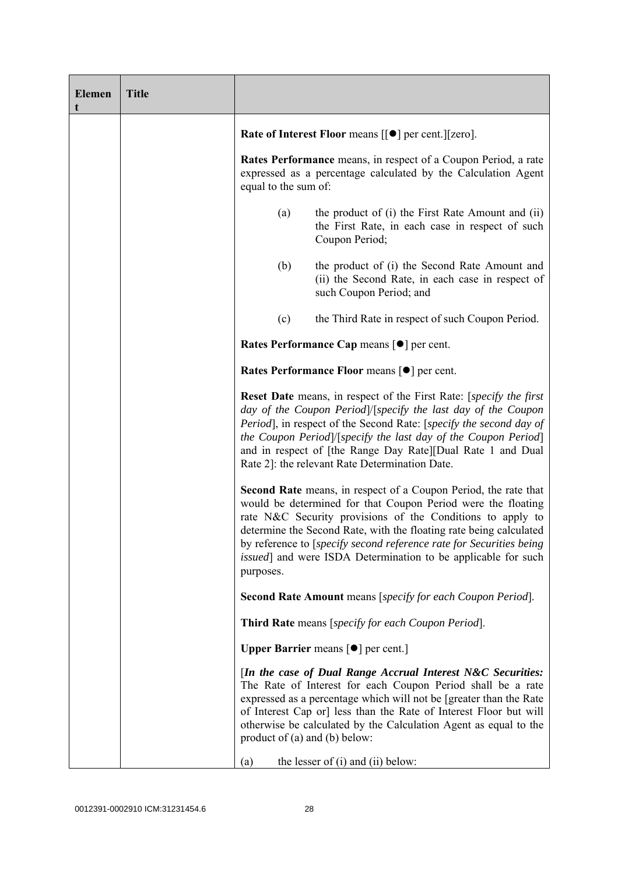| <b>Elemen</b> | <b>Title</b> |                                                                                                                                                                                                                                                                                                                                                                                                                                         |  |  |  |
|---------------|--------------|-----------------------------------------------------------------------------------------------------------------------------------------------------------------------------------------------------------------------------------------------------------------------------------------------------------------------------------------------------------------------------------------------------------------------------------------|--|--|--|
|               |              | Rate of Interest Floor means [[ $\bullet$ ] per cent.][zero].                                                                                                                                                                                                                                                                                                                                                                           |  |  |  |
|               |              | Rates Performance means, in respect of a Coupon Period, a rate<br>expressed as a percentage calculated by the Calculation Agent<br>equal to the sum of:                                                                                                                                                                                                                                                                                 |  |  |  |
|               |              | the product of (i) the First Rate Amount and (ii)<br>(a)<br>the First Rate, in each case in respect of such<br>Coupon Period;                                                                                                                                                                                                                                                                                                           |  |  |  |
|               |              | (b)<br>the product of (i) the Second Rate Amount and<br>(ii) the Second Rate, in each case in respect of<br>such Coupon Period; and                                                                                                                                                                                                                                                                                                     |  |  |  |
|               |              | (c)<br>the Third Rate in respect of such Coupon Period.                                                                                                                                                                                                                                                                                                                                                                                 |  |  |  |
|               |              | Rates Performance Cap means [ $\bullet$ ] per cent.                                                                                                                                                                                                                                                                                                                                                                                     |  |  |  |
|               |              | Rates Performance Floor means [ $\bullet$ ] per cent.                                                                                                                                                                                                                                                                                                                                                                                   |  |  |  |
|               |              | <b>Reset Date</b> means, in respect of the First Rate: [specify the first]<br>day of the Coupon Period /[specify the last day of the Coupon<br>Period], in respect of the Second Rate: [specify the second day of<br>the Coupon Period /[specify the last day of the Coupon Period]<br>and in respect of [the Range Day Rate][Dual Rate 1 and Dual<br>Rate 2]: the relevant Rate Determination Date.                                    |  |  |  |
|               |              | <b>Second Rate</b> means, in respect of a Coupon Period, the rate that<br>would be determined for that Coupon Period were the floating<br>rate N&C Security provisions of the Conditions to apply to<br>determine the Second Rate, with the floating rate being calculated<br>by reference to [specify second reference rate for Securities being<br><i>issued</i> ] and were ISDA Determination to be applicable for such<br>purposes. |  |  |  |
|               |              | <b>Second Rate Amount</b> means [specify for each Coupon Period].                                                                                                                                                                                                                                                                                                                                                                       |  |  |  |
|               |              | Third Rate means [specify for each Coupon Period].                                                                                                                                                                                                                                                                                                                                                                                      |  |  |  |
|               |              | <b>Upper Barrier</b> means $\lceil \bullet \rceil$ per cent.]                                                                                                                                                                                                                                                                                                                                                                           |  |  |  |
|               |              | [In the case of Dual Range Accrual Interest N&C Securities:<br>The Rate of Interest for each Coupon Period shall be a rate<br>expressed as a percentage which will not be [greater than the Rate<br>of Interest Cap or] less than the Rate of Interest Floor but will<br>otherwise be calculated by the Calculation Agent as equal to the<br>product of (a) and (b) below:                                                              |  |  |  |
|               |              | the lesser of $(i)$ and $(ii)$ below:<br>(a)                                                                                                                                                                                                                                                                                                                                                                                            |  |  |  |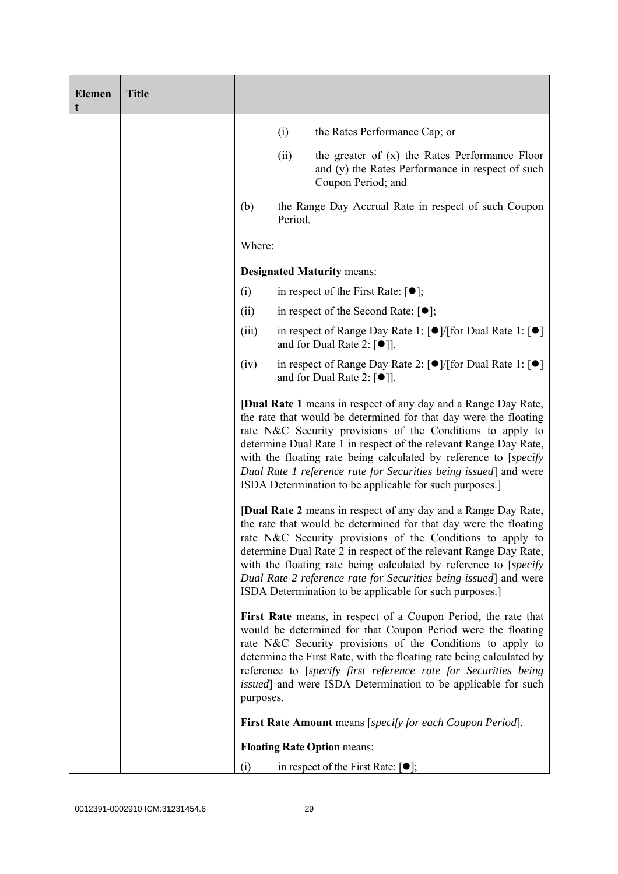| <b>Elemen</b> | <b>Title</b> |                                                                                                                                                                                                                                                                                                                                                                                                                                                                                 |         |                                                                                                                                                                                                                                                                                                                                                                                                                                                                                 |
|---------------|--------------|---------------------------------------------------------------------------------------------------------------------------------------------------------------------------------------------------------------------------------------------------------------------------------------------------------------------------------------------------------------------------------------------------------------------------------------------------------------------------------|---------|---------------------------------------------------------------------------------------------------------------------------------------------------------------------------------------------------------------------------------------------------------------------------------------------------------------------------------------------------------------------------------------------------------------------------------------------------------------------------------|
|               |              |                                                                                                                                                                                                                                                                                                                                                                                                                                                                                 | (i)     | the Rates Performance Cap; or                                                                                                                                                                                                                                                                                                                                                                                                                                                   |
|               |              |                                                                                                                                                                                                                                                                                                                                                                                                                                                                                 | (ii)    | the greater of (x) the Rates Performance Floor<br>and (y) the Rates Performance in respect of such<br>Coupon Period; and                                                                                                                                                                                                                                                                                                                                                        |
|               |              | (b)                                                                                                                                                                                                                                                                                                                                                                                                                                                                             | Period. | the Range Day Accrual Rate in respect of such Coupon                                                                                                                                                                                                                                                                                                                                                                                                                            |
|               |              | Where:                                                                                                                                                                                                                                                                                                                                                                                                                                                                          |         |                                                                                                                                                                                                                                                                                                                                                                                                                                                                                 |
|               |              |                                                                                                                                                                                                                                                                                                                                                                                                                                                                                 |         | <b>Designated Maturity means:</b>                                                                                                                                                                                                                                                                                                                                                                                                                                               |
|               |              | (i)                                                                                                                                                                                                                                                                                                                                                                                                                                                                             |         | in respect of the First Rate: $[•]$ ;                                                                                                                                                                                                                                                                                                                                                                                                                                           |
|               |              | (ii)                                                                                                                                                                                                                                                                                                                                                                                                                                                                            |         | in respect of the Second Rate: $[•]$ ;                                                                                                                                                                                                                                                                                                                                                                                                                                          |
|               |              | (iii)                                                                                                                                                                                                                                                                                                                                                                                                                                                                           |         | in respect of Range Day Rate 1: $\lceil \bullet \rceil / \lceil \text{for Dual Rate 1} \rceil \rceil$<br>and for Dual Rate 2: $[①$ ].                                                                                                                                                                                                                                                                                                                                           |
|               |              | (iv)                                                                                                                                                                                                                                                                                                                                                                                                                                                                            |         | in respect of Range Day Rate 2: $\lceil \bullet \rceil / \lceil \text{for Dual Rate 1} \rceil \rceil$<br>and for Dual Rate 2: $\lceil \bullet \rceil$ .                                                                                                                                                                                                                                                                                                                         |
|               |              | <b>[Dual Rate 1</b> means in respect of any day and a Range Day Rate,<br>the rate that would be determined for that day were the floating<br>rate N&C Security provisions of the Conditions to apply to<br>determine Dual Rate 1 in respect of the relevant Range Day Rate,<br>with the floating rate being calculated by reference to [specify]<br>Dual Rate 1 reference rate for Securities being issued] and were<br>ISDA Determination to be applicable for such purposes.] |         |                                                                                                                                                                                                                                                                                                                                                                                                                                                                                 |
|               |              |                                                                                                                                                                                                                                                                                                                                                                                                                                                                                 |         | <b>[Dual Rate 2</b> means in respect of any day and a Range Day Rate,<br>the rate that would be determined for that day were the floating<br>rate N&C Security provisions of the Conditions to apply to<br>determine Dual Rate 2 in respect of the relevant Range Day Rate,<br>with the floating rate being calculated by reference to [specify]<br>Dual Rate 2 reference rate for Securities being issued] and were<br>ISDA Determination to be applicable for such purposes.] |
|               |              | purposes.                                                                                                                                                                                                                                                                                                                                                                                                                                                                       |         | First Rate means, in respect of a Coupon Period, the rate that<br>would be determined for that Coupon Period were the floating<br>rate N&C Security provisions of the Conditions to apply to<br>determine the First Rate, with the floating rate being calculated by<br>reference to [specify first reference rate for Securities being<br><i>issued</i> ] and were ISDA Determination to be applicable for such                                                                |
|               |              |                                                                                                                                                                                                                                                                                                                                                                                                                                                                                 |         | <b>First Rate Amount</b> means [specify for each Coupon Period].                                                                                                                                                                                                                                                                                                                                                                                                                |
|               |              |                                                                                                                                                                                                                                                                                                                                                                                                                                                                                 |         | <b>Floating Rate Option means:</b>                                                                                                                                                                                                                                                                                                                                                                                                                                              |
|               |              | (i)                                                                                                                                                                                                                                                                                                                                                                                                                                                                             |         | in respect of the First Rate: $[•]$ ;                                                                                                                                                                                                                                                                                                                                                                                                                                           |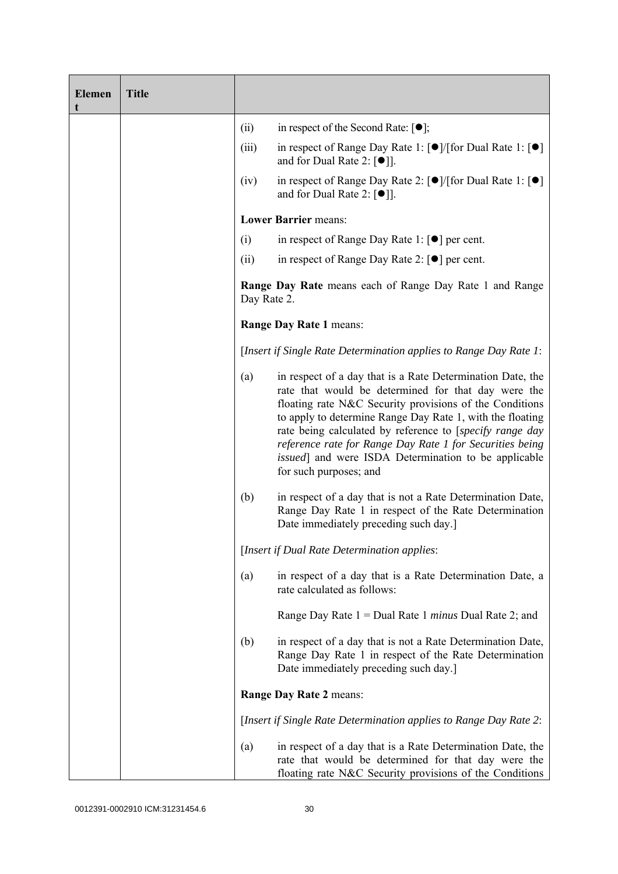| <b>Elemen</b><br>t | <b>Title</b> |                                                                                                                                                                               |                                                                                                                                                                                                                                                                                                                                                                                                                                                             |
|--------------------|--------------|-------------------------------------------------------------------------------------------------------------------------------------------------------------------------------|-------------------------------------------------------------------------------------------------------------------------------------------------------------------------------------------------------------------------------------------------------------------------------------------------------------------------------------------------------------------------------------------------------------------------------------------------------------|
|                    |              | (ii)                                                                                                                                                                          | in respect of the Second Rate: $[\bullet]$ ;                                                                                                                                                                                                                                                                                                                                                                                                                |
|                    |              | (iii)                                                                                                                                                                         | in respect of Range Day Rate 1: $\lceil \bullet \rceil / \lceil \text{for Dual Rate 1} \rceil \rceil$<br>and for Dual Rate 2: $\lceil \bullet \rceil$ .                                                                                                                                                                                                                                                                                                     |
|                    |              | (iv)                                                                                                                                                                          | in respect of Range Day Rate 2: $\lceil \bullet \rceil / \lceil \text{for Dual Rate 1} \rceil \rceil$<br>and for Dual Rate 2: $\lceil \bullet \rceil$ .                                                                                                                                                                                                                                                                                                     |
|                    |              |                                                                                                                                                                               | <b>Lower Barrier means:</b>                                                                                                                                                                                                                                                                                                                                                                                                                                 |
|                    |              | (i)                                                                                                                                                                           | in respect of Range Day Rate 1: $\lceil \bullet \rceil$ per cent.                                                                                                                                                                                                                                                                                                                                                                                           |
|                    |              | (ii)                                                                                                                                                                          | in respect of Range Day Rate 2: $\lceil \bullet \rceil$ per cent.                                                                                                                                                                                                                                                                                                                                                                                           |
|                    |              | <b>Range Day Rate</b> means each of Range Day Rate 1 and Range<br>Day Rate 2.<br>Range Day Rate 1 means:<br>[Insert if Single Rate Determination applies to Range Day Rate 1: |                                                                                                                                                                                                                                                                                                                                                                                                                                                             |
|                    |              |                                                                                                                                                                               |                                                                                                                                                                                                                                                                                                                                                                                                                                                             |
|                    |              |                                                                                                                                                                               |                                                                                                                                                                                                                                                                                                                                                                                                                                                             |
|                    |              | (a)                                                                                                                                                                           | in respect of a day that is a Rate Determination Date, the<br>rate that would be determined for that day were the<br>floating rate N&C Security provisions of the Conditions<br>to apply to determine Range Day Rate 1, with the floating<br>rate being calculated by reference to [specify range day<br>reference rate for Range Day Rate 1 for Securities being<br><i>issued</i> ] and were ISDA Determination to be applicable<br>for such purposes; and |
|                    |              | (b)                                                                                                                                                                           | in respect of a day that is not a Rate Determination Date,<br>Range Day Rate 1 in respect of the Rate Determination<br>Date immediately preceding such day.                                                                                                                                                                                                                                                                                                 |
|                    |              |                                                                                                                                                                               | [Insert if Dual Rate Determination applies:                                                                                                                                                                                                                                                                                                                                                                                                                 |
|                    |              | (a)                                                                                                                                                                           | in respect of a day that is a Rate Determination Date, a<br>rate calculated as follows:                                                                                                                                                                                                                                                                                                                                                                     |
|                    |              |                                                                                                                                                                               | Range Day Rate $1 =$ Dual Rate 1 <i>minus</i> Dual Rate 2; and                                                                                                                                                                                                                                                                                                                                                                                              |
|                    |              | (b)                                                                                                                                                                           | in respect of a day that is not a Rate Determination Date,<br>Range Day Rate 1 in respect of the Rate Determination<br>Date immediately preceding such day.]                                                                                                                                                                                                                                                                                                |
|                    |              |                                                                                                                                                                               | Range Day Rate 2 means:                                                                                                                                                                                                                                                                                                                                                                                                                                     |
|                    |              |                                                                                                                                                                               | [Insert if Single Rate Determination applies to Range Day Rate 2:                                                                                                                                                                                                                                                                                                                                                                                           |
|                    |              | (a)                                                                                                                                                                           | in respect of a day that is a Rate Determination Date, the<br>rate that would be determined for that day were the<br>floating rate N&C Security provisions of the Conditions                                                                                                                                                                                                                                                                                |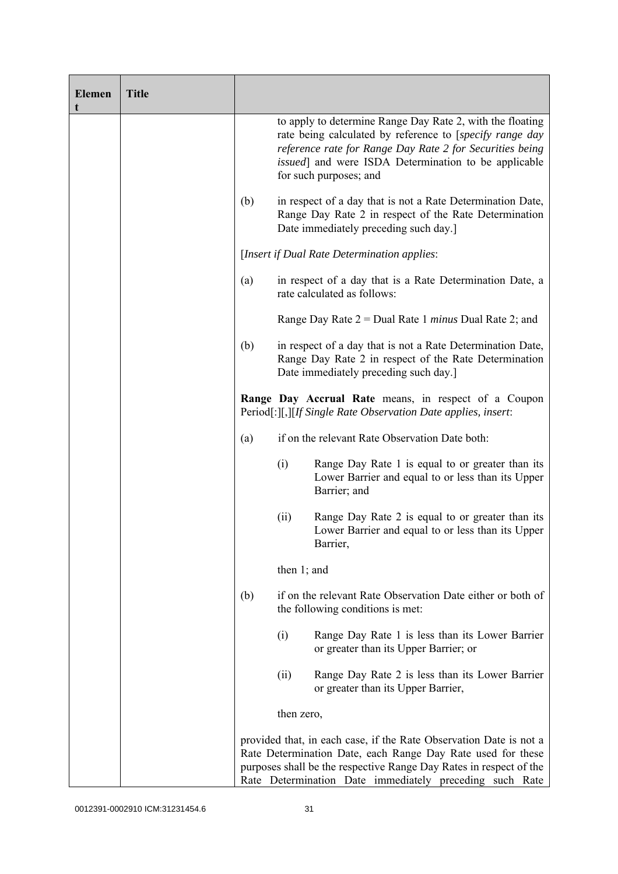| <b>Elemen</b><br>t | <b>Title</b> |     |                                                                                                                                                                                                                                                                    |                                                                                                                                                                                                                                                                             |
|--------------------|--------------|-----|--------------------------------------------------------------------------------------------------------------------------------------------------------------------------------------------------------------------------------------------------------------------|-----------------------------------------------------------------------------------------------------------------------------------------------------------------------------------------------------------------------------------------------------------------------------|
|                    |              |     |                                                                                                                                                                                                                                                                    | to apply to determine Range Day Rate 2, with the floating<br>rate being calculated by reference to [specify range day<br>reference rate for Range Day Rate 2 for Securities being<br><i>issued</i> ] and were ISDA Determination to be applicable<br>for such purposes; and |
|                    |              | (b) |                                                                                                                                                                                                                                                                    | in respect of a day that is not a Rate Determination Date,<br>Range Day Rate 2 in respect of the Rate Determination<br>Date immediately preceding such day.]                                                                                                                |
|                    |              |     | [Insert if Dual Rate Determination applies:                                                                                                                                                                                                                        |                                                                                                                                                                                                                                                                             |
|                    |              | (a) |                                                                                                                                                                                                                                                                    | in respect of a day that is a Rate Determination Date, a<br>rate calculated as follows:                                                                                                                                                                                     |
|                    |              |     | Range Day Rate $2 =$ Dual Rate 1 <i>minus</i> Dual Rate 2; and                                                                                                                                                                                                     |                                                                                                                                                                                                                                                                             |
|                    |              | (b) |                                                                                                                                                                                                                                                                    | in respect of a day that is not a Rate Determination Date,<br>Range Day Rate 2 in respect of the Rate Determination<br>Date immediately preceding such day.]                                                                                                                |
|                    |              |     |                                                                                                                                                                                                                                                                    | Range Day Accrual Rate means, in respect of a Coupon<br>Period[:][,][If Single Rate Observation Date applies, insert:                                                                                                                                                       |
|                    |              | (a) |                                                                                                                                                                                                                                                                    | if on the relevant Rate Observation Date both:                                                                                                                                                                                                                              |
|                    |              |     | (i)                                                                                                                                                                                                                                                                | Range Day Rate 1 is equal to or greater than its<br>Lower Barrier and equal to or less than its Upper<br>Barrier; and                                                                                                                                                       |
|                    |              |     | (ii)                                                                                                                                                                                                                                                               | Range Day Rate 2 is equal to or greater than its<br>Lower Barrier and equal to or less than its Upper<br>Barrier,                                                                                                                                                           |
|                    |              |     | then $1$ ; and                                                                                                                                                                                                                                                     |                                                                                                                                                                                                                                                                             |
|                    |              | (b) |                                                                                                                                                                                                                                                                    | if on the relevant Rate Observation Date either or both of<br>the following conditions is met:                                                                                                                                                                              |
|                    |              |     | (i)                                                                                                                                                                                                                                                                | Range Day Rate 1 is less than its Lower Barrier<br>or greater than its Upper Barrier; or                                                                                                                                                                                    |
|                    |              |     | (ii)                                                                                                                                                                                                                                                               | Range Day Rate 2 is less than its Lower Barrier<br>or greater than its Upper Barrier,                                                                                                                                                                                       |
|                    |              |     | then zero,                                                                                                                                                                                                                                                         |                                                                                                                                                                                                                                                                             |
|                    |              |     | provided that, in each case, if the Rate Observation Date is not a<br>Rate Determination Date, each Range Day Rate used for these<br>purposes shall be the respective Range Day Rates in respect of the<br>Rate Determination Date immediately preceding such Rate |                                                                                                                                                                                                                                                                             |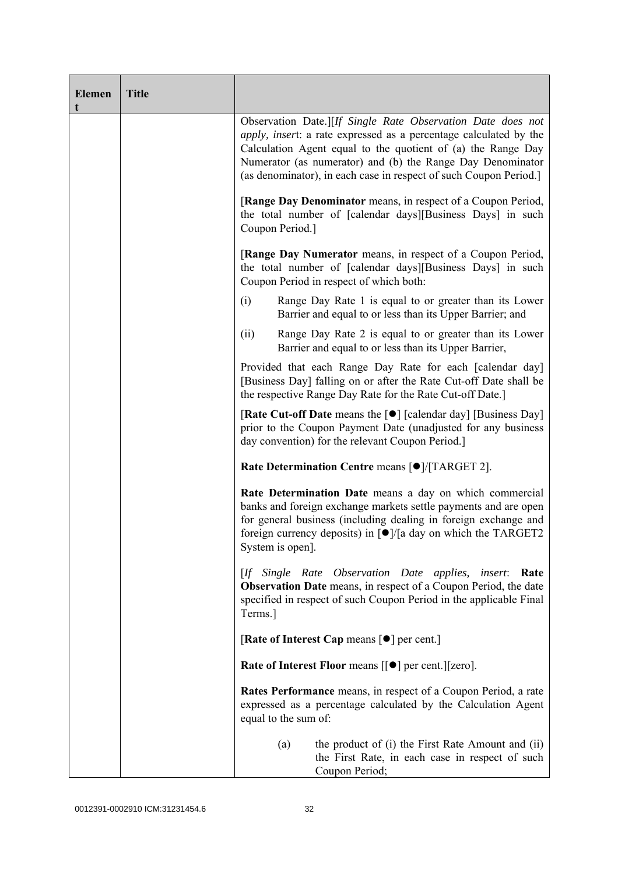| <b>Elemen</b><br>t | <b>Title</b> |                                                                                                                                                                                                                                                                                                                                            |  |  |  |
|--------------------|--------------|--------------------------------------------------------------------------------------------------------------------------------------------------------------------------------------------------------------------------------------------------------------------------------------------------------------------------------------------|--|--|--|
|                    |              | Observation Date.][If Single Rate Observation Date does not<br><i>apply, insert:</i> a rate expressed as a percentage calculated by the<br>Calculation Agent equal to the quotient of (a) the Range Day<br>Numerator (as numerator) and (b) the Range Day Denominator<br>(as denominator), in each case in respect of such Coupon Period.] |  |  |  |
|                    |              | [Range Day Denominator means, in respect of a Coupon Period,<br>the total number of [calendar days][Business Days] in such<br>Coupon Period.]                                                                                                                                                                                              |  |  |  |
|                    |              | [Range Day Numerator means, in respect of a Coupon Period,<br>the total number of [calendar days][Business Days] in such<br>Coupon Period in respect of which both:                                                                                                                                                                        |  |  |  |
|                    |              | Range Day Rate 1 is equal to or greater than its Lower<br>(i)<br>Barrier and equal to or less than its Upper Barrier; and                                                                                                                                                                                                                  |  |  |  |
|                    |              | (ii)<br>Range Day Rate 2 is equal to or greater than its Lower<br>Barrier and equal to or less than its Upper Barrier,                                                                                                                                                                                                                     |  |  |  |
|                    |              | Provided that each Range Day Rate for each [calendar day]<br>[Business Day] falling on or after the Rate Cut-off Date shall be<br>the respective Range Day Rate for the Rate Cut-off Date.]                                                                                                                                                |  |  |  |
|                    |              | [Rate Cut-off Date means the [●] [calendar day] [Business Day]<br>prior to the Coupon Payment Date (unadjusted for any business<br>day convention) for the relevant Coupon Period.]                                                                                                                                                        |  |  |  |
|                    |              | Rate Determination Centre means [ $\bullet$ ]/[TARGET 2].                                                                                                                                                                                                                                                                                  |  |  |  |
|                    |              | Rate Determination Date means a day on which commercial<br>banks and foreign exchange markets settle payments and are open<br>for general business (including dealing in foreign exchange and<br>foreign currency deposits) in $\lceil \bullet \rceil$ a day on which the TARGET2<br>System is open].                                      |  |  |  |
|                    |              | [If Single Rate Observation Date applies,<br>insert:<br>Rate<br><b>Observation Date</b> means, in respect of a Coupon Period, the date<br>specified in respect of such Coupon Period in the applicable Final<br>Terms.]                                                                                                                    |  |  |  |
|                    |              | [Rate of Interest Cap means $\lceil \bullet \rceil$ per cent.]                                                                                                                                                                                                                                                                             |  |  |  |
|                    |              | <b>Rate of Interest Floor means <math>\lceil \bullet \rceil</math> per cent. <math>\lceil \lceil z</math> ero <math>\rceil</math>.</b>                                                                                                                                                                                                     |  |  |  |
|                    |              | <b>Rates Performance</b> means, in respect of a Coupon Period, a rate<br>expressed as a percentage calculated by the Calculation Agent<br>equal to the sum of:                                                                                                                                                                             |  |  |  |
|                    |              | the product of (i) the First Rate Amount and (ii)<br>(a)<br>the First Rate, in each case in respect of such<br>Coupon Period;                                                                                                                                                                                                              |  |  |  |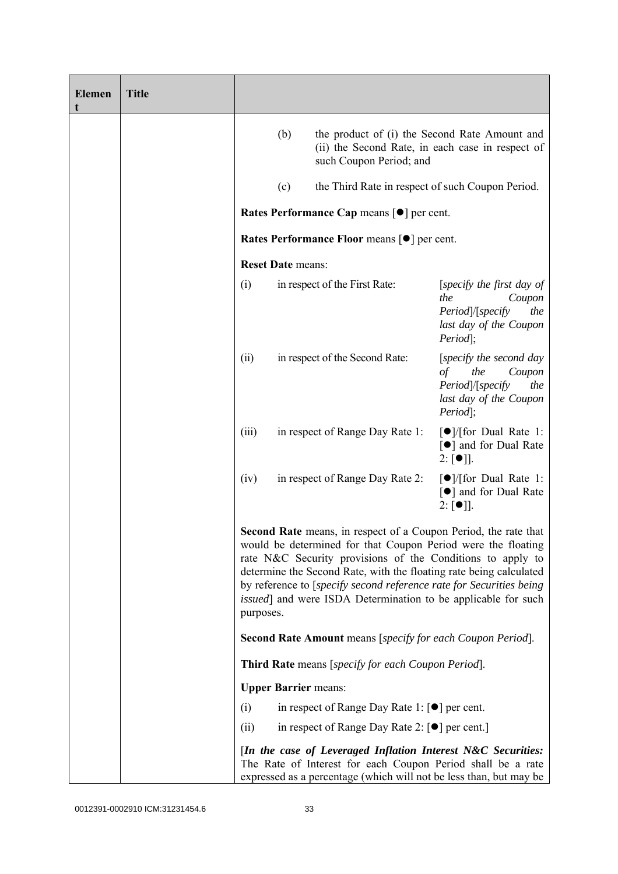| <b>Elemen</b><br>t | <b>Title</b> |                                                                                                                                                                                                                                                                                                                                                                                                                                         |                                      |                                                                                                                              |                                                                                                             |
|--------------------|--------------|-----------------------------------------------------------------------------------------------------------------------------------------------------------------------------------------------------------------------------------------------------------------------------------------------------------------------------------------------------------------------------------------------------------------------------------------|--------------------------------------|------------------------------------------------------------------------------------------------------------------------------|-------------------------------------------------------------------------------------------------------------|
|                    |              |                                                                                                                                                                                                                                                                                                                                                                                                                                         | (b)                                  | the product of (i) the Second Rate Amount and<br>(ii) the Second Rate, in each case in respect of<br>such Coupon Period; and |                                                                                                             |
|                    |              |                                                                                                                                                                                                                                                                                                                                                                                                                                         | (c)                                  | the Third Rate in respect of such Coupon Period.                                                                             |                                                                                                             |
|                    |              |                                                                                                                                                                                                                                                                                                                                                                                                                                         |                                      | Rates Performance Cap means [ $\bullet$ ] per cent.                                                                          |                                                                                                             |
|                    |              |                                                                                                                                                                                                                                                                                                                                                                                                                                         |                                      | Rates Performance Floor means [ $\bullet$ ] per cent.                                                                        |                                                                                                             |
|                    |              |                                                                                                                                                                                                                                                                                                                                                                                                                                         | <b>Reset Date means:</b>             |                                                                                                                              |                                                                                                             |
|                    |              | (i)                                                                                                                                                                                                                                                                                                                                                                                                                                     |                                      | in respect of the First Rate:                                                                                                | [specify the first day of<br>the<br>Coupon<br>Period /[specify<br>the<br>last day of the Coupon<br>Period]; |
|                    |              | (ii)                                                                                                                                                                                                                                                                                                                                                                                                                                    | in respect of the Second Rate:<br>of |                                                                                                                              | [specify the second day<br>the<br>Coupon<br>Period /[specify<br>the<br>last day of the Coupon<br>Period];   |
|                    |              | (iii)                                                                                                                                                                                                                                                                                                                                                                                                                                   |                                      | in respect of Range Day Rate 1:                                                                                              | $\lceil \bullet \rceil$ / [for Dual Rate 1:<br>[●] and for Dual Rate<br>$2: [\bullet]$ .                    |
|                    |              | (iv)                                                                                                                                                                                                                                                                                                                                                                                                                                    |                                      | in respect of Range Day Rate 2:                                                                                              | $\lceil \bullet \rceil$ / [for Dual Rate 1:<br>[●] and for Dual Rate<br>$2: [\bullet]$ ].                   |
|                    |              | <b>Second Rate</b> means, in respect of a Coupon Period, the rate that<br>would be determined for that Coupon Period were the floating<br>rate N&C Security provisions of the Conditions to apply to<br>determine the Second Rate, with the floating rate being calculated<br>by reference to [specify second reference rate for Securities being<br><i>issued</i> ] and were ISDA Determination to be applicable for such<br>purposes. |                                      |                                                                                                                              |                                                                                                             |
|                    |              |                                                                                                                                                                                                                                                                                                                                                                                                                                         |                                      | <b>Second Rate Amount</b> means [specify for each Coupon Period].                                                            |                                                                                                             |
|                    |              |                                                                                                                                                                                                                                                                                                                                                                                                                                         |                                      | Third Rate means [specify for each Coupon Period].                                                                           |                                                                                                             |
|                    |              |                                                                                                                                                                                                                                                                                                                                                                                                                                         | <b>Upper Barrier means:</b>          |                                                                                                                              |                                                                                                             |
|                    |              | (i)                                                                                                                                                                                                                                                                                                                                                                                                                                     |                                      | in respect of Range Day Rate 1: $\lceil \bullet \rceil$ per cent.                                                            |                                                                                                             |
|                    |              | (ii)                                                                                                                                                                                                                                                                                                                                                                                                                                    |                                      | in respect of Range Day Rate 2: $\lceil \bullet \rceil$ per cent.]                                                           |                                                                                                             |
|                    |              | [In the case of Leveraged Inflation Interest N&C Securities:<br>The Rate of Interest for each Coupon Period shall be a rate<br>expressed as a percentage (which will not be less than, but may be                                                                                                                                                                                                                                       |                                      |                                                                                                                              |                                                                                                             |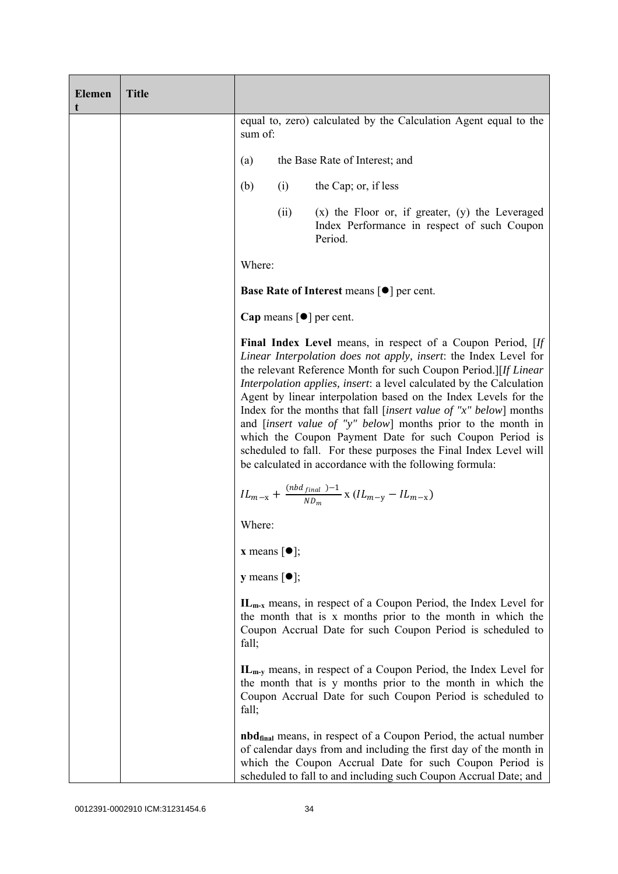| <b>Elemen</b><br>t | <b>Title</b> |                                                     |                                             |                                                                                                                                                                                                                                                                                                                                                                                                                                                                                                                                                                                                                                                                                     |
|--------------------|--------------|-----------------------------------------------------|---------------------------------------------|-------------------------------------------------------------------------------------------------------------------------------------------------------------------------------------------------------------------------------------------------------------------------------------------------------------------------------------------------------------------------------------------------------------------------------------------------------------------------------------------------------------------------------------------------------------------------------------------------------------------------------------------------------------------------------------|
|                    |              | sum of:                                             |                                             | equal to, zero) calculated by the Calculation Agent equal to the                                                                                                                                                                                                                                                                                                                                                                                                                                                                                                                                                                                                                    |
|                    |              | (a)                                                 |                                             | the Base Rate of Interest; and                                                                                                                                                                                                                                                                                                                                                                                                                                                                                                                                                                                                                                                      |
|                    |              | (b)                                                 | (i)                                         | the Cap; or, if less                                                                                                                                                                                                                                                                                                                                                                                                                                                                                                                                                                                                                                                                |
|                    |              |                                                     | (ii)                                        | $(x)$ the Floor or, if greater, $(y)$ the Leveraged<br>Index Performance in respect of such Coupon<br>Period.                                                                                                                                                                                                                                                                                                                                                                                                                                                                                                                                                                       |
|                    |              | Where:                                              |                                             |                                                                                                                                                                                                                                                                                                                                                                                                                                                                                                                                                                                                                                                                                     |
|                    |              | Base Rate of Interest means [ $\bullet$ ] per cent. |                                             |                                                                                                                                                                                                                                                                                                                                                                                                                                                                                                                                                                                                                                                                                     |
|                    |              |                                                     | Cap means $\lceil \bullet \rceil$ per cent. |                                                                                                                                                                                                                                                                                                                                                                                                                                                                                                                                                                                                                                                                                     |
|                    |              |                                                     |                                             | Final Index Level means, in respect of a Coupon Period, [If<br>Linear Interpolation does not apply, insert: the Index Level for<br>the relevant Reference Month for such Coupon Period.][If Linear<br>Interpolation applies, insert: a level calculated by the Calculation<br>Agent by linear interpolation based on the Index Levels for the<br>Index for the months that fall [insert value of "x" below] months<br>and <i>[insert value of "y" below]</i> months prior to the month in<br>which the Coupon Payment Date for such Coupon Period is<br>scheduled to fall. For these purposes the Final Index Level will<br>be calculated in accordance with the following formula: |
|                    |              |                                                     |                                             | $IL_{m-x} + \frac{(nbd_{final})-1}{ND_m}$ x $(IL_{m-y} - IL_{m-x})$                                                                                                                                                                                                                                                                                                                                                                                                                                                                                                                                                                                                                 |
|                    |              | Where:                                              |                                             |                                                                                                                                                                                                                                                                                                                                                                                                                                                                                                                                                                                                                                                                                     |
|                    |              | <b>x</b> means $[\bullet]$ ;                        |                                             |                                                                                                                                                                                                                                                                                                                                                                                                                                                                                                                                                                                                                                                                                     |
|                    |              | <b>y</b> means $[\bullet]$ ;                        |                                             |                                                                                                                                                                                                                                                                                                                                                                                                                                                                                                                                                                                                                                                                                     |
|                    |              | fall;                                               |                                             | $IL_{m-x}$ means, in respect of a Coupon Period, the Index Level for<br>the month that is x months prior to the month in which the<br>Coupon Accrual Date for such Coupon Period is scheduled to                                                                                                                                                                                                                                                                                                                                                                                                                                                                                    |
|                    |              | fall;                                               |                                             | $IL_{m-v}$ means, in respect of a Coupon Period, the Index Level for<br>the month that is y months prior to the month in which the<br>Coupon Accrual Date for such Coupon Period is scheduled to                                                                                                                                                                                                                                                                                                                                                                                                                                                                                    |
|                    |              |                                                     |                                             | <b>nbd</b> <sub>final</sub> means, in respect of a Coupon Period, the actual number<br>of calendar days from and including the first day of the month in<br>which the Coupon Accrual Date for such Coupon Period is<br>scheduled to fall to and including such Coupon Accrual Date; and                                                                                                                                                                                                                                                                                                                                                                                             |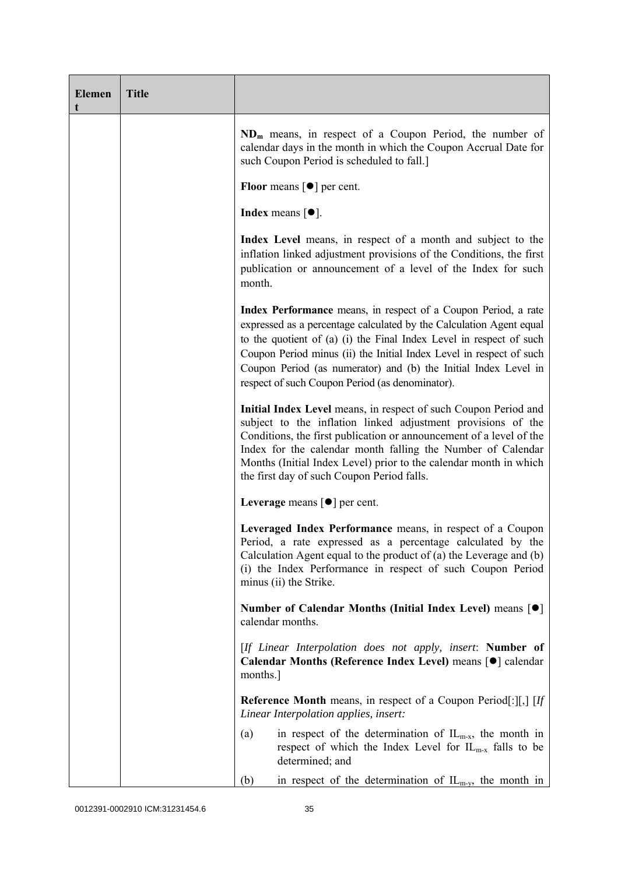| <b>Elemen</b><br>t | <b>Title</b> |                                                                                                                                                                                                                                                                                                                                                                                                           |
|--------------------|--------------|-----------------------------------------------------------------------------------------------------------------------------------------------------------------------------------------------------------------------------------------------------------------------------------------------------------------------------------------------------------------------------------------------------------|
|                    |              | $ND_m$ means, in respect of a Coupon Period, the number of<br>calendar days in the month in which the Coupon Accrual Date for<br>such Coupon Period is scheduled to fall.]                                                                                                                                                                                                                                |
|                    |              | <b>Floor</b> means $\lceil \bullet \rceil$ per cent.                                                                                                                                                                                                                                                                                                                                                      |
|                    |              | <b>Index</b> means $\lceil \bullet \rceil$ .                                                                                                                                                                                                                                                                                                                                                              |
|                    |              | Index Level means, in respect of a month and subject to the<br>inflation linked adjustment provisions of the Conditions, the first<br>publication or announcement of a level of the Index for such<br>month.                                                                                                                                                                                              |
|                    |              | Index Performance means, in respect of a Coupon Period, a rate<br>expressed as a percentage calculated by the Calculation Agent equal<br>to the quotient of (a) (i) the Final Index Level in respect of such<br>Coupon Period minus (ii) the Initial Index Level in respect of such<br>Coupon Period (as numerator) and (b) the Initial Index Level in<br>respect of such Coupon Period (as denominator). |
|                    |              | Initial Index Level means, in respect of such Coupon Period and<br>subject to the inflation linked adjustment provisions of the<br>Conditions, the first publication or announcement of a level of the<br>Index for the calendar month falling the Number of Calendar<br>Months (Initial Index Level) prior to the calendar month in which<br>the first day of such Coupon Period falls.                  |
|                    |              | Leverage means $\lceil \bullet \rceil$ per cent.                                                                                                                                                                                                                                                                                                                                                          |
|                    |              | Leveraged Index Performance means, in respect of a Coupon<br>Period, a rate expressed as a percentage calculated by the<br>Calculation Agent equal to the product of $(a)$ the Leverage and $(b)$<br>(i) the Index Performance in respect of such Coupon Period<br>minus (ii) the Strike.                                                                                                                 |
|                    |              | Number of Calendar Months (Initial Index Level) means [●]<br>calendar months.                                                                                                                                                                                                                                                                                                                             |
|                    |              | [If Linear Interpolation does not apply, insert: Number of<br>Calendar Months (Reference Index Level) means [ $\bullet$ ] calendar<br>months.]                                                                                                                                                                                                                                                            |
|                    |              | <b>Reference Month</b> means, in respect of a Coupon Period[: $\begin{bmatrix} \end{bmatrix}$ , $\begin{bmatrix} \text{If} \end{bmatrix}$<br>Linear Interpolation applies, insert:                                                                                                                                                                                                                        |
|                    |              | in respect of the determination of $IL_{m-x}$ , the month in<br>(a)<br>respect of which the Index Level for $IL_{m-x}$ falls to be<br>determined; and                                                                                                                                                                                                                                                     |
|                    |              | in respect of the determination of $IL_{m-y}$ , the month in<br>(b)                                                                                                                                                                                                                                                                                                                                       |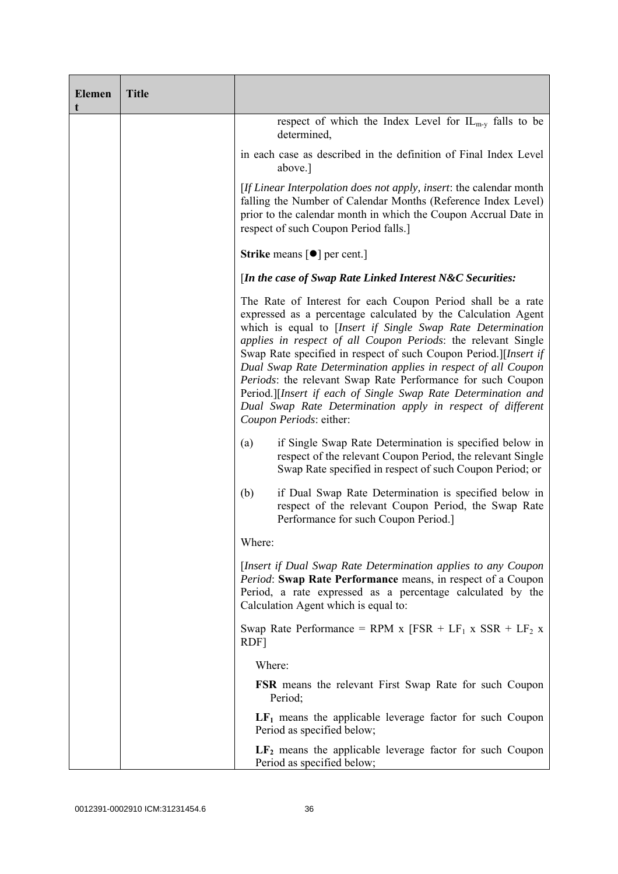| <b>Elemen</b><br>t | <b>Title</b> |                                                                                                                                                                                                                                                                                                                                                                                                                                                                                                                                                                                                                            |
|--------------------|--------------|----------------------------------------------------------------------------------------------------------------------------------------------------------------------------------------------------------------------------------------------------------------------------------------------------------------------------------------------------------------------------------------------------------------------------------------------------------------------------------------------------------------------------------------------------------------------------------------------------------------------------|
|                    |              | respect of which the Index Level for $IL_{m-v}$ falls to be<br>determined,                                                                                                                                                                                                                                                                                                                                                                                                                                                                                                                                                 |
|                    |              | in each case as described in the definition of Final Index Level<br>above.]                                                                                                                                                                                                                                                                                                                                                                                                                                                                                                                                                |
|                    |              | [If Linear Interpolation does not apply, insert: the calendar month<br>falling the Number of Calendar Months (Reference Index Level)<br>prior to the calendar month in which the Coupon Accrual Date in<br>respect of such Coupon Period falls.]                                                                                                                                                                                                                                                                                                                                                                           |
|                    |              | <b>Strike</b> means $[\bullet]$ per cent.]                                                                                                                                                                                                                                                                                                                                                                                                                                                                                                                                                                                 |
|                    |              | [In the case of Swap Rate Linked Interest N&C Securities:                                                                                                                                                                                                                                                                                                                                                                                                                                                                                                                                                                  |
|                    |              | The Rate of Interest for each Coupon Period shall be a rate<br>expressed as a percentage calculated by the Calculation Agent<br>which is equal to [Insert if Single Swap Rate Determination<br>applies in respect of all Coupon Periods: the relevant Single<br>Swap Rate specified in respect of such Coupon Period.][Insert if<br>Dual Swap Rate Determination applies in respect of all Coupon<br>Periods: the relevant Swap Rate Performance for such Coupon<br>Period.][Insert if each of Single Swap Rate Determination and<br>Dual Swap Rate Determination apply in respect of different<br>Coupon Periods: either: |
|                    |              | if Single Swap Rate Determination is specified below in<br>(a)<br>respect of the relevant Coupon Period, the relevant Single<br>Swap Rate specified in respect of such Coupon Period; or                                                                                                                                                                                                                                                                                                                                                                                                                                   |
|                    |              | if Dual Swap Rate Determination is specified below in<br>(b)<br>respect of the relevant Coupon Period, the Swap Rate<br>Performance for such Coupon Period.]                                                                                                                                                                                                                                                                                                                                                                                                                                                               |
|                    |              | Where:                                                                                                                                                                                                                                                                                                                                                                                                                                                                                                                                                                                                                     |
|                    |              | [Insert if Dual Swap Rate Determination applies to any Coupon<br>Period: Swap Rate Performance means, in respect of a Coupon<br>Period, a rate expressed as a percentage calculated by the<br>Calculation Agent which is equal to:                                                                                                                                                                                                                                                                                                                                                                                         |
|                    |              | Swap Rate Performance = RPM x [FSR + LF <sub>1</sub> x SSR + LF <sub>2</sub> x<br>RDF]                                                                                                                                                                                                                                                                                                                                                                                                                                                                                                                                     |
|                    |              | Where:                                                                                                                                                                                                                                                                                                                                                                                                                                                                                                                                                                                                                     |
|                    |              | <b>FSR</b> means the relevant First Swap Rate for such Coupon<br>Period;                                                                                                                                                                                                                                                                                                                                                                                                                                                                                                                                                   |
|                    |              | $LF1$ means the applicable leverage factor for such Coupon<br>Period as specified below;                                                                                                                                                                                                                                                                                                                                                                                                                                                                                                                                   |
|                    |              | $LF2$ means the applicable leverage factor for such Coupon<br>Period as specified below;                                                                                                                                                                                                                                                                                                                                                                                                                                                                                                                                   |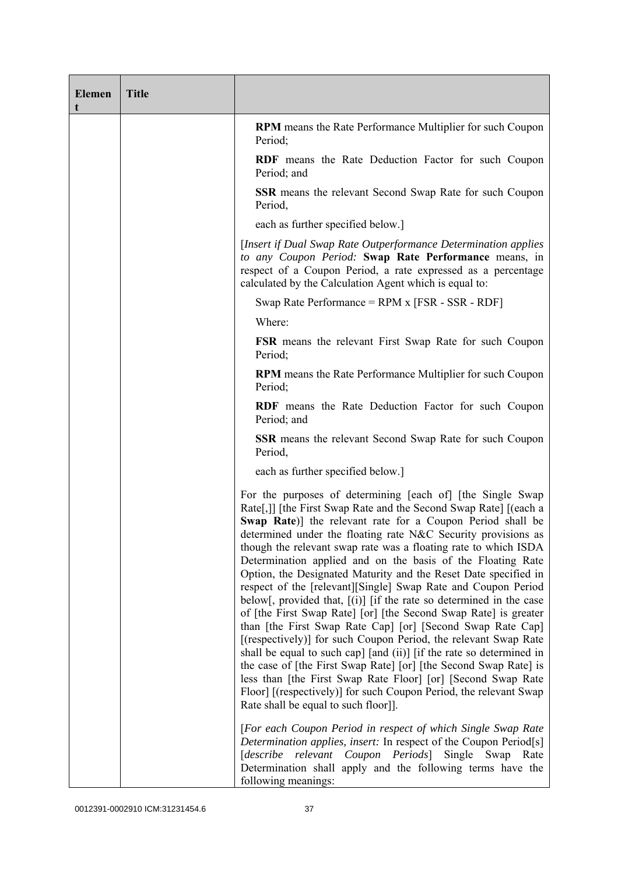| <b>Elemen</b><br>t | <b>Title</b> |                                                                                                                                                                                                                                                                                                                                                                                                                                                                                                                                                                                                                                                                                                                                                                                                                                                                                                                                                                                                                                                                                                                                            |
|--------------------|--------------|--------------------------------------------------------------------------------------------------------------------------------------------------------------------------------------------------------------------------------------------------------------------------------------------------------------------------------------------------------------------------------------------------------------------------------------------------------------------------------------------------------------------------------------------------------------------------------------------------------------------------------------------------------------------------------------------------------------------------------------------------------------------------------------------------------------------------------------------------------------------------------------------------------------------------------------------------------------------------------------------------------------------------------------------------------------------------------------------------------------------------------------------|
|                    |              | <b>RPM</b> means the Rate Performance Multiplier for such Coupon<br>Period;                                                                                                                                                                                                                                                                                                                                                                                                                                                                                                                                                                                                                                                                                                                                                                                                                                                                                                                                                                                                                                                                |
|                    |              | <b>RDF</b> means the Rate Deduction Factor for such Coupon<br>Period; and                                                                                                                                                                                                                                                                                                                                                                                                                                                                                                                                                                                                                                                                                                                                                                                                                                                                                                                                                                                                                                                                  |
|                    |              | <b>SSR</b> means the relevant Second Swap Rate for such Coupon<br>Period,                                                                                                                                                                                                                                                                                                                                                                                                                                                                                                                                                                                                                                                                                                                                                                                                                                                                                                                                                                                                                                                                  |
|                    |              | each as further specified below.]                                                                                                                                                                                                                                                                                                                                                                                                                                                                                                                                                                                                                                                                                                                                                                                                                                                                                                                                                                                                                                                                                                          |
|                    |              | [Insert if Dual Swap Rate Outperformance Determination applies]<br>to any Coupon Period: Swap Rate Performance means, in<br>respect of a Coupon Period, a rate expressed as a percentage<br>calculated by the Calculation Agent which is equal to:                                                                                                                                                                                                                                                                                                                                                                                                                                                                                                                                                                                                                                                                                                                                                                                                                                                                                         |
|                    |              | Swap Rate Performance = $RPM x$ [FSR - SSR - RDF]                                                                                                                                                                                                                                                                                                                                                                                                                                                                                                                                                                                                                                                                                                                                                                                                                                                                                                                                                                                                                                                                                          |
|                    |              | Where:                                                                                                                                                                                                                                                                                                                                                                                                                                                                                                                                                                                                                                                                                                                                                                                                                                                                                                                                                                                                                                                                                                                                     |
|                    |              | FSR means the relevant First Swap Rate for such Coupon<br>Period;                                                                                                                                                                                                                                                                                                                                                                                                                                                                                                                                                                                                                                                                                                                                                                                                                                                                                                                                                                                                                                                                          |
|                    |              | RPM means the Rate Performance Multiplier for such Coupon<br>Period;                                                                                                                                                                                                                                                                                                                                                                                                                                                                                                                                                                                                                                                                                                                                                                                                                                                                                                                                                                                                                                                                       |
|                    |              | <b>RDF</b> means the Rate Deduction Factor for such Coupon<br>Period; and                                                                                                                                                                                                                                                                                                                                                                                                                                                                                                                                                                                                                                                                                                                                                                                                                                                                                                                                                                                                                                                                  |
|                    |              | <b>SSR</b> means the relevant Second Swap Rate for such Coupon<br>Period,                                                                                                                                                                                                                                                                                                                                                                                                                                                                                                                                                                                                                                                                                                                                                                                                                                                                                                                                                                                                                                                                  |
|                    |              | each as further specified below.]                                                                                                                                                                                                                                                                                                                                                                                                                                                                                                                                                                                                                                                                                                                                                                                                                                                                                                                                                                                                                                                                                                          |
|                    |              | For the purposes of determining [each of] [the Single Swap]<br>Rate[,]] [the First Swap Rate and the Second Swap Rate] [(each a<br>Swap Rate)] the relevant rate for a Coupon Period shall be<br>determined under the floating rate N&C Security provisions as<br>though the relevant swap rate was a floating rate to which ISDA<br>Determination applied and on the basis of the Floating Rate<br>Option, the Designated Maturity and the Reset Date specified in<br>respect of the [relevant][Single] Swap Rate and Coupon Period<br>below[, provided that, $[(i)]$ [if the rate so determined in the case<br>of [the First Swap Rate] [or] [the Second Swap Rate] is greater<br>than [the First Swap Rate Cap] [or] [Second Swap Rate Cap]<br>[(respectively)] for such Coupon Period, the relevant Swap Rate<br>shall be equal to such cap] [and (ii)] [if the rate so determined in<br>the case of [the First Swap Rate] [or] [the Second Swap Rate] is<br>less than [the First Swap Rate Floor] [or] [Second Swap Rate<br>Floor] [(respectively)] for such Coupon Period, the relevant Swap<br>Rate shall be equal to such floor]]. |
|                    |              | [For each Coupon Period in respect of which Single Swap Rate<br>Determination applies, insert: In respect of the Coupon Period[s]<br>[describe relevant Coupon Periods] Single Swap<br>Rate<br>Determination shall apply and the following terms have the<br>following meanings:                                                                                                                                                                                                                                                                                                                                                                                                                                                                                                                                                                                                                                                                                                                                                                                                                                                           |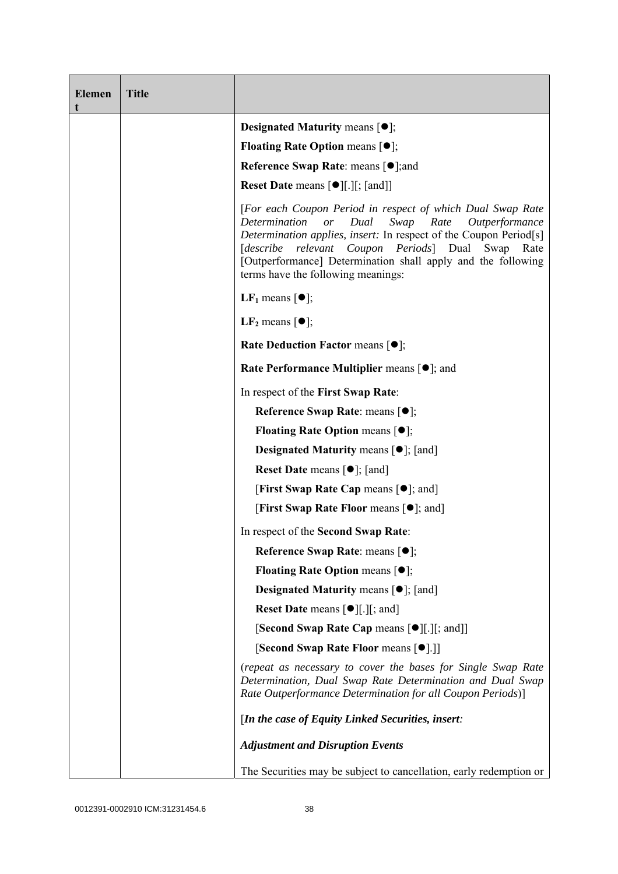| <b>Elemen</b><br>t | <b>Title</b> |                                                                                                                                                                                                                                                                                                                                                                             |
|--------------------|--------------|-----------------------------------------------------------------------------------------------------------------------------------------------------------------------------------------------------------------------------------------------------------------------------------------------------------------------------------------------------------------------------|
|                    |              | <b>Designated Maturity means <math>[•]</math>;</b>                                                                                                                                                                                                                                                                                                                          |
|                    |              | <b>Floating Rate Option means <math>[•]</math>;</b>                                                                                                                                                                                                                                                                                                                         |
|                    |              | <b>Reference Swap Rate: means [●];and</b>                                                                                                                                                                                                                                                                                                                                   |
|                    |              | <b>Reset Date means <math>\lceil \bullet \rceil</math>.</b> [ <i>s</i> ], [and]                                                                                                                                                                                                                                                                                             |
|                    |              | [For each Coupon Period in respect of which Dual Swap Rate<br>Determination<br>Dual<br>Swap<br>Rate<br>$\overline{or}$<br>Outperformance<br>Determination applies, insert: In respect of the Coupon Period[s]<br>[describe relevant Coupon Periods] Dual Swap<br>Rate<br>[Outperformance] Determination shall apply and the following<br>terms have the following meanings: |
|                    |              | LF <sub>1</sub> means $\lceil \bullet \rceil$ ;                                                                                                                                                                                                                                                                                                                             |
|                    |              | LF <sub>2</sub> means $\lceil \bullet \rceil$ ;                                                                                                                                                                                                                                                                                                                             |
|                    |              | <b>Rate Deduction Factor means <math>[•]</math>;</b>                                                                                                                                                                                                                                                                                                                        |
|                    |              | <b>Rate Performance Multiplier means [●]; and</b>                                                                                                                                                                                                                                                                                                                           |
|                    |              | In respect of the First Swap Rate:                                                                                                                                                                                                                                                                                                                                          |
|                    |              | Reference Swap Rate: means [●];                                                                                                                                                                                                                                                                                                                                             |
|                    |              | <b>Floating Rate Option means <math>[•]</math>;</b>                                                                                                                                                                                                                                                                                                                         |
|                    |              | <b>Designated Maturity means <math>\lceil \bullet \rceil</math>; [and]</b>                                                                                                                                                                                                                                                                                                  |
|                    |              | <b>Reset Date</b> means $[\bullet]$ ; [and]                                                                                                                                                                                                                                                                                                                                 |
|                    |              | <b>[First Swap Rate Cap means [<math>\bullet</math>]; and]</b>                                                                                                                                                                                                                                                                                                              |
|                    |              | <b>[First Swap Rate Floor means [<math>\bullet</math>]; and]</b>                                                                                                                                                                                                                                                                                                            |
|                    |              | In respect of the Second Swap Rate:                                                                                                                                                                                                                                                                                                                                         |
|                    |              | Reference Swap Rate: means [●];                                                                                                                                                                                                                                                                                                                                             |
|                    |              | <b>Floating Rate Option means <math>[•]</math>;</b>                                                                                                                                                                                                                                                                                                                         |
|                    |              | <b>Designated Maturity means <math>\lceil \bullet \rceil</math>; [and]</b>                                                                                                                                                                                                                                                                                                  |
|                    |              | <b>Reset Date means <math>\lceil \bullet \rceil</math>.</b> $\lceil \cdot \rceil$ ; and $\lceil \cdot \rceil$                                                                                                                                                                                                                                                               |
|                    |              | [Second Swap Rate Cap means [ $\bullet$ ][.][; and]]                                                                                                                                                                                                                                                                                                                        |
|                    |              | [Second Swap Rate Floor means [ $\bullet$ ].]]                                                                                                                                                                                                                                                                                                                              |
|                    |              | (repeat as necessary to cover the bases for Single Swap Rate<br>Determination, Dual Swap Rate Determination and Dual Swap<br>Rate Outperformance Determination for all Coupon Periods)]                                                                                                                                                                                     |
|                    |              | [In the case of Equity Linked Securities, insert:                                                                                                                                                                                                                                                                                                                           |
|                    |              | <b>Adjustment and Disruption Events</b>                                                                                                                                                                                                                                                                                                                                     |
|                    |              | The Securities may be subject to cancellation, early redemption or                                                                                                                                                                                                                                                                                                          |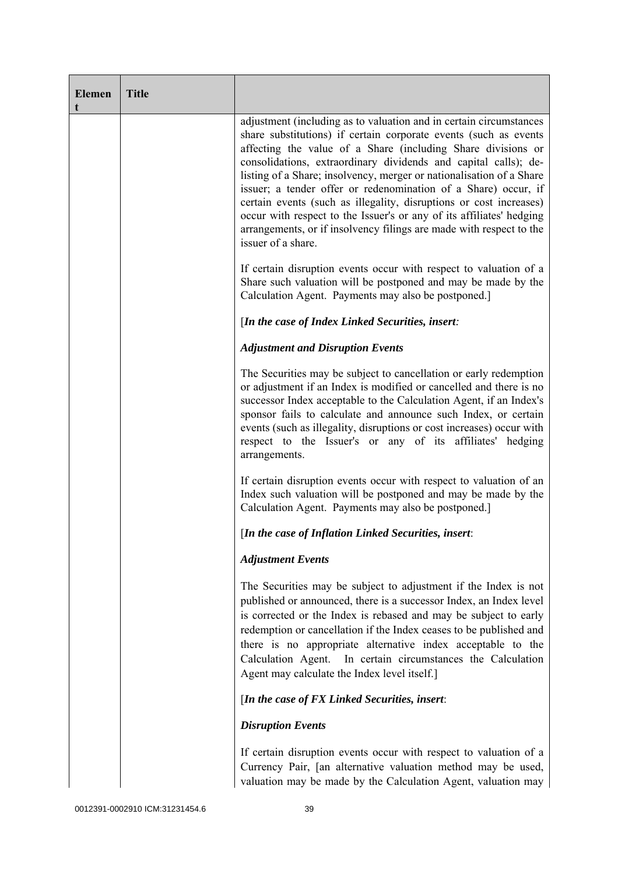| <b>Elemen</b><br>t | <b>Title</b> |                                                                                                                                                                                                                                                                                                                                                                                                                                                                                                                                                                                                                                                                |
|--------------------|--------------|----------------------------------------------------------------------------------------------------------------------------------------------------------------------------------------------------------------------------------------------------------------------------------------------------------------------------------------------------------------------------------------------------------------------------------------------------------------------------------------------------------------------------------------------------------------------------------------------------------------------------------------------------------------|
|                    |              | adjustment (including as to valuation and in certain circumstances<br>share substitutions) if certain corporate events (such as events<br>affecting the value of a Share (including Share divisions or<br>consolidations, extraordinary dividends and capital calls); de-<br>listing of a Share; insolvency, merger or nationalisation of a Share<br>issuer; a tender offer or redenomination of a Share) occur, if<br>certain events (such as illegality, disruptions or cost increases)<br>occur with respect to the Issuer's or any of its affiliates' hedging<br>arrangements, or if insolvency filings are made with respect to the<br>issuer of a share. |
|                    |              | If certain disruption events occur with respect to valuation of a<br>Share such valuation will be postponed and may be made by the<br>Calculation Agent. Payments may also be postponed.                                                                                                                                                                                                                                                                                                                                                                                                                                                                       |
|                    |              | [In the case of Index Linked Securities, insert:                                                                                                                                                                                                                                                                                                                                                                                                                                                                                                                                                                                                               |
|                    |              | <b>Adjustment and Disruption Events</b>                                                                                                                                                                                                                                                                                                                                                                                                                                                                                                                                                                                                                        |
|                    |              | The Securities may be subject to cancellation or early redemption<br>or adjustment if an Index is modified or cancelled and there is no<br>successor Index acceptable to the Calculation Agent, if an Index's<br>sponsor fails to calculate and announce such Index, or certain<br>events (such as illegality, disruptions or cost increases) occur with<br>respect to the Issuer's or any of its affiliates' hedging<br>arrangements.                                                                                                                                                                                                                         |
|                    |              | If certain disruption events occur with respect to valuation of an<br>Index such valuation will be postponed and may be made by the<br>Calculation Agent. Payments may also be postponed.]                                                                                                                                                                                                                                                                                                                                                                                                                                                                     |
|                    |              | [In the case of Inflation Linked Securities, insert:                                                                                                                                                                                                                                                                                                                                                                                                                                                                                                                                                                                                           |
|                    |              | <b>Adjustment Events</b>                                                                                                                                                                                                                                                                                                                                                                                                                                                                                                                                                                                                                                       |
|                    |              | The Securities may be subject to adjustment if the Index is not<br>published or announced, there is a successor Index, an Index level<br>is corrected or the Index is rebased and may be subject to early<br>redemption or cancellation if the Index ceases to be published and<br>there is no appropriate alternative index acceptable to the<br>Calculation Agent.<br>In certain circumstances the Calculation<br>Agent may calculate the Index level itself.]                                                                                                                                                                                               |
|                    |              | [In the case of FX Linked Securities, insert:                                                                                                                                                                                                                                                                                                                                                                                                                                                                                                                                                                                                                  |
|                    |              | <b>Disruption Events</b>                                                                                                                                                                                                                                                                                                                                                                                                                                                                                                                                                                                                                                       |
|                    |              | If certain disruption events occur with respect to valuation of a<br>Currency Pair, [an alternative valuation method may be used,<br>valuation may be made by the Calculation Agent, valuation may                                                                                                                                                                                                                                                                                                                                                                                                                                                             |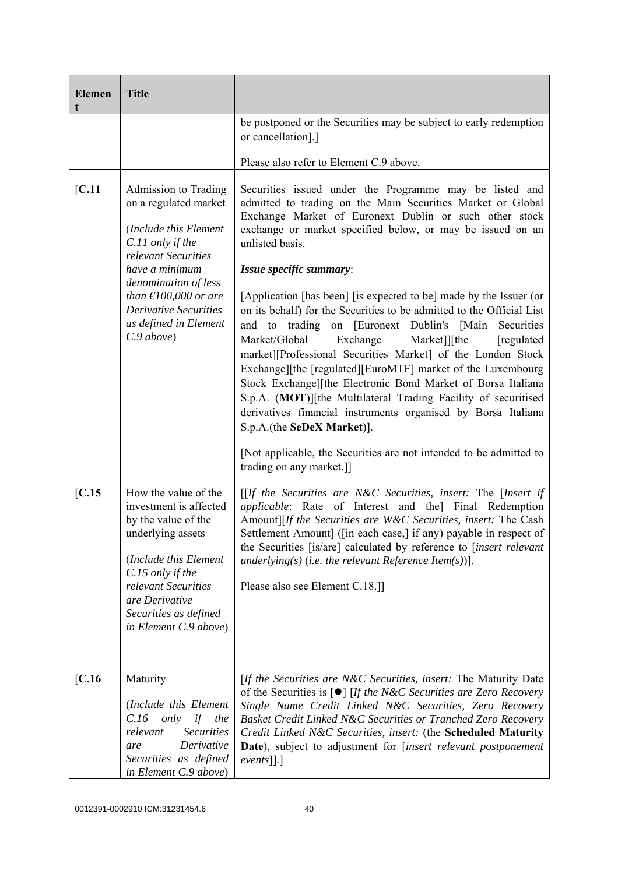| <b>Elemen</b><br>t | <b>Title</b>                                                                                                                                                                                                                                                                                                                                                                                                                                                                                                                                                                                                                                                                                                                                                                                                                                                                                                                                                                                                                                                                                                                                                                                                                                                  |                                                                                                                                                                                                                                                                                                                                                                                                                                                                   |
|--------------------|---------------------------------------------------------------------------------------------------------------------------------------------------------------------------------------------------------------------------------------------------------------------------------------------------------------------------------------------------------------------------------------------------------------------------------------------------------------------------------------------------------------------------------------------------------------------------------------------------------------------------------------------------------------------------------------------------------------------------------------------------------------------------------------------------------------------------------------------------------------------------------------------------------------------------------------------------------------------------------------------------------------------------------------------------------------------------------------------------------------------------------------------------------------------------------------------------------------------------------------------------------------|-------------------------------------------------------------------------------------------------------------------------------------------------------------------------------------------------------------------------------------------------------------------------------------------------------------------------------------------------------------------------------------------------------------------------------------------------------------------|
|                    |                                                                                                                                                                                                                                                                                                                                                                                                                                                                                                                                                                                                                                                                                                                                                                                                                                                                                                                                                                                                                                                                                                                                                                                                                                                               | be postponed or the Securities may be subject to early redemption<br>or cancellation].]                                                                                                                                                                                                                                                                                                                                                                           |
|                    |                                                                                                                                                                                                                                                                                                                                                                                                                                                                                                                                                                                                                                                                                                                                                                                                                                                                                                                                                                                                                                                                                                                                                                                                                                                               | Please also refer to Element C.9 above.                                                                                                                                                                                                                                                                                                                                                                                                                           |
| [C.11]             | Admission to Trading<br>Securities issued under the Programme may be listed and<br>admitted to trading on the Main Securities Market or Global<br>on a regulated market<br>Exchange Market of Euronext Dublin or such other stock<br>(Include this Element<br>exchange or market specified below, or may be issued on an<br>C.11 only if the<br>unlisted basis.<br>relevant Securities<br>have a minimum<br>Issue specific summary:<br>denomination of less<br>than $\text{\textsterling}100,000$ or are<br>[Application [has been] [is expected to be] made by the Issuer (or<br><b>Derivative Securities</b><br>on its behalf) for the Securities to be admitted to the Official List<br>as defined in Element<br>and to trading on [Euronext Dublin's [Main<br>C.9 above<br>Market/Global<br>Exchange<br>Market]][the<br>market][Professional Securities Market] of the London Stock<br>Exchange][the [regulated][EuroMTF] market of the Luxembourg<br>Stock Exchange][the Electronic Bond Market of Borsa Italiana<br>S.p.A. (MOT)][the Multilateral Trading Facility of securitised<br>derivatives financial instruments organised by Borsa Italiana<br>S.p.A.(the SeDeX Market)].<br>[Not applicable, the Securities are not intended to be admitted to |                                                                                                                                                                                                                                                                                                                                                                                                                                                                   |
| [C.15]             | How the value of the<br>investment is affected<br>by the value of the<br>underlying assets<br>(Include this Element<br>C.15 only if the<br>relevant Securities<br>are Derivative<br>Securities as defined<br>in Element C.9 above)                                                                                                                                                                                                                                                                                                                                                                                                                                                                                                                                                                                                                                                                                                                                                                                                                                                                                                                                                                                                                            | trading on any market.]]<br>$[$ If the Securities are N&C Securities, insert: The [Insert if<br>applicable: Rate of Interest and the] Final Redemption<br>Amount][If the Securities are W&C Securities, insert: The Cash<br>Settlement Amount] ([in each case,] if any) payable in respect of<br>the Securities [is/are] calculated by reference to [insert relevant]<br>underlying(s) (i.e. the relevant Reference Item(s))].<br>Please also see Element C.18.]] |
| [C.16]             | Maturity<br>(Include this Element<br>C.16<br>only<br>if<br>the<br><b>Securities</b><br>relevant<br>Derivative<br>are<br>Securities as defined<br>in Element C.9 above)                                                                                                                                                                                                                                                                                                                                                                                                                                                                                                                                                                                                                                                                                                                                                                                                                                                                                                                                                                                                                                                                                        | [If the Securities are N&C Securities, insert: The Maturity Date<br>of the Securities is $\lceil \bullet \rceil$ [If the N&C Securities are Zero Recovery<br>Single Name Credit Linked N&C Securities, Zero Recovery<br>Basket Credit Linked N&C Securities or Tranched Zero Recovery<br>Credit Linked N&C Securities, insert: (the Scheduled Maturity<br>Date), subject to adjustment for [insert relevant postponement<br>$events$ [].]                         |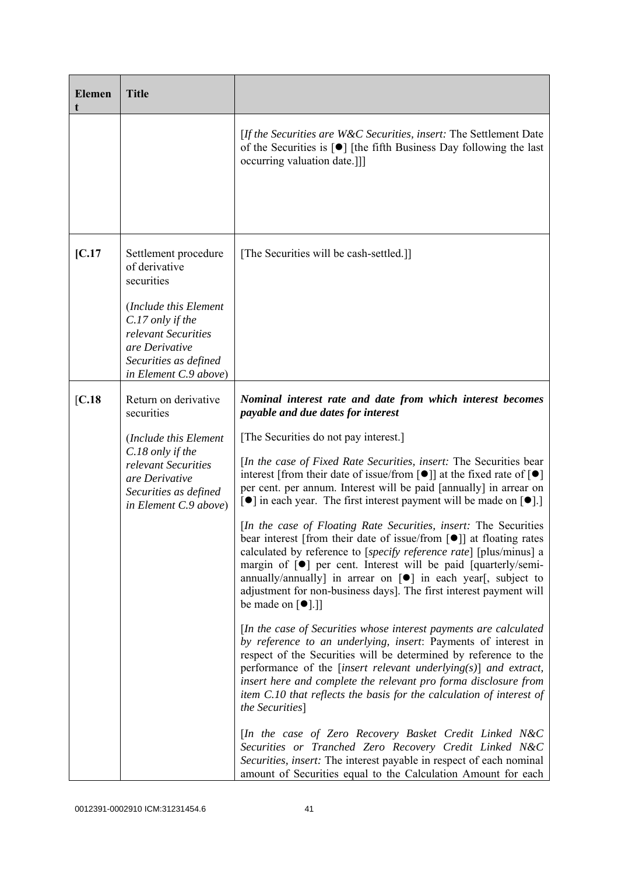| <b>Elemen</b> | <b>Title</b>                                                                                                                                                                                |                                                                                                                                                                                                                                                                                                                                                                                                                                                                                                                                                                                                                                                                                                                                                                                                                                                                                                                                                                                                                                                                                                                                                                                                                                                                                                                                                                                                                                                                                                                                                                                                                                                                                                                                                       |
|---------------|---------------------------------------------------------------------------------------------------------------------------------------------------------------------------------------------|-------------------------------------------------------------------------------------------------------------------------------------------------------------------------------------------------------------------------------------------------------------------------------------------------------------------------------------------------------------------------------------------------------------------------------------------------------------------------------------------------------------------------------------------------------------------------------------------------------------------------------------------------------------------------------------------------------------------------------------------------------------------------------------------------------------------------------------------------------------------------------------------------------------------------------------------------------------------------------------------------------------------------------------------------------------------------------------------------------------------------------------------------------------------------------------------------------------------------------------------------------------------------------------------------------------------------------------------------------------------------------------------------------------------------------------------------------------------------------------------------------------------------------------------------------------------------------------------------------------------------------------------------------------------------------------------------------------------------------------------------------|
|               |                                                                                                                                                                                             | [If the Securities are W&C Securities, insert: The Settlement Date<br>of the Securities is $\lceil \bullet \rceil$ [the fifth Business Day following the last<br>occurring valuation date.]]]                                                                                                                                                                                                                                                                                                                                                                                                                                                                                                                                                                                                                                                                                                                                                                                                                                                                                                                                                                                                                                                                                                                                                                                                                                                                                                                                                                                                                                                                                                                                                         |
| [C.17]        | Settlement procedure<br>of derivative<br>securities<br>(Include this Element<br>C.17 only if the<br>relevant Securities<br>are Derivative<br>Securities as defined<br>in Element C.9 above) | [The Securities will be cash-settled.]]                                                                                                                                                                                                                                                                                                                                                                                                                                                                                                                                                                                                                                                                                                                                                                                                                                                                                                                                                                                                                                                                                                                                                                                                                                                                                                                                                                                                                                                                                                                                                                                                                                                                                                               |
| [C.18]        | Return on derivative<br>securities<br>(Include this Element<br>C.18 only if the<br>relevant Securities<br>are Derivative<br>Securities as defined<br>in Element C.9 above)                  | Nominal interest rate and date from which interest becomes<br>payable and due dates for interest<br>[The Securities do not pay interest.]<br>[In the case of Fixed Rate Securities, insert: The Securities bear<br>interest [from their date of issue/from $\lceil \bullet \rceil$ ] at the fixed rate of $\lceil \bullet \rceil$<br>per cent. per annum. Interest will be paid [annually] in arrear on<br>$\lceil \bullet \rceil$ in each year. The first interest payment will be made on $\lceil \bullet \rceil$ .<br>[In the case of Floating Rate Securities, insert: The Securities<br>bear interest [from their date of issue/from [ <sup>•</sup> ]] at floating rates<br>calculated by reference to [specify reference rate] [plus/minus] a<br>margin of $\lceil \bullet \rceil$ per cent. Interest will be paid $\lceil$ quarterly/semi-<br>annually/annually] in arrear on $[\bullet]$ in each year[, subject to<br>adjustment for non-business days]. The first interest payment will<br>be made on $\lceil \bullet \rceil$ .]<br>[In the case of Securities whose interest payments are calculated<br>by reference to an underlying, insert: Payments of interest in<br>respect of the Securities will be determined by reference to the<br>performance of the [insert relevant underlying $(s)$ ] and extract,<br>insert here and complete the relevant pro forma disclosure from<br>item C.10 that reflects the basis for the calculation of interest of<br>the Securities]<br>[In the case of Zero Recovery Basket Credit Linked N&C<br>Securities or Tranched Zero Recovery Credit Linked N&C<br>Securities, insert: The interest payable in respect of each nominal<br>amount of Securities equal to the Calculation Amount for each |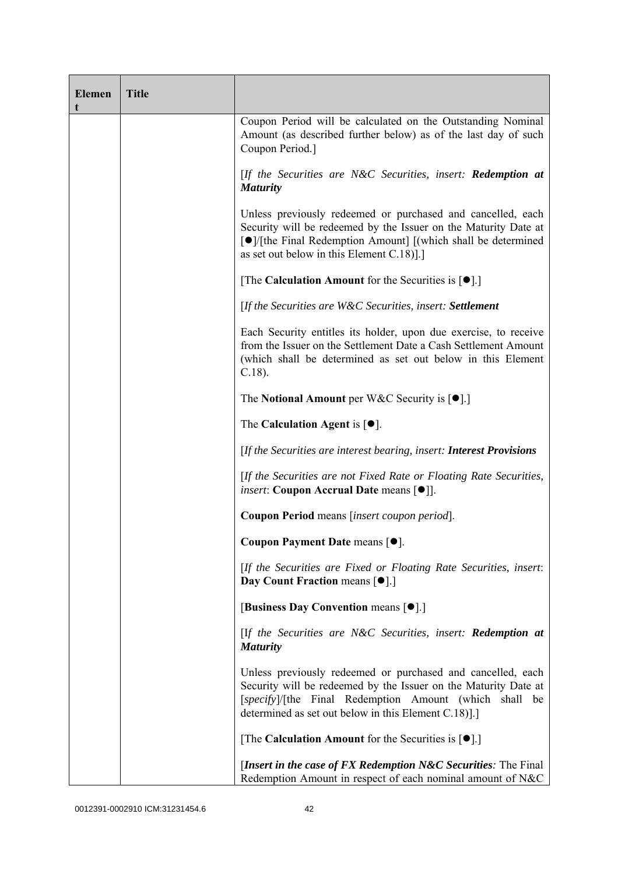| <b>Elemen</b><br>t | <b>Title</b> |                                                                                                                                                                                                                                                |
|--------------------|--------------|------------------------------------------------------------------------------------------------------------------------------------------------------------------------------------------------------------------------------------------------|
|                    |              | Coupon Period will be calculated on the Outstanding Nominal<br>Amount (as described further below) as of the last day of such<br>Coupon Period.]                                                                                               |
|                    |              | [If the Securities are N&C Securities, insert: <b>Redemption at</b><br><b>Maturity</b>                                                                                                                                                         |
|                    |              | Unless previously redeemed or purchased and cancelled, each<br>Security will be redeemed by the Issuer on the Maturity Date at<br>[●]/[the Final Redemption Amount] [(which shall be determined<br>as set out below in this Element C.18)].]   |
|                    |              | [The Calculation Amount for the Securities is $[•]$ .]                                                                                                                                                                                         |
|                    |              | [If the Securities are W&C Securities, insert: Settlement                                                                                                                                                                                      |
|                    |              | Each Security entitles its holder, upon due exercise, to receive<br>from the Issuer on the Settlement Date a Cash Settlement Amount<br>(which shall be determined as set out below in this Element<br>$C.18$ ).                                |
|                    |              | The Notional Amount per W&C Security is $[•]$ .]                                                                                                                                                                                               |
|                    |              | The Calculation Agent is $[•]$ .                                                                                                                                                                                                               |
|                    |              | [If the Securities are interest bearing, insert: Interest Provisions                                                                                                                                                                           |
|                    |              | [If the Securities are not Fixed Rate or Floating Rate Securities,<br><i>insert</i> : Coupon Accrual Date means [ $\bullet$ ]].                                                                                                                |
|                    |              | Coupon Period means [insert coupon period].                                                                                                                                                                                                    |
|                    |              | Coupon Payment Date means [ $\bullet$ ].                                                                                                                                                                                                       |
|                    |              | [If the Securities are Fixed or Floating Rate Securities, insert:<br>Day Count Fraction means [ $\bullet$ ].]                                                                                                                                  |
|                    |              | [Business Day Convention means [ $\bullet$ ].]                                                                                                                                                                                                 |
|                    |              | [If the Securities are N&C Securities, insert: Redemption at<br><b>Maturity</b>                                                                                                                                                                |
|                    |              | Unless previously redeemed or purchased and cancelled, each<br>Security will be redeemed by the Issuer on the Maturity Date at<br>[specify]/[the Final Redemption Amount (which shall be<br>determined as set out below in this Element C.18). |
|                    |              | [The Calculation Amount for the Securities is $[•]$ .]                                                                                                                                                                                         |
|                    |              | [Insert in the case of FX Redemption N&C Securities: The Final<br>Redemption Amount in respect of each nominal amount of N&C                                                                                                                   |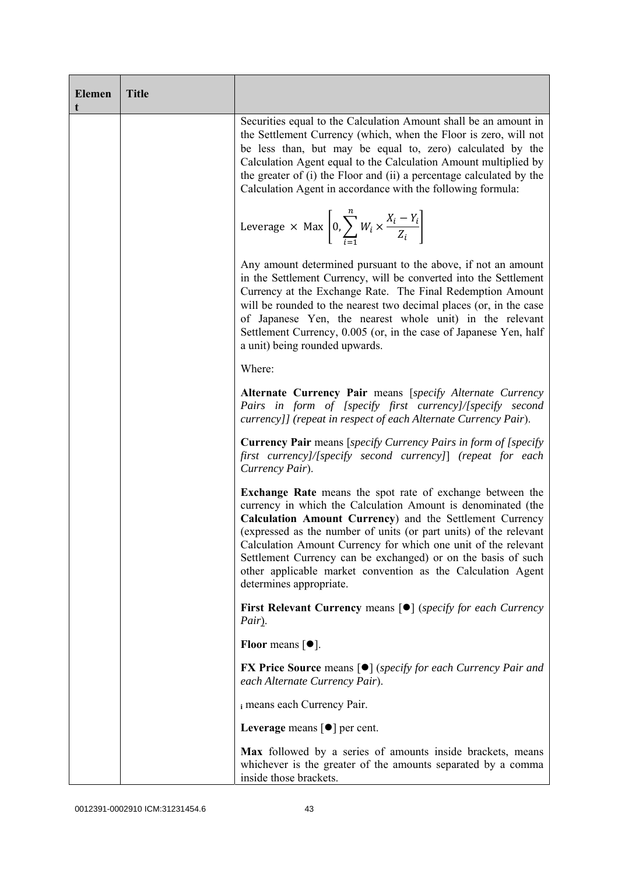| <b>Elemen</b> | <b>Title</b> |                                                                                                                                                                                                                                                                                                                                                                                                                                                                                         |
|---------------|--------------|-----------------------------------------------------------------------------------------------------------------------------------------------------------------------------------------------------------------------------------------------------------------------------------------------------------------------------------------------------------------------------------------------------------------------------------------------------------------------------------------|
|               |              | Securities equal to the Calculation Amount shall be an amount in<br>the Settlement Currency (which, when the Floor is zero, will not<br>be less than, but may be equal to, zero) calculated by the<br>Calculation Agent equal to the Calculation Amount multiplied by<br>the greater of (i) the Floor and (ii) a percentage calculated by the<br>Calculation Agent in accordance with the following formula:                                                                            |
|               |              | Leverage $\times$ Max $\left[0, \sum_{i=1}^{n} W_i \times \frac{X_i - Y_i}{Z_i}\right]$                                                                                                                                                                                                                                                                                                                                                                                                 |
|               |              | Any amount determined pursuant to the above, if not an amount<br>in the Settlement Currency, will be converted into the Settlement<br>Currency at the Exchange Rate. The Final Redemption Amount<br>will be rounded to the nearest two decimal places (or, in the case<br>of Japanese Yen, the nearest whole unit) in the relevant<br>Settlement Currency, 0.005 (or, in the case of Japanese Yen, half<br>a unit) being rounded upwards.                                               |
|               |              | Where:                                                                                                                                                                                                                                                                                                                                                                                                                                                                                  |
|               |              | Alternate Currency Pair means [specify Alternate Currency<br>Pairs in form of [specify first currency]/[specify second<br>currency]] (repeat in respect of each Alternate Currency Pair).                                                                                                                                                                                                                                                                                               |
|               |              | <b>Currency Pair</b> means [specify Currency Pairs in form of [specify]<br>first currency]/[specify second currency]] (repeat for each<br>Currency Pair).                                                                                                                                                                                                                                                                                                                               |
|               |              | Exchange Rate means the spot rate of exchange between the<br>currency in which the Calculation Amount is denominated (the<br>Calculation Amount Currency) and the Settlement Currency<br>(expressed as the number of units (or part units) of the relevant<br>Calculation Amount Currency for which one unit of the relevant<br>Settlement Currency can be exchanged) or on the basis of such<br>other applicable market convention as the Calculation Agent<br>determines appropriate. |
|               |              | <b>First Relevant Currency means <math>\lceil \bullet \rceil</math> (specify for each Currency</b><br>Pair).                                                                                                                                                                                                                                                                                                                                                                            |
|               |              | Floor means $\lceil \bullet \rceil$ .                                                                                                                                                                                                                                                                                                                                                                                                                                                   |
|               |              | <b>FX Price Source means [<math>\bullet</math>]</b> ( <i>specify for each Currency Pair and</i><br>each Alternate Currency Pair).                                                                                                                                                                                                                                                                                                                                                       |
|               |              | i means each Currency Pair.                                                                                                                                                                                                                                                                                                                                                                                                                                                             |
|               |              | Leverage means $\lceil \bullet \rceil$ per cent.                                                                                                                                                                                                                                                                                                                                                                                                                                        |
|               |              | Max followed by a series of amounts inside brackets, means<br>whichever is the greater of the amounts separated by a comma<br>inside those brackets.                                                                                                                                                                                                                                                                                                                                    |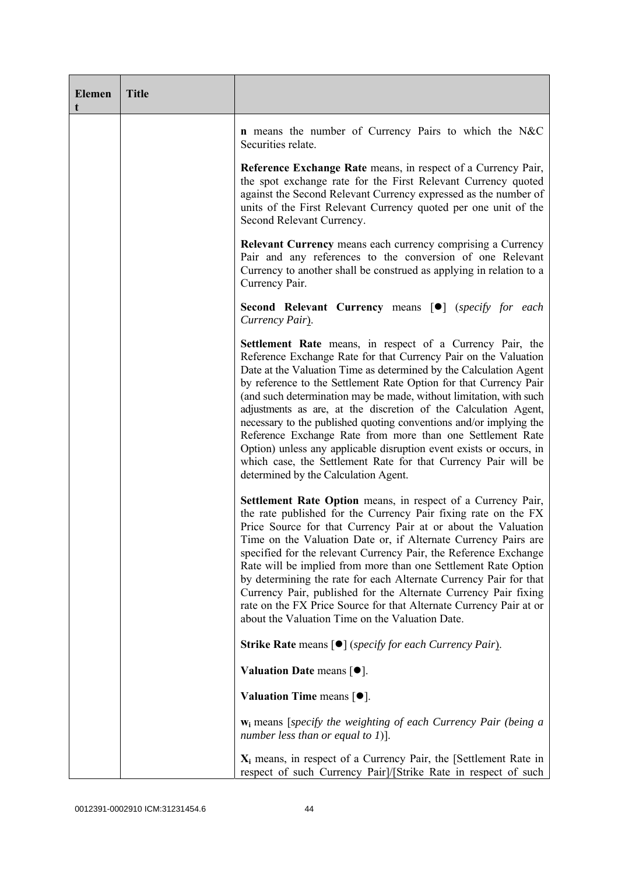| <b>Elemen</b><br>t | <b>Title</b> |                                                                                                                                                                                                                                                                                                                                                                                                                                                                                                                                                                                                                                                                                                                                             |
|--------------------|--------------|---------------------------------------------------------------------------------------------------------------------------------------------------------------------------------------------------------------------------------------------------------------------------------------------------------------------------------------------------------------------------------------------------------------------------------------------------------------------------------------------------------------------------------------------------------------------------------------------------------------------------------------------------------------------------------------------------------------------------------------------|
|                    |              | <b>n</b> means the number of Currency Pairs to which the N&C<br>Securities relate.                                                                                                                                                                                                                                                                                                                                                                                                                                                                                                                                                                                                                                                          |
|                    |              | Reference Exchange Rate means, in respect of a Currency Pair,<br>the spot exchange rate for the First Relevant Currency quoted<br>against the Second Relevant Currency expressed as the number of<br>units of the First Relevant Currency quoted per one unit of the<br>Second Relevant Currency.                                                                                                                                                                                                                                                                                                                                                                                                                                           |
|                    |              | <b>Relevant Currency</b> means each currency comprising a Currency<br>Pair and any references to the conversion of one Relevant<br>Currency to another shall be construed as applying in relation to a<br>Currency Pair.                                                                                                                                                                                                                                                                                                                                                                                                                                                                                                                    |
|                    |              | Second Relevant Currency means [ $\bullet$ ] (specify for each<br>Currency Pair).                                                                                                                                                                                                                                                                                                                                                                                                                                                                                                                                                                                                                                                           |
|                    |              | <b>Settlement Rate</b> means, in respect of a Currency Pair, the<br>Reference Exchange Rate for that Currency Pair on the Valuation<br>Date at the Valuation Time as determined by the Calculation Agent<br>by reference to the Settlement Rate Option for that Currency Pair<br>(and such determination may be made, without limitation, with such<br>adjustments as are, at the discretion of the Calculation Agent,<br>necessary to the published quoting conventions and/or implying the<br>Reference Exchange Rate from more than one Settlement Rate<br>Option) unless any applicable disruption event exists or occurs, in<br>which case, the Settlement Rate for that Currency Pair will be<br>determined by the Calculation Agent. |
|                    |              | Settlement Rate Option means, in respect of a Currency Pair,<br>the rate published for the Currency Pair fixing rate on the FX<br>Price Source for that Currency Pair at or about the Valuation<br>Time on the Valuation Date or, if Alternate Currency Pairs are<br>specified for the relevant Currency Pair, the Reference Exchange<br>Rate will be implied from more than one Settlement Rate Option<br>by determining the rate for each Alternate Currency Pair for that<br>Currency Pair, published for the Alternate Currency Pair fixing<br>rate on the FX Price Source for that Alternate Currency Pair at or<br>about the Valuation Time on the Valuation Date.                                                                    |
|                    |              | <b>Strike Rate means [●]</b> (specify for each Currency Pair).                                                                                                                                                                                                                                                                                                                                                                                                                                                                                                                                                                                                                                                                              |
|                    |              | Valuation Date means $[•]$ .                                                                                                                                                                                                                                                                                                                                                                                                                                                                                                                                                                                                                                                                                                                |
|                    |              | Valuation Time means $[•]$ .                                                                                                                                                                                                                                                                                                                                                                                                                                                                                                                                                                                                                                                                                                                |
|                    |              | $w_i$ means [specify the weighting of each Currency Pair (being a<br>number less than or equal to 1)].                                                                                                                                                                                                                                                                                                                                                                                                                                                                                                                                                                                                                                      |
|                    |              | $X_i$ means, in respect of a Currency Pair, the [Settlement Rate in<br>respect of such Currency Pair]/[Strike Rate in respect of such                                                                                                                                                                                                                                                                                                                                                                                                                                                                                                                                                                                                       |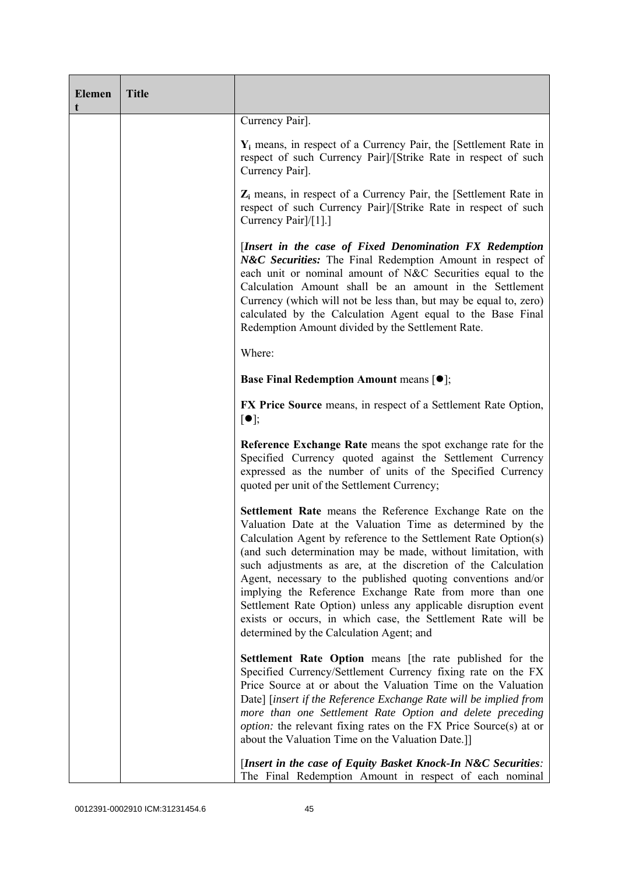| <b>Elemen</b><br>t | <b>Title</b> |                                                                                                                                                                                                                                                                                                                                                                                                                                                                                                                                                                                                                                     |
|--------------------|--------------|-------------------------------------------------------------------------------------------------------------------------------------------------------------------------------------------------------------------------------------------------------------------------------------------------------------------------------------------------------------------------------------------------------------------------------------------------------------------------------------------------------------------------------------------------------------------------------------------------------------------------------------|
|                    |              | Currency Pair].                                                                                                                                                                                                                                                                                                                                                                                                                                                                                                                                                                                                                     |
|                    |              | $Y_i$ means, in respect of a Currency Pair, the [Settlement Rate in<br>respect of such Currency Pair]/[Strike Rate in respect of such<br>Currency Pair].                                                                                                                                                                                                                                                                                                                                                                                                                                                                            |
|                    |              | $Z_i$ means, in respect of a Currency Pair, the [Settlement Rate in<br>respect of such Currency Pair]/[Strike Rate in respect of such<br>Currency Pair <sup>[/[1]</sup> .]                                                                                                                                                                                                                                                                                                                                                                                                                                                          |
|                    |              | [Insert in the case of Fixed Denomination FX Redemption<br>N&C Securities: The Final Redemption Amount in respect of<br>each unit or nominal amount of N&C Securities equal to the<br>Calculation Amount shall be an amount in the Settlement<br>Currency (which will not be less than, but may be equal to, zero)<br>calculated by the Calculation Agent equal to the Base Final<br>Redemption Amount divided by the Settlement Rate.                                                                                                                                                                                              |
|                    |              | Where:                                                                                                                                                                                                                                                                                                                                                                                                                                                                                                                                                                                                                              |
|                    |              | <b>Base Final Redemption Amount means <math>[①]</math>;</b>                                                                                                                                                                                                                                                                                                                                                                                                                                                                                                                                                                         |
|                    |              | <b>FX Price Source</b> means, in respect of a Settlement Rate Option,<br>$\lceil \bullet \rceil;$                                                                                                                                                                                                                                                                                                                                                                                                                                                                                                                                   |
|                    |              | Reference Exchange Rate means the spot exchange rate for the<br>Specified Currency quoted against the Settlement Currency<br>expressed as the number of units of the Specified Currency<br>quoted per unit of the Settlement Currency;                                                                                                                                                                                                                                                                                                                                                                                              |
|                    |              | Settlement Rate means the Reference Exchange Rate on the<br>Valuation Date at the Valuation Time as determined by the<br>Calculation Agent by reference to the Settlement Rate Option(s)<br>(and such determination may be made, without limitation, with<br>such adjustments as are, at the discretion of the Calculation<br>Agent, necessary to the published quoting conventions and/or<br>implying the Reference Exchange Rate from more than one<br>Settlement Rate Option) unless any applicable disruption event<br>exists or occurs, in which case, the Settlement Rate will be<br>determined by the Calculation Agent; and |
|                    |              | Settlement Rate Option means [the rate published for the<br>Specified Currency/Settlement Currency fixing rate on the FX<br>Price Source at or about the Valuation Time on the Valuation<br>Date] [insert if the Reference Exchange Rate will be implied from<br>more than one Settlement Rate Option and delete preceding<br><i>option:</i> the relevant fixing rates on the FX Price Source(s) at or<br>about the Valuation Time on the Valuation Date.]]                                                                                                                                                                         |
|                    |              | [Insert in the case of Equity Basket Knock-In N&C Securities:<br>The Final Redemption Amount in respect of each nominal                                                                                                                                                                                                                                                                                                                                                                                                                                                                                                             |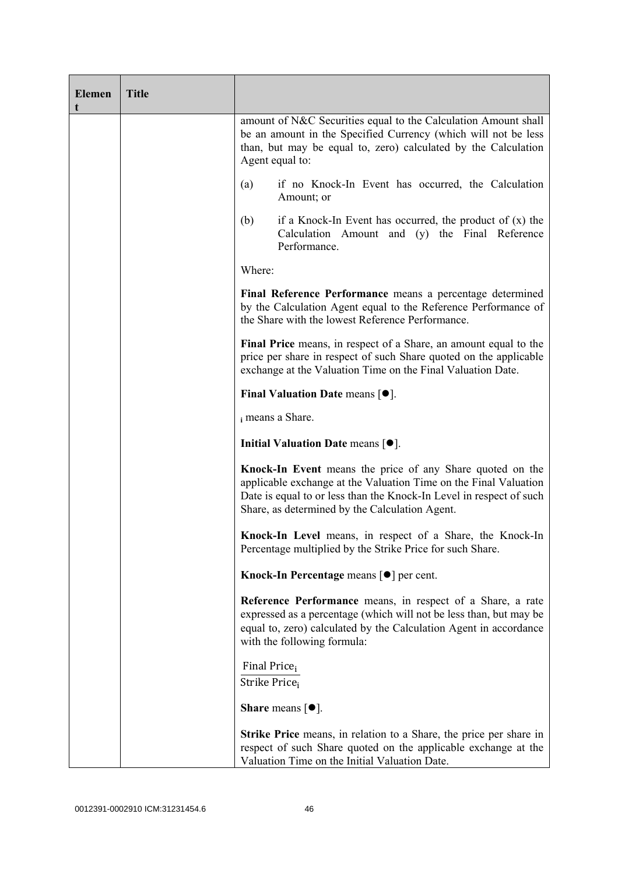| <b>Elemen</b><br>t | <b>Title</b> |                                                                                                                                                                                                                                                        |  |
|--------------------|--------------|--------------------------------------------------------------------------------------------------------------------------------------------------------------------------------------------------------------------------------------------------------|--|
|                    |              | amount of N&C Securities equal to the Calculation Amount shall<br>be an amount in the Specified Currency (which will not be less<br>than, but may be equal to, zero) calculated by the Calculation<br>Agent equal to:                                  |  |
|                    |              | if no Knock-In Event has occurred, the Calculation<br>(a)<br>Amount; or                                                                                                                                                                                |  |
|                    |              | if a Knock-In Event has occurred, the product of $(x)$ the<br>(b)<br>Calculation Amount and (y) the Final Reference<br>Performance.                                                                                                                    |  |
|                    |              | Where:                                                                                                                                                                                                                                                 |  |
|                    |              | Final Reference Performance means a percentage determined<br>by the Calculation Agent equal to the Reference Performance of<br>the Share with the lowest Reference Performance.                                                                        |  |
|                    |              | Final Price means, in respect of a Share, an amount equal to the<br>price per share in respect of such Share quoted on the applicable<br>exchange at the Valuation Time on the Final Valuation Date.                                                   |  |
|                    |              | Final Valuation Date means $[•]$ .                                                                                                                                                                                                                     |  |
|                    |              | i means a Share.                                                                                                                                                                                                                                       |  |
|                    |              | Initial Valuation Date means $[•]$ .                                                                                                                                                                                                                   |  |
|                    |              | Knock-In Event means the price of any Share quoted on the<br>applicable exchange at the Valuation Time on the Final Valuation<br>Date is equal to or less than the Knock-In Level in respect of such<br>Share, as determined by the Calculation Agent. |  |
|                    |              | Knock-In Level means, in respect of a Share, the Knock-In<br>Percentage multiplied by the Strike Price for such Share.                                                                                                                                 |  |
|                    |              | Knock-In Percentage means $\lceil \bullet \rceil$ per cent.                                                                                                                                                                                            |  |
|                    |              | Reference Performance means, in respect of a Share, a rate<br>expressed as a percentage (which will not be less than, but may be<br>equal to, zero) calculated by the Calculation Agent in accordance<br>with the following formula:                   |  |
|                    |              | Final Price <sub>i</sub><br>Strike Price <sub>i</sub>                                                                                                                                                                                                  |  |
|                    |              | <b>Share</b> means $\lceil \bullet \rceil$ .                                                                                                                                                                                                           |  |
|                    |              | <b>Strike Price</b> means, in relation to a Share, the price per share in<br>respect of such Share quoted on the applicable exchange at the<br>Valuation Time on the Initial Valuation Date.                                                           |  |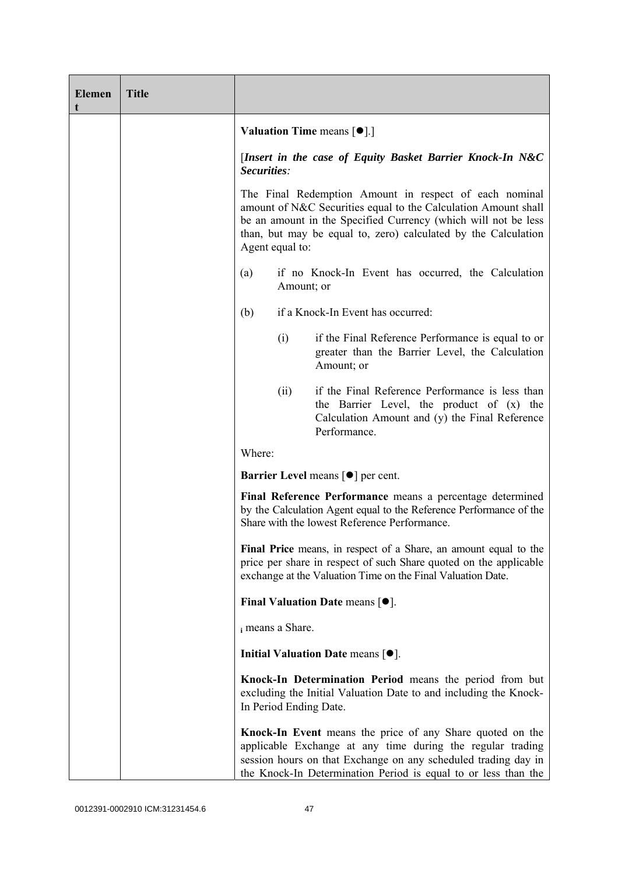| Elemen<br>t | <b>Title</b> |                                                                                                                                                                                                                                                                                 |            |                                                                                                                                                                                                                                                             |
|-------------|--------------|---------------------------------------------------------------------------------------------------------------------------------------------------------------------------------------------------------------------------------------------------------------------------------|------------|-------------------------------------------------------------------------------------------------------------------------------------------------------------------------------------------------------------------------------------------------------------|
|             |              |                                                                                                                                                                                                                                                                                 |            | <b>Valuation Time means <math>\lceil \bullet \rceil</math>.</b>                                                                                                                                                                                             |
|             |              | Securities:                                                                                                                                                                                                                                                                     |            | [Insert in the case of Equity Basket Barrier Knock-In N&C                                                                                                                                                                                                   |
|             |              | The Final Redemption Amount in respect of each nominal<br>amount of N&C Securities equal to the Calculation Amount shall<br>be an amount in the Specified Currency (which will not be less<br>than, but may be equal to, zero) calculated by the Calculation<br>Agent equal to: |            |                                                                                                                                                                                                                                                             |
|             |              | (a)                                                                                                                                                                                                                                                                             | Amount; or | if no Knock-In Event has occurred, the Calculation                                                                                                                                                                                                          |
|             |              | (b)                                                                                                                                                                                                                                                                             |            | if a Knock-In Event has occurred:                                                                                                                                                                                                                           |
|             |              |                                                                                                                                                                                                                                                                                 | (i)        | if the Final Reference Performance is equal to or<br>greater than the Barrier Level, the Calculation<br>Amount; or                                                                                                                                          |
|             |              |                                                                                                                                                                                                                                                                                 | (ii)       | if the Final Reference Performance is less than<br>the Barrier Level, the product of (x) the<br>Calculation Amount and (y) the Final Reference<br>Performance.                                                                                              |
|             |              | Where:                                                                                                                                                                                                                                                                          |            |                                                                                                                                                                                                                                                             |
|             |              |                                                                                                                                                                                                                                                                                 |            | <b>Barrier Level</b> means $\lceil \bullet \rceil$ per cent.                                                                                                                                                                                                |
|             |              |                                                                                                                                                                                                                                                                                 |            | Final Reference Performance means a percentage determined<br>by the Calculation Agent equal to the Reference Performance of the<br>Share with the lowest Reference Performance.                                                                             |
|             |              |                                                                                                                                                                                                                                                                                 |            | Final Price means, in respect of a Share, an amount equal to the<br>price per share in respect of such Share quoted on the applicable<br>exchange at the Valuation Time on the Final Valuation Date.                                                        |
|             |              |                                                                                                                                                                                                                                                                                 |            | Final Valuation Date means $[•]$ .                                                                                                                                                                                                                          |
|             |              | i means a Share.                                                                                                                                                                                                                                                                |            |                                                                                                                                                                                                                                                             |
|             |              |                                                                                                                                                                                                                                                                                 |            | Initial Valuation Date means [ $\bullet$ ].                                                                                                                                                                                                                 |
|             |              | In Period Ending Date.                                                                                                                                                                                                                                                          |            | Knock-In Determination Period means the period from but<br>excluding the Initial Valuation Date to and including the Knock-                                                                                                                                 |
|             |              |                                                                                                                                                                                                                                                                                 |            | Knock-In Event means the price of any Share quoted on the<br>applicable Exchange at any time during the regular trading<br>session hours on that Exchange on any scheduled trading day in<br>the Knock-In Determination Period is equal to or less than the |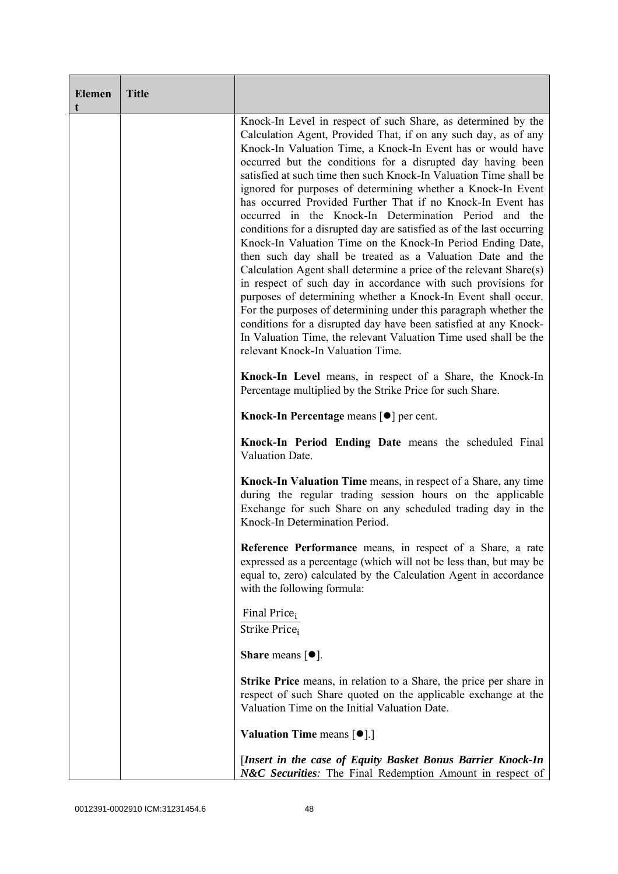| <b>Elemen</b><br>t | <b>Title</b> |                                                                                                                                                                                                                                                                                                                                                                                                                                                                                                                                                                                                                                                                                                                                                                                                                                                                                                                                                                                                                                                                                                                                                                                            |
|--------------------|--------------|--------------------------------------------------------------------------------------------------------------------------------------------------------------------------------------------------------------------------------------------------------------------------------------------------------------------------------------------------------------------------------------------------------------------------------------------------------------------------------------------------------------------------------------------------------------------------------------------------------------------------------------------------------------------------------------------------------------------------------------------------------------------------------------------------------------------------------------------------------------------------------------------------------------------------------------------------------------------------------------------------------------------------------------------------------------------------------------------------------------------------------------------------------------------------------------------|
|                    |              | Knock-In Level in respect of such Share, as determined by the<br>Calculation Agent, Provided That, if on any such day, as of any<br>Knock-In Valuation Time, a Knock-In Event has or would have<br>occurred but the conditions for a disrupted day having been<br>satisfied at such time then such Knock-In Valuation Time shall be<br>ignored for purposes of determining whether a Knock-In Event<br>has occurred Provided Further That if no Knock-In Event has<br>occurred in the Knock-In Determination Period and the<br>conditions for a disrupted day are satisfied as of the last occurring<br>Knock-In Valuation Time on the Knock-In Period Ending Date,<br>then such day shall be treated as a Valuation Date and the<br>Calculation Agent shall determine a price of the relevant Share(s)<br>in respect of such day in accordance with such provisions for<br>purposes of determining whether a Knock-In Event shall occur.<br>For the purposes of determining under this paragraph whether the<br>conditions for a disrupted day have been satisfied at any Knock-<br>In Valuation Time, the relevant Valuation Time used shall be the<br>relevant Knock-In Valuation Time. |
|                    |              | Knock-In Level means, in respect of a Share, the Knock-In<br>Percentage multiplied by the Strike Price for such Share.                                                                                                                                                                                                                                                                                                                                                                                                                                                                                                                                                                                                                                                                                                                                                                                                                                                                                                                                                                                                                                                                     |
|                    |              | Knock-In Percentage means [●] per cent.                                                                                                                                                                                                                                                                                                                                                                                                                                                                                                                                                                                                                                                                                                                                                                                                                                                                                                                                                                                                                                                                                                                                                    |
|                    |              | Knock-In Period Ending Date means the scheduled Final<br>Valuation Date.                                                                                                                                                                                                                                                                                                                                                                                                                                                                                                                                                                                                                                                                                                                                                                                                                                                                                                                                                                                                                                                                                                                   |
|                    |              | Knock-In Valuation Time means, in respect of a Share, any time<br>during the regular trading session hours on the applicable<br>Exchange for such Share on any scheduled trading day in the<br>Knock-In Determination Period.                                                                                                                                                                                                                                                                                                                                                                                                                                                                                                                                                                                                                                                                                                                                                                                                                                                                                                                                                              |
|                    |              | Reference Performance means, in respect of a Share, a rate<br>expressed as a percentage (which will not be less than, but may be<br>equal to, zero) calculated by the Calculation Agent in accordance<br>with the following formula:                                                                                                                                                                                                                                                                                                                                                                                                                                                                                                                                                                                                                                                                                                                                                                                                                                                                                                                                                       |
|                    |              | Final Price <sub>i</sub><br>Strike Price <sub>i</sub>                                                                                                                                                                                                                                                                                                                                                                                                                                                                                                                                                                                                                                                                                                                                                                                                                                                                                                                                                                                                                                                                                                                                      |
|                    |              | <b>Share</b> means $\lceil \bullet \rceil$ .                                                                                                                                                                                                                                                                                                                                                                                                                                                                                                                                                                                                                                                                                                                                                                                                                                                                                                                                                                                                                                                                                                                                               |
|                    |              | <b>Strike Price</b> means, in relation to a Share, the price per share in<br>respect of such Share quoted on the applicable exchange at the<br>Valuation Time on the Initial Valuation Date.                                                                                                                                                                                                                                                                                                                                                                                                                                                                                                                                                                                                                                                                                                                                                                                                                                                                                                                                                                                               |
|                    |              | <b>Valuation Time means <math>[\bullet]</math>.</b> ]                                                                                                                                                                                                                                                                                                                                                                                                                                                                                                                                                                                                                                                                                                                                                                                                                                                                                                                                                                                                                                                                                                                                      |
|                    |              | [Insert in the case of Equity Basket Bonus Barrier Knock-In<br>N&C Securities: The Final Redemption Amount in respect of                                                                                                                                                                                                                                                                                                                                                                                                                                                                                                                                                                                                                                                                                                                                                                                                                                                                                                                                                                                                                                                                   |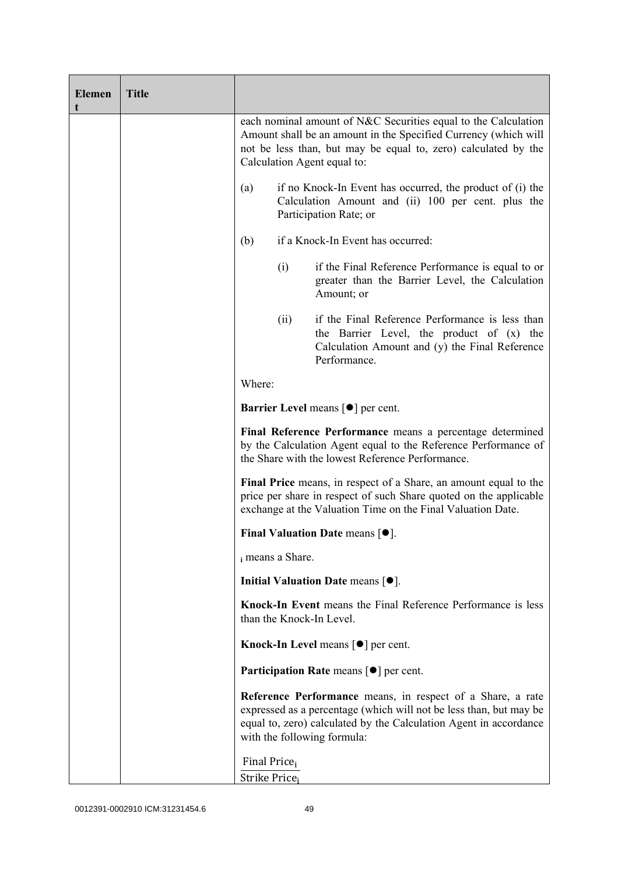| <b>Elemen</b><br>t | <b>Title</b> |                                                       |      |                                                                                                                                                                                                                                      |
|--------------------|--------------|-------------------------------------------------------|------|--------------------------------------------------------------------------------------------------------------------------------------------------------------------------------------------------------------------------------------|
|                    |              |                                                       |      | each nominal amount of N&C Securities equal to the Calculation<br>Amount shall be an amount in the Specified Currency (which will<br>not be less than, but may be equal to, zero) calculated by the<br>Calculation Agent equal to:   |
|                    |              | (a)                                                   |      | if no Knock-In Event has occurred, the product of (i) the<br>Calculation Amount and (ii) 100 per cent. plus the<br>Participation Rate; or                                                                                            |
|                    |              | (b)                                                   |      | if a Knock-In Event has occurred:                                                                                                                                                                                                    |
|                    |              |                                                       | (i)  | if the Final Reference Performance is equal to or<br>greater than the Barrier Level, the Calculation<br>Amount; or                                                                                                                   |
|                    |              |                                                       | (ii) | if the Final Reference Performance is less than<br>the Barrier Level, the product of (x) the<br>Calculation Amount and (y) the Final Reference<br>Performance.                                                                       |
|                    |              | Where:                                                |      |                                                                                                                                                                                                                                      |
|                    |              |                                                       |      | <b>Barrier Level</b> means $\lceil \bullet \rceil$ per cent.                                                                                                                                                                         |
|                    |              |                                                       |      | Final Reference Performance means a percentage determined<br>by the Calculation Agent equal to the Reference Performance of<br>the Share with the lowest Reference Performance.                                                      |
|                    |              |                                                       |      | Final Price means, in respect of a Share, an amount equal to the<br>price per share in respect of such Share quoted on the applicable<br>exchange at the Valuation Time on the Final Valuation Date.                                 |
|                    |              |                                                       |      | Final Valuation Date means $[•]$ .                                                                                                                                                                                                   |
|                    |              | i means a Share.                                      |      |                                                                                                                                                                                                                                      |
|                    |              |                                                       |      | Initial Valuation Date means $[•]$ .                                                                                                                                                                                                 |
|                    |              |                                                       |      | Knock-In Event means the Final Reference Performance is less<br>than the Knock-In Level.                                                                                                                                             |
|                    |              |                                                       |      | Knock-In Level means $\lceil \bullet \rceil$ per cent.                                                                                                                                                                               |
|                    |              |                                                       |      | <b>Participation Rate</b> means $\lceil \bullet \rceil$ per cent.                                                                                                                                                                    |
|                    |              |                                                       |      | Reference Performance means, in respect of a Share, a rate<br>expressed as a percentage (which will not be less than, but may be<br>equal to, zero) calculated by the Calculation Agent in accordance<br>with the following formula: |
|                    |              | Final Price <sub>i</sub><br>Strike Price <sub>i</sub> |      |                                                                                                                                                                                                                                      |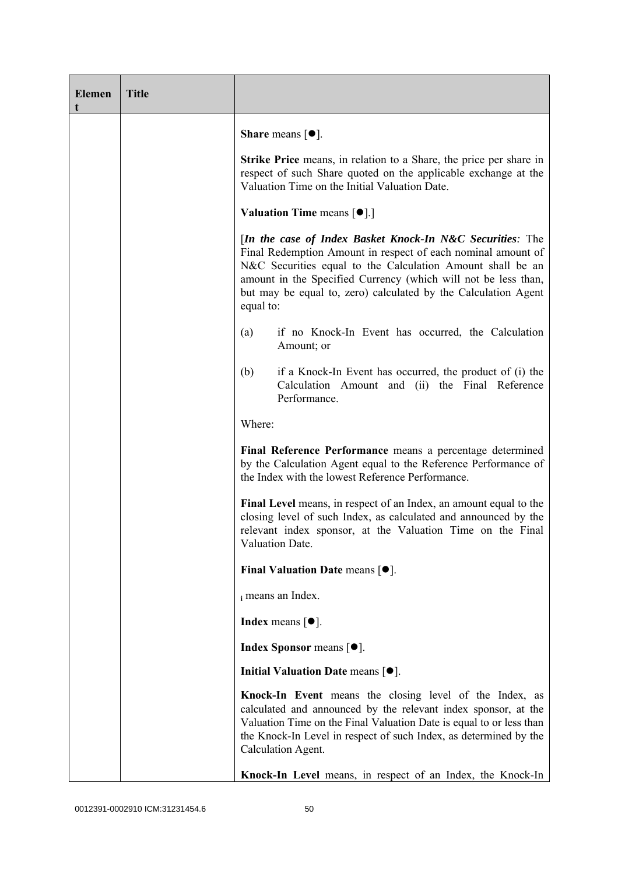| <b>Elemen</b><br>t | <b>Title</b> |                                                                                                                                                                                                                                                                                                                                          |
|--------------------|--------------|------------------------------------------------------------------------------------------------------------------------------------------------------------------------------------------------------------------------------------------------------------------------------------------------------------------------------------------|
|                    |              | <b>Share</b> means $\lceil \bullet \rceil$ .                                                                                                                                                                                                                                                                                             |
|                    |              | Strike Price means, in relation to a Share, the price per share in<br>respect of such Share quoted on the applicable exchange at the<br>Valuation Time on the Initial Valuation Date.                                                                                                                                                    |
|                    |              | <b>Valuation Time means <math>\lceil \bullet \rceil</math>.</b>                                                                                                                                                                                                                                                                          |
|                    |              | [In the case of Index Basket Knock-In N&C Securities: The<br>Final Redemption Amount in respect of each nominal amount of<br>N&C Securities equal to the Calculation Amount shall be an<br>amount in the Specified Currency (which will not be less than,<br>but may be equal to, zero) calculated by the Calculation Agent<br>equal to: |
|                    |              | if no Knock-In Event has occurred, the Calculation<br>(a)<br>Amount; or                                                                                                                                                                                                                                                                  |
|                    |              | (b)<br>if a Knock-In Event has occurred, the product of (i) the<br>Calculation Amount and (ii) the Final Reference<br>Performance.                                                                                                                                                                                                       |
|                    |              | Where:                                                                                                                                                                                                                                                                                                                                   |
|                    |              | Final Reference Performance means a percentage determined<br>by the Calculation Agent equal to the Reference Performance of<br>the Index with the lowest Reference Performance.                                                                                                                                                          |
|                    |              | Final Level means, in respect of an Index, an amount equal to the<br>closing level of such Index, as calculated and announced by the<br>relevant index sponsor, at the Valuation Time on the Final<br>Valuation Date.                                                                                                                    |
|                    |              | Final Valuation Date means $[•]$ .                                                                                                                                                                                                                                                                                                       |
|                    |              | i means an Index.                                                                                                                                                                                                                                                                                                                        |
|                    |              | <b>Index</b> means $\lceil \bullet \rceil$ .                                                                                                                                                                                                                                                                                             |
|                    |              | <b>Index Sponsor</b> means $[•]$ .                                                                                                                                                                                                                                                                                                       |
|                    |              | Initial Valuation Date means $\lceil \bullet \rceil$ .                                                                                                                                                                                                                                                                                   |
|                    |              | Knock-In Event means the closing level of the Index, as<br>calculated and announced by the relevant index sponsor, at the<br>Valuation Time on the Final Valuation Date is equal to or less than<br>the Knock-In Level in respect of such Index, as determined by the<br>Calculation Agent.                                              |
|                    |              | Knock-In Level means, in respect of an Index, the Knock-In                                                                                                                                                                                                                                                                               |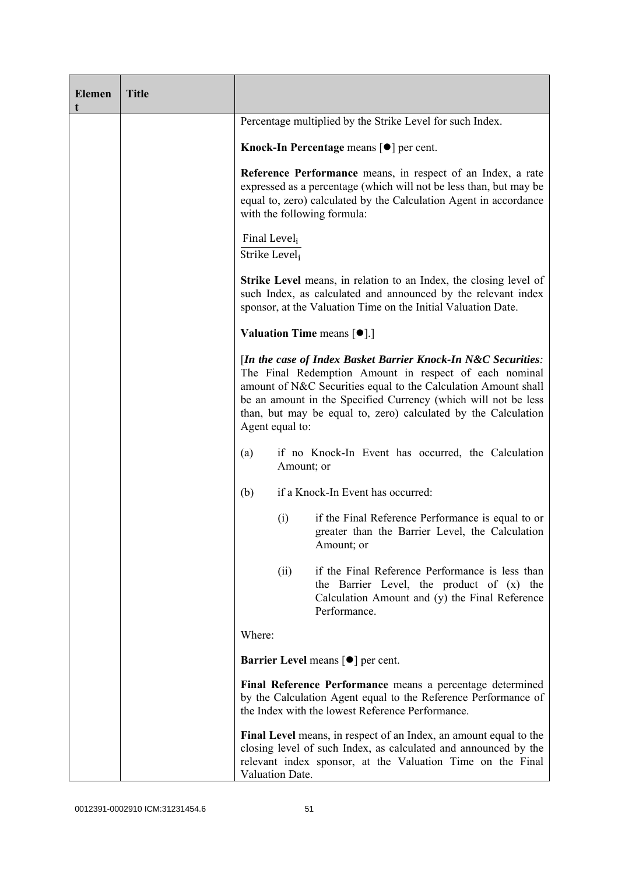| <b>Elemen</b><br>t | <b>Title</b> |                                           |                                                                                                                                                                                                                                                                                                                               |
|--------------------|--------------|-------------------------------------------|-------------------------------------------------------------------------------------------------------------------------------------------------------------------------------------------------------------------------------------------------------------------------------------------------------------------------------|
|                    |              |                                           | Percentage multiplied by the Strike Level for such Index.                                                                                                                                                                                                                                                                     |
|                    |              |                                           | Knock-In Percentage means $\lceil \bullet \rceil$ per cent.                                                                                                                                                                                                                                                                   |
|                    |              |                                           | Reference Performance means, in respect of an Index, a rate<br>expressed as a percentage (which will not be less than, but may be<br>equal to, zero) calculated by the Calculation Agent in accordance<br>with the following formula:                                                                                         |
|                    |              | Final Level <sub>i</sub><br>Strike Leveli |                                                                                                                                                                                                                                                                                                                               |
|                    |              |                                           | <b>Strike Level</b> means, in relation to an Index, the closing level of<br>such Index, as calculated and announced by the relevant index<br>sponsor, at the Valuation Time on the Initial Valuation Date.                                                                                                                    |
|                    |              |                                           | <b>Valuation Time means <math>\lceil \bullet \rceil</math>.</b>                                                                                                                                                                                                                                                               |
|                    |              | Agent equal to:                           | [In the case of Index Basket Barrier Knock-In N&C Securities:<br>The Final Redemption Amount in respect of each nominal<br>amount of N&C Securities equal to the Calculation Amount shall<br>be an amount in the Specified Currency (which will not be less<br>than, but may be equal to, zero) calculated by the Calculation |
|                    |              | (a)                                       | if no Knock-In Event has occurred, the Calculation<br>Amount; or                                                                                                                                                                                                                                                              |
|                    |              | (b)                                       | if a Knock-In Event has occurred:                                                                                                                                                                                                                                                                                             |
|                    |              | (i)                                       | if the Final Reference Performance is equal to or<br>greater than the Barrier Level, the Calculation<br>Amount; or                                                                                                                                                                                                            |
|                    |              | (ii)                                      | if the Final Reference Performance is less than<br>the Barrier Level, the product of (x) the<br>Calculation Amount and (y) the Final Reference<br>Performance.                                                                                                                                                                |
|                    |              | Where:                                    |                                                                                                                                                                                                                                                                                                                               |
|                    |              |                                           | <b>Barrier Level</b> means $\lceil \bullet \rceil$ per cent.                                                                                                                                                                                                                                                                  |
|                    |              |                                           | Final Reference Performance means a percentage determined<br>by the Calculation Agent equal to the Reference Performance of<br>the Index with the lowest Reference Performance.                                                                                                                                               |
|                    |              | Valuation Date.                           | Final Level means, in respect of an Index, an amount equal to the<br>closing level of such Index, as calculated and announced by the<br>relevant index sponsor, at the Valuation Time on the Final                                                                                                                            |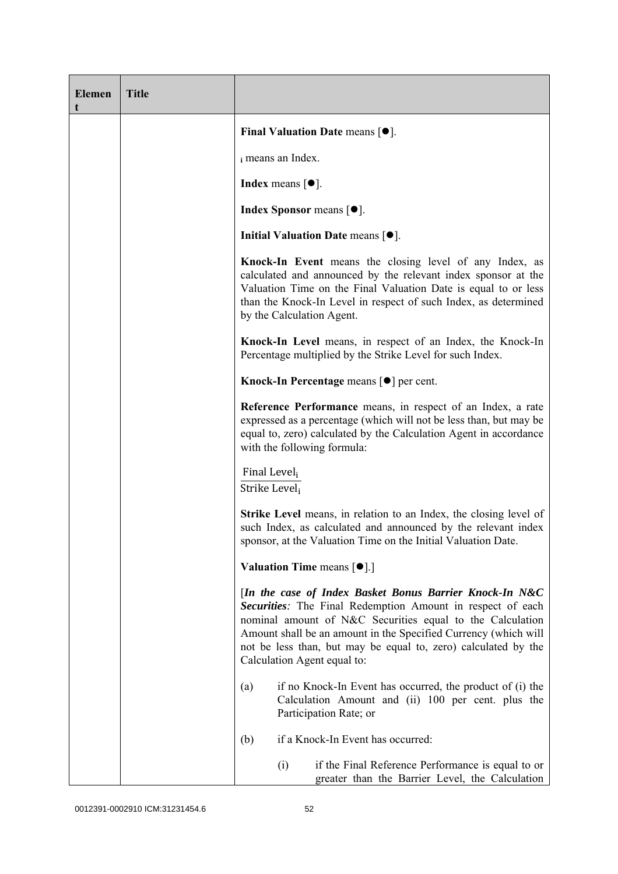| <b>Elemen</b><br>t | <b>Title</b> |                                                                                                                                                                                                                                                                                                                                                        |
|--------------------|--------------|--------------------------------------------------------------------------------------------------------------------------------------------------------------------------------------------------------------------------------------------------------------------------------------------------------------------------------------------------------|
|                    |              | Final Valuation Date means $[•]$ .                                                                                                                                                                                                                                                                                                                     |
|                    |              | i means an Index.                                                                                                                                                                                                                                                                                                                                      |
|                    |              | Index means $\lceil \bullet \rceil$ .                                                                                                                                                                                                                                                                                                                  |
|                    |              | <b>Index Sponsor</b> means $[•]$ .                                                                                                                                                                                                                                                                                                                     |
|                    |              | Initial Valuation Date means $[•]$ .                                                                                                                                                                                                                                                                                                                   |
|                    |              | Knock-In Event means the closing level of any Index, as<br>calculated and announced by the relevant index sponsor at the<br>Valuation Time on the Final Valuation Date is equal to or less<br>than the Knock-In Level in respect of such Index, as determined<br>by the Calculation Agent.                                                             |
|                    |              | Knock-In Level means, in respect of an Index, the Knock-In<br>Percentage multiplied by the Strike Level for such Index.                                                                                                                                                                                                                                |
|                    |              | Knock-In Percentage means [ <sup>●</sup> ] per cent.                                                                                                                                                                                                                                                                                                   |
|                    |              | Reference Performance means, in respect of an Index, a rate<br>expressed as a percentage (which will not be less than, but may be<br>equal to, zero) calculated by the Calculation Agent in accordance<br>with the following formula:                                                                                                                  |
|                    |              | Final Level <sub>i</sub><br>Strike Level;                                                                                                                                                                                                                                                                                                              |
|                    |              | Strike Level means, in relation to an Index, the closing level of<br>such Index, as calculated and announced by the relevant index<br>sponsor, at the Valuation Time on the Initial Valuation Date.                                                                                                                                                    |
|                    |              | <b>Valuation Time means <math>[\bullet]</math>.</b> ]                                                                                                                                                                                                                                                                                                  |
|                    |              | [In the case of Index Basket Bonus Barrier Knock-In N&C<br>Securities: The Final Redemption Amount in respect of each<br>nominal amount of N&C Securities equal to the Calculation<br>Amount shall be an amount in the Specified Currency (which will<br>not be less than, but may be equal to, zero) calculated by the<br>Calculation Agent equal to: |
|                    |              | if no Knock-In Event has occurred, the product of (i) the<br>(a)<br>Calculation Amount and (ii) 100 per cent. plus the<br>Participation Rate; or                                                                                                                                                                                                       |
|                    |              | if a Knock-In Event has occurred:<br>(b)                                                                                                                                                                                                                                                                                                               |
|                    |              | (i)<br>if the Final Reference Performance is equal to or<br>greater than the Barrier Level, the Calculation                                                                                                                                                                                                                                            |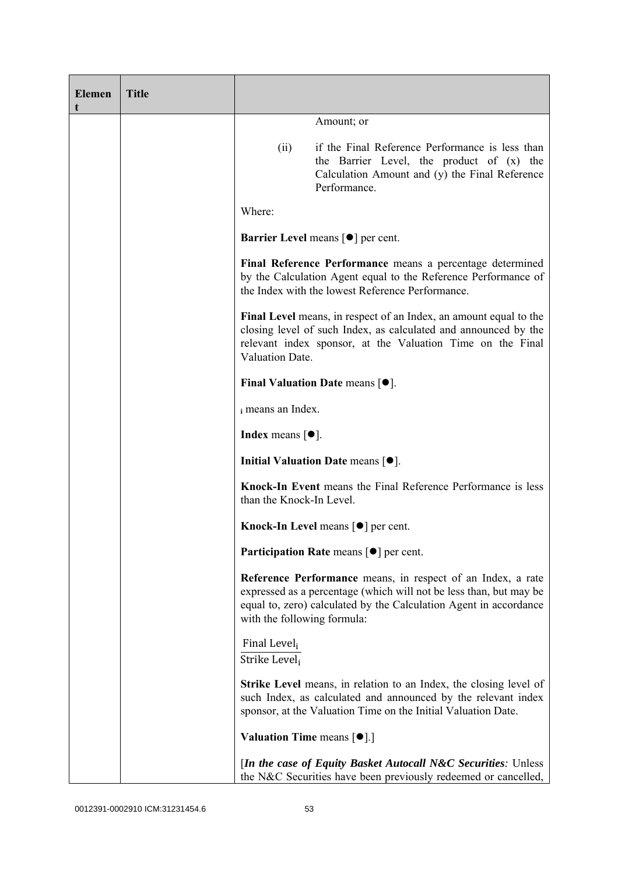| <b>Elemen</b><br>t | <b>Title</b> |                                                                 |                                                                                                                                                                                                            |
|--------------------|--------------|-----------------------------------------------------------------|------------------------------------------------------------------------------------------------------------------------------------------------------------------------------------------------------------|
|                    |              |                                                                 | Amount; or                                                                                                                                                                                                 |
|                    |              | (ii)                                                            | if the Final Reference Performance is less than<br>the Barrier Level, the product of (x) the<br>Calculation Amount and (y) the Final Reference<br>Performance.                                             |
|                    |              | Where:                                                          |                                                                                                                                                                                                            |
|                    |              |                                                                 | <b>Barrier Level</b> means $\lceil \bullet \rceil$ per cent.                                                                                                                                               |
|                    |              |                                                                 | Final Reference Performance means a percentage determined<br>by the Calculation Agent equal to the Reference Performance of<br>the Index with the lowest Reference Performance.                            |
|                    |              | Valuation Date.                                                 | Final Level means, in respect of an Index, an amount equal to the<br>closing level of such Index, as calculated and announced by the<br>relevant index sponsor, at the Valuation Time on the Final         |
|                    |              |                                                                 | Final Valuation Date means $[•]$ .                                                                                                                                                                         |
|                    |              | i means an Index.                                               |                                                                                                                                                                                                            |
|                    |              | <b>Index</b> means $[•]$ .                                      |                                                                                                                                                                                                            |
|                    |              |                                                                 | Initial Valuation Date means $[•]$ .                                                                                                                                                                       |
|                    |              | than the Knock-In Level.                                        | Knock-In Event means the Final Reference Performance is less                                                                                                                                               |
|                    |              |                                                                 | <b>Knock-In Level means <math>\lceil \bullet \rceil</math> per cent.</b>                                                                                                                                   |
|                    |              |                                                                 | Participation Rate means [ $\bullet$ ] per cent.                                                                                                                                                           |
|                    |              | with the following formula:                                     | Reference Performance means, in respect of an Index, a rate<br>expressed as a percentage (which will not be less than, but may be<br>equal to, zero) calculated by the Calculation Agent in accordance     |
|                    |              | Final Level <sub>i</sub><br>Strike Leveli                       |                                                                                                                                                                                                            |
|                    |              |                                                                 | <b>Strike Level</b> means, in relation to an Index, the closing level of<br>such Index, as calculated and announced by the relevant index<br>sponsor, at the Valuation Time on the Initial Valuation Date. |
|                    |              | <b>Valuation Time means <math>\lceil \bullet \rceil</math>.</b> |                                                                                                                                                                                                            |
|                    |              |                                                                 | [In the case of Equity Basket Autocall N&C Securities: Unless<br>the N&C Securities have been previously redeemed or cancelled,                                                                            |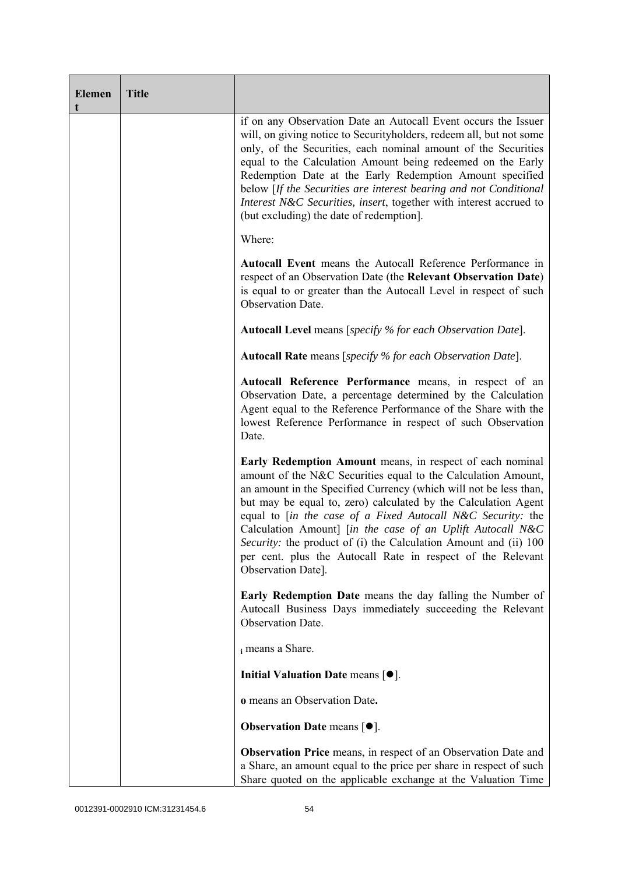| <b>Elemen</b><br>t | <b>Title</b> |                                                                                                                                                                                                                                                                                                                                                                                                                                                                                                                                                         |
|--------------------|--------------|---------------------------------------------------------------------------------------------------------------------------------------------------------------------------------------------------------------------------------------------------------------------------------------------------------------------------------------------------------------------------------------------------------------------------------------------------------------------------------------------------------------------------------------------------------|
|                    |              | if on any Observation Date an Autocall Event occurs the Issuer<br>will, on giving notice to Security holders, redeem all, but not some<br>only, of the Securities, each nominal amount of the Securities<br>equal to the Calculation Amount being redeemed on the Early<br>Redemption Date at the Early Redemption Amount specified<br>below [If the Securities are interest bearing and not Conditional<br>Interest N&C Securities, insert, together with interest accrued to<br>(but excluding) the date of redemption].                              |
|                    |              | Where:                                                                                                                                                                                                                                                                                                                                                                                                                                                                                                                                                  |
|                    |              | Autocall Event means the Autocall Reference Performance in<br>respect of an Observation Date (the Relevant Observation Date)<br>is equal to or greater than the Autocall Level in respect of such<br>Observation Date.                                                                                                                                                                                                                                                                                                                                  |
|                    |              | <b>Autocall Level</b> means [specify % for each Observation Date].                                                                                                                                                                                                                                                                                                                                                                                                                                                                                      |
|                    |              | <b>Autocall Rate</b> means [specify % for each Observation Date].                                                                                                                                                                                                                                                                                                                                                                                                                                                                                       |
|                    |              | Autocall Reference Performance means, in respect of an<br>Observation Date, a percentage determined by the Calculation<br>Agent equal to the Reference Performance of the Share with the<br>lowest Reference Performance in respect of such Observation<br>Date.                                                                                                                                                                                                                                                                                        |
|                    |              | Early Redemption Amount means, in respect of each nominal<br>amount of the N&C Securities equal to the Calculation Amount,<br>an amount in the Specified Currency (which will not be less than,<br>but may be equal to, zero) calculated by the Calculation Agent<br>equal to [in the case of a Fixed Autocall N&C Security: the<br>Calculation Amount] [in the case of an Uplift Autocall N&C<br>Security: the product of (i) the Calculation Amount and (ii) 100<br>per cent. plus the Autocall Rate in respect of the Relevant<br>Observation Date]. |
|                    |              | <b>Early Redemption Date</b> means the day falling the Number of<br>Autocall Business Days immediately succeeding the Relevant<br>Observation Date.                                                                                                                                                                                                                                                                                                                                                                                                     |
|                    |              | i means a Share.                                                                                                                                                                                                                                                                                                                                                                                                                                                                                                                                        |
|                    |              | Initial Valuation Date means [ $\bullet$ ].                                                                                                                                                                                                                                                                                                                                                                                                                                                                                                             |
|                    |              | o means an Observation Date.                                                                                                                                                                                                                                                                                                                                                                                                                                                                                                                            |
|                    |              | <b>Observation Date means <math>[•]</math>.</b>                                                                                                                                                                                                                                                                                                                                                                                                                                                                                                         |
|                    |              | Observation Price means, in respect of an Observation Date and<br>a Share, an amount equal to the price per share in respect of such<br>Share quoted on the applicable exchange at the Valuation Time                                                                                                                                                                                                                                                                                                                                                   |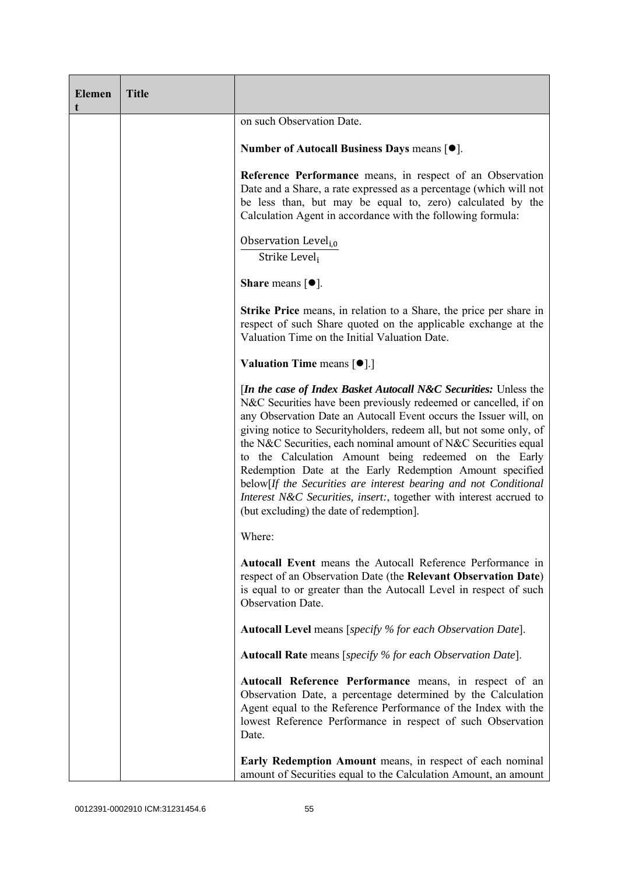| <b>Elemen</b><br>t | <b>Title</b> |                                                                                                                                                                                                                                                                                                                                                                                                                                                                                                                                                                                                                                                                           |
|--------------------|--------------|---------------------------------------------------------------------------------------------------------------------------------------------------------------------------------------------------------------------------------------------------------------------------------------------------------------------------------------------------------------------------------------------------------------------------------------------------------------------------------------------------------------------------------------------------------------------------------------------------------------------------------------------------------------------------|
|                    |              | on such Observation Date.                                                                                                                                                                                                                                                                                                                                                                                                                                                                                                                                                                                                                                                 |
|                    |              | Number of Autocall Business Days means [●].                                                                                                                                                                                                                                                                                                                                                                                                                                                                                                                                                                                                                               |
|                    |              | Reference Performance means, in respect of an Observation<br>Date and a Share, a rate expressed as a percentage (which will not<br>be less than, but may be equal to, zero) calculated by the<br>Calculation Agent in accordance with the following formula:                                                                                                                                                                                                                                                                                                                                                                                                              |
|                    |              | Observation Level <sub>i,0</sub><br>Strike Level,                                                                                                                                                                                                                                                                                                                                                                                                                                                                                                                                                                                                                         |
|                    |              | <b>Share</b> means $\lceil \bullet \rceil$ .                                                                                                                                                                                                                                                                                                                                                                                                                                                                                                                                                                                                                              |
|                    |              | Strike Price means, in relation to a Share, the price per share in<br>respect of such Share quoted on the applicable exchange at the<br>Valuation Time on the Initial Valuation Date.                                                                                                                                                                                                                                                                                                                                                                                                                                                                                     |
|                    |              | <b>Valuation Time means <math>\lceil \bullet \rceil</math>.</b>                                                                                                                                                                                                                                                                                                                                                                                                                                                                                                                                                                                                           |
|                    |              | <i>In the case of Index Basket Autocall N&amp;C Securities: Unless the</i><br>N&C Securities have been previously redeemed or cancelled, if on<br>any Observation Date an Autocall Event occurs the Issuer will, on<br>giving notice to Securityholders, redeem all, but not some only, of<br>the N&C Securities, each nominal amount of N&C Securities equal<br>to the Calculation Amount being redeemed on the Early<br>Redemption Date at the Early Redemption Amount specified<br>below[If the Securities are interest bearing and not Conditional<br>Interest N&C Securities, insert:, together with interest accrued to<br>(but excluding) the date of redemption]. |
|                    |              | Where:                                                                                                                                                                                                                                                                                                                                                                                                                                                                                                                                                                                                                                                                    |
|                    |              | Autocall Event means the Autocall Reference Performance in<br>respect of an Observation Date (the Relevant Observation Date)<br>is equal to or greater than the Autocall Level in respect of such<br>Observation Date.                                                                                                                                                                                                                                                                                                                                                                                                                                                    |
|                    |              | <b>Autocall Level</b> means [specify % for each Observation Date].                                                                                                                                                                                                                                                                                                                                                                                                                                                                                                                                                                                                        |
|                    |              | <b>Autocall Rate</b> means [specify % for each Observation Date].                                                                                                                                                                                                                                                                                                                                                                                                                                                                                                                                                                                                         |
|                    |              | Autocall Reference Performance means, in respect of an<br>Observation Date, a percentage determined by the Calculation<br>Agent equal to the Reference Performance of the Index with the<br>lowest Reference Performance in respect of such Observation<br>Date.                                                                                                                                                                                                                                                                                                                                                                                                          |
|                    |              | Early Redemption Amount means, in respect of each nominal<br>amount of Securities equal to the Calculation Amount, an amount                                                                                                                                                                                                                                                                                                                                                                                                                                                                                                                                              |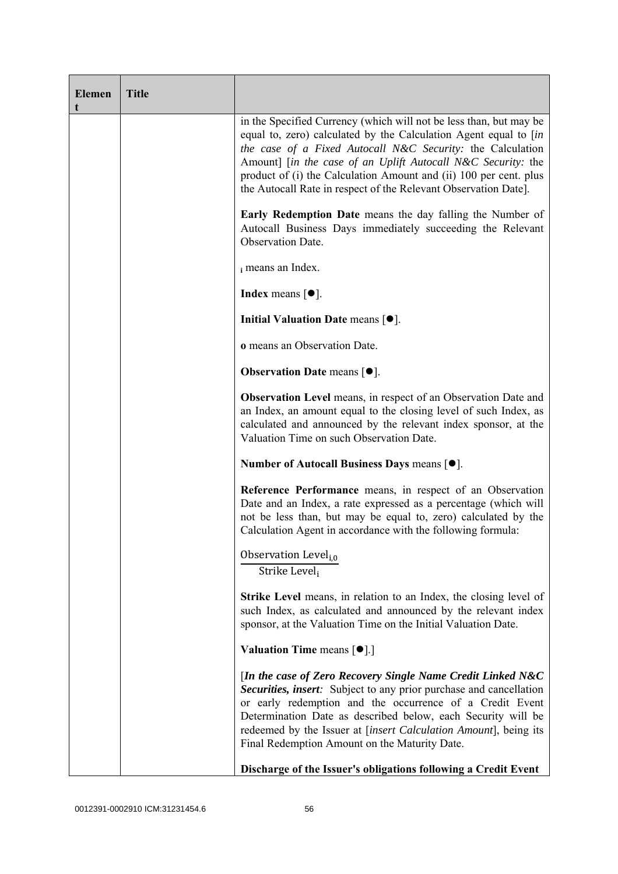| <b>Elemen</b><br>t | <b>Title</b> |                                                                                                                                                                                                                                                                                                                                                                                                              |
|--------------------|--------------|--------------------------------------------------------------------------------------------------------------------------------------------------------------------------------------------------------------------------------------------------------------------------------------------------------------------------------------------------------------------------------------------------------------|
|                    |              | in the Specified Currency (which will not be less than, but may be<br>equal to, zero) calculated by the Calculation Agent equal to [in<br>the case of a Fixed Autocall N&C Security: the Calculation<br>Amount] [in the case of an Uplift Autocall N&C Security: the<br>product of (i) the Calculation Amount and (ii) 100 per cent. plus<br>the Autocall Rate in respect of the Relevant Observation Date]. |
|                    |              | <b>Early Redemption Date</b> means the day falling the Number of<br>Autocall Business Days immediately succeeding the Relevant<br>Observation Date.                                                                                                                                                                                                                                                          |
|                    |              | i means an Index.                                                                                                                                                                                                                                                                                                                                                                                            |
|                    |              | <b>Index</b> means $\lceil \bullet \rceil$ .                                                                                                                                                                                                                                                                                                                                                                 |
|                    |              | Initial Valuation Date means $[•]$ .                                                                                                                                                                                                                                                                                                                                                                         |
|                    |              | o means an Observation Date.                                                                                                                                                                                                                                                                                                                                                                                 |
|                    |              | <b>Observation Date means <math>[•]</math>.</b>                                                                                                                                                                                                                                                                                                                                                              |
|                    |              | <b>Observation Level</b> means, in respect of an Observation Date and<br>an Index, an amount equal to the closing level of such Index, as<br>calculated and announced by the relevant index sponsor, at the<br>Valuation Time on such Observation Date.                                                                                                                                                      |
|                    |              | Number of Autocall Business Days means [●].                                                                                                                                                                                                                                                                                                                                                                  |
|                    |              | Reference Performance means, in respect of an Observation<br>Date and an Index, a rate expressed as a percentage (which will<br>not be less than, but may be equal to, zero) calculated by the<br>Calculation Agent in accordance with the following formula:                                                                                                                                                |
|                    |              | Observation Level <sub>i.0</sub><br>Strike Level,                                                                                                                                                                                                                                                                                                                                                            |
|                    |              | <b>Strike Level</b> means, in relation to an Index, the closing level of<br>such Index, as calculated and announced by the relevant index<br>sponsor, at the Valuation Time on the Initial Valuation Date.                                                                                                                                                                                                   |
|                    |              | <b>Valuation Time means <math>\lceil \bullet \rceil</math>.</b>                                                                                                                                                                                                                                                                                                                                              |
|                    |              | [In the case of Zero Recovery Single Name Credit Linked N&C<br>Securities, insert: Subject to any prior purchase and cancellation<br>or early redemption and the occurrence of a Credit Event<br>Determination Date as described below, each Security will be<br>redeemed by the Issuer at [insert Calculation Amount], being its<br>Final Redemption Amount on the Maturity Date.                           |
|                    |              | Discharge of the Issuer's obligations following a Credit Event                                                                                                                                                                                                                                                                                                                                               |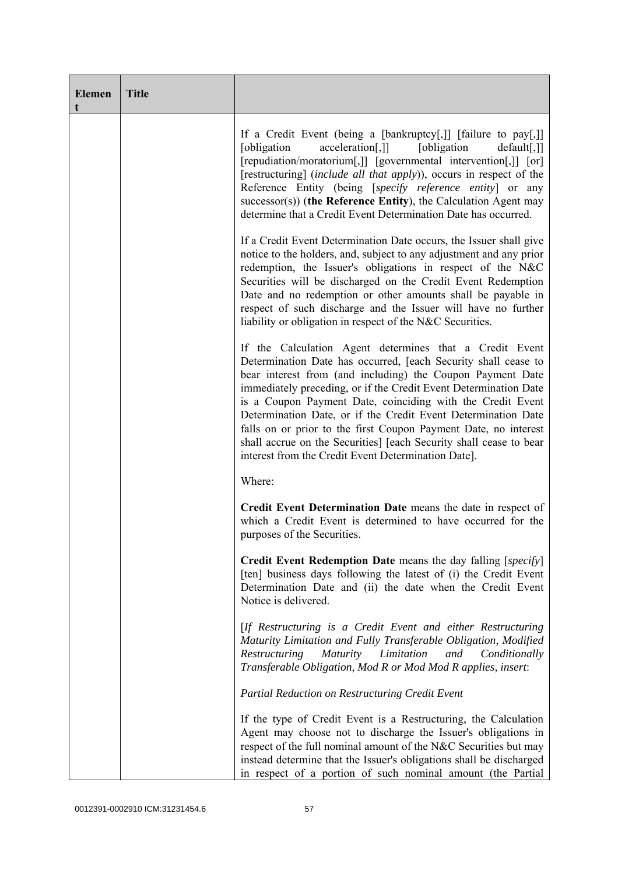| <b>Elemen</b><br>t | <b>Title</b> |                                                                                                                                                                                                                                                                                                                                                                                                                                                                                                                                                                                            |
|--------------------|--------------|--------------------------------------------------------------------------------------------------------------------------------------------------------------------------------------------------------------------------------------------------------------------------------------------------------------------------------------------------------------------------------------------------------------------------------------------------------------------------------------------------------------------------------------------------------------------------------------------|
|                    |              | If a Credit Event (being a [bankruptcy[,]] [failure to pay[,]]<br>acceleration[,]]<br>[obligation]<br>[obligation]<br>$default[,$ ]]<br>[repudiation/moratorium[,]] [governmental intervention[,]] [or]<br>[restructuring] (include all that apply)), occurs in respect of the<br>Reference Entity (being [specify reference entity] or any<br>$successor(s)$ ) (the Reference Entity), the Calculation Agent may<br>determine that a Credit Event Determination Date has occurred.                                                                                                        |
|                    |              | If a Credit Event Determination Date occurs, the Issuer shall give<br>notice to the holders, and, subject to any adjustment and any prior<br>redemption, the Issuer's obligations in respect of the N&C<br>Securities will be discharged on the Credit Event Redemption<br>Date and no redemption or other amounts shall be payable in<br>respect of such discharge and the Issuer will have no further<br>liability or obligation in respect of the N&C Securities.                                                                                                                       |
|                    |              | If the Calculation Agent determines that a Credit Event<br>Determination Date has occurred, [each Security shall cease to<br>bear interest from (and including) the Coupon Payment Date<br>immediately preceding, or if the Credit Event Determination Date<br>is a Coupon Payment Date, coinciding with the Credit Event<br>Determination Date, or if the Credit Event Determination Date<br>falls on or prior to the first Coupon Payment Date, no interest<br>shall accrue on the Securities] [each Security shall cease to bear<br>interest from the Credit Event Determination Date]. |
|                    |              | Where:                                                                                                                                                                                                                                                                                                                                                                                                                                                                                                                                                                                     |
|                    |              | Credit Event Determination Date means the date in respect of<br>which a Credit Event is determined to have occurred for the<br>purposes of the Securities.                                                                                                                                                                                                                                                                                                                                                                                                                                 |
|                    |              | Credit Event Redemption Date means the day falling [specify]<br>[ten] business days following the latest of (i) the Credit Event<br>Determination Date and (ii) the date when the Credit Event<br>Notice is delivered.                                                                                                                                                                                                                                                                                                                                                                     |
|                    |              | [If Restructuring is a Credit Event and either Restructuring<br>Maturity Limitation and Fully Transferable Obligation, Modified<br>Restructuring<br><i>Maturity</i><br>Limitation<br>and<br>Conditionally<br>Transferable Obligation, Mod R or Mod Mod R applies, insert:                                                                                                                                                                                                                                                                                                                  |
|                    |              | <b>Partial Reduction on Restructuring Credit Event</b>                                                                                                                                                                                                                                                                                                                                                                                                                                                                                                                                     |
|                    |              | If the type of Credit Event is a Restructuring, the Calculation<br>Agent may choose not to discharge the Issuer's obligations in<br>respect of the full nominal amount of the N&C Securities but may<br>instead determine that the Issuer's obligations shall be discharged<br>in respect of a portion of such nominal amount (the Partial                                                                                                                                                                                                                                                 |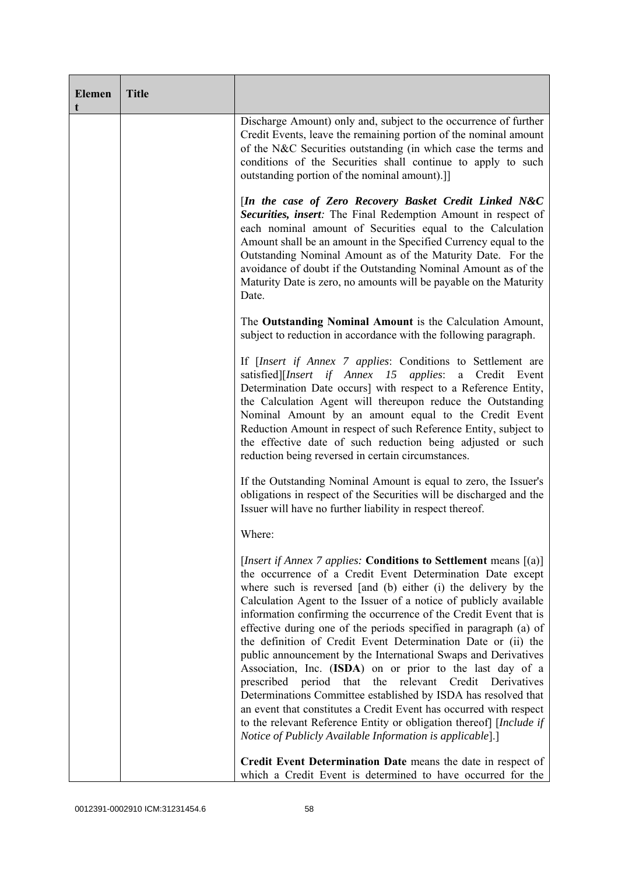| <b>Elemen</b><br>t | <b>Title</b> |                                                                                                                                                                                                                                                                                                                                                                                                                                                                                                                                                                                                                                                                                                                                                                                                                                                                                                                                                                             |
|--------------------|--------------|-----------------------------------------------------------------------------------------------------------------------------------------------------------------------------------------------------------------------------------------------------------------------------------------------------------------------------------------------------------------------------------------------------------------------------------------------------------------------------------------------------------------------------------------------------------------------------------------------------------------------------------------------------------------------------------------------------------------------------------------------------------------------------------------------------------------------------------------------------------------------------------------------------------------------------------------------------------------------------|
|                    |              | Discharge Amount) only and, subject to the occurrence of further<br>Credit Events, leave the remaining portion of the nominal amount<br>of the N&C Securities outstanding (in which case the terms and<br>conditions of the Securities shall continue to apply to such<br>outstanding portion of the nominal amount).]                                                                                                                                                                                                                                                                                                                                                                                                                                                                                                                                                                                                                                                      |
|                    |              | [In the case of Zero Recovery Basket Credit Linked N&C<br>Securities, insert: The Final Redemption Amount in respect of<br>each nominal amount of Securities equal to the Calculation<br>Amount shall be an amount in the Specified Currency equal to the<br>Outstanding Nominal Amount as of the Maturity Date. For the<br>avoidance of doubt if the Outstanding Nominal Amount as of the<br>Maturity Date is zero, no amounts will be payable on the Maturity<br>Date.                                                                                                                                                                                                                                                                                                                                                                                                                                                                                                    |
|                    |              | The Outstanding Nominal Amount is the Calculation Amount,<br>subject to reduction in accordance with the following paragraph.                                                                                                                                                                                                                                                                                                                                                                                                                                                                                                                                                                                                                                                                                                                                                                                                                                               |
|                    |              | If <i>[Insert if Annex 7 applies: Conditions to Settlement are</i><br>satisfied][Insert if Annex 15 applies: a Credit Event<br>Determination Date occurs] with respect to a Reference Entity,<br>the Calculation Agent will thereupon reduce the Outstanding<br>Nominal Amount by an amount equal to the Credit Event<br>Reduction Amount in respect of such Reference Entity, subject to<br>the effective date of such reduction being adjusted or such<br>reduction being reversed in certain circumstances.                                                                                                                                                                                                                                                                                                                                                                                                                                                              |
|                    |              | If the Outstanding Nominal Amount is equal to zero, the Issuer's<br>obligations in respect of the Securities will be discharged and the<br>Issuer will have no further liability in respect thereof.                                                                                                                                                                                                                                                                                                                                                                                                                                                                                                                                                                                                                                                                                                                                                                        |
|                    |              | Where:                                                                                                                                                                                                                                                                                                                                                                                                                                                                                                                                                                                                                                                                                                                                                                                                                                                                                                                                                                      |
|                    |              | [ <i>Insert if Annex 7 applies:</i> Conditions to Settlement means $[(a)]$<br>the occurrence of a Credit Event Determination Date except<br>where such is reversed [and (b) either (i) the delivery by the<br>Calculation Agent to the Issuer of a notice of publicly available<br>information confirming the occurrence of the Credit Event that is<br>effective during one of the periods specified in paragraph (a) of<br>the definition of Credit Event Determination Date or (ii) the<br>public announcement by the International Swaps and Derivatives<br>Association, Inc. (ISDA) on or prior to the last day of a<br>period<br>that<br>the relevant Credit<br>prescribed<br>Derivatives<br>Determinations Committee established by ISDA has resolved that<br>an event that constitutes a Credit Event has occurred with respect<br>to the relevant Reference Entity or obligation thereof] [Include if<br>Notice of Publicly Available Information is applicable].] |
|                    |              | Credit Event Determination Date means the date in respect of<br>which a Credit Event is determined to have occurred for the                                                                                                                                                                                                                                                                                                                                                                                                                                                                                                                                                                                                                                                                                                                                                                                                                                                 |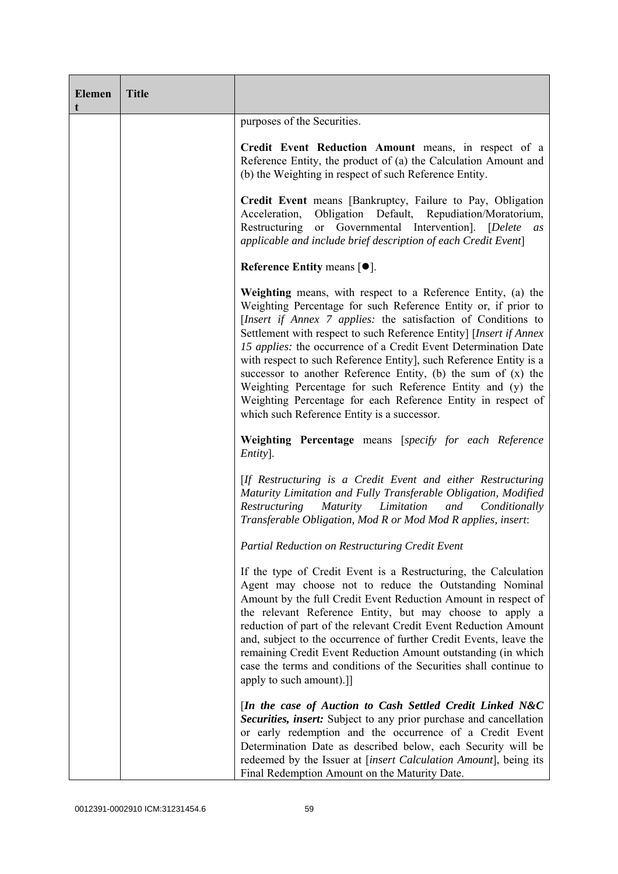| <b>Elemen</b><br>t | <b>Title</b> |                                                                                                                                                                                                                                                                                                                                                                                                                                                                                                                                                                                                                                                              |
|--------------------|--------------|--------------------------------------------------------------------------------------------------------------------------------------------------------------------------------------------------------------------------------------------------------------------------------------------------------------------------------------------------------------------------------------------------------------------------------------------------------------------------------------------------------------------------------------------------------------------------------------------------------------------------------------------------------------|
|                    |              | purposes of the Securities.                                                                                                                                                                                                                                                                                                                                                                                                                                                                                                                                                                                                                                  |
|                    |              | Credit Event Reduction Amount means, in respect of a<br>Reference Entity, the product of (a) the Calculation Amount and<br>(b) the Weighting in respect of such Reference Entity.                                                                                                                                                                                                                                                                                                                                                                                                                                                                            |
|                    |              | Credit Event means [Bankruptcy, Failure to Pay, Obligation<br>Obligation Default, Repudiation/Moratorium,<br>Acceleration,<br>or Governmental Intervention]. [Delete<br>Restructuring<br>as<br>applicable and include brief description of each Credit Event]                                                                                                                                                                                                                                                                                                                                                                                                |
|                    |              | Reference Entity means $[•]$ .                                                                                                                                                                                                                                                                                                                                                                                                                                                                                                                                                                                                                               |
|                    |              | Weighting means, with respect to a Reference Entity, (a) the<br>Weighting Percentage for such Reference Entity or, if prior to<br>[Insert if Annex 7 applies: the satisfaction of Conditions to<br>Settlement with respect to such Reference Entity] [Insert if Annex<br>15 applies: the occurrence of a Credit Event Determination Date<br>with respect to such Reference Entity], such Reference Entity is a<br>successor to another Reference Entity, (b) the sum of (x) the<br>Weighting Percentage for such Reference Entity and (y) the<br>Weighting Percentage for each Reference Entity in respect of<br>which such Reference Entity is a successor. |
|                    |              | Weighting Percentage means [specify for each Reference<br>Entity].                                                                                                                                                                                                                                                                                                                                                                                                                                                                                                                                                                                           |
|                    |              | [If Restructuring is a Credit Event and either Restructuring<br>Maturity Limitation and Fully Transferable Obligation, Modified<br>Restructuring Maturity Limitation and Conditionally<br>Transferable Obligation, Mod R or Mod Mod R applies, insert:                                                                                                                                                                                                                                                                                                                                                                                                       |
|                    |              | Partial Reduction on Restructuring Credit Event                                                                                                                                                                                                                                                                                                                                                                                                                                                                                                                                                                                                              |
|                    |              | If the type of Credit Event is a Restructuring, the Calculation<br>Agent may choose not to reduce the Outstanding Nominal<br>Amount by the full Credit Event Reduction Amount in respect of<br>the relevant Reference Entity, but may choose to apply a<br>reduction of part of the relevant Credit Event Reduction Amount<br>and, subject to the occurrence of further Credit Events, leave the<br>remaining Credit Event Reduction Amount outstanding (in which<br>case the terms and conditions of the Securities shall continue to<br>apply to such amount).]]                                                                                           |
|                    |              | [In the case of Auction to Cash Settled Credit Linked N&C<br>Securities, insert: Subject to any prior purchase and cancellation<br>or early redemption and the occurrence of a Credit Event<br>Determination Date as described below, each Security will be<br>redeemed by the Issuer at [insert Calculation Amount], being its<br>Final Redemption Amount on the Maturity Date.                                                                                                                                                                                                                                                                             |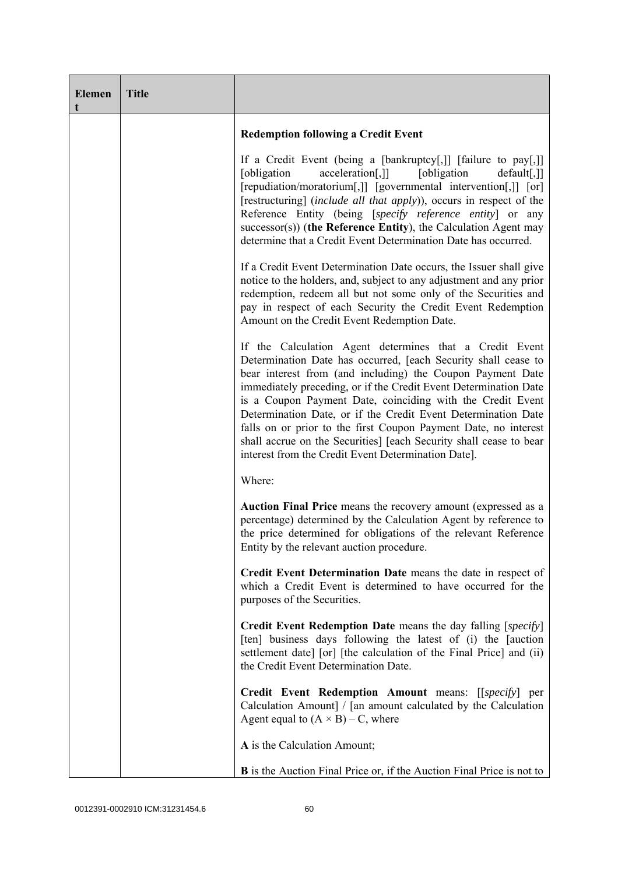| <b>Elemen</b><br>t | <b>Title</b> |                                                                                                                                                                                                                                                                                                                                                                                                                                                                                                                                                                                            |
|--------------------|--------------|--------------------------------------------------------------------------------------------------------------------------------------------------------------------------------------------------------------------------------------------------------------------------------------------------------------------------------------------------------------------------------------------------------------------------------------------------------------------------------------------------------------------------------------------------------------------------------------------|
|                    |              | <b>Redemption following a Credit Event</b>                                                                                                                                                                                                                                                                                                                                                                                                                                                                                                                                                 |
|                    |              | If a Credit Event (being a [bankruptcy[,]] [failure to pay[,]]<br>[obligation]<br>acceleration[,]]<br>[obligation]<br>$default[,$ ]]<br>[repudiation/moratorium[,]] [governmental intervention[,]] [or]<br>[restructuring] (include all that apply)), occurs in respect of the<br>Reference Entity (being [specify reference entity] or any<br>$successor(s)$ ) (the Reference Entity), the Calculation Agent may<br>determine that a Credit Event Determination Date has occurred.                                                                                                        |
|                    |              | If a Credit Event Determination Date occurs, the Issuer shall give<br>notice to the holders, and, subject to any adjustment and any prior<br>redemption, redeem all but not some only of the Securities and<br>pay in respect of each Security the Credit Event Redemption<br>Amount on the Credit Event Redemption Date.                                                                                                                                                                                                                                                                  |
|                    |              | If the Calculation Agent determines that a Credit Event<br>Determination Date has occurred, [each Security shall cease to<br>bear interest from (and including) the Coupon Payment Date<br>immediately preceding, or if the Credit Event Determination Date<br>is a Coupon Payment Date, coinciding with the Credit Event<br>Determination Date, or if the Credit Event Determination Date<br>falls on or prior to the first Coupon Payment Date, no interest<br>shall accrue on the Securities] [each Security shall cease to bear<br>interest from the Credit Event Determination Date]. |
|                    |              | Where:                                                                                                                                                                                                                                                                                                                                                                                                                                                                                                                                                                                     |
|                    |              | Auction Final Price means the recovery amount (expressed as a<br>percentage) determined by the Calculation Agent by reference to<br>the price determined for obligations of the relevant Reference<br>Entity by the relevant auction procedure.                                                                                                                                                                                                                                                                                                                                            |
|                    |              | Credit Event Determination Date means the date in respect of<br>which a Credit Event is determined to have occurred for the<br>purposes of the Securities.                                                                                                                                                                                                                                                                                                                                                                                                                                 |
|                    |              | Credit Event Redemption Date means the day falling [specify]<br>[ten] business days following the latest of (i) the [auction<br>settlement date] [or] [the calculation of the Final Price] and (ii)<br>the Credit Event Determination Date.                                                                                                                                                                                                                                                                                                                                                |
|                    |              | Credit Event Redemption Amount means: [[specify] per<br>Calculation Amount] / [an amount calculated by the Calculation<br>Agent equal to $(A \times B) - C$ , where                                                                                                                                                                                                                                                                                                                                                                                                                        |
|                    |              | A is the Calculation Amount;                                                                                                                                                                                                                                                                                                                                                                                                                                                                                                                                                               |
|                    |              | B is the Auction Final Price or, if the Auction Final Price is not to                                                                                                                                                                                                                                                                                                                                                                                                                                                                                                                      |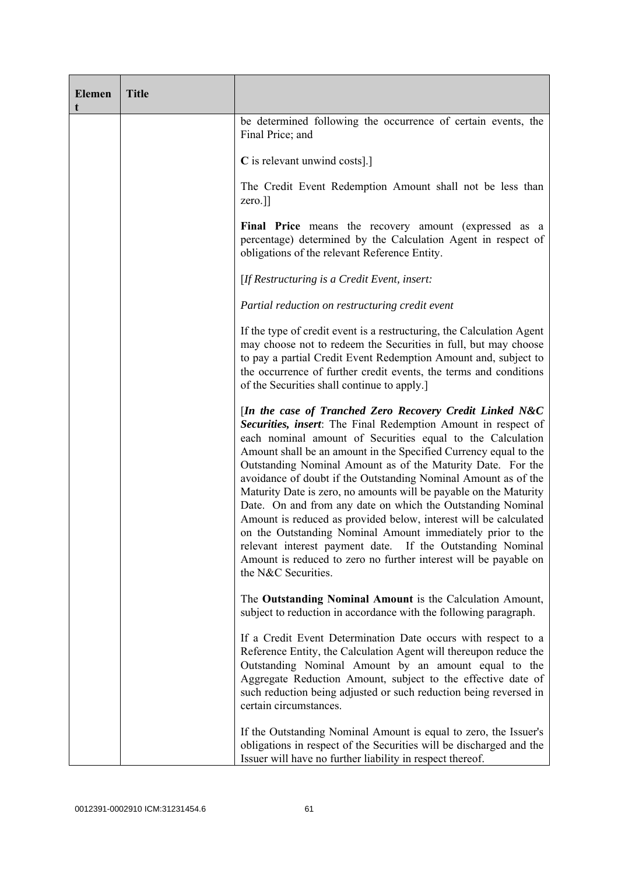| <b>Elemen</b><br>t | <b>Title</b> |                                                                                                                                                                                                                                                                                                                                                                                                                                                                                                                                                                                                                                                                                                                                                                                                                             |
|--------------------|--------------|-----------------------------------------------------------------------------------------------------------------------------------------------------------------------------------------------------------------------------------------------------------------------------------------------------------------------------------------------------------------------------------------------------------------------------------------------------------------------------------------------------------------------------------------------------------------------------------------------------------------------------------------------------------------------------------------------------------------------------------------------------------------------------------------------------------------------------|
|                    |              | be determined following the occurrence of certain events, the<br>Final Price; and                                                                                                                                                                                                                                                                                                                                                                                                                                                                                                                                                                                                                                                                                                                                           |
|                    |              | C is relevant unwind costs].]                                                                                                                                                                                                                                                                                                                                                                                                                                                                                                                                                                                                                                                                                                                                                                                               |
|                    |              | The Credit Event Redemption Amount shall not be less than<br>zero.]]                                                                                                                                                                                                                                                                                                                                                                                                                                                                                                                                                                                                                                                                                                                                                        |
|                    |              | Final Price means the recovery amount (expressed as a<br>percentage) determined by the Calculation Agent in respect of<br>obligations of the relevant Reference Entity.                                                                                                                                                                                                                                                                                                                                                                                                                                                                                                                                                                                                                                                     |
|                    |              | [If Restructuring is a Credit Event, insert:                                                                                                                                                                                                                                                                                                                                                                                                                                                                                                                                                                                                                                                                                                                                                                                |
|                    |              | Partial reduction on restructuring credit event                                                                                                                                                                                                                                                                                                                                                                                                                                                                                                                                                                                                                                                                                                                                                                             |
|                    |              | If the type of credit event is a restructuring, the Calculation Agent<br>may choose not to redeem the Securities in full, but may choose<br>to pay a partial Credit Event Redemption Amount and, subject to<br>the occurrence of further credit events, the terms and conditions<br>of the Securities shall continue to apply.                                                                                                                                                                                                                                                                                                                                                                                                                                                                                              |
|                    |              | [In the case of Tranched Zero Recovery Credit Linked N&C<br>Securities, insert: The Final Redemption Amount in respect of<br>each nominal amount of Securities equal to the Calculation<br>Amount shall be an amount in the Specified Currency equal to the<br>Outstanding Nominal Amount as of the Maturity Date. For the<br>avoidance of doubt if the Outstanding Nominal Amount as of the<br>Maturity Date is zero, no amounts will be payable on the Maturity<br>Date. On and from any date on which the Outstanding Nominal<br>Amount is reduced as provided below, interest will be calculated<br>on the Outstanding Nominal Amount immediately prior to the<br>relevant interest payment date. If the Outstanding Nominal<br>Amount is reduced to zero no further interest will be payable on<br>the N&C Securities. |
|                    |              | The Outstanding Nominal Amount is the Calculation Amount,<br>subject to reduction in accordance with the following paragraph.                                                                                                                                                                                                                                                                                                                                                                                                                                                                                                                                                                                                                                                                                               |
|                    |              | If a Credit Event Determination Date occurs with respect to a<br>Reference Entity, the Calculation Agent will thereupon reduce the<br>Outstanding Nominal Amount by an amount equal to the<br>Aggregate Reduction Amount, subject to the effective date of<br>such reduction being adjusted or such reduction being reversed in<br>certain circumstances.                                                                                                                                                                                                                                                                                                                                                                                                                                                                   |
|                    |              | If the Outstanding Nominal Amount is equal to zero, the Issuer's<br>obligations in respect of the Securities will be discharged and the<br>Issuer will have no further liability in respect thereof.                                                                                                                                                                                                                                                                                                                                                                                                                                                                                                                                                                                                                        |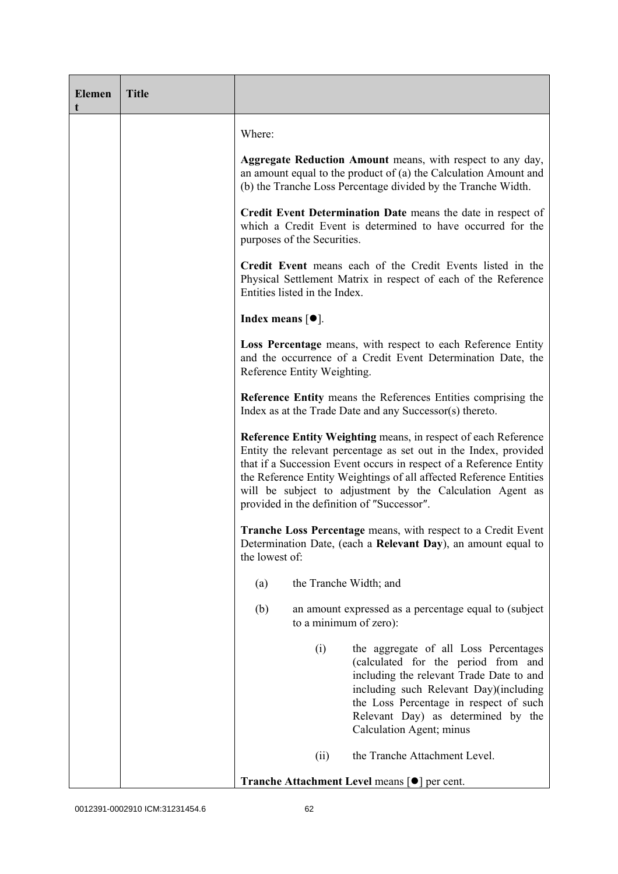| <b>Elemen</b><br>t | <b>Title</b> |                                                                                                                                                                                                                                                                                                                                                                                           |
|--------------------|--------------|-------------------------------------------------------------------------------------------------------------------------------------------------------------------------------------------------------------------------------------------------------------------------------------------------------------------------------------------------------------------------------------------|
|                    |              | Where:                                                                                                                                                                                                                                                                                                                                                                                    |
|                    |              | <b>Aggregate Reduction Amount</b> means, with respect to any day,<br>an amount equal to the product of (a) the Calculation Amount and<br>(b) the Tranche Loss Percentage divided by the Tranche Width.                                                                                                                                                                                    |
|                    |              | Credit Event Determination Date means the date in respect of<br>which a Credit Event is determined to have occurred for the<br>purposes of the Securities.                                                                                                                                                                                                                                |
|                    |              | Credit Event means each of the Credit Events listed in the<br>Physical Settlement Matrix in respect of each of the Reference<br>Entities listed in the Index.                                                                                                                                                                                                                             |
|                    |              | Index means $[•]$ .                                                                                                                                                                                                                                                                                                                                                                       |
|                    |              | Loss Percentage means, with respect to each Reference Entity<br>and the occurrence of a Credit Event Determination Date, the<br>Reference Entity Weighting.                                                                                                                                                                                                                               |
|                    |              | Reference Entity means the References Entities comprising the<br>Index as at the Trade Date and any Successor(s) thereto.                                                                                                                                                                                                                                                                 |
|                    |              | Reference Entity Weighting means, in respect of each Reference<br>Entity the relevant percentage as set out in the Index, provided<br>that if a Succession Event occurs in respect of a Reference Entity<br>the Reference Entity Weightings of all affected Reference Entities<br>will be subject to adjustment by the Calculation Agent as<br>provided in the definition of "Successor". |
|                    |              | <b>Tranche Loss Percentage</b> means, with respect to a Credit Event<br>Determination Date, (each a Relevant Day), an amount equal to<br>the lowest of:                                                                                                                                                                                                                                   |
|                    |              | the Tranche Width; and<br>(a)                                                                                                                                                                                                                                                                                                                                                             |
|                    |              | (b)<br>an amount expressed as a percentage equal to (subject)<br>to a minimum of zero):                                                                                                                                                                                                                                                                                                   |
|                    |              | (i)<br>the aggregate of all Loss Percentages<br>(calculated for the period from and<br>including the relevant Trade Date to and<br>including such Relevant Day)(including<br>the Loss Percentage in respect of such<br>Relevant Day) as determined by the<br>Calculation Agent; minus                                                                                                     |
|                    |              | the Tranche Attachment Level.<br>(ii)                                                                                                                                                                                                                                                                                                                                                     |
|                    |              | <b>Tranche Attachment Level means [●] per cent.</b>                                                                                                                                                                                                                                                                                                                                       |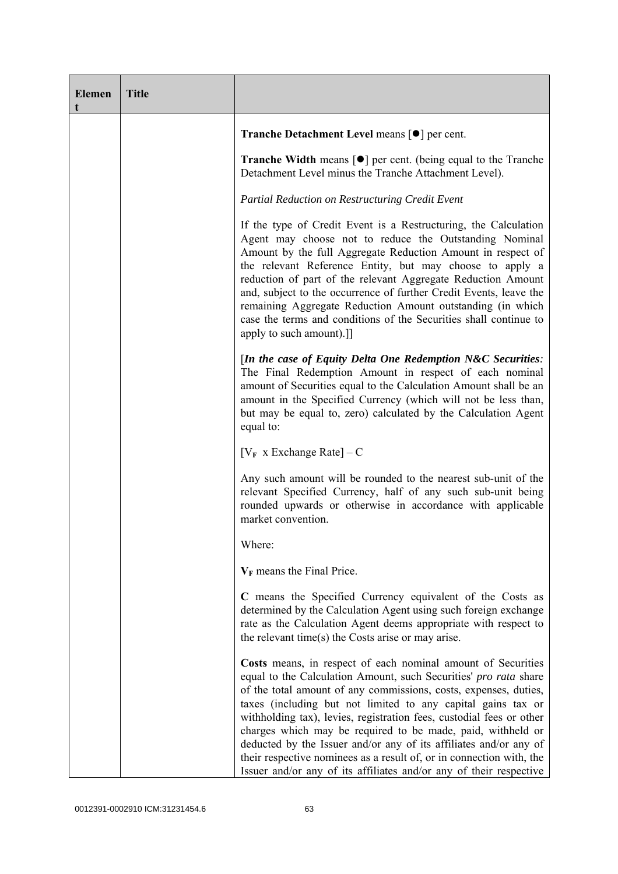| <b>Elemen</b> | <b>Title</b> |                                                                                                                                                                                                                                                                                                                                                                                                                                                                                                                                                                                                                                |
|---------------|--------------|--------------------------------------------------------------------------------------------------------------------------------------------------------------------------------------------------------------------------------------------------------------------------------------------------------------------------------------------------------------------------------------------------------------------------------------------------------------------------------------------------------------------------------------------------------------------------------------------------------------------------------|
|               |              | Tranche Detachment Level means [●] per cent.                                                                                                                                                                                                                                                                                                                                                                                                                                                                                                                                                                                   |
|               |              | <b>Tranche Width</b> means $\lceil \bullet \rceil$ per cent. (being equal to the Tranche<br>Detachment Level minus the Tranche Attachment Level).                                                                                                                                                                                                                                                                                                                                                                                                                                                                              |
|               |              | Partial Reduction on Restructuring Credit Event                                                                                                                                                                                                                                                                                                                                                                                                                                                                                                                                                                                |
|               |              | If the type of Credit Event is a Restructuring, the Calculation<br>Agent may choose not to reduce the Outstanding Nominal<br>Amount by the full Aggregate Reduction Amount in respect of<br>the relevant Reference Entity, but may choose to apply a<br>reduction of part of the relevant Aggregate Reduction Amount<br>and, subject to the occurrence of further Credit Events, leave the<br>remaining Aggregate Reduction Amount outstanding (in which<br>case the terms and conditions of the Securities shall continue to<br>apply to such amount).]]                                                                      |
|               |              | [In the case of Equity Delta One Redemption N&C Securities:<br>The Final Redemption Amount in respect of each nominal<br>amount of Securities equal to the Calculation Amount shall be an<br>amount in the Specified Currency (which will not be less than,<br>but may be equal to, zero) calculated by the Calculation Agent<br>equal to:                                                                                                                                                                                                                                                                                     |
|               |              | $[V_F \times Exchange Rate] - C$                                                                                                                                                                                                                                                                                                                                                                                                                                                                                                                                                                                               |
|               |              | Any such amount will be rounded to the nearest sub-unit of the<br>relevant Specified Currency, half of any such sub-unit being<br>rounded upwards or otherwise in accordance with applicable<br>market convention.                                                                                                                                                                                                                                                                                                                                                                                                             |
|               |              | Where:                                                                                                                                                                                                                                                                                                                                                                                                                                                                                                                                                                                                                         |
|               |              | $V_F$ means the Final Price.                                                                                                                                                                                                                                                                                                                                                                                                                                                                                                                                                                                                   |
|               |              | C means the Specified Currency equivalent of the Costs as<br>determined by the Calculation Agent using such foreign exchange<br>rate as the Calculation Agent deems appropriate with respect to<br>the relevant time(s) the Costs arise or may arise.                                                                                                                                                                                                                                                                                                                                                                          |
|               |              | Costs means, in respect of each nominal amount of Securities<br>equal to the Calculation Amount, such Securities' pro rata share<br>of the total amount of any commissions, costs, expenses, duties,<br>taxes (including but not limited to any capital gains tax or<br>withholding tax), levies, registration fees, custodial fees or other<br>charges which may be required to be made, paid, withheld or<br>deducted by the Issuer and/or any of its affiliates and/or any of<br>their respective nominees as a result of, or in connection with, the<br>Issuer and/or any of its affiliates and/or any of their respective |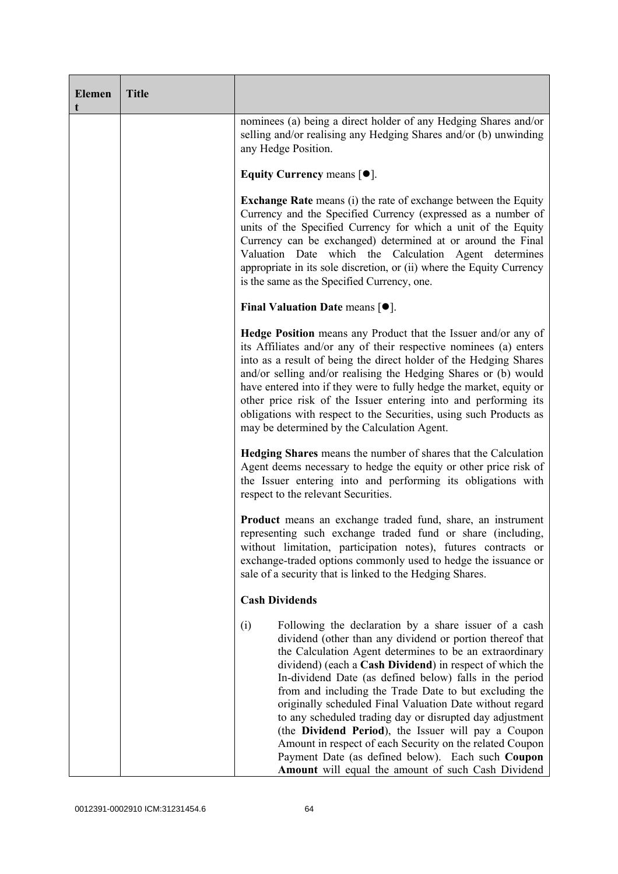| <b>Elemen</b> | <b>Title</b> |                                                                                                                                                                                                                                                                                                                                                                                                                                                                                                                                                                                                                                                                                                                             |
|---------------|--------------|-----------------------------------------------------------------------------------------------------------------------------------------------------------------------------------------------------------------------------------------------------------------------------------------------------------------------------------------------------------------------------------------------------------------------------------------------------------------------------------------------------------------------------------------------------------------------------------------------------------------------------------------------------------------------------------------------------------------------------|
|               |              | nominees (a) being a direct holder of any Hedging Shares and/or<br>selling and/or realising any Hedging Shares and/or (b) unwinding<br>any Hedge Position.                                                                                                                                                                                                                                                                                                                                                                                                                                                                                                                                                                  |
|               |              | Equity Currency means $[•]$ .                                                                                                                                                                                                                                                                                                                                                                                                                                                                                                                                                                                                                                                                                               |
|               |              | <b>Exchange Rate</b> means (i) the rate of exchange between the Equity<br>Currency and the Specified Currency (expressed as a number of<br>units of the Specified Currency for which a unit of the Equity<br>Currency can be exchanged) determined at or around the Final<br>Valuation Date which the Calculation Agent determines<br>appropriate in its sole discretion, or (ii) where the Equity Currency<br>is the same as the Specified Currency, one.                                                                                                                                                                                                                                                                  |
|               |              | Final Valuation Date means $[•]$ .                                                                                                                                                                                                                                                                                                                                                                                                                                                                                                                                                                                                                                                                                          |
|               |              | <b>Hedge Position</b> means any Product that the Issuer and/or any of<br>its Affiliates and/or any of their respective nominees (a) enters<br>into as a result of being the direct holder of the Hedging Shares<br>and/or selling and/or realising the Hedging Shares or (b) would<br>have entered into if they were to fully hedge the market, equity or<br>other price risk of the Issuer entering into and performing its<br>obligations with respect to the Securities, using such Products as<br>may be determined by the Calculation Agent.                                                                                                                                                                           |
|               |              | <b>Hedging Shares</b> means the number of shares that the Calculation<br>Agent deems necessary to hedge the equity or other price risk of<br>the Issuer entering into and performing its obligations with<br>respect to the relevant Securities.                                                                                                                                                                                                                                                                                                                                                                                                                                                                            |
|               |              | <b>Product</b> means an exchange traded fund, share, an instrument<br>representing such exchange traded fund or share (including,<br>without limitation, participation notes), futures contracts or<br>exchange-traded options commonly used to hedge the issuance or<br>sale of a security that is linked to the Hedging Shares.                                                                                                                                                                                                                                                                                                                                                                                           |
|               |              | <b>Cash Dividends</b>                                                                                                                                                                                                                                                                                                                                                                                                                                                                                                                                                                                                                                                                                                       |
|               |              | Following the declaration by a share issuer of a cash<br>(i)<br>dividend (other than any dividend or portion thereof that<br>the Calculation Agent determines to be an extraordinary<br>dividend) (each a Cash Dividend) in respect of which the<br>In-dividend Date (as defined below) falls in the period<br>from and including the Trade Date to but excluding the<br>originally scheduled Final Valuation Date without regard<br>to any scheduled trading day or disrupted day adjustment<br>(the Dividend Period), the Issuer will pay a Coupon<br>Amount in respect of each Security on the related Coupon<br>Payment Date (as defined below). Each such Coupon<br>Amount will equal the amount of such Cash Dividend |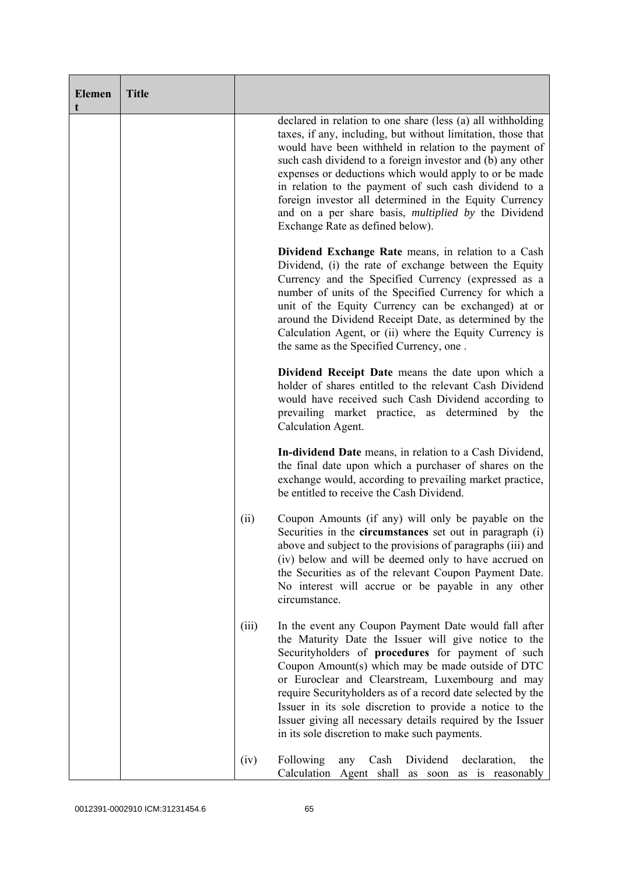| <b>Elemen</b><br>t | <b>Title</b> |       |                                                                                                                                                                                                                                                                                                                                                                                                                                                                                                                                     |
|--------------------|--------------|-------|-------------------------------------------------------------------------------------------------------------------------------------------------------------------------------------------------------------------------------------------------------------------------------------------------------------------------------------------------------------------------------------------------------------------------------------------------------------------------------------------------------------------------------------|
|                    |              |       | declared in relation to one share (less (a) all withholding<br>taxes, if any, including, but without limitation, those that<br>would have been withheld in relation to the payment of<br>such cash dividend to a foreign investor and (b) any other<br>expenses or deductions which would apply to or be made<br>in relation to the payment of such cash dividend to a<br>foreign investor all determined in the Equity Currency<br>and on a per share basis, <i>multiplied by</i> the Dividend<br>Exchange Rate as defined below). |
|                    |              |       | Dividend Exchange Rate means, in relation to a Cash<br>Dividend, (i) the rate of exchange between the Equity<br>Currency and the Specified Currency (expressed as a<br>number of units of the Specified Currency for which a<br>unit of the Equity Currency can be exchanged) at or<br>around the Dividend Receipt Date, as determined by the<br>Calculation Agent, or (ii) where the Equity Currency is<br>the same as the Specified Currency, one.                                                                                |
|                    |              |       | Dividend Receipt Date means the date upon which a<br>holder of shares entitled to the relevant Cash Dividend<br>would have received such Cash Dividend according to<br>prevailing market practice, as determined by the<br>Calculation Agent.                                                                                                                                                                                                                                                                                       |
|                    |              |       | In-dividend Date means, in relation to a Cash Dividend,<br>the final date upon which a purchaser of shares on the<br>exchange would, according to prevailing market practice,<br>be entitled to receive the Cash Dividend.                                                                                                                                                                                                                                                                                                          |
|                    |              | (ii)  | Coupon Amounts (if any) will only be payable on the<br>Securities in the <b>circumstances</b> set out in paragraph (i)<br>above and subject to the provisions of paragraphs (iii) and<br>(iv) below and will be deemed only to have accrued on<br>the Securities as of the relevant Coupon Payment Date.<br>No interest will accrue or be payable in any other<br>circumstance.                                                                                                                                                     |
|                    |              | (iii) | In the event any Coupon Payment Date would fall after<br>the Maturity Date the Issuer will give notice to the<br>Securityholders of procedures for payment of such<br>Coupon Amount(s) which may be made outside of DTC<br>or Euroclear and Clearstream, Luxembourg and may<br>require Securityholders as of a record date selected by the<br>Issuer in its sole discretion to provide a notice to the<br>Issuer giving all necessary details required by the Issuer<br>in its sole discretion to make such payments.               |
|                    |              | (iv)  | Following<br>Dividend<br>declaration,<br>Cash<br>any<br>the<br>Calculation<br>Agent shall<br>as is reasonably<br>as soon                                                                                                                                                                                                                                                                                                                                                                                                            |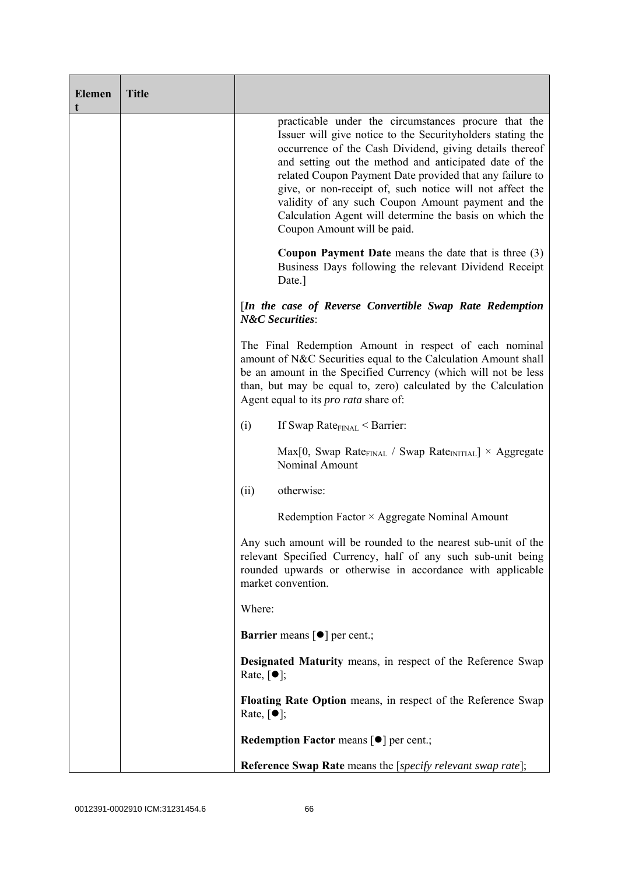| <b>Elemen</b><br>t | <b>Title</b> |                                                                                                                                                                                                                                                                                                                                                                                                                                                                                                                 |
|--------------------|--------------|-----------------------------------------------------------------------------------------------------------------------------------------------------------------------------------------------------------------------------------------------------------------------------------------------------------------------------------------------------------------------------------------------------------------------------------------------------------------------------------------------------------------|
|                    |              | practicable under the circumstances procure that the<br>Issuer will give notice to the Securityholders stating the<br>occurrence of the Cash Dividend, giving details thereof<br>and setting out the method and anticipated date of the<br>related Coupon Payment Date provided that any failure to<br>give, or non-receipt of, such notice will not affect the<br>validity of any such Coupon Amount payment and the<br>Calculation Agent will determine the basis on which the<br>Coupon Amount will be paid. |
|                    |              | <b>Coupon Payment Date</b> means the date that is three $(3)$<br>Business Days following the relevant Dividend Receipt<br>Date.]                                                                                                                                                                                                                                                                                                                                                                                |
|                    |              | [In the case of Reverse Convertible Swap Rate Redemption<br><b>N&amp;C</b> Securities:                                                                                                                                                                                                                                                                                                                                                                                                                          |
|                    |              | The Final Redemption Amount in respect of each nominal<br>amount of N&C Securities equal to the Calculation Amount shall<br>be an amount in the Specified Currency (which will not be less<br>than, but may be equal to, zero) calculated by the Calculation<br>Agent equal to its <i>pro rata</i> share of:                                                                                                                                                                                                    |
|                    |              | (i)<br>If Swap Rate $_{\text{FINAL}}$ < Barrier:                                                                                                                                                                                                                                                                                                                                                                                                                                                                |
|                    |              | $Max[0, Swap Rate_{FINAL} / Swap Rate_{INITIAL}] \times Aggregate$<br>Nominal Amount                                                                                                                                                                                                                                                                                                                                                                                                                            |
|                    |              | otherwise:<br>(ii)                                                                                                                                                                                                                                                                                                                                                                                                                                                                                              |
|                    |              | Redemption Factor × Aggregate Nominal Amount                                                                                                                                                                                                                                                                                                                                                                                                                                                                    |
|                    |              | Any such amount will be rounded to the nearest sub-unit of the<br>relevant Specified Currency, half of any such sub-unit being<br>rounded upwards or otherwise in accordance with applicable<br>market convention.                                                                                                                                                                                                                                                                                              |
|                    |              | Where:                                                                                                                                                                                                                                                                                                                                                                                                                                                                                                          |
|                    |              | <b>Barrier</b> means $\lceil \bullet \rceil$ per cent.;                                                                                                                                                                                                                                                                                                                                                                                                                                                         |
|                    |              | <b>Designated Maturity means, in respect of the Reference Swap</b><br>Rate, $\lceil \bullet \rceil$ ;                                                                                                                                                                                                                                                                                                                                                                                                           |
|                    |              | Floating Rate Option means, in respect of the Reference Swap<br>Rate, $\lceil \bullet \rceil$ ;                                                                                                                                                                                                                                                                                                                                                                                                                 |
|                    |              | <b>Redemption Factor means <math>\lceil \bullet \rceil</math> per cent.;</b>                                                                                                                                                                                                                                                                                                                                                                                                                                    |
|                    |              | <b>Reference Swap Rate</b> means the [specify relevant swap rate];                                                                                                                                                                                                                                                                                                                                                                                                                                              |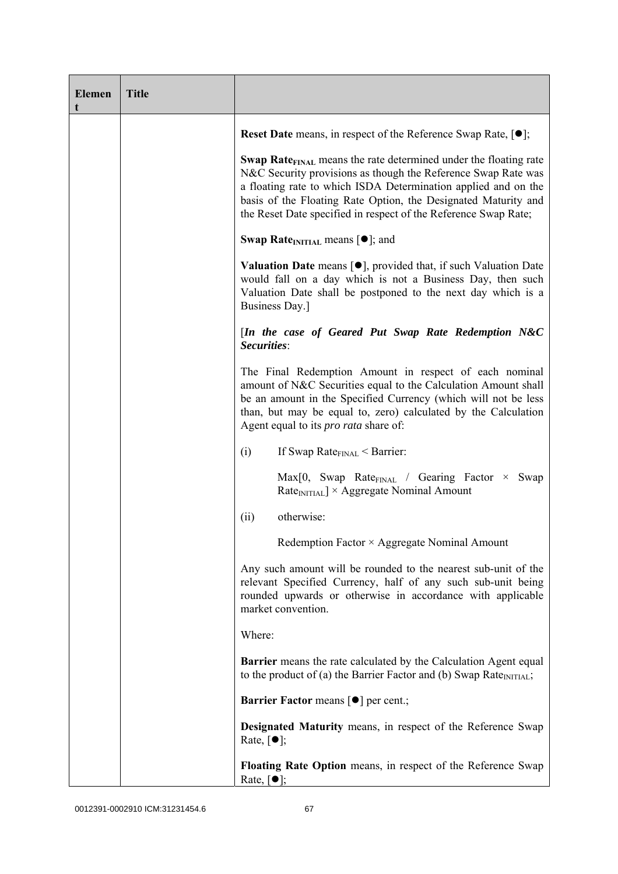| <b>Elemen</b><br>t | <b>Title</b> |                                                                                                                                                                                                                                                                                                                                                             |
|--------------------|--------------|-------------------------------------------------------------------------------------------------------------------------------------------------------------------------------------------------------------------------------------------------------------------------------------------------------------------------------------------------------------|
|                    |              | <b>Reset Date</b> means, in respect of the Reference Swap Rate, $[•]$ ;                                                                                                                                                                                                                                                                                     |
|                    |              | <b>Swap Rate</b> <sub>FINAL</sub> means the rate determined under the floating rate<br>N&C Security provisions as though the Reference Swap Rate was<br>a floating rate to which ISDA Determination applied and on the<br>basis of the Floating Rate Option, the Designated Maturity and<br>the Reset Date specified in respect of the Reference Swap Rate; |
|                    |              | <b>Swap Rate</b> <sub>INITIAL</sub> means $[\bullet]$ ; and                                                                                                                                                                                                                                                                                                 |
|                    |              | <b>Valuation Date</b> means $[\bullet]$ , provided that, if such Valuation Date<br>would fall on a day which is not a Business Day, then such<br>Valuation Date shall be postponed to the next day which is a<br>Business Day.]                                                                                                                             |
|                    |              | [In the case of Geared Put Swap Rate Redemption N&C<br>Securities:                                                                                                                                                                                                                                                                                          |
|                    |              | The Final Redemption Amount in respect of each nominal<br>amount of N&C Securities equal to the Calculation Amount shall<br>be an amount in the Specified Currency (which will not be less<br>than, but may be equal to, zero) calculated by the Calculation<br>Agent equal to its <i>pro rata</i> share of:                                                |
|                    |              | (i)<br>If Swap Rate $_{\text{FINAL}}$ < Barrier:                                                                                                                                                                                                                                                                                                            |
|                    |              | Max[0, Swap Rate <sub>FINAL</sub> / Gearing Factor × Swap<br>Rate <sub>INITIAL</sub> ] × Aggregate Nominal Amount                                                                                                                                                                                                                                           |
|                    |              | otherwise:<br>(ii)                                                                                                                                                                                                                                                                                                                                          |
|                    |              | Redemption Factor × Aggregate Nominal Amount                                                                                                                                                                                                                                                                                                                |
|                    |              | Any such amount will be rounded to the nearest sub-unit of the<br>relevant Specified Currency, half of any such sub-unit being<br>rounded upwards or otherwise in accordance with applicable<br>market convention.                                                                                                                                          |
|                    |              | Where:                                                                                                                                                                                                                                                                                                                                                      |
|                    |              | <b>Barrier</b> means the rate calculated by the Calculation Agent equal<br>to the product of (a) the Barrier Factor and (b) Swap Rate $_{\text{INITIAL}}$ ;                                                                                                                                                                                                 |
|                    |              | <b>Barrier Factor means [<math>\bullet</math>] per cent.;</b>                                                                                                                                                                                                                                                                                               |
|                    |              | <b>Designated Maturity means, in respect of the Reference Swap</b><br>Rate, $\lceil \bullet \rceil$ ;                                                                                                                                                                                                                                                       |
|                    |              | Floating Rate Option means, in respect of the Reference Swap<br>Rate, $\lceil \bullet \rceil$ ;                                                                                                                                                                                                                                                             |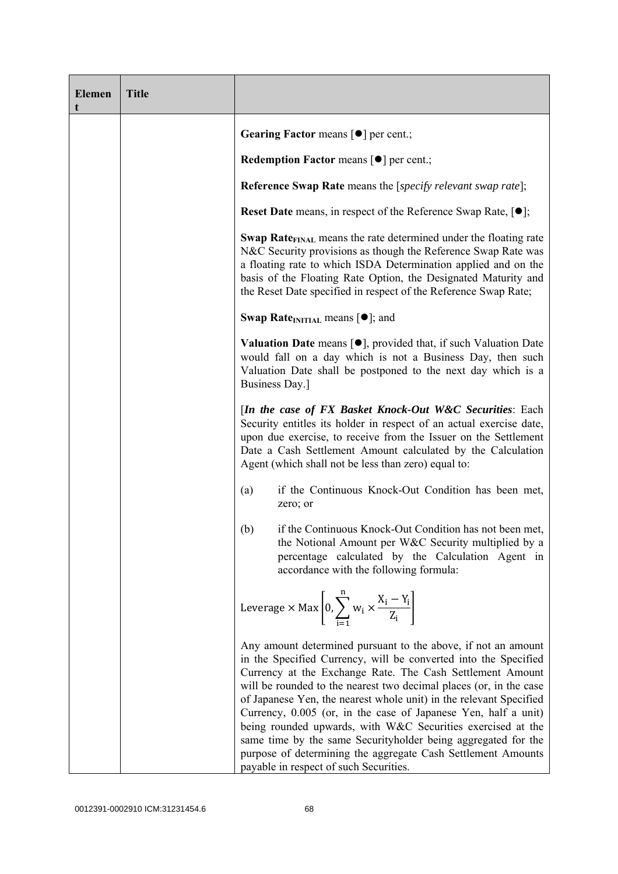| <b>Elemen</b><br>t | <b>Title</b> |                                                                                                                                                                                                                                                                                                                                                                                                                                                                                                                                                                                                                                                       |
|--------------------|--------------|-------------------------------------------------------------------------------------------------------------------------------------------------------------------------------------------------------------------------------------------------------------------------------------------------------------------------------------------------------------------------------------------------------------------------------------------------------------------------------------------------------------------------------------------------------------------------------------------------------------------------------------------------------|
|                    |              | Gearing Factor means [ $\bullet$ ] per cent.;                                                                                                                                                                                                                                                                                                                                                                                                                                                                                                                                                                                                         |
|                    |              | <b>Redemption Factor means [O] per cent.;</b>                                                                                                                                                                                                                                                                                                                                                                                                                                                                                                                                                                                                         |
|                    |              | <b>Reference Swap Rate</b> means the [ <i>specify relevant swap rate</i> ];                                                                                                                                                                                                                                                                                                                                                                                                                                                                                                                                                                           |
|                    |              | <b>Reset Date</b> means, in respect of the Reference Swap Rate, $[•]$ ;                                                                                                                                                                                                                                                                                                                                                                                                                                                                                                                                                                               |
|                    |              | Swap Rate <sub>FINAL</sub> means the rate determined under the floating rate<br>N&C Security provisions as though the Reference Swap Rate was<br>a floating rate to which ISDA Determination applied and on the<br>basis of the Floating Rate Option, the Designated Maturity and<br>the Reset Date specified in respect of the Reference Swap Rate;                                                                                                                                                                                                                                                                                                  |
|                    |              | <b>Swap Rate</b> INITIAL means $[•]$ ; and                                                                                                                                                                                                                                                                                                                                                                                                                                                                                                                                                                                                            |
|                    |              | <b>Valuation Date</b> means $[\bullet]$ , provided that, if such Valuation Date<br>would fall on a day which is not a Business Day, then such<br>Valuation Date shall be postponed to the next day which is a<br>Business Day.]                                                                                                                                                                                                                                                                                                                                                                                                                       |
|                    |              | [In the case of FX Basket Knock-Out W&C Securities: Each<br>Security entitles its holder in respect of an actual exercise date,<br>upon due exercise, to receive from the Issuer on the Settlement<br>Date a Cash Settlement Amount calculated by the Calculation<br>Agent (which shall not be less than zero) equal to:                                                                                                                                                                                                                                                                                                                              |
|                    |              | if the Continuous Knock-Out Condition has been met,<br>(a)<br>zero; or                                                                                                                                                                                                                                                                                                                                                                                                                                                                                                                                                                                |
|                    |              | if the Continuous Knock-Out Condition has not been met,<br>(b)<br>the Notional Amount per W&C Security multiplied by a<br>percentage calculated by the Calculation Agent in<br>accordance with the following formula:                                                                                                                                                                                                                                                                                                                                                                                                                                 |
|                    |              | Leverage $\times$ Max $\left[0, \sum_{i=1}^{n} w_i \times \frac{X_i - Y_i}{Z_i}\right]$                                                                                                                                                                                                                                                                                                                                                                                                                                                                                                                                                               |
|                    |              | Any amount determined pursuant to the above, if not an amount<br>in the Specified Currency, will be converted into the Specified<br>Currency at the Exchange Rate. The Cash Settlement Amount<br>will be rounded to the nearest two decimal places (or, in the case<br>of Japanese Yen, the nearest whole unit) in the relevant Specified<br>Currency, 0.005 (or, in the case of Japanese Yen, half a unit)<br>being rounded upwards, with W&C Securities exercised at the<br>same time by the same Securityholder being aggregated for the<br>purpose of determining the aggregate Cash Settlement Amounts<br>payable in respect of such Securities. |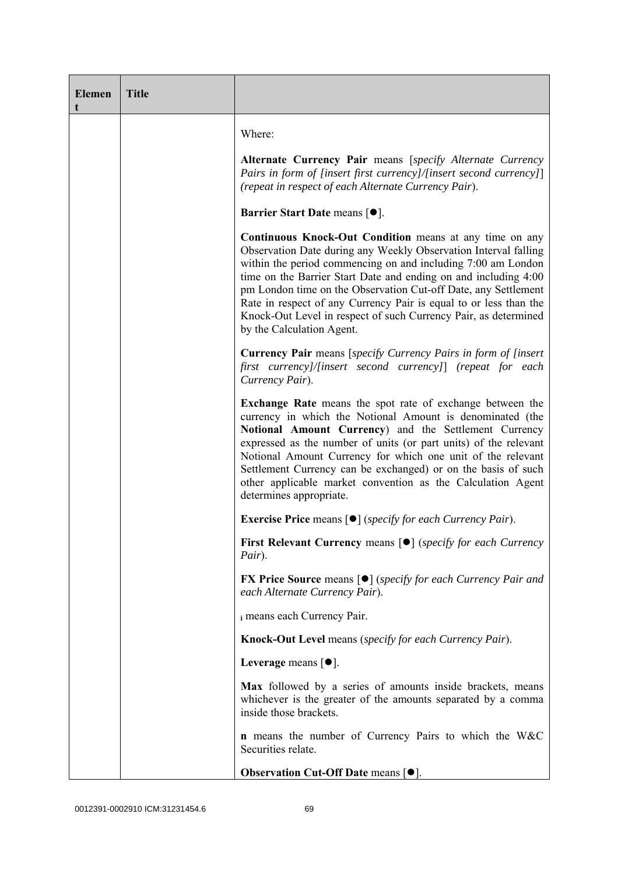| <b>Elemen</b><br>t | <b>Title</b> |                                                                                                                                                                                                                                                                                                                                                                                                                                                                                                      |
|--------------------|--------------|------------------------------------------------------------------------------------------------------------------------------------------------------------------------------------------------------------------------------------------------------------------------------------------------------------------------------------------------------------------------------------------------------------------------------------------------------------------------------------------------------|
|                    |              | Where:                                                                                                                                                                                                                                                                                                                                                                                                                                                                                               |
|                    |              | <b>Alternate Currency Pair means [specify Alternate Currency</b><br>Pairs in form of [insert first currency]/[insert second currency]]<br>(repeat in respect of each Alternate Currency Pair).                                                                                                                                                                                                                                                                                                       |
|                    |              | <b>Barrier Start Date means [<math>\bullet</math>].</b>                                                                                                                                                                                                                                                                                                                                                                                                                                              |
|                    |              | Continuous Knock-Out Condition means at any time on any<br>Observation Date during any Weekly Observation Interval falling<br>within the period commencing on and including 7:00 am London<br>time on the Barrier Start Date and ending on and including 4:00<br>pm London time on the Observation Cut-off Date, any Settlement<br>Rate in respect of any Currency Pair is equal to or less than the<br>Knock-Out Level in respect of such Currency Pair, as determined<br>by the Calculation Agent. |
|                    |              | <b>Currency Pair</b> means [specify Currency Pairs in form of [insert]<br>first currency]/[insert second currency]] (repeat for each<br>Currency Pair).                                                                                                                                                                                                                                                                                                                                              |
|                    |              | <b>Exchange Rate</b> means the spot rate of exchange between the<br>currency in which the Notional Amount is denominated (the<br>Notional Amount Currency) and the Settlement Currency<br>expressed as the number of units (or part units) of the relevant<br>Notional Amount Currency for which one unit of the relevant<br>Settlement Currency can be exchanged) or on the basis of such<br>other applicable market convention as the Calculation Agent<br>determines appropriate.                 |
|                    |              | <b>Exercise Price</b> means [ <sup>●</sup> ] (specify for each Currency Pair).                                                                                                                                                                                                                                                                                                                                                                                                                       |
|                    |              | <b>First Relevant Currency means [O]</b> (specify for each Currency<br>Pair).                                                                                                                                                                                                                                                                                                                                                                                                                        |
|                    |              | <b>FX Price Source</b> means $\lceil \bullet \rceil$ (specify for each Currency Pair and<br>each Alternate Currency Pair).                                                                                                                                                                                                                                                                                                                                                                           |
|                    |              | i means each Currency Pair.                                                                                                                                                                                                                                                                                                                                                                                                                                                                          |
|                    |              | Knock-Out Level means (specify for each Currency Pair).                                                                                                                                                                                                                                                                                                                                                                                                                                              |
|                    |              | Leverage means $[•]$ .                                                                                                                                                                                                                                                                                                                                                                                                                                                                               |
|                    |              | Max followed by a series of amounts inside brackets, means<br>whichever is the greater of the amounts separated by a comma<br>inside those brackets.                                                                                                                                                                                                                                                                                                                                                 |
|                    |              | <b>n</b> means the number of Currency Pairs to which the W&C<br>Securities relate.                                                                                                                                                                                                                                                                                                                                                                                                                   |
|                    |              | Observation Cut-Off Date means [ $\bullet$ ].                                                                                                                                                                                                                                                                                                                                                                                                                                                        |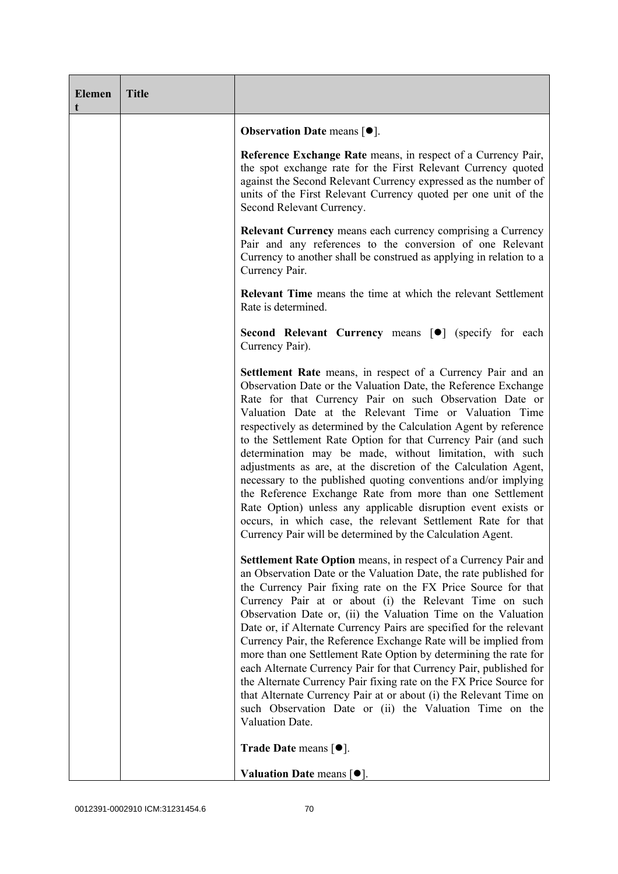| <b>Elemen</b> | <b>Title</b> |                                                                                                                                                                                                                                                                                                                                                                                                                                                                                                                                                                                                                                                                                                                                                                                                                                                             |
|---------------|--------------|-------------------------------------------------------------------------------------------------------------------------------------------------------------------------------------------------------------------------------------------------------------------------------------------------------------------------------------------------------------------------------------------------------------------------------------------------------------------------------------------------------------------------------------------------------------------------------------------------------------------------------------------------------------------------------------------------------------------------------------------------------------------------------------------------------------------------------------------------------------|
|               |              | <b>Observation Date means <math>\lceil \bullet \rceil</math>.</b>                                                                                                                                                                                                                                                                                                                                                                                                                                                                                                                                                                                                                                                                                                                                                                                           |
|               |              | Reference Exchange Rate means, in respect of a Currency Pair,<br>the spot exchange rate for the First Relevant Currency quoted<br>against the Second Relevant Currency expressed as the number of<br>units of the First Relevant Currency quoted per one unit of the<br>Second Relevant Currency.                                                                                                                                                                                                                                                                                                                                                                                                                                                                                                                                                           |
|               |              | <b>Relevant Currency</b> means each currency comprising a Currency<br>Pair and any references to the conversion of one Relevant<br>Currency to another shall be construed as applying in relation to a<br>Currency Pair.                                                                                                                                                                                                                                                                                                                                                                                                                                                                                                                                                                                                                                    |
|               |              | <b>Relevant Time</b> means the time at which the relevant Settlement<br>Rate is determined.                                                                                                                                                                                                                                                                                                                                                                                                                                                                                                                                                                                                                                                                                                                                                                 |
|               |              | Second Relevant Currency means [ $\bullet$ ] (specify for each<br>Currency Pair).                                                                                                                                                                                                                                                                                                                                                                                                                                                                                                                                                                                                                                                                                                                                                                           |
|               |              | <b>Settlement Rate</b> means, in respect of a Currency Pair and an<br>Observation Date or the Valuation Date, the Reference Exchange<br>Rate for that Currency Pair on such Observation Date or<br>Valuation Date at the Relevant Time or Valuation Time<br>respectively as determined by the Calculation Agent by reference<br>to the Settlement Rate Option for that Currency Pair (and such<br>determination may be made, without limitation, with such<br>adjustments as are, at the discretion of the Calculation Agent,<br>necessary to the published quoting conventions and/or implying<br>the Reference Exchange Rate from more than one Settlement<br>Rate Option) unless any applicable disruption event exists or<br>occurs, in which case, the relevant Settlement Rate for that<br>Currency Pair will be determined by the Calculation Agent. |
|               |              | Settlement Rate Option means, in respect of a Currency Pair and<br>an Observation Date or the Valuation Date, the rate published for<br>the Currency Pair fixing rate on the FX Price Source for that<br>Currency Pair at or about (i) the Relevant Time on such<br>Observation Date or, (ii) the Valuation Time on the Valuation<br>Date or, if Alternate Currency Pairs are specified for the relevant<br>Currency Pair, the Reference Exchange Rate will be implied from<br>more than one Settlement Rate Option by determining the rate for<br>each Alternate Currency Pair for that Currency Pair, published for<br>the Alternate Currency Pair fixing rate on the FX Price Source for<br>that Alternate Currency Pair at or about (i) the Relevant Time on<br>such Observation Date or (ii) the Valuation Time on the<br>Valuation Date.              |
|               |              | <b>Trade Date means <math>\lceil \bullet \rceil</math>.</b>                                                                                                                                                                                                                                                                                                                                                                                                                                                                                                                                                                                                                                                                                                                                                                                                 |
|               |              | Valuation Date means $[•]$ .                                                                                                                                                                                                                                                                                                                                                                                                                                                                                                                                                                                                                                                                                                                                                                                                                                |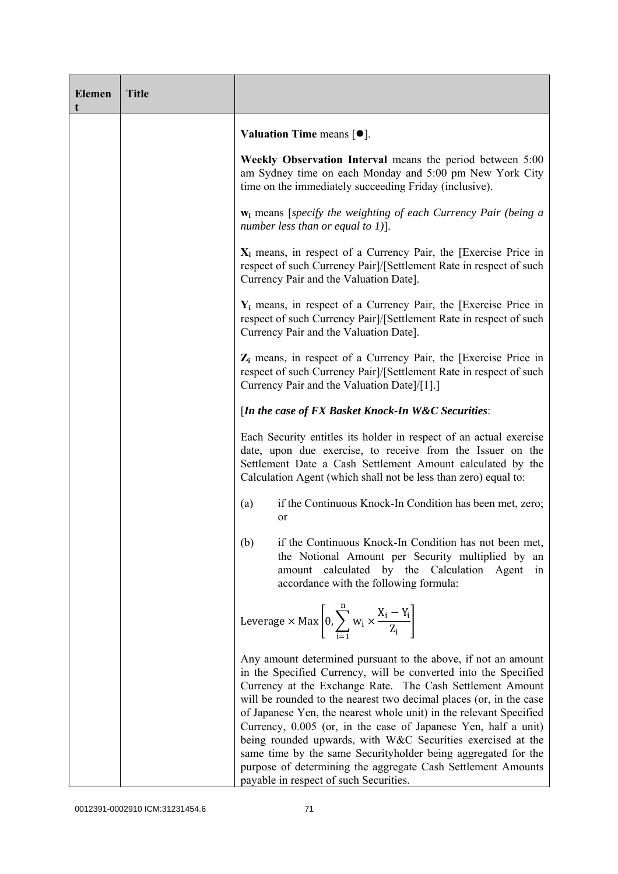| <b>Elemen</b> | <b>Title</b> |                                                                                                                                                                                                                                                                                                                                                                                                                                                                                                                                                                                                                                                       |
|---------------|--------------|-------------------------------------------------------------------------------------------------------------------------------------------------------------------------------------------------------------------------------------------------------------------------------------------------------------------------------------------------------------------------------------------------------------------------------------------------------------------------------------------------------------------------------------------------------------------------------------------------------------------------------------------------------|
|               |              | <b>Valuation Time means <math>[•]</math>.</b>                                                                                                                                                                                                                                                                                                                                                                                                                                                                                                                                                                                                         |
|               |              | Weekly Observation Interval means the period between 5:00<br>am Sydney time on each Monday and 5:00 pm New York City<br>time on the immediately succeeding Friday (inclusive).                                                                                                                                                                                                                                                                                                                                                                                                                                                                        |
|               |              | $w_i$ means [specify the weighting of each Currency Pair (being a<br>number less than or equal to 1)].                                                                                                                                                                                                                                                                                                                                                                                                                                                                                                                                                |
|               |              | $X_i$ means, in respect of a Currency Pair, the [Exercise Price in<br>respect of such Currency Pair]/[Settlement Rate in respect of such<br>Currency Pair and the Valuation Date].                                                                                                                                                                                                                                                                                                                                                                                                                                                                    |
|               |              | $Y_i$ means, in respect of a Currency Pair, the [Exercise Price in<br>respect of such Currency Pair]/[Settlement Rate in respect of such<br>Currency Pair and the Valuation Date].                                                                                                                                                                                                                                                                                                                                                                                                                                                                    |
|               |              | $Z_i$ means, in respect of a Currency Pair, the [Exercise Price in<br>respect of such Currency Pair]/[Settlement Rate in respect of such<br>Currency Pair and the Valuation Date]/[1].]                                                                                                                                                                                                                                                                                                                                                                                                                                                               |
|               |              | [In the case of FX Basket Knock-In W&C Securities:                                                                                                                                                                                                                                                                                                                                                                                                                                                                                                                                                                                                    |
|               |              | Each Security entitles its holder in respect of an actual exercise<br>date, upon due exercise, to receive from the Issuer on the<br>Settlement Date a Cash Settlement Amount calculated by the<br>Calculation Agent (which shall not be less than zero) equal to:                                                                                                                                                                                                                                                                                                                                                                                     |
|               |              | if the Continuous Knock-In Condition has been met, zero;<br>(a)<br><sub>or</sub>                                                                                                                                                                                                                                                                                                                                                                                                                                                                                                                                                                      |
|               |              | if the Continuous Knock-In Condition has not been met,<br>(b)<br>the Notional Amount per Security multiplied by an<br>amount calculated<br>by the Calculation Agent<br>1n<br>accordance with the following formula:                                                                                                                                                                                                                                                                                                                                                                                                                                   |
|               |              | Leverage $\times$ Max $\left  0, \sum_{i=1}^{n} w_i \times \frac{X_i - Y_i}{Z_i} \right $                                                                                                                                                                                                                                                                                                                                                                                                                                                                                                                                                             |
|               |              | Any amount determined pursuant to the above, if not an amount<br>in the Specified Currency, will be converted into the Specified<br>Currency at the Exchange Rate. The Cash Settlement Amount<br>will be rounded to the nearest two decimal places (or, in the case<br>of Japanese Yen, the nearest whole unit) in the relevant Specified<br>Currency, 0.005 (or, in the case of Japanese Yen, half a unit)<br>being rounded upwards, with W&C Securities exercised at the<br>same time by the same Securityholder being aggregated for the<br>purpose of determining the aggregate Cash Settlement Amounts<br>payable in respect of such Securities. |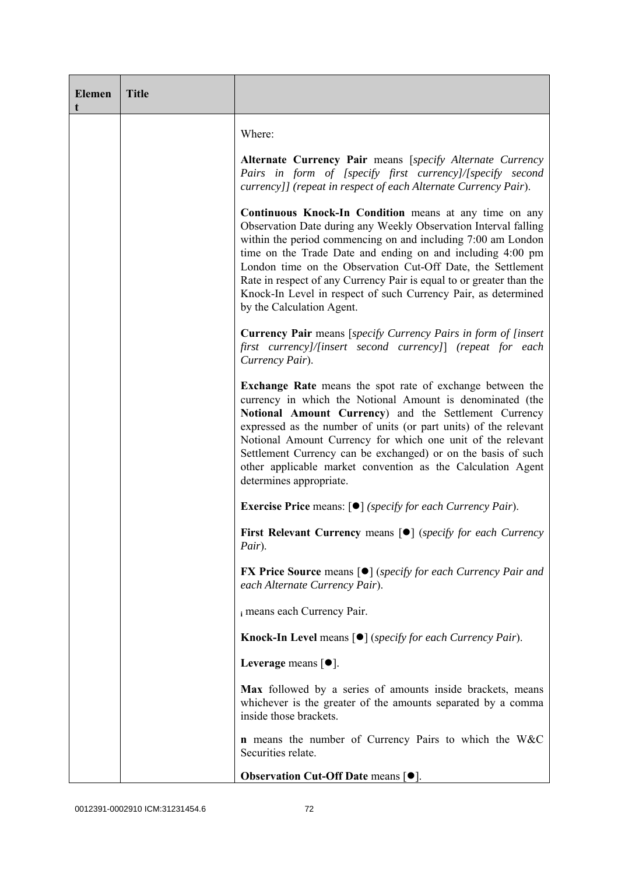| <b>Elemen</b><br>t | <b>Title</b> |                                                                                                                                                                                                                                                                                                                                                                                                                                                                                               |
|--------------------|--------------|-----------------------------------------------------------------------------------------------------------------------------------------------------------------------------------------------------------------------------------------------------------------------------------------------------------------------------------------------------------------------------------------------------------------------------------------------------------------------------------------------|
|                    |              | Where:                                                                                                                                                                                                                                                                                                                                                                                                                                                                                        |
|                    |              | Alternate Currency Pair means [specify Alternate Currency<br>Pairs in form of [specify first currency]/[specify second<br>currency]] (repeat in respect of each Alternate Currency Pair).                                                                                                                                                                                                                                                                                                     |
|                    |              | Continuous Knock-In Condition means at any time on any<br>Observation Date during any Weekly Observation Interval falling<br>within the period commencing on and including 7:00 am London<br>time on the Trade Date and ending on and including 4:00 pm<br>London time on the Observation Cut-Off Date, the Settlement<br>Rate in respect of any Currency Pair is equal to or greater than the<br>Knock-In Level in respect of such Currency Pair, as determined<br>by the Calculation Agent. |
|                    |              | <b>Currency Pair</b> means [specify Currency Pairs in form of [insert]<br>first currency]/[insert second currency]] (repeat for each<br>Currency Pair).                                                                                                                                                                                                                                                                                                                                       |
|                    |              | Exchange Rate means the spot rate of exchange between the<br>currency in which the Notional Amount is denominated (the<br>Notional Amount Currency) and the Settlement Currency<br>expressed as the number of units (or part units) of the relevant<br>Notional Amount Currency for which one unit of the relevant<br>Settlement Currency can be exchanged) or on the basis of such<br>other applicable market convention as the Calculation Agent<br>determines appropriate.                 |
|                    |              | <b>Exercise Price</b> means: $\lceil \bullet \rceil$ ( <i>specify for each Currency Pair</i> ).                                                                                                                                                                                                                                                                                                                                                                                               |
|                    |              | First Relevant Currency means [ $\bullet$ ] (specify for each Currency<br>Pair).                                                                                                                                                                                                                                                                                                                                                                                                              |
|                    |              | <b>FX Price Source means [<math>\bullet</math>]</b> (specify for each Currency Pair and<br>each Alternate Currency Pair).                                                                                                                                                                                                                                                                                                                                                                     |
|                    |              | i means each Currency Pair.                                                                                                                                                                                                                                                                                                                                                                                                                                                                   |
|                    |              | Knock-In Level means [ $\bullet$ ] (specify for each Currency Pair).                                                                                                                                                                                                                                                                                                                                                                                                                          |
|                    |              | Leverage means $[•]$ .                                                                                                                                                                                                                                                                                                                                                                                                                                                                        |
|                    |              | Max followed by a series of amounts inside brackets, means<br>whichever is the greater of the amounts separated by a comma<br>inside those brackets.                                                                                                                                                                                                                                                                                                                                          |
|                    |              | <b>n</b> means the number of Currency Pairs to which the W&C<br>Securities relate.                                                                                                                                                                                                                                                                                                                                                                                                            |
|                    |              | Observation Cut-Off Date means $[•]$ .                                                                                                                                                                                                                                                                                                                                                                                                                                                        |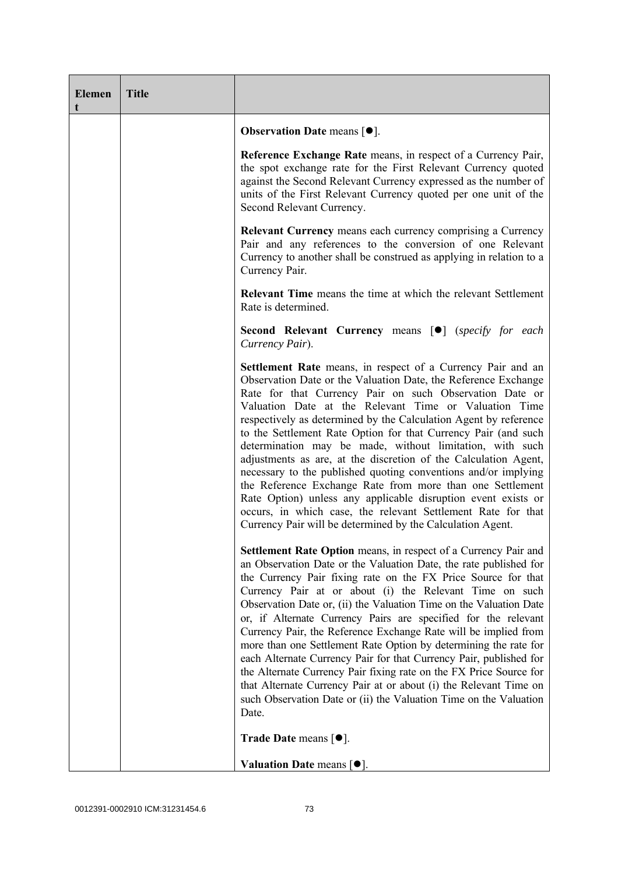| <b>Elemen</b><br>t | <b>Title</b> |                                                                                                                                                                                                                                                                                                                                                                                                                                                                                                                                                                                                                                                                                                                                                                                                                                                       |
|--------------------|--------------|-------------------------------------------------------------------------------------------------------------------------------------------------------------------------------------------------------------------------------------------------------------------------------------------------------------------------------------------------------------------------------------------------------------------------------------------------------------------------------------------------------------------------------------------------------------------------------------------------------------------------------------------------------------------------------------------------------------------------------------------------------------------------------------------------------------------------------------------------------|
|                    |              | <b>Observation Date means <math>\lceil \bullet \rceil</math>.</b>                                                                                                                                                                                                                                                                                                                                                                                                                                                                                                                                                                                                                                                                                                                                                                                     |
|                    |              | Reference Exchange Rate means, in respect of a Currency Pair,<br>the spot exchange rate for the First Relevant Currency quoted<br>against the Second Relevant Currency expressed as the number of<br>units of the First Relevant Currency quoted per one unit of the<br>Second Relevant Currency.                                                                                                                                                                                                                                                                                                                                                                                                                                                                                                                                                     |
|                    |              | <b>Relevant Currency</b> means each currency comprising a Currency<br>Pair and any references to the conversion of one Relevant<br>Currency to another shall be construed as applying in relation to a<br>Currency Pair.                                                                                                                                                                                                                                                                                                                                                                                                                                                                                                                                                                                                                              |
|                    |              | <b>Relevant Time</b> means the time at which the relevant Settlement<br>Rate is determined.                                                                                                                                                                                                                                                                                                                                                                                                                                                                                                                                                                                                                                                                                                                                                           |
|                    |              | Second Relevant Currency means [ <sup>•</sup> ] (specify for each<br>Currency Pair).                                                                                                                                                                                                                                                                                                                                                                                                                                                                                                                                                                                                                                                                                                                                                                  |
|                    |              | Settlement Rate means, in respect of a Currency Pair and an<br>Observation Date or the Valuation Date, the Reference Exchange<br>Rate for that Currency Pair on such Observation Date or<br>Valuation Date at the Relevant Time or Valuation Time<br>respectively as determined by the Calculation Agent by reference<br>to the Settlement Rate Option for that Currency Pair (and such<br>determination may be made, without limitation, with such<br>adjustments as are, at the discretion of the Calculation Agent,<br>necessary to the published quoting conventions and/or implying<br>the Reference Exchange Rate from more than one Settlement<br>Rate Option) unless any applicable disruption event exists or<br>occurs, in which case, the relevant Settlement Rate for that<br>Currency Pair will be determined by the Calculation Agent.  |
|                    |              | <b>Settlement Rate Option</b> means, in respect of a Currency Pair and<br>an Observation Date or the Valuation Date, the rate published for<br>the Currency Pair fixing rate on the FX Price Source for that<br>Currency Pair at or about (i) the Relevant Time on such<br>Observation Date or, (ii) the Valuation Time on the Valuation Date<br>or, if Alternate Currency Pairs are specified for the relevant<br>Currency Pair, the Reference Exchange Rate will be implied from<br>more than one Settlement Rate Option by determining the rate for<br>each Alternate Currency Pair for that Currency Pair, published for<br>the Alternate Currency Pair fixing rate on the FX Price Source for<br>that Alternate Currency Pair at or about (i) the Relevant Time on<br>such Observation Date or (ii) the Valuation Time on the Valuation<br>Date. |
|                    |              | <b>Trade Date means <math>[•]</math>.</b>                                                                                                                                                                                                                                                                                                                                                                                                                                                                                                                                                                                                                                                                                                                                                                                                             |
|                    |              | Valuation Date means $[•]$ .                                                                                                                                                                                                                                                                                                                                                                                                                                                                                                                                                                                                                                                                                                                                                                                                                          |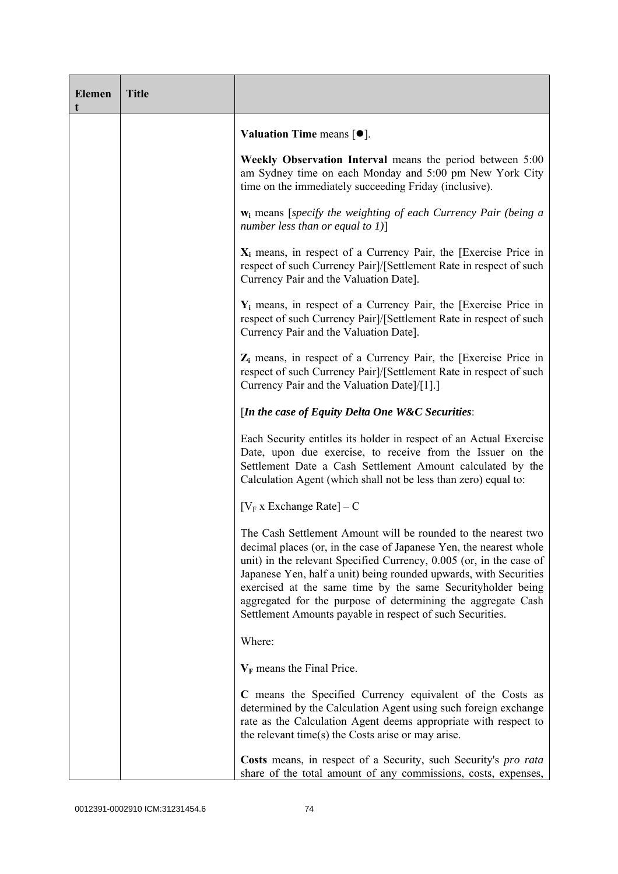| <b>Elemen</b><br>t | <b>Title</b> |                                                                                                                                                                                                                                                                                                                                                                                                                                                                             |
|--------------------|--------------|-----------------------------------------------------------------------------------------------------------------------------------------------------------------------------------------------------------------------------------------------------------------------------------------------------------------------------------------------------------------------------------------------------------------------------------------------------------------------------|
|                    |              | <b>Valuation Time means <math>[•]</math>.</b>                                                                                                                                                                                                                                                                                                                                                                                                                               |
|                    |              | Weekly Observation Interval means the period between 5:00<br>am Sydney time on each Monday and 5:00 pm New York City<br>time on the immediately succeeding Friday (inclusive).                                                                                                                                                                                                                                                                                              |
|                    |              | $w_i$ means [specify the weighting of each Currency Pair (being a<br>number less than or equal to $1$ ]                                                                                                                                                                                                                                                                                                                                                                     |
|                    |              | $X_i$ means, in respect of a Currency Pair, the [Exercise Price in<br>respect of such Currency Pair]/[Settlement Rate in respect of such<br>Currency Pair and the Valuation Date].                                                                                                                                                                                                                                                                                          |
|                    |              | $Y_i$ means, in respect of a Currency Pair, the [Exercise Price in<br>respect of such Currency Pair]/[Settlement Rate in respect of such<br>Currency Pair and the Valuation Date].                                                                                                                                                                                                                                                                                          |
|                    |              | $Z_i$ means, in respect of a Currency Pair, the [Exercise Price in<br>respect of such Currency Pair]/[Settlement Rate in respect of such<br>Currency Pair and the Valuation Date]/[1].]                                                                                                                                                                                                                                                                                     |
|                    |              | [In the case of Equity Delta One W&C Securities:                                                                                                                                                                                                                                                                                                                                                                                                                            |
|                    |              | Each Security entitles its holder in respect of an Actual Exercise<br>Date, upon due exercise, to receive from the Issuer on the<br>Settlement Date a Cash Settlement Amount calculated by the<br>Calculation Agent (which shall not be less than zero) equal to:                                                                                                                                                                                                           |
|                    |              | $[V_F x]$ Exchange Rate] – C                                                                                                                                                                                                                                                                                                                                                                                                                                                |
|                    |              | The Cash Settlement Amount will be rounded to the nearest two<br>decimal places (or, in the case of Japanese Yen, the nearest whole<br>unit) in the relevant Specified Currency, 0.005 (or, in the case of<br>Japanese Yen, half a unit) being rounded upwards, with Securities<br>exercised at the same time by the same Securityholder being<br>aggregated for the purpose of determining the aggregate Cash<br>Settlement Amounts payable in respect of such Securities. |
|                    |              | Where:                                                                                                                                                                                                                                                                                                                                                                                                                                                                      |
|                    |              | $V_F$ means the Final Price.                                                                                                                                                                                                                                                                                                                                                                                                                                                |
|                    |              | C means the Specified Currency equivalent of the Costs as<br>determined by the Calculation Agent using such foreign exchange<br>rate as the Calculation Agent deems appropriate with respect to<br>the relevant time(s) the Costs arise or may arise.                                                                                                                                                                                                                       |
|                    |              | Costs means, in respect of a Security, such Security's pro rata<br>share of the total amount of any commissions, costs, expenses,                                                                                                                                                                                                                                                                                                                                           |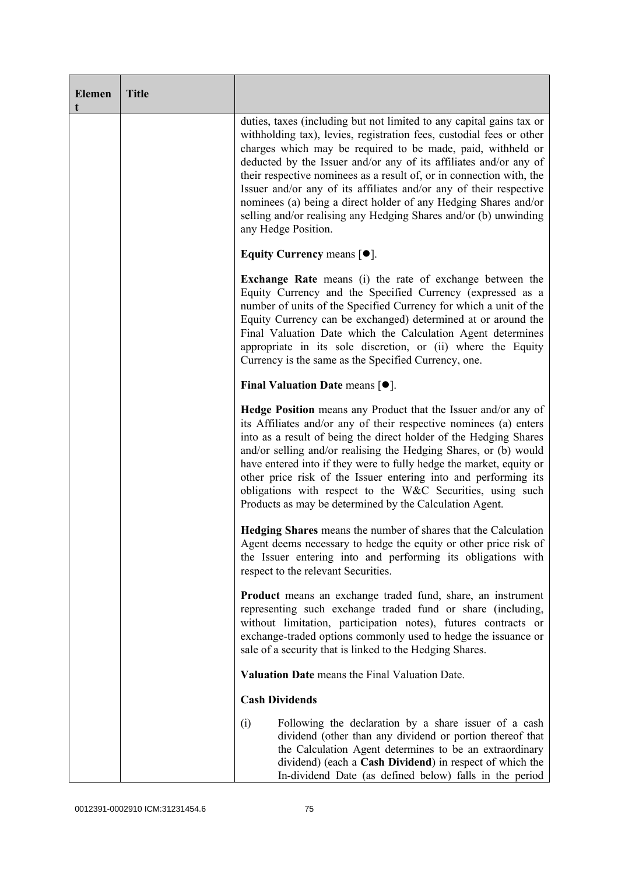| <b>Elemen</b><br>t | <b>Title</b> |                                                                                                                                                                                                                                                                                                                                                                                                                                                                                                                                                                                              |
|--------------------|--------------|----------------------------------------------------------------------------------------------------------------------------------------------------------------------------------------------------------------------------------------------------------------------------------------------------------------------------------------------------------------------------------------------------------------------------------------------------------------------------------------------------------------------------------------------------------------------------------------------|
|                    |              | duties, taxes (including but not limited to any capital gains tax or<br>withholding tax), levies, registration fees, custodial fees or other<br>charges which may be required to be made, paid, withheld or<br>deducted by the Issuer and/or any of its affiliates and/or any of<br>their respective nominees as a result of, or in connection with, the<br>Issuer and/or any of its affiliates and/or any of their respective<br>nominees (a) being a direct holder of any Hedging Shares and/or<br>selling and/or realising any Hedging Shares and/or (b) unwinding<br>any Hedge Position. |
|                    |              | Equity Currency means $[\bullet].$                                                                                                                                                                                                                                                                                                                                                                                                                                                                                                                                                           |
|                    |              | <b>Exchange Rate</b> means (i) the rate of exchange between the<br>Equity Currency and the Specified Currency (expressed as a<br>number of units of the Specified Currency for which a unit of the<br>Equity Currency can be exchanged) determined at or around the<br>Final Valuation Date which the Calculation Agent determines<br>appropriate in its sole discretion, or (ii) where the Equity<br>Currency is the same as the Specified Currency, one.                                                                                                                                   |
|                    |              | Final Valuation Date means $[•]$ .                                                                                                                                                                                                                                                                                                                                                                                                                                                                                                                                                           |
|                    |              | Hedge Position means any Product that the Issuer and/or any of<br>its Affiliates and/or any of their respective nominees (a) enters<br>into as a result of being the direct holder of the Hedging Shares<br>and/or selling and/or realising the Hedging Shares, or (b) would<br>have entered into if they were to fully hedge the market, equity or<br>other price risk of the Issuer entering into and performing its<br>obligations with respect to the W&C Securities, using such<br>Products as may be determined by the Calculation Agent.                                              |
|                    |              | Hedging Shares means the number of shares that the Calculation<br>Agent deems necessary to hedge the equity or other price risk of<br>the Issuer entering into and performing its obligations with<br>respect to the relevant Securities.                                                                                                                                                                                                                                                                                                                                                    |
|                    |              | Product means an exchange traded fund, share, an instrument<br>representing such exchange traded fund or share (including,<br>without limitation, participation notes), futures contracts or<br>exchange-traded options commonly used to hedge the issuance or<br>sale of a security that is linked to the Hedging Shares.                                                                                                                                                                                                                                                                   |
|                    |              | Valuation Date means the Final Valuation Date.                                                                                                                                                                                                                                                                                                                                                                                                                                                                                                                                               |
|                    |              | <b>Cash Dividends</b>                                                                                                                                                                                                                                                                                                                                                                                                                                                                                                                                                                        |
|                    |              | (i)<br>Following the declaration by a share issuer of a cash<br>dividend (other than any dividend or portion thereof that<br>the Calculation Agent determines to be an extraordinary<br>dividend) (each a Cash Dividend) in respect of which the<br>In-dividend Date (as defined below) falls in the period                                                                                                                                                                                                                                                                                  |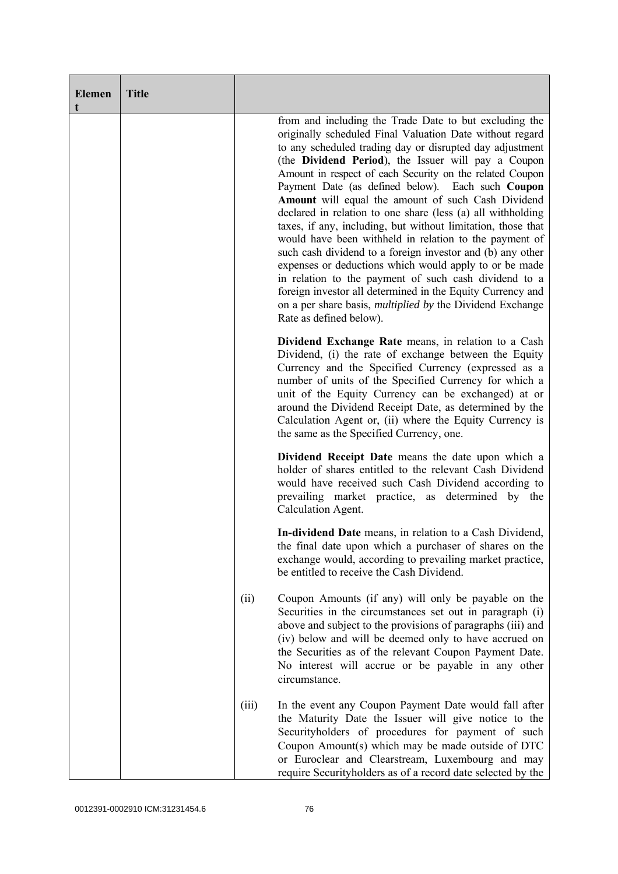| <b>Elemen</b><br>t | <b>Title</b> |       |                                                                                                                                                                                                                                                                                                                                                                                                                                                                                                                                                                                                                                                                                                                                                                                                                                                                                                                                                     |
|--------------------|--------------|-------|-----------------------------------------------------------------------------------------------------------------------------------------------------------------------------------------------------------------------------------------------------------------------------------------------------------------------------------------------------------------------------------------------------------------------------------------------------------------------------------------------------------------------------------------------------------------------------------------------------------------------------------------------------------------------------------------------------------------------------------------------------------------------------------------------------------------------------------------------------------------------------------------------------------------------------------------------------|
|                    |              |       | from and including the Trade Date to but excluding the<br>originally scheduled Final Valuation Date without regard<br>to any scheduled trading day or disrupted day adjustment<br>(the Dividend Period), the Issuer will pay a Coupon<br>Amount in respect of each Security on the related Coupon<br>Payment Date (as defined below). Each such Coupon<br>Amount will equal the amount of such Cash Dividend<br>declared in relation to one share (less (a) all withholding<br>taxes, if any, including, but without limitation, those that<br>would have been withheld in relation to the payment of<br>such cash dividend to a foreign investor and (b) any other<br>expenses or deductions which would apply to or be made<br>in relation to the payment of such cash dividend to a<br>foreign investor all determined in the Equity Currency and<br>on a per share basis, <i>multiplied by</i> the Dividend Exchange<br>Rate as defined below). |
|                    |              |       | Dividend Exchange Rate means, in relation to a Cash<br>Dividend, (i) the rate of exchange between the Equity<br>Currency and the Specified Currency (expressed as a<br>number of units of the Specified Currency for which a<br>unit of the Equity Currency can be exchanged) at or<br>around the Dividend Receipt Date, as determined by the<br>Calculation Agent or, (ii) where the Equity Currency is<br>the same as the Specified Currency, one.                                                                                                                                                                                                                                                                                                                                                                                                                                                                                                |
|                    |              |       | Dividend Receipt Date means the date upon which a<br>holder of shares entitled to the relevant Cash Dividend<br>would have received such Cash Dividend according to<br>prevailing market practice, as determined by the<br>Calculation Agent.                                                                                                                                                                                                                                                                                                                                                                                                                                                                                                                                                                                                                                                                                                       |
|                    |              |       | In-dividend Date means, in relation to a Cash Dividend,<br>the final date upon which a purchaser of shares on the<br>exchange would, according to prevailing market practice,<br>be entitled to receive the Cash Dividend.                                                                                                                                                                                                                                                                                                                                                                                                                                                                                                                                                                                                                                                                                                                          |
|                    |              | (ii)  | Coupon Amounts (if any) will only be payable on the<br>Securities in the circumstances set out in paragraph (i)<br>above and subject to the provisions of paragraphs (iii) and<br>(iv) below and will be deemed only to have accrued on<br>the Securities as of the relevant Coupon Payment Date.<br>No interest will accrue or be payable in any other<br>circumstance.                                                                                                                                                                                                                                                                                                                                                                                                                                                                                                                                                                            |
|                    |              | (iii) | In the event any Coupon Payment Date would fall after<br>the Maturity Date the Issuer will give notice to the<br>Securityholders of procedures for payment of such<br>Coupon Amount(s) which may be made outside of DTC<br>or Euroclear and Clearstream, Luxembourg and may<br>require Securityholders as of a record date selected by the                                                                                                                                                                                                                                                                                                                                                                                                                                                                                                                                                                                                          |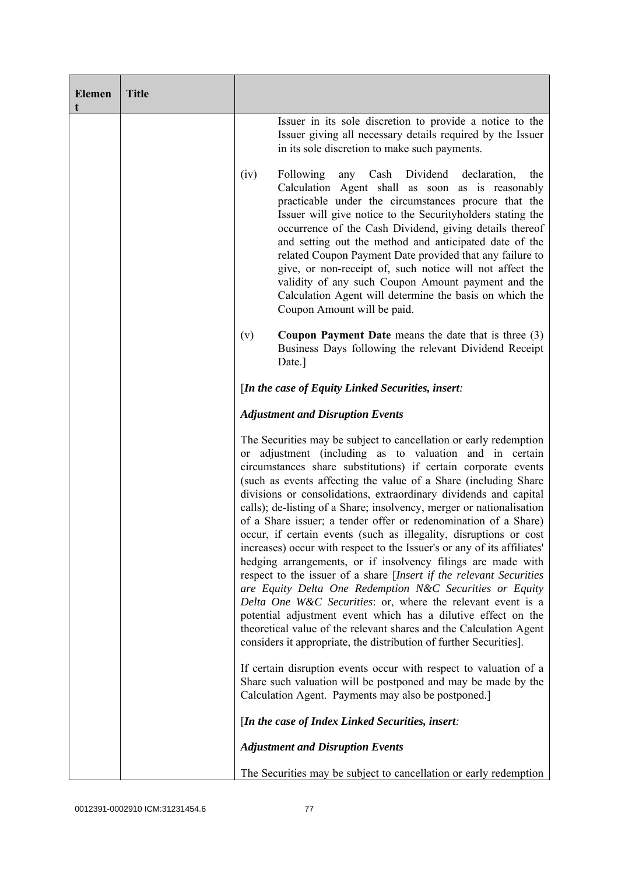| <b>Elemen</b><br>t | <b>Title</b> |                                                                                                                                                                                                                                                                                                                                                                                                                                                                                                                                                                                                                                                                                                                                                                                                                                                                                                                                                                                                                                                                                                                 |
|--------------------|--------------|-----------------------------------------------------------------------------------------------------------------------------------------------------------------------------------------------------------------------------------------------------------------------------------------------------------------------------------------------------------------------------------------------------------------------------------------------------------------------------------------------------------------------------------------------------------------------------------------------------------------------------------------------------------------------------------------------------------------------------------------------------------------------------------------------------------------------------------------------------------------------------------------------------------------------------------------------------------------------------------------------------------------------------------------------------------------------------------------------------------------|
|                    |              | Issuer in its sole discretion to provide a notice to the<br>Issuer giving all necessary details required by the Issuer<br>in its sole discretion to make such payments.                                                                                                                                                                                                                                                                                                                                                                                                                                                                                                                                                                                                                                                                                                                                                                                                                                                                                                                                         |
|                    |              | Following<br>any Cash Dividend declaration,<br>(iv)<br>the<br>Calculation Agent shall as soon as is reasonably<br>practicable under the circumstances procure that the<br>Issuer will give notice to the Securityholders stating the<br>occurrence of the Cash Dividend, giving details thereof<br>and setting out the method and anticipated date of the<br>related Coupon Payment Date provided that any failure to<br>give, or non-receipt of, such notice will not affect the<br>validity of any such Coupon Amount payment and the<br>Calculation Agent will determine the basis on which the<br>Coupon Amount will be paid.                                                                                                                                                                                                                                                                                                                                                                                                                                                                               |
|                    |              | <b>Coupon Payment Date</b> means the date that is three $(3)$<br>(v)<br>Business Days following the relevant Dividend Receipt<br>Date.]                                                                                                                                                                                                                                                                                                                                                                                                                                                                                                                                                                                                                                                                                                                                                                                                                                                                                                                                                                         |
|                    |              | [In the case of Equity Linked Securities, insert:                                                                                                                                                                                                                                                                                                                                                                                                                                                                                                                                                                                                                                                                                                                                                                                                                                                                                                                                                                                                                                                               |
|                    |              | <b>Adjustment and Disruption Events</b>                                                                                                                                                                                                                                                                                                                                                                                                                                                                                                                                                                                                                                                                                                                                                                                                                                                                                                                                                                                                                                                                         |
|                    |              | The Securities may be subject to cancellation or early redemption<br>or adjustment (including as to valuation and in certain<br>circumstances share substitutions) if certain corporate events<br>(such as events affecting the value of a Share (including Share<br>divisions or consolidations, extraordinary dividends and capital<br>calls); de-listing of a Share; insolvency, merger or nationalisation<br>of a Share issuer; a tender offer or redenomination of a Share)<br>occur, if certain events (such as illegality, disruptions or cost<br>increases) occur with respect to the Issuer's or any of its affiliates'<br>hedging arrangements, or if insolvency filings are made with<br>respect to the issuer of a share [Insert if the relevant Securities<br>are Equity Delta One Redemption N&C Securities or Equity<br>Delta One W&C Securities: or, where the relevant event is a<br>potential adjustment event which has a dilutive effect on the<br>theoretical value of the relevant shares and the Calculation Agent<br>considers it appropriate, the distribution of further Securities]. |
|                    |              | If certain disruption events occur with respect to valuation of a<br>Share such valuation will be postponed and may be made by the<br>Calculation Agent. Payments may also be postponed.]                                                                                                                                                                                                                                                                                                                                                                                                                                                                                                                                                                                                                                                                                                                                                                                                                                                                                                                       |
|                    |              | [In the case of Index Linked Securities, insert:                                                                                                                                                                                                                                                                                                                                                                                                                                                                                                                                                                                                                                                                                                                                                                                                                                                                                                                                                                                                                                                                |
|                    |              | <b>Adjustment and Disruption Events</b>                                                                                                                                                                                                                                                                                                                                                                                                                                                                                                                                                                                                                                                                                                                                                                                                                                                                                                                                                                                                                                                                         |
|                    |              | The Securities may be subject to cancellation or early redemption                                                                                                                                                                                                                                                                                                                                                                                                                                                                                                                                                                                                                                                                                                                                                                                                                                                                                                                                                                                                                                               |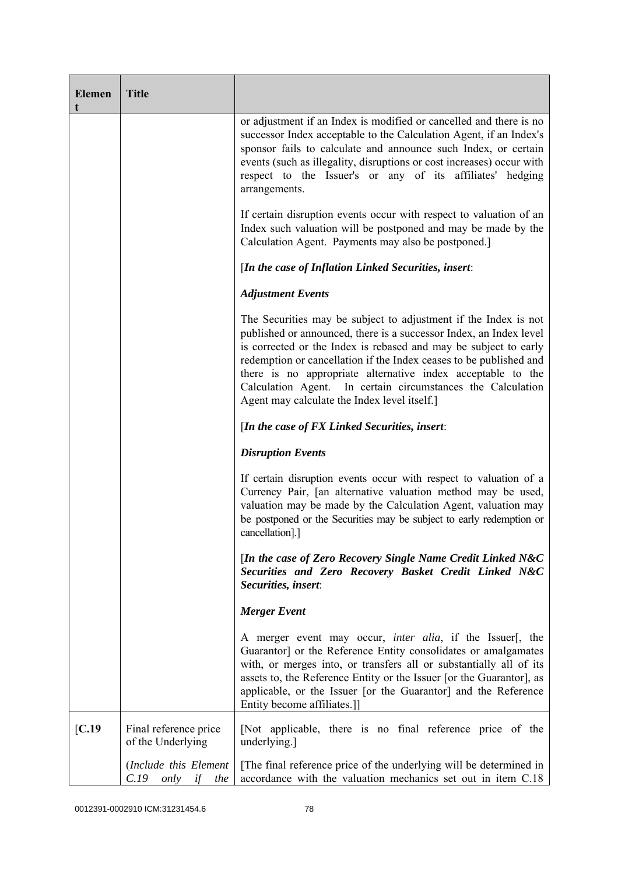| <b>Elemen</b> | <b>Title</b>                                       |                                                                                                                                                                                                                                                                                                                                                                                                                                                               |
|---------------|----------------------------------------------------|---------------------------------------------------------------------------------------------------------------------------------------------------------------------------------------------------------------------------------------------------------------------------------------------------------------------------------------------------------------------------------------------------------------------------------------------------------------|
|               |                                                    | or adjustment if an Index is modified or cancelled and there is no<br>successor Index acceptable to the Calculation Agent, if an Index's<br>sponsor fails to calculate and announce such Index, or certain<br>events (such as illegality, disruptions or cost increases) occur with<br>respect to the Issuer's or any of its affiliates' hedging<br>arrangements.                                                                                             |
|               |                                                    | If certain disruption events occur with respect to valuation of an<br>Index such valuation will be postponed and may be made by the<br>Calculation Agent. Payments may also be postponed.]                                                                                                                                                                                                                                                                    |
|               |                                                    | [In the case of Inflation Linked Securities, insert:                                                                                                                                                                                                                                                                                                                                                                                                          |
|               |                                                    | <b>Adjustment Events</b>                                                                                                                                                                                                                                                                                                                                                                                                                                      |
|               |                                                    | The Securities may be subject to adjustment if the Index is not<br>published or announced, there is a successor Index, an Index level<br>is corrected or the Index is rebased and may be subject to early<br>redemption or cancellation if the Index ceases to be published and<br>there is no appropriate alternative index acceptable to the<br>Calculation Agent. In certain circumstances the Calculation<br>Agent may calculate the Index level itself.] |
|               |                                                    | [In the case of FX Linked Securities, insert:                                                                                                                                                                                                                                                                                                                                                                                                                 |
|               |                                                    | <b>Disruption Events</b>                                                                                                                                                                                                                                                                                                                                                                                                                                      |
|               |                                                    | If certain disruption events occur with respect to valuation of a<br>Currency Pair, [an alternative valuation method may be used,<br>valuation may be made by the Calculation Agent, valuation may<br>be postponed or the Securities may be subject to early redemption or<br>cancellation].]                                                                                                                                                                 |
|               |                                                    | [In the case of Zero Recovery Single Name Credit Linked N&C<br>Securities and Zero Recovery Basket Credit Linked N&C<br>Securities, insert:                                                                                                                                                                                                                                                                                                                   |
|               |                                                    | <b>Merger Event</b>                                                                                                                                                                                                                                                                                                                                                                                                                                           |
|               |                                                    | A merger event may occur, <i>inter alia</i> , if the Issuer[, the<br>Guarantor] or the Reference Entity consolidates or amalgamates<br>with, or merges into, or transfers all or substantially all of its<br>assets to, the Reference Entity or the Issuer [or the Guarantor], as<br>applicable, or the Issuer [or the Guarantor] and the Reference<br>Entity become affiliates.]]                                                                            |
| [C.19]        | Final reference price<br>of the Underlying         | [Not applicable, there is no final reference price of the<br>underlying.]                                                                                                                                                                                                                                                                                                                                                                                     |
|               | (Include this Element<br>if<br>C.19<br>only<br>the | The final reference price of the underlying will be determined in<br>accordance with the valuation mechanics set out in item C.18                                                                                                                                                                                                                                                                                                                             |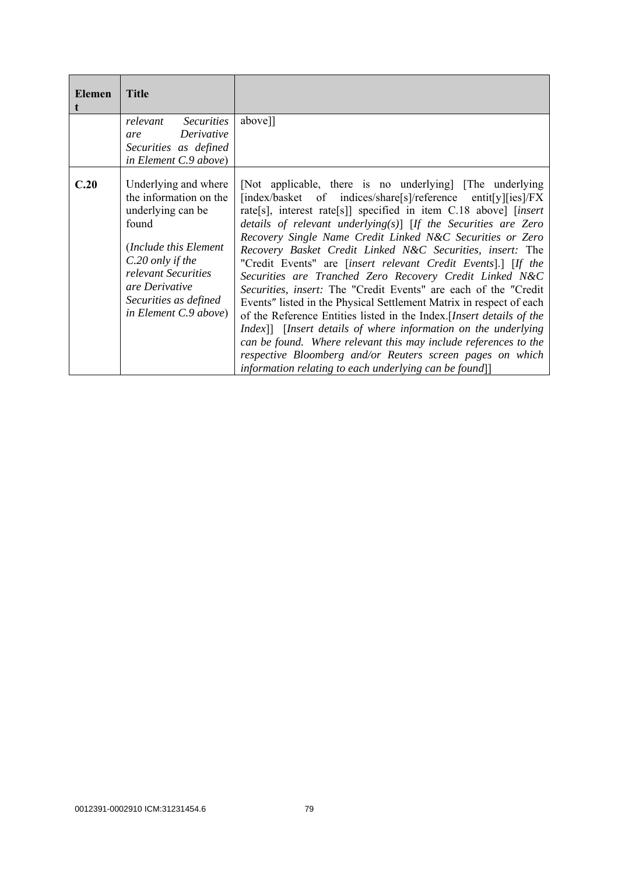| <b>Elemen</b> | <b>Title</b>                                                                                                                                                                                                         |                                                                                                                                                                                                                                                                                                                                                                                                                                                                                                                                                                                                                                                                                                                                                                                                                                                                                                                                                                                                                     |
|---------------|----------------------------------------------------------------------------------------------------------------------------------------------------------------------------------------------------------------------|---------------------------------------------------------------------------------------------------------------------------------------------------------------------------------------------------------------------------------------------------------------------------------------------------------------------------------------------------------------------------------------------------------------------------------------------------------------------------------------------------------------------------------------------------------------------------------------------------------------------------------------------------------------------------------------------------------------------------------------------------------------------------------------------------------------------------------------------------------------------------------------------------------------------------------------------------------------------------------------------------------------------|
|               | relevant<br><b>Securities</b><br>Derivative<br>are<br>Securities as defined<br>in Element C.9 above)                                                                                                                 | above]]                                                                                                                                                                                                                                                                                                                                                                                                                                                                                                                                                                                                                                                                                                                                                                                                                                                                                                                                                                                                             |
| C.20          | Underlying and where<br>the information on the<br>underlying can be<br>found<br>(Include this Element<br>C.20 only if the<br>relevant Securities<br>are Derivative<br>Securities as defined<br>in Element C.9 above) | [Not applicable, there is no underlying] [The underlying]<br>[index/basket of indices/share[s]/reference entit[y][ies]/FX<br>rate[s], interest rate[s]] specified in item C.18 above] [insert<br>details of relevant underlying(s)] [If the Securities are Zero<br>Recovery Single Name Credit Linked N&C Securities or Zero<br>Recovery Basket Credit Linked N&C Securities, insert: The<br>"Credit Events" are <i>[insert relevant Credit Events].]</i> [If the<br>Securities are Tranched Zero Recovery Credit Linked N&C<br><i>Securities, insert:</i> The "Credit Events" are each of the "Credit"<br>Events" listed in the Physical Settlement Matrix in respect of each<br>of the Reference Entities listed in the Index. [Insert details of the<br>Index]] [Insert details of where information on the underlying<br>can be found. Where relevant this may include references to the<br>respective Bloomberg and/or Reuters screen pages on which<br>information relating to each underlying can be found]] |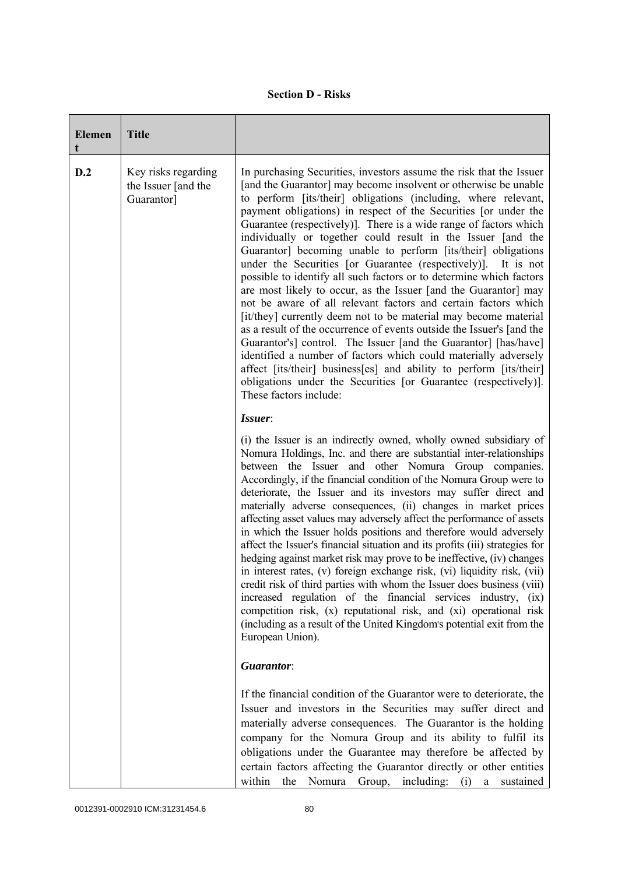|  | <b>Section D - Risks</b> |
|--|--------------------------|
|--|--------------------------|

| <b>Elemen</b> | <b>Title</b>                                             |                                                                                                                                                                                                                                                                                                                                                                                                                                                                                                                                                                                                                                                                                                                                                                                                                                                                                                                                                                                                                                                                                                                                                                                                                        |
|---------------|----------------------------------------------------------|------------------------------------------------------------------------------------------------------------------------------------------------------------------------------------------------------------------------------------------------------------------------------------------------------------------------------------------------------------------------------------------------------------------------------------------------------------------------------------------------------------------------------------------------------------------------------------------------------------------------------------------------------------------------------------------------------------------------------------------------------------------------------------------------------------------------------------------------------------------------------------------------------------------------------------------------------------------------------------------------------------------------------------------------------------------------------------------------------------------------------------------------------------------------------------------------------------------------|
| D.2           | Key risks regarding<br>the Issuer [and the<br>Guarantor] | In purchasing Securities, investors assume the risk that the Issuer<br>[and the Guarantor] may become insolvent or otherwise be unable<br>to perform [its/their] obligations (including, where relevant,<br>payment obligations) in respect of the Securities [or under the<br>Guarantee (respectively)]. There is a wide range of factors which<br>individually or together could result in the Issuer [and the<br>Guarantor] becoming unable to perform [its/their] obligations<br>under the Securities [or Guarantee (respectively)].<br>It is not<br>possible to identify all such factors or to determine which factors<br>are most likely to occur, as the Issuer [and the Guarantor] may<br>not be aware of all relevant factors and certain factors which<br>[it/they] currently deem not to be material may become material<br>as a result of the occurrence of events outside the Issuer's [and the<br>Guarantor's] control. The Issuer [and the Guarantor] [has/have]<br>identified a number of factors which could materially adversely<br>affect [its/their] business[es] and ability to perform [its/their]<br>obligations under the Securities [or Guarantee (respectively)].<br>These factors include: |
|               |                                                          | Issuer:                                                                                                                                                                                                                                                                                                                                                                                                                                                                                                                                                                                                                                                                                                                                                                                                                                                                                                                                                                                                                                                                                                                                                                                                                |
|               |                                                          | (i) the Issuer is an indirectly owned, wholly owned subsidiary of<br>Nomura Holdings, Inc. and there are substantial inter-relationships<br>between the Issuer and other Nomura Group companies.<br>Accordingly, if the financial condition of the Nomura Group were to<br>deteriorate, the Issuer and its investors may suffer direct and<br>materially adverse consequences, (ii) changes in market prices<br>affecting asset values may adversely affect the performance of assets<br>in which the Issuer holds positions and therefore would adversely<br>affect the Issuer's financial situation and its profits (iii) strategies for<br>hedging against market risk may prove to be ineffective, (iv) changes<br>in interest rates, (v) foreign exchange risk, (vi) liquidity risk, (vii)<br>credit risk of third parties with whom the Issuer does business (viii)<br>increased regulation of the financial services industry, (ix)<br>competition risk, (x) reputational risk, and (xi) operational risk<br>(including as a result of the United Kingdom's potential exit from the<br>European Union).                                                                                                         |
|               |                                                          | Guarantor:                                                                                                                                                                                                                                                                                                                                                                                                                                                                                                                                                                                                                                                                                                                                                                                                                                                                                                                                                                                                                                                                                                                                                                                                             |
|               |                                                          | If the financial condition of the Guarantor were to deteriorate, the<br>Issuer and investors in the Securities may suffer direct and<br>materially adverse consequences. The Guarantor is the holding<br>company for the Nomura Group and its ability to fulfil its<br>obligations under the Guarantee may therefore be affected by<br>certain factors affecting the Guarantor directly or other entities<br>within<br>the Nomura Group, including: (i) a sustained                                                                                                                                                                                                                                                                                                                                                                                                                                                                                                                                                                                                                                                                                                                                                    |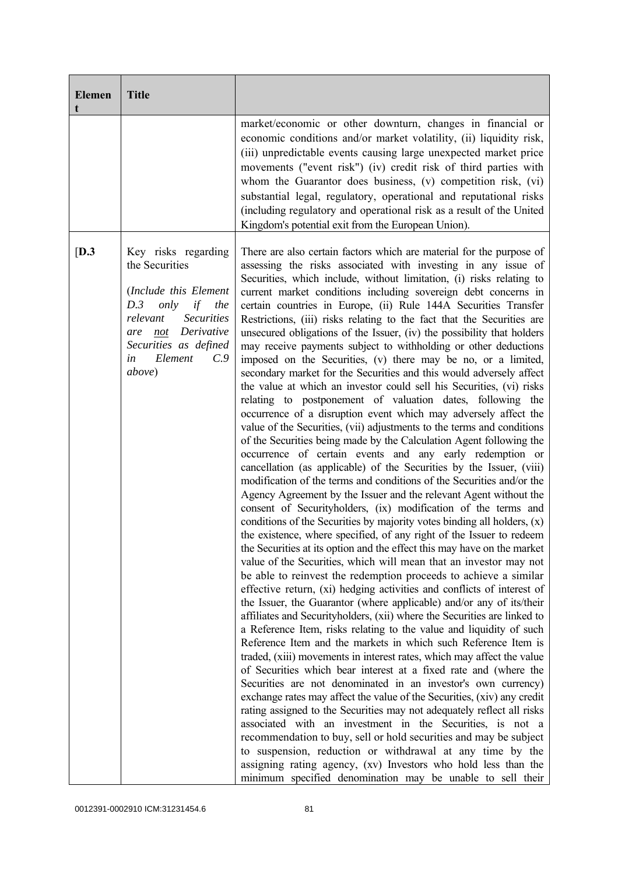| <b>Elemen</b><br>t | <b>Title</b>                                                                                                                                                                                                       |                                                                                                                                                                                                                                                                                                                                                                                                                                                                                                                                                                                                                                                                                                                                                                                                                                                                                                                                                                                                                                                                                                                                                                                                                                                                                                                                                                                                                                                                                                                                                                                                                                                                                                                                                                                                                                                                                                                                                                                                                                                                                                                                                                                                                                                                                                                                                                                                                                                                                                                                                                                                                                                                                                                                                                                                                                                                                  |
|--------------------|--------------------------------------------------------------------------------------------------------------------------------------------------------------------------------------------------------------------|----------------------------------------------------------------------------------------------------------------------------------------------------------------------------------------------------------------------------------------------------------------------------------------------------------------------------------------------------------------------------------------------------------------------------------------------------------------------------------------------------------------------------------------------------------------------------------------------------------------------------------------------------------------------------------------------------------------------------------------------------------------------------------------------------------------------------------------------------------------------------------------------------------------------------------------------------------------------------------------------------------------------------------------------------------------------------------------------------------------------------------------------------------------------------------------------------------------------------------------------------------------------------------------------------------------------------------------------------------------------------------------------------------------------------------------------------------------------------------------------------------------------------------------------------------------------------------------------------------------------------------------------------------------------------------------------------------------------------------------------------------------------------------------------------------------------------------------------------------------------------------------------------------------------------------------------------------------------------------------------------------------------------------------------------------------------------------------------------------------------------------------------------------------------------------------------------------------------------------------------------------------------------------------------------------------------------------------------------------------------------------------------------------------------------------------------------------------------------------------------------------------------------------------------------------------------------------------------------------------------------------------------------------------------------------------------------------------------------------------------------------------------------------------------------------------------------------------------------------------------------------|
|                    |                                                                                                                                                                                                                    | market/economic or other downturn, changes in financial or<br>economic conditions and/or market volatility, (ii) liquidity risk,<br>(iii) unpredictable events causing large unexpected market price<br>movements ("event risk") (iv) credit risk of third parties with<br>whom the Guarantor does business, (v) competition risk, (vi)<br>substantial legal, regulatory, operational and reputational risks<br>(including regulatory and operational risk as a result of the United<br>Kingdom's potential exit from the European Union).                                                                                                                                                                                                                                                                                                                                                                                                                                                                                                                                                                                                                                                                                                                                                                                                                                                                                                                                                                                                                                                                                                                                                                                                                                                                                                                                                                                                                                                                                                                                                                                                                                                                                                                                                                                                                                                                                                                                                                                                                                                                                                                                                                                                                                                                                                                                       |
| [D.3]              | Key risks regarding<br>the Securities<br>(Include this Element<br>D.3<br>only<br>if<br>the<br><b>Securities</b><br>relevant<br>Derivative<br>not<br>are<br>Securities as defined<br>Element<br>C.9<br>in<br>above) | There are also certain factors which are material for the purpose of<br>assessing the risks associated with investing in any issue of<br>Securities, which include, without limitation, (i) risks relating to<br>current market conditions including sovereign debt concerns in<br>certain countries in Europe, (ii) Rule 144A Securities Transfer<br>Restrictions, (iii) risks relating to the fact that the Securities are<br>unsecured obligations of the Issuer, (iv) the possibility that holders<br>may receive payments subject to withholding or other deductions<br>imposed on the Securities, (v) there may be no, or a limited,<br>secondary market for the Securities and this would adversely affect<br>the value at which an investor could sell his Securities, (vi) risks<br>relating to postponement of valuation dates, following the<br>occurrence of a disruption event which may adversely affect the<br>value of the Securities, (vii) adjustments to the terms and conditions<br>of the Securities being made by the Calculation Agent following the<br>occurrence of certain events and any early redemption or<br>cancellation (as applicable) of the Securities by the Issuer, (viii)<br>modification of the terms and conditions of the Securities and/or the<br>Agency Agreement by the Issuer and the relevant Agent without the<br>consent of Securityholders, (ix) modification of the terms and<br>conditions of the Securities by majority votes binding all holders, (x)<br>the existence, where specified, of any right of the Issuer to redeem<br>the Securities at its option and the effect this may have on the market<br>value of the Securities, which will mean that an investor may not<br>be able to reinvest the redemption proceeds to achieve a similar<br>effective return, (xi) hedging activities and conflicts of interest of<br>the Issuer, the Guarantor (where applicable) and/or any of its/their<br>affiliates and Securityholders, (xii) where the Securities are linked to<br>a Reference Item, risks relating to the value and liquidity of such<br>Reference Item and the markets in which such Reference Item is<br>traded, (xiii) movements in interest rates, which may affect the value<br>of Securities which bear interest at a fixed rate and (where the<br>Securities are not denominated in an investor's own currency)<br>exchange rates may affect the value of the Securities, (xiv) any credit<br>rating assigned to the Securities may not adequately reflect all risks<br>associated with an investment in the Securities, is not a<br>recommendation to buy, sell or hold securities and may be subject<br>to suspension, reduction or withdrawal at any time by the<br>assigning rating agency, (xv) Investors who hold less than the<br>minimum specified denomination may be unable to sell their |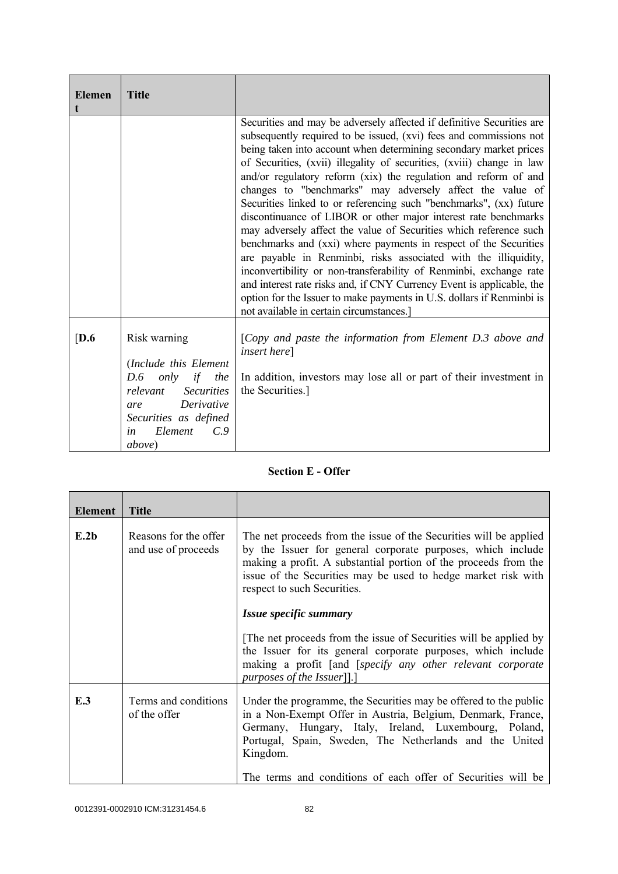| <b>Elemen</b> | <b>Title</b>                                                                                                                                                                                         |                                                                                                                                                                                                                                                                                                                                                                                                                                                                                                                                                                                                                                                                                                                                                                                                                                                                                                                                                                                                                                                    |
|---------------|------------------------------------------------------------------------------------------------------------------------------------------------------------------------------------------------------|----------------------------------------------------------------------------------------------------------------------------------------------------------------------------------------------------------------------------------------------------------------------------------------------------------------------------------------------------------------------------------------------------------------------------------------------------------------------------------------------------------------------------------------------------------------------------------------------------------------------------------------------------------------------------------------------------------------------------------------------------------------------------------------------------------------------------------------------------------------------------------------------------------------------------------------------------------------------------------------------------------------------------------------------------|
|               |                                                                                                                                                                                                      | Securities and may be adversely affected if definitive Securities are<br>subsequently required to be issued, (xvi) fees and commissions not<br>being taken into account when determining secondary market prices<br>of Securities, (xvii) illegality of securities, (xviii) change in law<br>and/or regulatory reform (xix) the regulation and reform of and<br>changes to "benchmarks" may adversely affect the value of<br>Securities linked to or referencing such "benchmarks", (xx) future<br>discontinuance of LIBOR or other major interest rate benchmarks<br>may adversely affect the value of Securities which reference such<br>benchmarks and (xxi) where payments in respect of the Securities<br>are payable in Renminbi, risks associated with the illiquidity,<br>inconvertibility or non-transferability of Renminbi, exchange rate<br>and interest rate risks and, if CNY Currency Event is applicable, the<br>option for the Issuer to make payments in U.S. dollars if Renminbi is<br>not available in certain circumstances.] |
| [D.6]         | Risk warning<br>(Include this Element<br>D.6<br>only<br>if<br>the<br><b>Securities</b><br>relevant<br>Derivative<br>are<br>Securities as defined<br>Element<br>$C_{\cdot}$ 9<br>in<br><i>above</i> ) | [Copy and paste the information from Element D.3 above and<br><i>insert here</i> ]<br>In addition, investors may lose all or part of their investment in<br>the Securities.]                                                                                                                                                                                                                                                                                                                                                                                                                                                                                                                                                                                                                                                                                                                                                                                                                                                                       |

## **Section E - Offer**

| Element | <b>Title</b>                                 |                                                                                                                                                                                                                                                                                                                                 |
|---------|----------------------------------------------|---------------------------------------------------------------------------------------------------------------------------------------------------------------------------------------------------------------------------------------------------------------------------------------------------------------------------------|
| E.2b    | Reasons for the offer<br>and use of proceeds | The net proceeds from the issue of the Securities will be applied<br>by the Issuer for general corporate purposes, which include<br>making a profit. A substantial portion of the proceeds from the<br>issue of the Securities may be used to hedge market risk with<br>respect to such Securities.                             |
|         |                                              | Issue specific summary                                                                                                                                                                                                                                                                                                          |
|         |                                              | The net proceeds from the issue of Securities will be applied by<br>the Issuer for its general corporate purposes, which include<br>making a profit [and [specify any other relevant corporate<br>purposes of the Issuer]].                                                                                                     |
| E.3     | Terms and conditions<br>of the offer         | Under the programme, the Securities may be offered to the public<br>in a Non-Exempt Offer in Austria, Belgium, Denmark, France,<br>Germany, Hungary, Italy, Ireland, Luxembourg, Poland,<br>Portugal, Spain, Sweden, The Netherlands and the United<br>Kingdom.<br>The terms and conditions of each offer of Securities will be |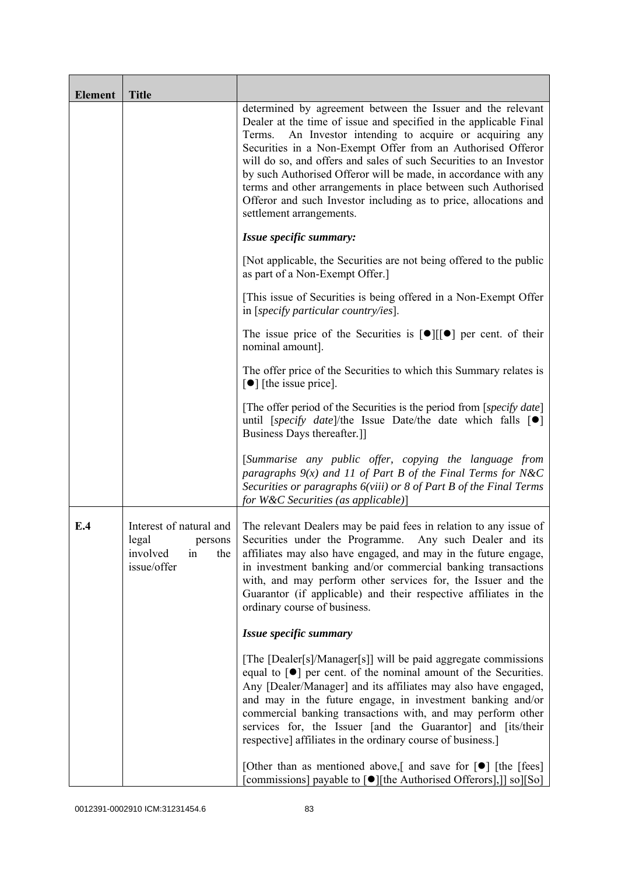| <b>Element</b> | <b>Title</b>                                                                        |                                                                                                                                                                                                                                                                                                                                                                                                                                                                                                                                                                          |
|----------------|-------------------------------------------------------------------------------------|--------------------------------------------------------------------------------------------------------------------------------------------------------------------------------------------------------------------------------------------------------------------------------------------------------------------------------------------------------------------------------------------------------------------------------------------------------------------------------------------------------------------------------------------------------------------------|
|                |                                                                                     | determined by agreement between the Issuer and the relevant<br>Dealer at the time of issue and specified in the applicable Final<br>An Investor intending to acquire or acquiring any<br>Terms.<br>Securities in a Non-Exempt Offer from an Authorised Offeror<br>will do so, and offers and sales of such Securities to an Investor<br>by such Authorised Offeror will be made, in accordance with any<br>terms and other arrangements in place between such Authorised<br>Offeror and such Investor including as to price, allocations and<br>settlement arrangements. |
|                |                                                                                     | Issue specific summary:                                                                                                                                                                                                                                                                                                                                                                                                                                                                                                                                                  |
|                |                                                                                     | [Not applicable, the Securities are not being offered to the public<br>as part of a Non-Exempt Offer.]                                                                                                                                                                                                                                                                                                                                                                                                                                                                   |
|                |                                                                                     | [This issue of Securities is being offered in a Non-Exempt Offer<br>in [specify particular country/ies].                                                                                                                                                                                                                                                                                                                                                                                                                                                                 |
|                |                                                                                     | The issue price of the Securities is $[\bullet] [[\bullet]$ per cent. of their<br>nominal amount].                                                                                                                                                                                                                                                                                                                                                                                                                                                                       |
|                |                                                                                     | The offer price of the Securities to which this Summary relates is<br>$\lceil \bullet \rceil$ [the issue price].                                                                                                                                                                                                                                                                                                                                                                                                                                                         |
|                |                                                                                     | [The offer period of the Securities is the period from [specify date]<br>until [specify date]/the Issue Date/the date which falls $[\bullet]$<br>Business Days thereafter.]                                                                                                                                                                                                                                                                                                                                                                                              |
|                |                                                                                     | [Summarise any public offer, copying the language from<br>paragraphs $9(x)$ and 11 of Part B of the Final Terms for N&C<br>Securities or paragraphs 6(viii) or 8 of Part B of the Final Terms<br>for W&C Securities (as applicable)]                                                                                                                                                                                                                                                                                                                                     |
| E.4            | Interest of natural and<br>legal<br>persons<br>involved<br>the<br>in<br>issue/offer | The relevant Dealers may be paid fees in relation to any issue of<br>Securities under the Programme. Any such Dealer and its<br>affiliates may also have engaged, and may in the future engage,<br>in investment banking and/or commercial banking transactions<br>with, and may perform other services for, the Issuer and the<br>Guarantor (if applicable) and their respective affiliates in the<br>ordinary course of business.                                                                                                                                      |
|                |                                                                                     | Issue specific summary                                                                                                                                                                                                                                                                                                                                                                                                                                                                                                                                                   |
|                |                                                                                     | [The [Dealer[s]/Manager[s]] will be paid aggregate commissions<br>equal to $\lceil \bullet \rceil$ per cent. of the nominal amount of the Securities.<br>Any [Dealer/Manager] and its affiliates may also have engaged,<br>and may in the future engage, in investment banking and/or<br>commercial banking transactions with, and may perform other<br>services for, the Issuer [and the Guarantor] and [its/their<br>respective] affiliates in the ordinary course of business.]                                                                                       |
|                |                                                                                     | [Other than as mentioned above,] and save for $\lceil \bullet \rceil$ [the [fees]<br>[commissions] payable to [●][the Authorised Offerors],]] so][So]                                                                                                                                                                                                                                                                                                                                                                                                                    |